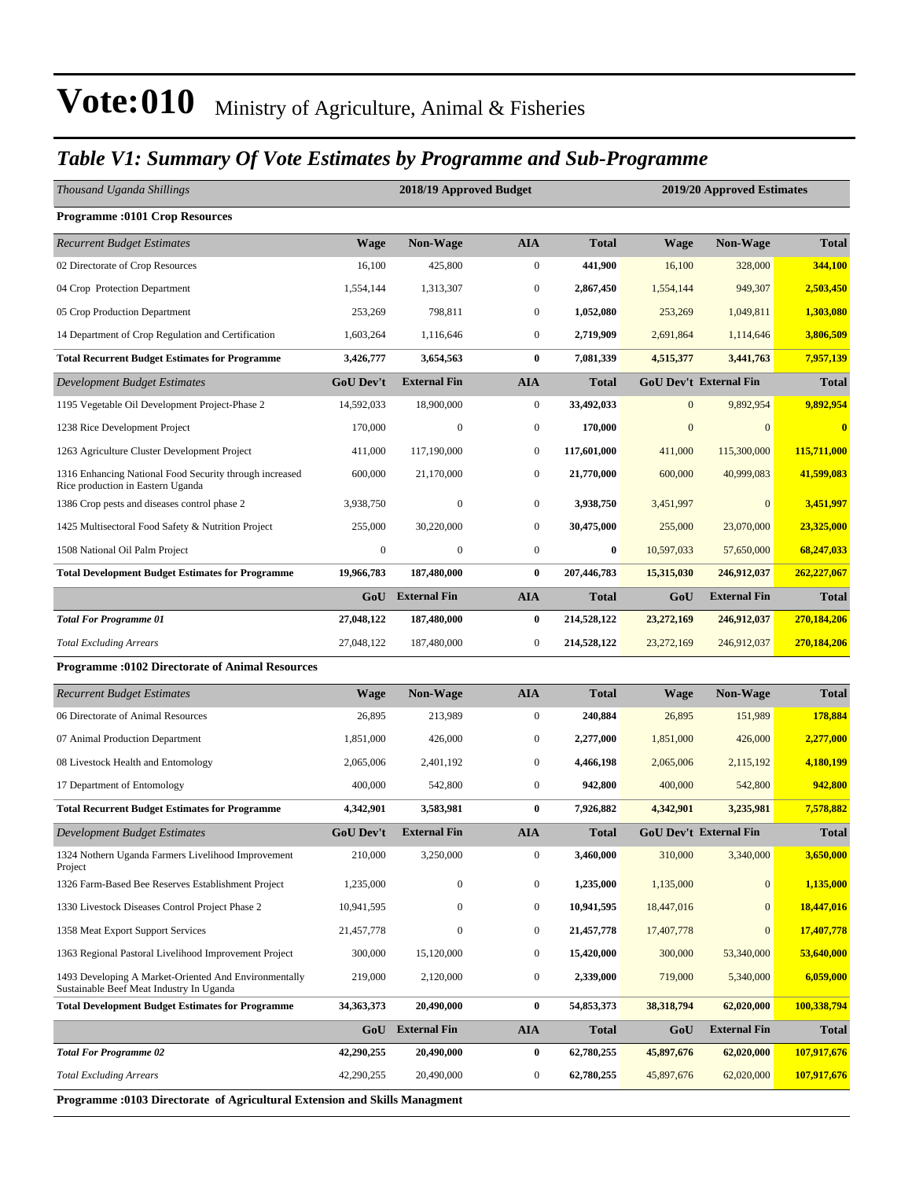### *Table V1: Summary Of Vote Estimates by Programme and Sub-Programme*

| <b>Programme:0101 Crop Resources</b><br><b>Non-Wage</b><br><b>AIA</b><br><b>Total</b><br>Non-Wage<br><b>Recurrent Budget Estimates</b><br><b>Wage</b><br>Wage                      | <b>Total</b><br>344,100 |
|------------------------------------------------------------------------------------------------------------------------------------------------------------------------------------|-------------------------|
|                                                                                                                                                                                    |                         |
|                                                                                                                                                                                    |                         |
| $\mathbf{0}$<br>02 Directorate of Crop Resources<br>16,100<br>425,800<br>441,900<br>16,100<br>328,000                                                                              |                         |
| $\mathbf{0}$<br>04 Crop Protection Department<br>1,554,144<br>1,313,307<br>2,867,450<br>949,307<br>1,554,144                                                                       | 2,503,450               |
| $\mathbf{0}$<br>05 Crop Production Department<br>253,269<br>798,811<br>1,052,080<br>253,269<br>1,049,811                                                                           | 1,303,080               |
| $\mathbf{0}$<br>14 Department of Crop Regulation and Certification<br>1,603,264<br>1,116,646<br>2,719,909<br>2,691,864<br>1,114,646                                                | 3,806,509               |
| $\bf{0}$<br><b>Total Recurrent Budget Estimates for Programme</b><br>3,426,777<br>3,654,563<br>7,081,339<br>4,515,377<br>3,441,763                                                 | 7,957,139               |
| <b>AIA</b><br><b>GoU Dev't</b><br><b>External Fin</b><br><b>GoU Dev't External Fin</b><br>Development Budget Estimates<br><b>Total</b>                                             | <b>Total</b>            |
| $\mathbf{0}$<br>$\overline{0}$<br>9,892,954<br>1195 Vegetable Oil Development Project-Phase 2<br>14,592,033<br>18,900,000<br>33,492,033                                            | 9,892,954               |
| $\boldsymbol{0}$<br>$\mathbf{0}$<br>1238 Rice Development Project<br>170,000<br>$\boldsymbol{0}$<br>170,000<br>$\mathbf{0}$                                                        | $\overline{\mathbf{0}}$ |
| $\mathbf{0}$<br>1263 Agriculture Cluster Development Project<br>411,000<br>117,190,000<br>117,601,000<br>411,000<br>115,300,000                                                    | 115,711,000             |
| $\boldsymbol{0}$<br>40.999.083<br>1316 Enhancing National Food Security through increased<br>600,000<br>21,170,000<br>21,770,000<br>600,000<br>Rice production in Eastern Uganda   | 41,599,083              |
| $\mathbf{0}$<br>$\boldsymbol{0}$<br>$\mathbf{0}$<br>1386 Crop pests and diseases control phase 2<br>3,938,750<br>3,938,750<br>3,451,997                                            | 3,451,997               |
| 30,220,000<br>$\mathbf{0}$<br>30,475,000<br>23,070,000<br>1425 Multisectoral Food Safety & Nutrition Project<br>255,000<br>255,000                                                 | 23,325,000              |
| $\boldsymbol{0}$<br>$\boldsymbol{0}$<br>$\boldsymbol{0}$<br>$\bf{0}$<br>1508 National Oil Palm Project<br>10,597,033<br>57,650,000                                                 | 68,247,033              |
| $\bf{0}$<br><b>Total Development Budget Estimates for Programme</b><br>19,966,783<br>187,480,000<br>207,446,783<br>15,315,030<br>246,912,037                                       | 262,227,067             |
| <b>GoU</b> External Fin<br><b>External Fin</b><br><b>AIA</b><br>GoU<br><b>Total</b>                                                                                                | <b>Total</b>            |
| 27,048,122<br>$\bf{0}$<br>214,528,122<br><b>Total For Programme 01</b><br>187,480,000<br>23,272,169<br>246,912,037                                                                 | 270,184,206             |
| $\boldsymbol{0}$<br><b>Total Excluding Arrears</b><br>27,048,122<br>187,480,000<br>214,528,122<br>23,272,169<br>246,912,037                                                        | 270,184,206             |
| <b>Programme: 0102 Directorate of Animal Resources</b>                                                                                                                             |                         |
| <b>AIA</b><br>Non-Wage<br><b>Total</b><br><b>Non-Wage</b><br><b>Recurrent Budget Estimates</b><br><b>Wage</b><br>Wage                                                              | <b>Total</b>            |
| $\mathbf{0}$<br>06 Directorate of Animal Resources<br>26,895<br>213,989<br>240,884<br>26,895<br>151,989                                                                            | 178,884                 |
| $\mathbf{0}$<br>07 Animal Production Department<br>1,851,000<br>426,000<br>2,277,000<br>1,851,000<br>426,000                                                                       | 2,277,000               |
| $\mathbf{0}$<br>08 Livestock Health and Entomology<br>2,065,006<br>2,401,192<br>4,466,198<br>2,065,006<br>2,115,192                                                                | 4,180,199               |
| $\mathbf{0}$<br>17 Department of Entomology<br>400,000<br>542,800<br>942,800<br>400,000<br>542,800                                                                                 | 942,800                 |
| 3,583,981<br>$\bf{0}$<br><b>Total Recurrent Budget Estimates for Programme</b><br>4,342,901<br>7,926,882<br>4,342,901<br>3,235,981                                                 | 7,578,882               |
| <b>External Fin</b><br><b>GoU Dev't External Fin</b><br><b>GoU Dev't</b><br><b>AIA</b><br><b>Total</b><br>Development Budget Estimates                                             | <b>Total</b>            |
| 210,000<br>3,250,000<br>$\boldsymbol{0}$<br>3,460,000<br>310,000<br>3,340,000<br>1324 Nothern Uganda Farmers Livelihood Improvement<br>Project                                     | 3,650,000               |
| 1326 Farm-Based Bee Reserves Establishment Project<br>$\boldsymbol{0}$<br>1,235,000<br>$\mathbf{0}$<br>1,235,000<br>0<br>1,135,000                                                 | 1,135,000               |
| $\boldsymbol{0}$<br>$\boldsymbol{0}$<br>10,941,595<br>$\mathbf{0}$<br>1330 Livestock Diseases Control Project Phase 2<br>10,941,595<br>18,447,016                                  | 18,447,016              |
| 1358 Meat Export Support Services<br>$\boldsymbol{0}$<br>$\overline{0}$<br>21,457,778<br>$\boldsymbol{0}$<br>21,457,778<br>17,407,778                                              | 17,407,778              |
| 1363 Regional Pastoral Livelihood Improvement Project<br>$\mathbf{0}$<br>300,000<br>15,120,000<br>15,420,000<br>300,000<br>53,340,000                                              | 53,640,000              |
| $\boldsymbol{0}$<br>1493 Developing A Market-Oriented And Environmentally<br>219,000<br>2,120,000<br>2,339,000<br>719,000<br>5,340,000<br>Sustainable Beef Meat Industry In Uganda | 6,059,000               |
| <b>Total Development Budget Estimates for Programme</b><br>34, 363, 373<br>20,490,000<br>54,853,373<br>38,318,794<br>$\bf{0}$<br>62,020,000                                        | 100,338,794             |
| <b>GoU</b> External Fin<br><b>AIA</b><br>GoU<br><b>External Fin</b><br><b>Total</b>                                                                                                | <b>Total</b>            |
| <b>Total For Programme 02</b><br>42,290,255<br>20,490,000<br>$\bf{0}$<br>62,780,255<br>45,897,676<br>62,020,000                                                                    | 107,917,676             |
| <b>Total Excluding Arrears</b><br>42,290,255<br>20,490,000<br>$\boldsymbol{0}$<br>62,780,255<br>45,897,676<br>62,020,000                                                           | 107,917,676             |

**Programme :0103 Directorate of Agricultural Extension and Skills Managment**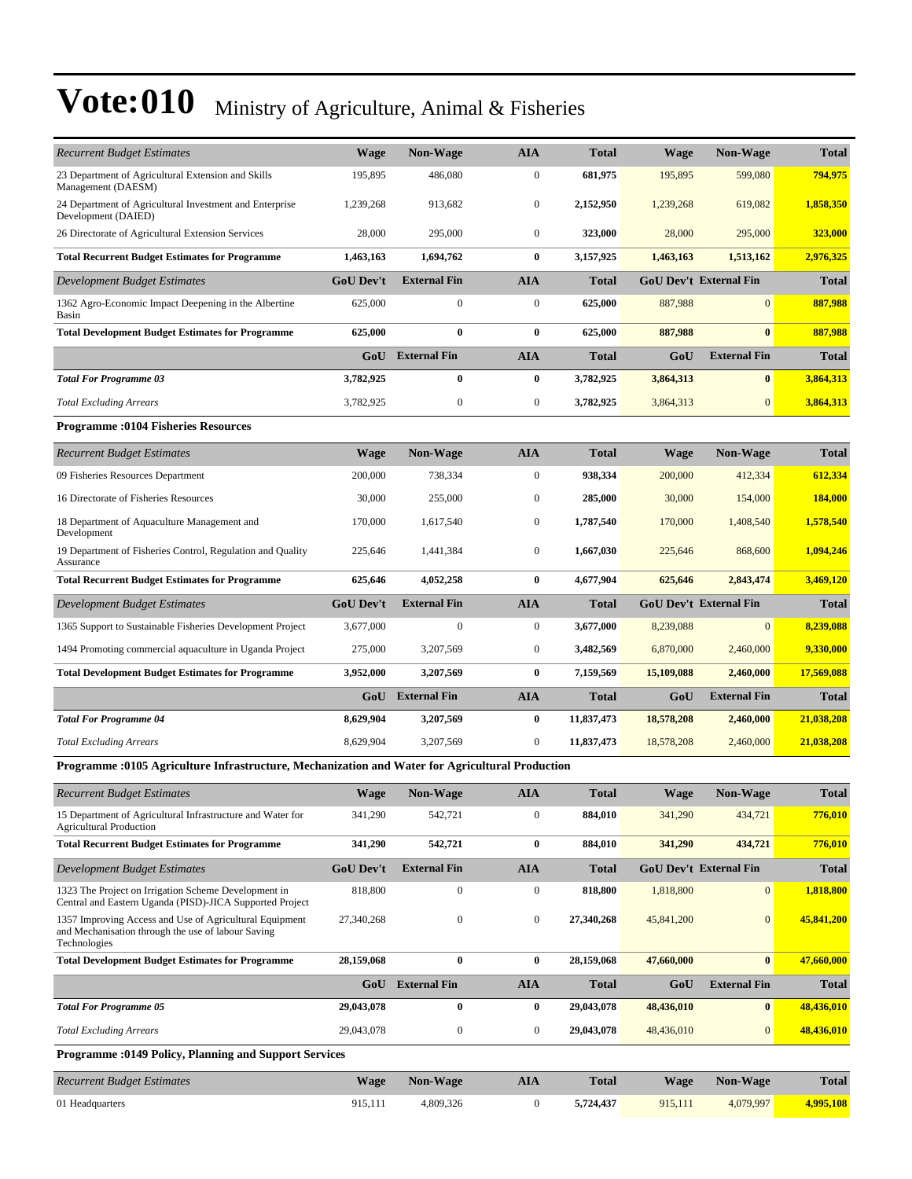| <b>Recurrent Budget Estimates</b>                                                                                             | <b>Wage</b>      | <b>Non-Wage</b>         | <b>AIA</b>       | <b>Total</b> | <b>Wage</b> | <b>Non-Wage</b>               | <b>Total</b> |
|-------------------------------------------------------------------------------------------------------------------------------|------------------|-------------------------|------------------|--------------|-------------|-------------------------------|--------------|
| 23 Department of Agricultural Extension and Skills<br>Management (DAESM)                                                      | 195,895          | 486,080                 | $\mathbf{0}$     | 681,975      | 195,895     | 599,080                       | 794,975      |
| 24 Department of Agricultural Investment and Enterprise<br>Development (DAIED)                                                | 1,239,268        | 913,682                 | $\boldsymbol{0}$ | 2,152,950    | 1,239,268   | 619,082                       | 1,858,350    |
| 26 Directorate of Agricultural Extension Services                                                                             | 28,000           | 295,000                 | $\mathbf{0}$     | 323,000      | 28,000      | 295,000                       | 323,000      |
| <b>Total Recurrent Budget Estimates for Programme</b>                                                                         | 1,463,163        | 1,694,762               | $\bf{0}$         | 3,157,925    | 1,463,163   | 1,513,162                     | 2,976,325    |
| Development Budget Estimates                                                                                                  | <b>GoU</b> Dev't | <b>External Fin</b>     | <b>AIA</b>       | <b>Total</b> |             | <b>GoU Dev't External Fin</b> | <b>Total</b> |
| 1362 Agro-Economic Impact Deepening in the Albertine<br>Basin                                                                 | 625,000          | $\boldsymbol{0}$        | $\boldsymbol{0}$ | 625,000      | 887,988     | $\mathbf{0}$                  | 887,988      |
| <b>Total Development Budget Estimates for Programme</b>                                                                       | 625,000          | $\bf{0}$                | $\bf{0}$         | 625,000      | 887,988     | $\bf{0}$                      | 887,988      |
|                                                                                                                               |                  | <b>GoU</b> External Fin | <b>AIA</b>       | <b>Total</b> | GoU         | <b>External Fin</b>           | <b>Total</b> |
| <b>Total For Programme 03</b>                                                                                                 | 3,782,925        | $\bf{0}$                | $\bf{0}$         | 3,782,925    | 3,864,313   | $\bf{0}$                      | 3,864,313    |
| <b>Total Excluding Arrears</b>                                                                                                | 3,782,925        | $\boldsymbol{0}$        | $\mathbf{0}$     | 3,782,925    | 3,864,313   | $\mathbf{0}$                  | 3,864,313    |
| <b>Programme: 0104 Fisheries Resources</b>                                                                                    |                  |                         |                  |              |             |                               |              |
| <b>Recurrent Budget Estimates</b>                                                                                             | <b>Wage</b>      | <b>Non-Wage</b>         | <b>AIA</b>       | <b>Total</b> | Wage        | <b>Non-Wage</b>               | <b>Total</b> |
| 09 Fisheries Resources Department                                                                                             | 200,000          | 738,334                 | $\boldsymbol{0}$ | 938,334      | 200,000     | 412,334                       | 612,334      |
| 16 Directorate of Fisheries Resources                                                                                         | 30,000           | 255,000                 | $\mathbf{0}$     | 285,000      | 30,000      | 154,000                       | 184,000      |
| 18 Department of Aquaculture Management and<br>Development                                                                    | 170,000          | 1,617,540               | $\mathbf{0}$     | 1,787,540    | 170,000     | 1,408,540                     | 1,578,540    |
| 19 Department of Fisheries Control, Regulation and Quality<br>Assurance                                                       | 225,646          | 1,441,384               | $\mathbf{0}$     | 1,667,030    | 225,646     | 868,600                       | 1.094.246    |
| <b>Total Recurrent Budget Estimates for Programme</b>                                                                         | 625,646          | 4,052,258               | $\bf{0}$         | 4,677,904    | 625,646     | 2,843,474                     | 3,469,120    |
| Development Budget Estimates                                                                                                  | <b>GoU Dev't</b> | <b>External Fin</b>     | <b>AIA</b>       | <b>Total</b> |             | <b>GoU Dev't External Fin</b> | <b>Total</b> |
| 1365 Support to Sustainable Fisheries Development Project                                                                     | 3,677,000        | $\boldsymbol{0}$        | $\mathbf{0}$     | 3,677,000    | 8,239,088   | $\mathbf{0}$                  | 8,239,088    |
| 1494 Promoting commercial aquaculture in Uganda Project                                                                       | 275,000          | 3,207,569               | $\boldsymbol{0}$ | 3,482,569    | 6,870,000   | 2,460,000                     | 9,330,000    |
| <b>Total Development Budget Estimates for Programme</b>                                                                       | 3,952,000        | 3,207,569               | $\bf{0}$         | 7,159,569    | 15,109,088  | 2,460,000                     | 17,569,088   |
|                                                                                                                               | GoU              | <b>External Fin</b>     | <b>AIA</b>       | <b>Total</b> | GoU         | <b>External Fin</b>           | <b>Total</b> |
| <b>Total For Programme 04</b>                                                                                                 | 8,629,904        | 3,207,569               | $\bf{0}$         | 11,837,473   | 18,578,208  | 2,460,000                     | 21,038,208   |
| <b>Total Excluding Arrears</b>                                                                                                | 8,629,904        | 3,207,569               | $\mathbf{0}$     | 11,837,473   | 18,578,208  | 2,460,000                     | 21,038,208   |
| Programme :0105 Agriculture Infrastructure, Mechanization and Water for Agricultural Production                               |                  |                         |                  |              |             |                               |              |
| <b>Recurrent Budget Estimates</b>                                                                                             | <b>Wage</b>      | <b>Non-Wage</b>         | <b>AIA</b>       | <b>Total</b> | <b>Wage</b> | <b>Non-Wage</b>               | <b>Total</b> |
| 15 Department of Agricultural Infrastructure and Water for<br><b>Agricultural Production</b>                                  | 341,290          | 542,721                 | $\boldsymbol{0}$ | 884,010      | 341,290     | 434,721                       | 776,010      |
| <b>Total Recurrent Budget Estimates for Programme</b>                                                                         | 341,290          | 542,721                 | $\bf{0}$         | 884,010      | 341,290     | 434,721                       | 776,010      |
| <b>Development Budget Estimates</b>                                                                                           | <b>GoU Dev't</b> | <b>External Fin</b>     | <b>AIA</b>       | <b>Total</b> |             | <b>GoU Dev't External Fin</b> | <b>Total</b> |
| 1323 The Project on Irrigation Scheme Development in<br>Central and Eastern Uganda (PISD)-JICA Supported Project              | 818,800          | $\boldsymbol{0}$        | $\boldsymbol{0}$ | 818,800      | 1,818,800   | $\mathbf{0}$                  | 1,818,800    |
| 1357 Improving Access and Use of Agricultural Equipment<br>and Mechanisation through the use of labour Saving<br>Technologies | 27,340,268       | $\boldsymbol{0}$        | $\boldsymbol{0}$ | 27,340,268   | 45,841,200  | $\mathbf{0}$                  | 45,841,200   |
| <b>Total Development Budget Estimates for Programme</b>                                                                       | 28,159,068       | $\bf{0}$                | $\bf{0}$         | 28,159,068   | 47,660,000  | $\bf{0}$                      | 47,660,000   |
|                                                                                                                               | GoU              | <b>External Fin</b>     | <b>AIA</b>       | <b>Total</b> | GoU         | <b>External Fin</b>           | <b>Total</b> |
| <b>Total For Programme 05</b>                                                                                                 | 29,043,078       | $\boldsymbol{0}$        | $\bf{0}$         | 29,043,078   | 48,436,010  | $\bf{0}$                      | 48,436,010   |
| <b>Total Excluding Arrears</b>                                                                                                | 29,043,078       | $\boldsymbol{0}$        | $\boldsymbol{0}$ | 29,043,078   | 48,436,010  | $\mathbf{0}$                  | 48,436,010   |
| Programme : 0149 Policy, Planning and Support Services                                                                        |                  |                         |                  |              |             |                               |              |
| <b>Recurrent Budget Estimates</b>                                                                                             | <b>Wage</b>      | Non-Wage                | <b>AIA</b>       | <b>Total</b> | <b>Wage</b> | <b>Non-Wage</b>               | <b>Total</b> |
|                                                                                                                               |                  |                         |                  |              |             |                               |              |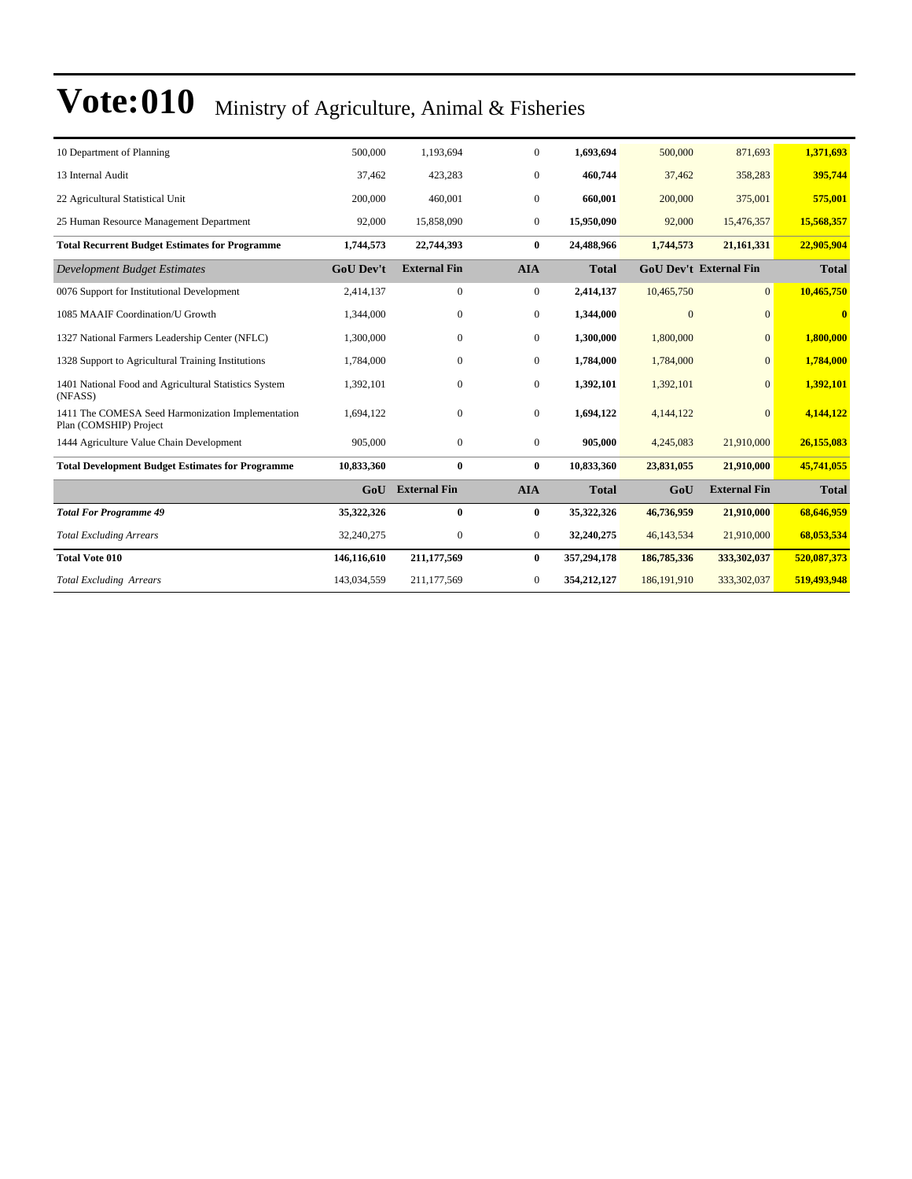| 10 Department of Planning                                                   | 500,000          | 1.193.694           | $\overline{0}$ | 1.693.694    | 500,000       | 871,693                       | 1,371,693    |
|-----------------------------------------------------------------------------|------------------|---------------------|----------------|--------------|---------------|-------------------------------|--------------|
| 13 Internal Audit                                                           | 37,462           | 423,283             | $\mathbf{0}$   | 460,744      | 37,462        | 358,283                       | 395,744      |
| 22 Agricultural Statistical Unit                                            | 200,000          | 460,001             | $\mathbf{0}$   | 660,001      | 200,000       | 375,001                       | 575,001      |
| 25 Human Resource Management Department                                     | 92,000           | 15,858,090          | $\overline{0}$ | 15,950,090   | 92,000        | 15,476,357                    | 15,568,357   |
| <b>Total Recurrent Budget Estimates for Programme</b>                       | 1,744,573        | 22,744,393          | $\bf{0}$       | 24,488,966   | 1,744,573     | 21, 161, 331                  | 22,905,904   |
| <b>Development Budget Estimates</b>                                         | <b>GoU Dev't</b> | <b>External Fin</b> | <b>AIA</b>     | <b>Total</b> |               | <b>GoU Dev't External Fin</b> | <b>Total</b> |
| 0076 Support for Institutional Development                                  | 2,414,137        | $\overline{0}$      | $\overline{0}$ | 2,414,137    | 10,465,750    | $\overline{0}$                | 10,465,750   |
| 1085 MAAIF Coordination/U Growth                                            | 1,344,000        | $\mathbf{0}$        | $\mathbf{0}$   | 1,344,000    | $\Omega$      | $\Omega$                      | $\bf{0}$     |
| 1327 National Farmers Leadership Center (NFLC)                              | 1,300,000        | $\mathbf{0}$        | $\mathbf{0}$   | 1,300,000    | 1,800,000     | $\Omega$                      | 1,800,000    |
| 1328 Support to Agricultural Training Institutions                          | 1,784,000        | $\mathbf{0}$        | $\mathbf{0}$   | 1,784,000    | 1,784,000     | $\mathbf{0}$                  | 1,784,000    |
| 1401 National Food and Agricultural Statistics System<br>(NFASS)            | 1,392,101        | $\mathbf{0}$        | $\mathbf{0}$   | 1,392,101    | 1,392,101     | $\mathbf{0}$                  | 1,392,101    |
| 1411 The COMESA Seed Harmonization Implementation<br>Plan (COMSHIP) Project | 1,694,122        | $\boldsymbol{0}$    | $\mathbf{0}$   | 1,694,122    | 4,144,122     | $\mathbf{0}$                  | 4,144,122    |
| 1444 Agriculture Value Chain Development                                    | 905,000          | $\mathbf{0}$        | $\mathbf{0}$   | 905,000      | 4,245,083     | 21,910,000                    | 26,155,083   |
| <b>Total Development Budget Estimates for Programme</b>                     | 10,833,360       | $\bf{0}$            | $\bf{0}$       | 10,833,360   | 23,831,055    | 21,910,000                    | 45,741,055   |
|                                                                             | GoU              | <b>External Fin</b> | <b>AIA</b>     | <b>Total</b> | GoU           | <b>External Fin</b>           | <b>Total</b> |
| <b>Total For Programme 49</b>                                               | 35,322,326       | $\bf{0}$            | $\bf{0}$       | 35,322,326   | 46,736,959    | 21,910,000                    | 68,646,959   |
| <b>Total Excluding Arrears</b>                                              | 32,240,275       | $\mathbf{0}$        | $\mathbf{0}$   | 32,240,275   | 46, 143, 534  | 21,910,000                    | 68,053,534   |
| <b>Total Vote 010</b>                                                       | 146,116,610      | 211,177,569         | $\bf{0}$       | 357,294,178  | 186,785,336   | 333,302,037                   | 520,087,373  |
| <b>Total Excluding Arrears</b>                                              | 143,034,559      | 211,177,569         | $\overline{0}$ | 354,212,127  | 186, 191, 910 | 333,302,037                   | 519,493,948  |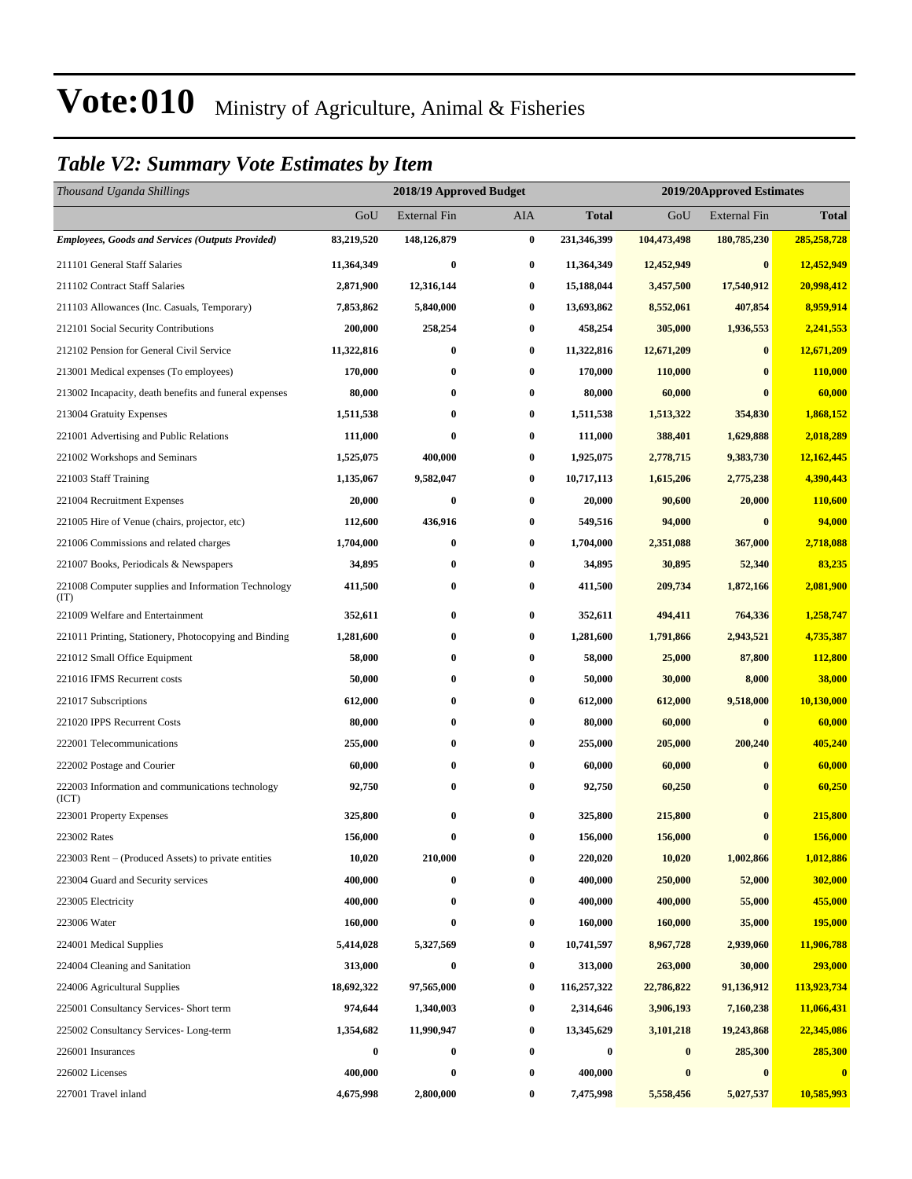### *Table V2: Summary Vote Estimates by Item*

| Thousand Uganda Shillings                                   |            | 2018/19 Approved Budget<br>2019/20Approved Estimates |          |                  |             |                     |              |  |
|-------------------------------------------------------------|------------|------------------------------------------------------|----------|------------------|-------------|---------------------|--------------|--|
|                                                             | GoU        | <b>External Fin</b>                                  | AIA      | Total            | GoU         | <b>External Fin</b> | <b>Total</b> |  |
| <b>Employees, Goods and Services (Outputs Provided)</b>     | 83,219,520 | 148,126,879                                          | $\bf{0}$ | 231,346,399      | 104,473,498 | 180,785,230         | 285,258,728  |  |
| 211101 General Staff Salaries                               | 11,364,349 | $\bf{0}$                                             | $\bf{0}$ | 11,364,349       | 12,452,949  | $\bf{0}$            | 12,452,949   |  |
| 211102 Contract Staff Salaries                              | 2,871,900  | 12,316,144                                           | $\bf{0}$ | 15,188,044       | 3,457,500   | 17,540,912          | 20,998,412   |  |
| 211103 Allowances (Inc. Casuals, Temporary)                 | 7,853,862  | 5,840,000                                            | $\bf{0}$ | 13,693,862       | 8,552,061   | 407,854             | 8,959,914    |  |
| 212101 Social Security Contributions                        | 200,000    | 258,254                                              | $\bf{0}$ | 458,254          | 305,000     | 1,936,553           | 2,241,553    |  |
| 212102 Pension for General Civil Service                    | 11,322,816 | $\bf{0}$                                             | $\bf{0}$ | 11,322,816       | 12,671,209  | $\bf{0}$            | 12,671,209   |  |
| 213001 Medical expenses (To employees)                      | 170,000    | $\bf{0}$                                             | $\bf{0}$ | 170,000          | 110,000     | $\bf{0}$            | 110,000      |  |
| 213002 Incapacity, death benefits and funeral expenses      | 80,000     | $\bf{0}$                                             | $\bf{0}$ | 80,000           | 60,000      | $\bf{0}$            | 60,000       |  |
| 213004 Gratuity Expenses                                    | 1,511,538  | $\bf{0}$                                             | $\bf{0}$ | 1,511,538        | 1,513,322   | 354,830             | 1,868,152    |  |
| 221001 Advertising and Public Relations                     | 111,000    | $\bf{0}$                                             | $\bf{0}$ | 111,000          | 388,401     | 1,629,888           | 2,018,289    |  |
| 221002 Workshops and Seminars                               | 1,525,075  | 400,000                                              | $\bf{0}$ | 1,925,075        | 2,778,715   | 9,383,730           | 12,162,445   |  |
| 221003 Staff Training                                       | 1,135,067  | 9,582,047                                            | $\bf{0}$ | 10,717,113       | 1,615,206   | 2,775,238           | 4,390,443    |  |
| 221004 Recruitment Expenses                                 | 20,000     | $\boldsymbol{0}$                                     | $\bf{0}$ | 20,000           | 90,600      | 20,000              | 110,600      |  |
| 221005 Hire of Venue (chairs, projector, etc)               | 112,600    | 436,916                                              | $\bf{0}$ | 549,516          | 94,000      | $\bf{0}$            | 94,000       |  |
| 221006 Commissions and related charges                      | 1,704,000  | $\bf{0}$                                             | $\bf{0}$ | 1,704,000        | 2,351,088   | 367,000             | 2,718,088    |  |
| 221007 Books, Periodicals & Newspapers                      | 34,895     | $\bf{0}$                                             | $\bf{0}$ | 34,895           | 30,895      | 52,340              | 83,235       |  |
| 221008 Computer supplies and Information Technology<br>(TT) | 411,500    | $\bf{0}$                                             | $\bf{0}$ | 411,500          | 209,734     | 1,872,166           | 2,081,900    |  |
| 221009 Welfare and Entertainment                            | 352,611    | $\bf{0}$                                             | $\bf{0}$ | 352,611          | 494,411     | 764,336             | 1,258,747    |  |
| 221011 Printing, Stationery, Photocopying and Binding       | 1,281,600  | $\bf{0}$                                             | $\bf{0}$ | 1,281,600        | 1,791,866   | 2,943,521           | 4,735,387    |  |
| 221012 Small Office Equipment                               | 58,000     | $\bf{0}$                                             | $\bf{0}$ | 58,000           | 25,000      | 87,800              | 112,800      |  |
| 221016 IFMS Recurrent costs                                 | 50,000     | 0                                                    | $\bf{0}$ | 50,000           | 30,000      | 8,000               | 38,000       |  |
| 221017 Subscriptions                                        | 612,000    | $\boldsymbol{0}$                                     | $\bf{0}$ | 612,000          | 612,000     | 9,518,000           | 10,130,000   |  |
| 221020 IPPS Recurrent Costs                                 | 80,000     | $\bf{0}$                                             | $\bf{0}$ | 80,000           | 60,000      | $\bf{0}$            | 60,000       |  |
| 222001 Telecommunications                                   | 255,000    | $\bf{0}$                                             | $\bf{0}$ | 255,000          | 205,000     | 200,240             | 405,240      |  |
| 222002 Postage and Courier                                  | 60,000     | $\bf{0}$                                             | 0        | 60,000           | 60,000      | $\bf{0}$            | 60,000       |  |
| 222003 Information and communications technology<br>(ICT)   | 92,750     | $\bf{0}$                                             | $\bf{0}$ | 92,750           | 60,250      | $\bf{0}$            | 60,250       |  |
| 223001 Property Expenses                                    | 325,800    | $\bf{0}$                                             | $\bf{0}$ | 325,800          | 215,800     | $\bf{0}$            | 215,800      |  |
| 223002 Rates                                                | 156,000    | $\bf{0}$                                             | $\bf{0}$ | 156,000          | 156,000     | $\bf{0}$            | 156,000      |  |
| 223003 Rent – (Produced Assets) to private entities         | 10,020     | 210,000                                              | $\bf{0}$ | 220,020          | 10,020      | 1,002,866           | 1,012,886    |  |
| 223004 Guard and Security services                          | 400,000    | 0                                                    | $\bf{0}$ | 400,000          | 250,000     | 52,000              | 302,000      |  |
| 223005 Electricity                                          | 400,000    | $\bf{0}$                                             | $\bf{0}$ | 400,000          | 400,000     | 55,000              | 455,000      |  |
| 223006 Water                                                | 160,000    | $\bf{0}$                                             | $\bf{0}$ | 160,000          | 160,000     | 35,000              | 195,000      |  |
| 224001 Medical Supplies                                     | 5,414,028  | 5,327,569                                            | $\bf{0}$ | 10,741,597       | 8,967,728   | 2,939,060           | 11,906,788   |  |
| 224004 Cleaning and Sanitation                              | 313,000    | $\bf{0}$                                             | $\bf{0}$ | 313,000          | 263,000     | 30,000              | 293,000      |  |
| 224006 Agricultural Supplies                                | 18,692,322 | 97,565,000                                           | $\bf{0}$ | 116,257,322      | 22,786,822  | 91,136,912          | 113,923,734  |  |
| 225001 Consultancy Services- Short term                     | 974,644    | 1,340,003                                            | $\bf{0}$ | 2,314,646        | 3,906,193   | 7,160,238           | 11,066,431   |  |
| 225002 Consultancy Services-Long-term                       | 1,354,682  | 11,990,947                                           | $\bf{0}$ | 13,345,629       | 3,101,218   | 19,243,868          | 22,345,086   |  |
| 226001 Insurances                                           | $\bf{0}$   | $\boldsymbol{0}$                                     | $\bf{0}$ | $\boldsymbol{0}$ | $\bf{0}$    | 285,300             | 285,300      |  |
| 226002 Licenses                                             | 400,000    | $\bf{0}$                                             | $\bf{0}$ | 400,000          | $\bf{0}$    | $\bf{0}$            | $\bf{0}$     |  |
| 227001 Travel inland                                        | 4,675,998  | 2,800,000                                            | $\bf{0}$ | 7,475,998        | 5,558,456   | 5,027,537           | 10,585,993   |  |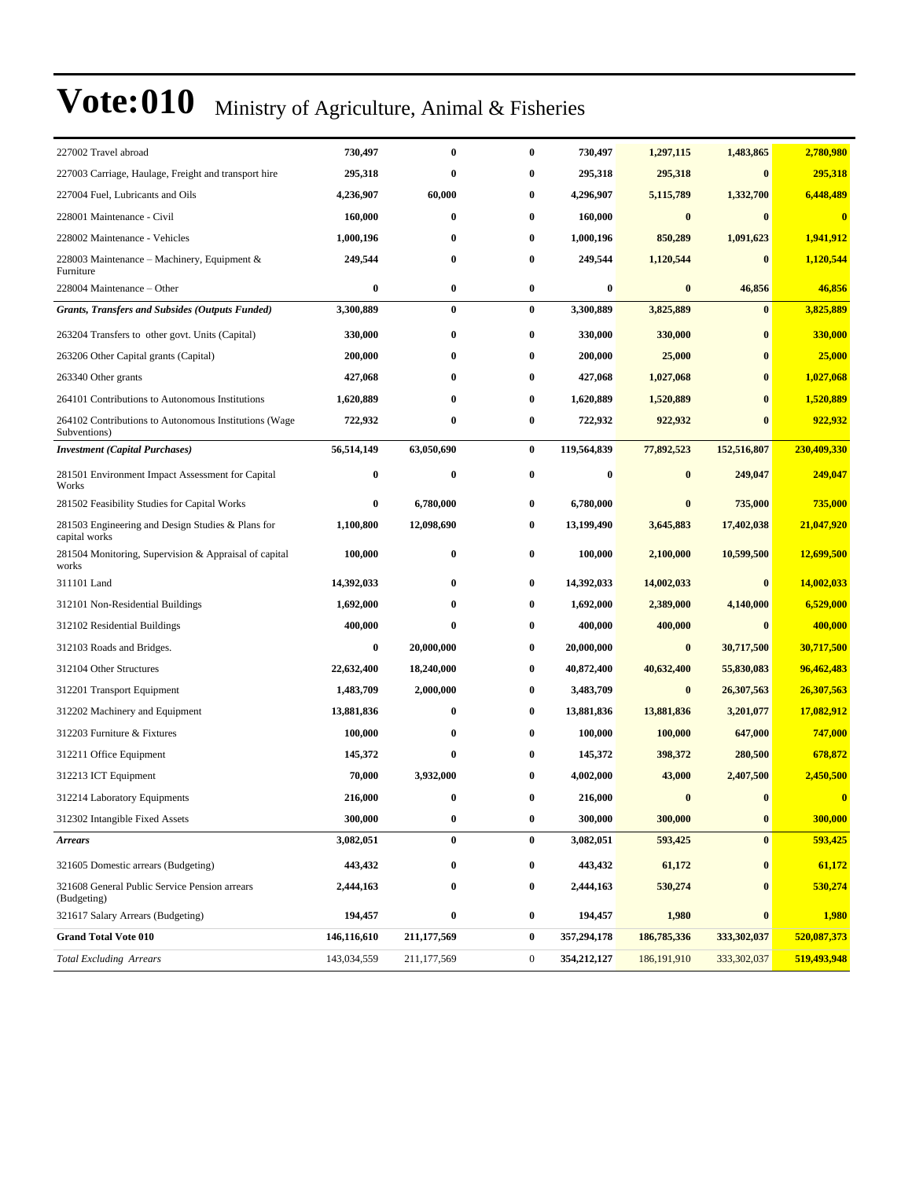| 227002 Travel abroad                                                  | 730,497     | $\bf{0}$    | $\bf{0}$         | 730,497     | 1,297,115     | 1,483,865        | 2,780,980   |
|-----------------------------------------------------------------------|-------------|-------------|------------------|-------------|---------------|------------------|-------------|
| 227003 Carriage, Haulage, Freight and transport hire                  | 295,318     | $\bf{0}$    | 0                | 295,318     | 295,318       | $\bf{0}$         | 295,318     |
| 227004 Fuel, Lubricants and Oils                                      | 4,236,907   | 60,000      | $\bf{0}$         | 4,296,907   | 5,115,789     | 1,332,700        | 6,448,489   |
| 228001 Maintenance - Civil                                            | 160,000     | $\bf{0}$    | $\bf{0}$         | 160,000     | $\bf{0}$      | $\bf{0}$         | $\bf{0}$    |
| 228002 Maintenance - Vehicles                                         | 1,000,196   | 0           | $\bf{0}$         | 1,000,196   | 850,289       | 1,091,623        | 1,941,912   |
| 228003 Maintenance – Machinery, Equipment &<br>Furniture              | 249,544     | $\bf{0}$    | $\bf{0}$         | 249,544     | 1,120,544     | $\bf{0}$         | 1,120,544   |
| 228004 Maintenance – Other                                            | $\bf{0}$    | $\bf{0}$    | $\bf{0}$         | 0           | $\bf{0}$      | 46,856           | 46,856      |
| <b>Grants, Transfers and Subsides (Outputs Funded)</b>                | 3,300,889   | $\bf{0}$    | $\bf{0}$         | 3,300,889   | 3,825,889     | $\bf{0}$         | 3,825,889   |
| 263204 Transfers to other govt. Units (Capital)                       | 330,000     | $\bf{0}$    | $\bf{0}$         | 330,000     | 330,000       | $\bf{0}$         | 330,000     |
| 263206 Other Capital grants (Capital)                                 | 200,000     | 0           | $\bf{0}$         | 200,000     | 25,000        | $\bf{0}$         | 25,000      |
| 263340 Other grants                                                   | 427,068     | $\bf{0}$    | $\bf{0}$         | 427,068     | 1,027,068     | $\bf{0}$         | 1,027,068   |
| 264101 Contributions to Autonomous Institutions                       | 1,620,889   | $\bf{0}$    | $\bf{0}$         | 1,620,889   | 1,520,889     | $\mathbf{0}$     | 1,520,889   |
| 264102 Contributions to Autonomous Institutions (Wage<br>Subventions) | 722,932     | $\bf{0}$    | $\bf{0}$         | 722,932     | 922,932       | $\bf{0}$         | 922,932     |
| <b>Investment</b> (Capital Purchases)                                 | 56,514,149  | 63,050,690  | $\bf{0}$         | 119,564,839 | 77,892,523    | 152,516,807      | 230,409,330 |
| 281501 Environment Impact Assessment for Capital<br>Works             | $\bf{0}$    | $\bf{0}$    | $\bf{0}$         | $\bf{0}$    | $\bf{0}$      | 249,047          | 249,047     |
| 281502 Feasibility Studies for Capital Works                          | 0           | 6,780,000   | 0                | 6,780,000   | $\bf{0}$      | 735,000          | 735,000     |
| 281503 Engineering and Design Studies & Plans for<br>capital works    | 1,100,800   | 12,098,690  | $\bf{0}$         | 13,199,490  | 3,645,883     | 17,402,038       | 21,047,920  |
| 281504 Monitoring, Supervision & Appraisal of capital<br>works        | 100,000     | $\bf{0}$    | 0                | 100,000     | 2,100,000     | 10,599,500       | 12,699,500  |
| 311101 Land                                                           | 14,392,033  | $\bf{0}$    | 0                | 14,392,033  | 14,002,033    | $\bf{0}$         | 14,002,033  |
| 312101 Non-Residential Buildings                                      | 1,692,000   | $\bf{0}$    | $\bf{0}$         | 1,692,000   | 2,389,000     | 4,140,000        | 6,529,000   |
| 312102 Residential Buildings                                          | 400,000     | $\bf{0}$    | $\bf{0}$         | 400,000     | 400,000       | $\bf{0}$         | 400,000     |
| 312103 Roads and Bridges.                                             | $\bf{0}$    | 20,000,000  | 0                | 20,000,000  | $\bf{0}$      | 30,717,500       | 30,717,500  |
| 312104 Other Structures                                               | 22,632,400  | 18,240,000  | $\bf{0}$         | 40,872,400  | 40,632,400    | 55,830,083       | 96,462,483  |
| 312201 Transport Equipment                                            | 1,483,709   | 2,000,000   | $\bf{0}$         | 3,483,709   | $\bf{0}$      | 26,307,563       | 26,307,563  |
| 312202 Machinery and Equipment                                        | 13,881,836  | $\bf{0}$    | $\bf{0}$         | 13,881,836  | 13,881,836    | 3,201,077        | 17,082,912  |
| 312203 Furniture & Fixtures                                           | 100,000     | $\bf{0}$    | $\bf{0}$         | 100,000     | 100,000       | 647,000          | 747,000     |
| 312211 Office Equipment                                               | 145,372     | $\bf{0}$    | $\bf{0}$         | 145,372     | 398,372       | 280,500          | 678,872     |
| 312213 ICT Equipment                                                  | 70,000      | 3,932,000   | $\bf{0}$         | 4,002,000   | 43,000        | 2,407,500        | 2,450,500   |
| 312214 Laboratory Equipments                                          | 216,000     | $\bf{0}$    | 0                | 216,000     | $\bf{0}$      | $\bf{0}$         | $\bf{0}$    |
| 312302 Intangible Fixed Assets                                        | 300,000     | $\bf{0}$    | $\bf{0}$         | 300,000     | 300,000       | $\boldsymbol{0}$ | 300,000     |
| <b>Arrears</b>                                                        | 3,082,051   | $\bf{0}$    | $\bf{0}$         | 3,082,051   | 593,425       | $\bf{0}$         | 593,425     |
| 321605 Domestic arrears (Budgeting)                                   | 443,432     | $\bf{0}$    | $\bf{0}$         | 443,432     | 61,172        | $\bf{0}$         | 61,172      |
| 321608 General Public Service Pension arrears<br>(Budgeting)          | 2,444,163   | $\bf{0}$    | $\bf{0}$         | 2,444,163   | 530,274       | $\bf{0}$         | 530,274     |
| 321617 Salary Arrears (Budgeting)                                     | 194,457     | $\pmb{0}$   | $\bf{0}$         | 194,457     | 1,980         | $\bf{0}$         | 1,980       |
| <b>Grand Total Vote 010</b>                                           | 146,116,610 | 211,177,569 | $\bf{0}$         | 357,294,178 | 186,785,336   | 333,302,037      | 520,087,373 |
| <b>Total Excluding Arrears</b>                                        | 143,034,559 | 211,177,569 | $\boldsymbol{0}$ | 354,212,127 | 186, 191, 910 | 333, 302, 037    | 519,493,948 |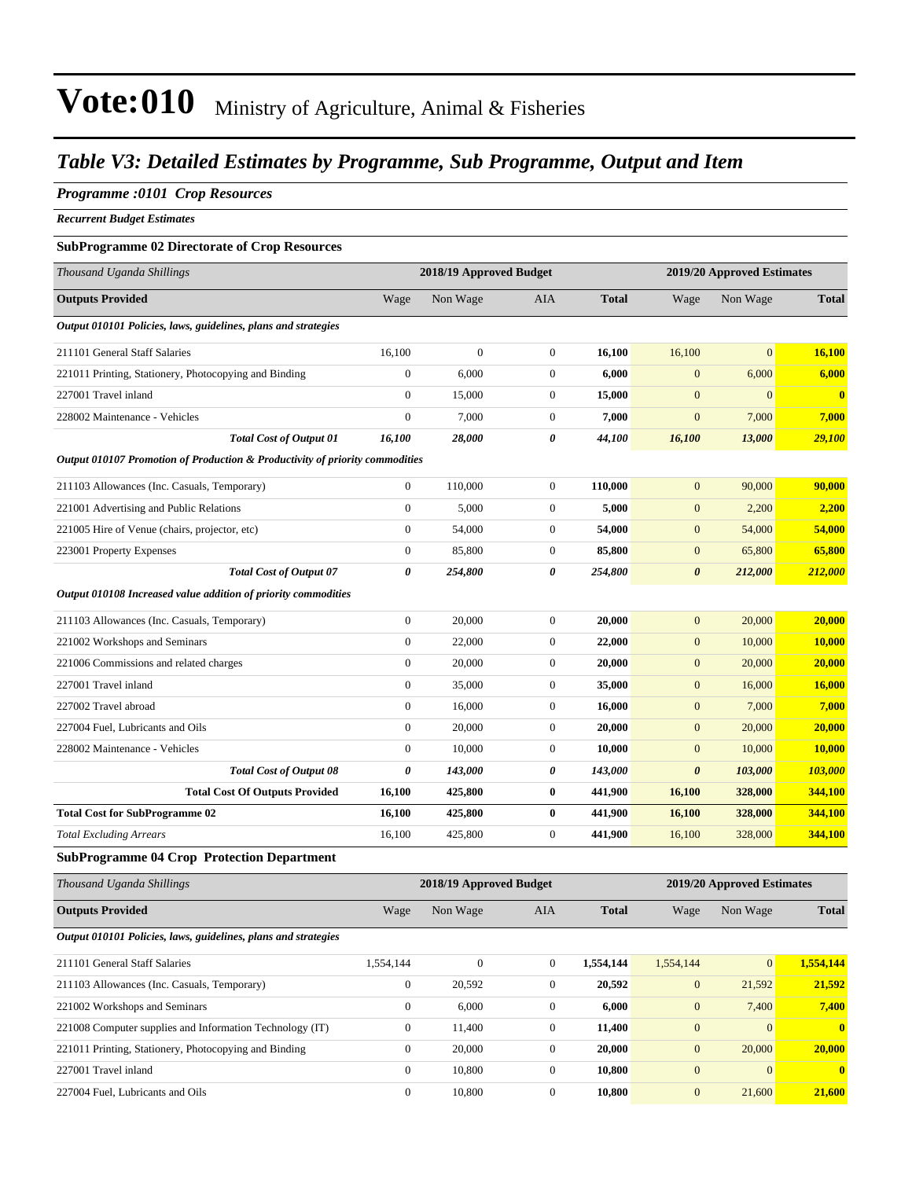### *Table V3: Detailed Estimates by Programme, Sub Programme, Output and Item*

#### *Programme :0101 Crop Resources*

*Recurrent Budget Estimates*

#### **SubProgramme 02 Directorate of Crop Resources**

| Thousand Uganda Shillings                                                    |                       | 2018/19 Approved Budget |                  |              |                       | 2019/20 Approved Estimates |              |
|------------------------------------------------------------------------------|-----------------------|-------------------------|------------------|--------------|-----------------------|----------------------------|--------------|
| <b>Outputs Provided</b>                                                      | Wage                  | Non Wage                | AIA              | <b>Total</b> | Wage                  | Non Wage                   | <b>Total</b> |
| Output 010101 Policies, laws, guidelines, plans and strategies               |                       |                         |                  |              |                       |                            |              |
| 211101 General Staff Salaries                                                | 16,100                | $\overline{0}$          | $\mathbf{0}$     | 16,100       | 16,100                | $\overline{0}$             | 16,100       |
| 221011 Printing, Stationery, Photocopying and Binding                        | $\mathbf{0}$          | 6,000                   | $\boldsymbol{0}$ | 6,000        | $\mathbf{0}$          | 6,000                      | 6,000        |
| 227001 Travel inland                                                         | $\boldsymbol{0}$      | 15,000                  | $\boldsymbol{0}$ | 15,000       | $\mathbf{0}$          | $\mathbf{0}$               | $\mathbf{0}$ |
| 228002 Maintenance - Vehicles                                                | $\boldsymbol{0}$      | 7,000                   | $\mathbf{0}$     | 7,000        | $\boldsymbol{0}$      | 7,000                      | 7,000        |
| <b>Total Cost of Output 01</b>                                               | 16,100                | 28,000                  | 0                | 44,100       | 16,100                | 13,000                     | 29,100       |
| Output 010107 Promotion of Production & Productivity of priority commodities |                       |                         |                  |              |                       |                            |              |
| 211103 Allowances (Inc. Casuals, Temporary)                                  | $\boldsymbol{0}$      | 110,000                 | $\boldsymbol{0}$ | 110,000      | $\boldsymbol{0}$      | 90,000                     | 90,000       |
| 221001 Advertising and Public Relations                                      | $\mathbf{0}$          | 5,000                   | $\mathbf{0}$     | 5,000        | $\boldsymbol{0}$      | 2,200                      | 2,200        |
| 221005 Hire of Venue (chairs, projector, etc)                                | $\boldsymbol{0}$      | 54,000                  | $\boldsymbol{0}$ | 54,000       | $\mathbf{0}$          | 54,000                     | 54,000       |
| 223001 Property Expenses                                                     | $\mathbf{0}$          | 85,800                  | $\mathbf{0}$     | 85,800       | $\mathbf{0}$          | 65,800                     | 65,800       |
| <b>Total Cost of Output 07</b>                                               | 0                     | 254,800                 | 0                | 254,800      | $\boldsymbol{\theta}$ | 212,000                    | 212,000      |
| Output 010108 Increased value addition of priority commodities               |                       |                         |                  |              |                       |                            |              |
| 211103 Allowances (Inc. Casuals, Temporary)                                  | $\boldsymbol{0}$      | 20,000                  | $\mathbf{0}$     | 20,000       | $\mathbf{0}$          | 20,000                     | 20,000       |
| 221002 Workshops and Seminars                                                | $\mathbf{0}$          | 22,000                  | $\boldsymbol{0}$ | 22,000       | $\boldsymbol{0}$      | 10,000                     | 10,000       |
| 221006 Commissions and related charges                                       | $\boldsymbol{0}$      | 20,000                  | $\boldsymbol{0}$ | 20,000       | $\mathbf{0}$          | 20,000                     | 20,000       |
| 227001 Travel inland                                                         | $\boldsymbol{0}$      | 35,000                  | $\mathbf{0}$     | 35,000       | $\mathbf{0}$          | 16,000                     | 16,000       |
| 227002 Travel abroad                                                         | $\boldsymbol{0}$      | 16,000                  | $\mathbf{0}$     | 16,000       | $\mathbf{0}$          | 7,000                      | 7,000        |
| 227004 Fuel, Lubricants and Oils                                             | $\mathbf{0}$          | 20,000                  | $\boldsymbol{0}$ | 20,000       | $\mathbf{0}$          | 20,000                     | 20,000       |
| 228002 Maintenance - Vehicles                                                | $\mathbf{0}$          | 10,000                  | $\boldsymbol{0}$ | 10,000       | $\boldsymbol{0}$      | 10,000                     | 10,000       |
| <b>Total Cost of Output 08</b>                                               | $\boldsymbol{\theta}$ | 143,000                 | 0                | 143,000      | $\boldsymbol{\theta}$ | 103,000                    | 103,000      |
| <b>Total Cost Of Outputs Provided</b>                                        | 16,100                | 425,800                 | 0                | 441,900      | 16,100                | 328,000                    | 344,100      |
| <b>Total Cost for SubProgramme 02</b>                                        | 16,100                | 425,800                 | $\bf{0}$         | 441,900      | 16,100                | 328,000                    | 344,100      |
| <b>Total Excluding Arrears</b>                                               | 16,100                | 425,800                 | $\boldsymbol{0}$ | 441,900      | 16,100                | 328,000                    | 344,100      |
| <b>SubProgramme 04 Crop Protection Department</b>                            |                       |                         |                  |              |                       |                            |              |
| Thousand Uganda Shillings                                                    |                       | 2018/19 Approved Budget |                  |              |                       | 2019/20 Approved Estimates |              |
| <b>Outputs Provided</b>                                                      | Wage                  | Non Wage                | AIA              | <b>Total</b> | Wage                  | Non Wage                   | <b>Total</b> |
| Output 010101 Policies, laws, guidelines, plans and strategies               |                       |                         |                  |              |                       |                            |              |
| 211101 General Staff Salaries                                                | 1,554,144             | $\boldsymbol{0}$        | $\boldsymbol{0}$ | 1,554,144    | 1,554,144             | $\mathbf{0}$               | 1,554,144    |
| 211103 Allowances (Inc. Casuals, Temporary)                                  | $\boldsymbol{0}$      | 20,592                  | $\boldsymbol{0}$ | 20,592       | $\boldsymbol{0}$      | 21,592                     | 21,592       |
| 221002 Workshops and Seminars                                                | $\boldsymbol{0}$      | 6,000                   | $\boldsymbol{0}$ | 6,000        | $\boldsymbol{0}$      | 7,400                      | 7,400        |
| 221008 Computer supplies and Information Technology (IT)                     | $\boldsymbol{0}$      | 11,400                  | $\boldsymbol{0}$ | 11,400       | $\mathbf{0}$          | $\mathbf{0}$               | $\mathbf{0}$ |
| 221011 Printing, Stationery, Photocopying and Binding                        | $\mathbf{0}$          | 20,000                  | $\boldsymbol{0}$ | 20,000       | $\boldsymbol{0}$      | 20,000                     | 20,000       |
| 227001 Travel inland                                                         | $\boldsymbol{0}$      | 10,800                  | $\boldsymbol{0}$ | 10,800       | $\boldsymbol{0}$      | $\mathbf{0}$               | $\mathbf{0}$ |
| 227004 Fuel, Lubricants and Oils                                             | $\mathbf{0}$          | 10,800                  | $\boldsymbol{0}$ | 10,800       | $\boldsymbol{0}$      | 21,600                     | 21,600       |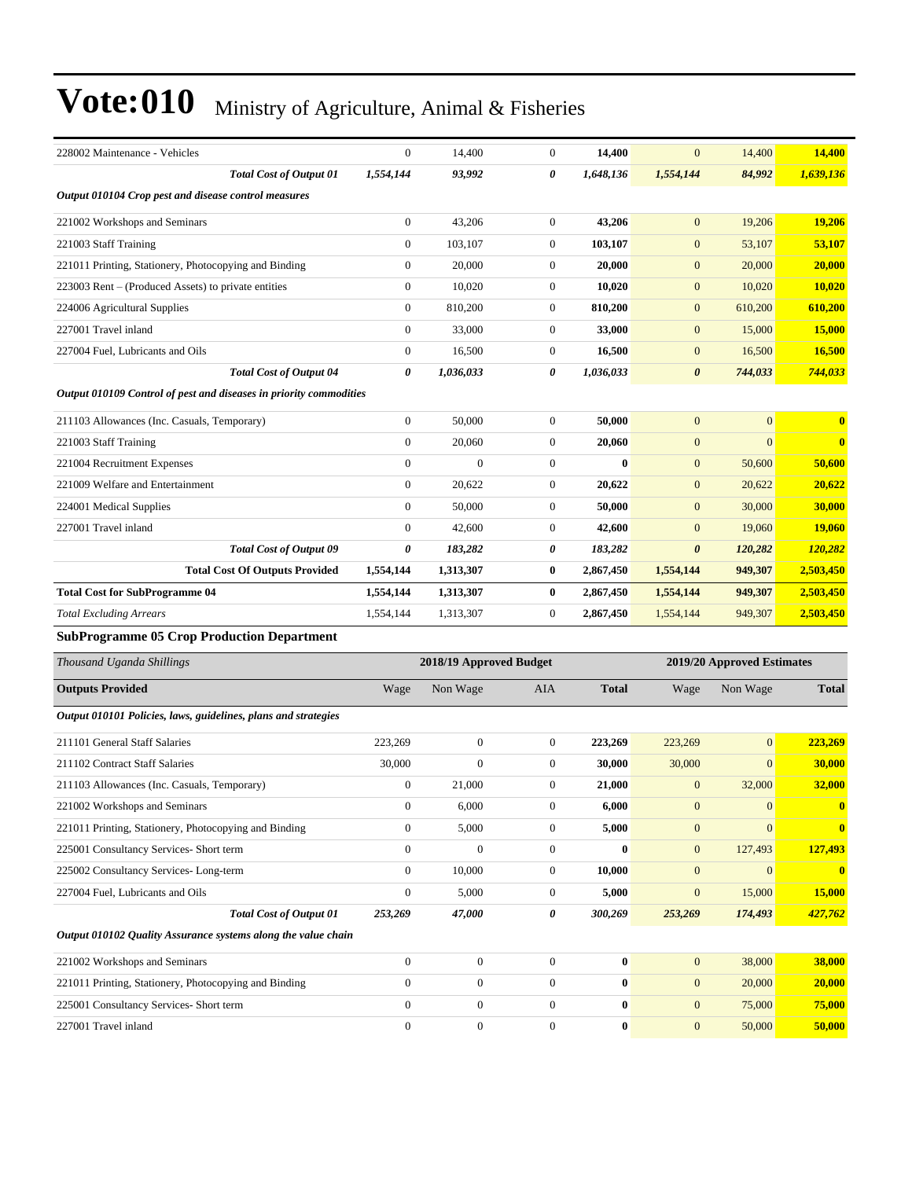| 228002 Maintenance - Vehicles                                      | $\boldsymbol{0}$ | 14,400                  | $\boldsymbol{0}$ | 14,400       | $\overline{0}$        | 14,400                     | 14,400        |  |  |  |  |
|--------------------------------------------------------------------|------------------|-------------------------|------------------|--------------|-----------------------|----------------------------|---------------|--|--|--|--|
| <b>Total Cost of Output 01</b>                                     | 1,554,144        | 93,992                  | 0                | 1,648,136    | 1,554,144             | 84,992                     | 1,639,136     |  |  |  |  |
| Output 010104 Crop pest and disease control measures               |                  |                         |                  |              |                       |                            |               |  |  |  |  |
| 221002 Workshops and Seminars                                      | $\boldsymbol{0}$ | 43,206                  | $\boldsymbol{0}$ | 43,206       | $\mathbf{0}$          | 19,206                     | 19,206        |  |  |  |  |
| 221003 Staff Training                                              | $\boldsymbol{0}$ | 103,107                 | $\boldsymbol{0}$ | 103,107      | $\boldsymbol{0}$      | 53,107                     | 53,107        |  |  |  |  |
| 221011 Printing, Stationery, Photocopying and Binding              | $\boldsymbol{0}$ | 20,000                  | $\boldsymbol{0}$ | 20,000       | $\boldsymbol{0}$      | 20,000                     | 20,000        |  |  |  |  |
| 223003 Rent – (Produced Assets) to private entities                | $\boldsymbol{0}$ | 10,020                  | $\boldsymbol{0}$ | 10,020       | $\boldsymbol{0}$      | 10,020                     | 10,020        |  |  |  |  |
| 224006 Agricultural Supplies                                       | $\boldsymbol{0}$ | 810,200                 | $\boldsymbol{0}$ | 810,200      | $\boldsymbol{0}$      | 610,200                    | 610,200       |  |  |  |  |
| 227001 Travel inland                                               | $\boldsymbol{0}$ | 33,000                  | $\boldsymbol{0}$ | 33,000       | $\boldsymbol{0}$      | 15,000                     | <b>15,000</b> |  |  |  |  |
| 227004 Fuel, Lubricants and Oils                                   | $\boldsymbol{0}$ | 16,500                  | $\boldsymbol{0}$ | 16,500       | $\boldsymbol{0}$      | 16,500                     | 16,500        |  |  |  |  |
| <b>Total Cost of Output 04</b>                                     | 0                | 1,036,033               | 0                | 1,036,033    | 0                     | 744,033                    | 744,033       |  |  |  |  |
| Output 010109 Control of pest and diseases in priority commodities |                  |                         |                  |              |                       |                            |               |  |  |  |  |
| 211103 Allowances (Inc. Casuals, Temporary)                        | $\boldsymbol{0}$ | 50,000                  | $\boldsymbol{0}$ | 50,000       | $\mathbf{0}$          | $\mathbf{0}$               | $\bf{0}$      |  |  |  |  |
| 221003 Staff Training                                              | $\boldsymbol{0}$ | 20,060                  | $\boldsymbol{0}$ | 20,060       | $\boldsymbol{0}$      | $\overline{0}$             | $\bf{0}$      |  |  |  |  |
| 221004 Recruitment Expenses                                        | $\boldsymbol{0}$ | $\boldsymbol{0}$        | $\boldsymbol{0}$ | $\bf{0}$     | $\boldsymbol{0}$      | 50,600                     | 50,600        |  |  |  |  |
| 221009 Welfare and Entertainment                                   | $\boldsymbol{0}$ | 20,622                  | $\boldsymbol{0}$ | 20,622       | $\boldsymbol{0}$      | 20,622                     | 20,622        |  |  |  |  |
| 224001 Medical Supplies                                            | $\overline{0}$   | 50,000                  | $\boldsymbol{0}$ | 50,000       | $\mathbf{0}$          | 30,000                     | 30,000        |  |  |  |  |
| 227001 Travel inland                                               | $\overline{0}$   | 42,600                  | $\mathbf{0}$     | 42,600       | $\boldsymbol{0}$      | 19,060                     | 19,060        |  |  |  |  |
| <b>Total Cost of Output 09</b>                                     | 0                | 183,282                 | 0                | 183,282      | $\boldsymbol{\theta}$ | 120,282                    | 120,282       |  |  |  |  |
| <b>Total Cost Of Outputs Provided</b>                              | 1,554,144        | 1,313,307               | $\bf{0}$         | 2,867,450    | 1,554,144             | 949,307                    | 2,503,450     |  |  |  |  |
| <b>Total Cost for SubProgramme 04</b>                              | 1,554,144        | 1,313,307               | $\boldsymbol{0}$ | 2,867,450    | 1,554,144             | 949,307                    | 2,503,450     |  |  |  |  |
| <b>Total Excluding Arrears</b>                                     | 1,554,144        | 1,313,307               | $\mathbf{0}$     | 2,867,450    | 1,554,144             | 949,307                    | 2,503,450     |  |  |  |  |
| <b>SubProgramme 05 Crop Production Department</b>                  |                  |                         |                  |              |                       |                            |               |  |  |  |  |
| Thousand Uganda Shillings                                          |                  | 2018/19 Approved Budget |                  |              |                       | 2019/20 Approved Estimates |               |  |  |  |  |
| <b>Outputs Provided</b>                                            | Wage             | Non Wage                | AIA              | <b>Total</b> | Wage                  | Non Wage                   | <b>Total</b>  |  |  |  |  |
| Output 010101 Policies, laws, guidelines, plans and strategies     |                  |                         |                  |              |                       |                            |               |  |  |  |  |
| 211101 General Staff Salaries                                      | 223,269          | $\boldsymbol{0}$        | $\boldsymbol{0}$ | 223,269      | 223,269               | $\mathbf{0}$               | 223,269       |  |  |  |  |
| 211102 Contract Staff Salaries                                     | 30,000           | $\boldsymbol{0}$        | $\boldsymbol{0}$ | 30,000       | 30,000                | $\mathbf{0}$               | 30,000        |  |  |  |  |
| 211103 Allowances (Inc. Casuals, Temporary)                        | $\boldsymbol{0}$ | 21,000                  | $\mathbf{0}$     | 21,000       | $\boldsymbol{0}$      | 32,000                     | 32,000        |  |  |  |  |
| 221002 Workshops and Seminars                                      | $\boldsymbol{0}$ | 6,000                   | 0                | 6,000        | $\mathbf{0}$          | $\mathbf{0}$               |               |  |  |  |  |
| 221011 Printing, Stationery, Photocopying and Binding              | $\boldsymbol{0}$ | 5,000                   | $\boldsymbol{0}$ | 5,000        | $\boldsymbol{0}$      | $\mathbf{0}$               | $\bf{0}$      |  |  |  |  |
| 225001 Consultancy Services- Short term                            | $\boldsymbol{0}$ | $\boldsymbol{0}$        | $\boldsymbol{0}$ | $\bf{0}$     | $\mathbf{0}$          | 127,493                    | 127,493       |  |  |  |  |
| 225002 Consultancy Services-Long-term                              | $\boldsymbol{0}$ | 10,000                  | $\boldsymbol{0}$ | 10,000       | $\boldsymbol{0}$      | $\boldsymbol{0}$           | $\bf{0}$      |  |  |  |  |
| 227004 Fuel, Lubricants and Oils                                   | $\boldsymbol{0}$ | 5,000                   | $\boldsymbol{0}$ | 5,000        | $\boldsymbol{0}$      | 15,000                     | 15,000        |  |  |  |  |
| <b>Total Cost of Output 01</b>                                     | 253,269          | 47,000                  | 0                | 300,269      | 253,269               | 174,493                    | 427,762       |  |  |  |  |
| Output 010102 Quality Assurance systems along the value chain      |                  |                         |                  |              |                       |                            |               |  |  |  |  |
|                                                                    |                  |                         |                  |              |                       |                            |               |  |  |  |  |
| 221002 Workshops and Seminars                                      | $\boldsymbol{0}$ | $\boldsymbol{0}$        | $\boldsymbol{0}$ | $\bf{0}$     | $\mathbf{0}$          | 38,000                     | 38,000        |  |  |  |  |
| 221011 Printing, Stationery, Photocopying and Binding              | $\boldsymbol{0}$ | $\boldsymbol{0}$        | $\boldsymbol{0}$ | $\bf{0}$     | $\mathbf{0}$          | 20,000                     | 20,000        |  |  |  |  |
| 225001 Consultancy Services- Short term                            | $\boldsymbol{0}$ | $\boldsymbol{0}$        | $\boldsymbol{0}$ | $\bf{0}$     | $\boldsymbol{0}$      | 75,000                     | 75,000        |  |  |  |  |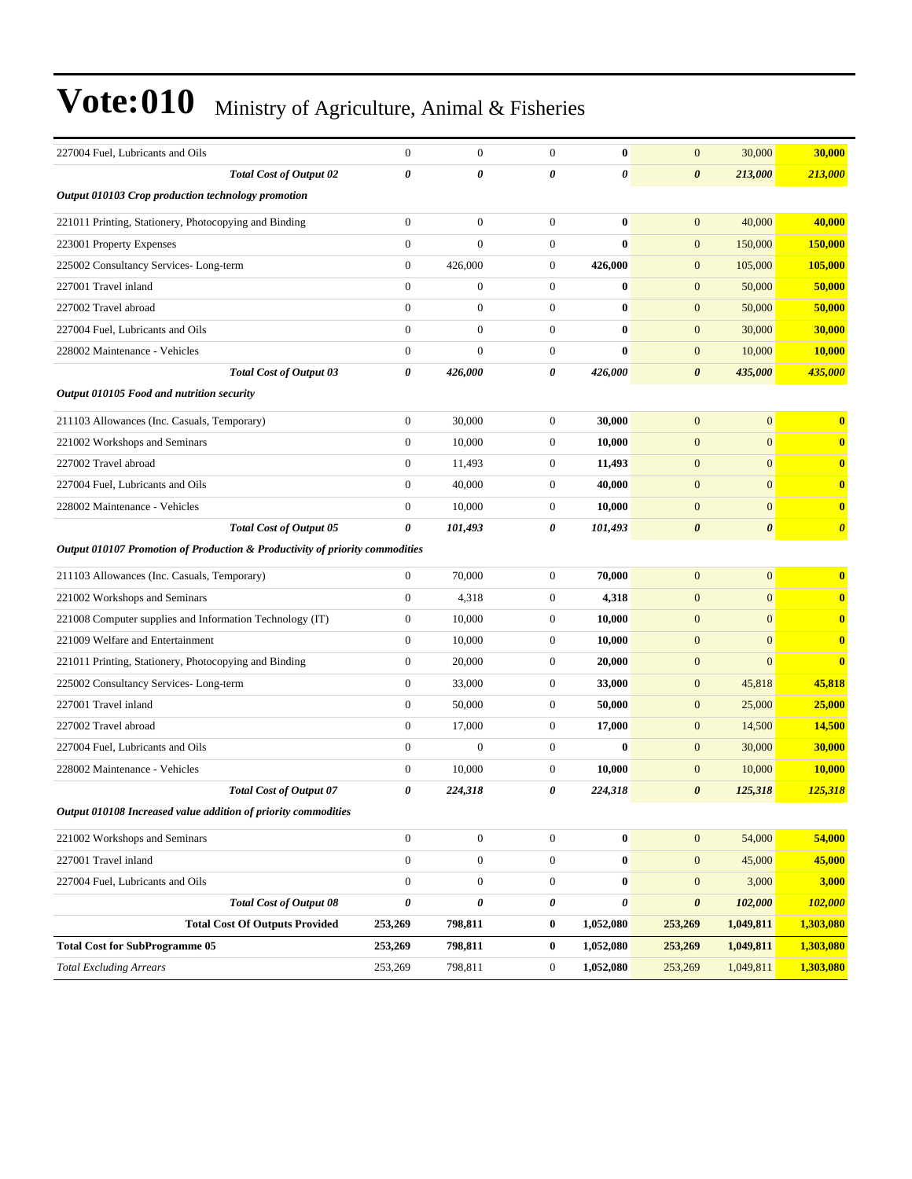| 227004 Fuel, Lubricants and Oils                                             | $\overline{0}$   | $\boldsymbol{0}$ | $\mathbf{0}$     | $\bf{0}$       | $\boldsymbol{0}$      | 30,000                | 30,000                |
|------------------------------------------------------------------------------|------------------|------------------|------------------|----------------|-----------------------|-----------------------|-----------------------|
| <b>Total Cost of Output 02</b>                                               | 0                | 0                | 0                | 0              | 0                     | 213,000               | 213,000               |
| Output 010103 Crop production technology promotion                           |                  |                  |                  |                |                       |                       |                       |
| 221011 Printing, Stationery, Photocopying and Binding                        | $\boldsymbol{0}$ | $\boldsymbol{0}$ | $\boldsymbol{0}$ | $\bf{0}$       | $\boldsymbol{0}$      | 40,000                | 40,000                |
| 223001 Property Expenses                                                     | $\boldsymbol{0}$ | $\boldsymbol{0}$ | $\boldsymbol{0}$ | $\bf{0}$       | $\mathbf{0}$          | 150,000               | 150,000               |
| 225002 Consultancy Services-Long-term                                        | $\boldsymbol{0}$ | 426,000          | $\boldsymbol{0}$ | 426,000        | $\boldsymbol{0}$      | 105,000               | 105,000               |
| 227001 Travel inland                                                         | $\overline{0}$   | $\boldsymbol{0}$ | $\boldsymbol{0}$ | $\bf{0}$       | $\boldsymbol{0}$      | 50,000                | 50,000                |
| 227002 Travel abroad                                                         | $\overline{0}$   | $\boldsymbol{0}$ | $\boldsymbol{0}$ | $\bf{0}$       | $\boldsymbol{0}$      | 50,000                | 50,000                |
| 227004 Fuel, Lubricants and Oils                                             | $\boldsymbol{0}$ | $\mathbf{0}$     | $\boldsymbol{0}$ | $\bf{0}$       | $\mathbf{0}$          | 30,000                | 30,000                |
| 228002 Maintenance - Vehicles                                                | $\boldsymbol{0}$ | $\boldsymbol{0}$ | $\boldsymbol{0}$ | $\bf{0}$       | $\mathbf{0}$          | 10,000                | 10.000                |
| <b>Total Cost of Output 03</b>                                               | 0                | 426,000          | 0                | 426,000        | $\boldsymbol{\theta}$ | 435,000               | 435,000               |
| Output 010105 Food and nutrition security                                    |                  |                  |                  |                |                       |                       |                       |
| 211103 Allowances (Inc. Casuals, Temporary)                                  | $\boldsymbol{0}$ | 30,000           | $\boldsymbol{0}$ | 30,000         | $\overline{0}$        | $\mathbf{0}$          | $\bf{0}$              |
| 221002 Workshops and Seminars                                                | $\boldsymbol{0}$ | 10,000           | $\boldsymbol{0}$ | 10,000         | $\boldsymbol{0}$      | $\mathbf{0}$          | $\bf{0}$              |
| 227002 Travel abroad                                                         | $\boldsymbol{0}$ | 11,493           | $\boldsymbol{0}$ | 11,493         | $\boldsymbol{0}$      | $\mathbf{0}$          | $\bf{0}$              |
| 227004 Fuel, Lubricants and Oils                                             | $\boldsymbol{0}$ | 40,000           | $\boldsymbol{0}$ | 40,000         | $\boldsymbol{0}$      | $\mathbf{0}$          | $\bf{0}$              |
| 228002 Maintenance - Vehicles                                                | $\boldsymbol{0}$ | 10,000           | $\boldsymbol{0}$ | 10,000         | $\boldsymbol{0}$      | $\mathbf{0}$          | $\bf{0}$              |
| <b>Total Cost of Output 05</b>                                               | 0                | 101,493          | 0                | 101,493        | $\boldsymbol{\theta}$ | $\boldsymbol{\theta}$ | $\boldsymbol{\theta}$ |
| Output 010107 Promotion of Production & Productivity of priority commodities |                  |                  |                  |                |                       |                       |                       |
| 211103 Allowances (Inc. Casuals, Temporary)                                  | $\mathbf{0}$     | 70,000           | $\boldsymbol{0}$ | 70,000         | $\mathbf{0}$          | $\mathbf{0}$          | $\bf{0}$              |
| 221002 Workshops and Seminars                                                | $\boldsymbol{0}$ | 4,318            | $\boldsymbol{0}$ | 4,318          | $\boldsymbol{0}$      | $\mathbf{0}$          | $\bf{0}$              |
| 221008 Computer supplies and Information Technology (IT)                     | $\boldsymbol{0}$ | 10,000           | $\boldsymbol{0}$ | 10,000         | $\mathbf{0}$          | $\mathbf{0}$          | $\bf{0}$              |
| 221009 Welfare and Entertainment                                             | $\boldsymbol{0}$ | 10,000           | $\boldsymbol{0}$ | 10,000         | $\boldsymbol{0}$      | $\mathbf{0}$          | $\bf{0}$              |
| 221011 Printing, Stationery, Photocopying and Binding                        | $\boldsymbol{0}$ | 20,000           | $\boldsymbol{0}$ | 20,000         | $\boldsymbol{0}$      | $\mathbf{0}$          | $\bf{0}$              |
| 225002 Consultancy Services-Long-term                                        | $\boldsymbol{0}$ | 33,000           | $\boldsymbol{0}$ | 33,000         | $\boldsymbol{0}$      | 45,818                | 45,818                |
| 227001 Travel inland                                                         | $\boldsymbol{0}$ | 50,000           | $\boldsymbol{0}$ | 50,000         | $\boldsymbol{0}$      | 25,000                | 25,000                |
| 227002 Travel abroad                                                         | $\boldsymbol{0}$ | 17,000           | $\boldsymbol{0}$ | 17,000         | $\mathbf{0}$          | 14,500                | 14,500                |
| 227004 Fuel, Lubricants and Oils                                             | $\boldsymbol{0}$ | $\mathbf{0}$     | $\boldsymbol{0}$ | $\bf{0}$       | $\boldsymbol{0}$      | 30,000                | 30,000                |
| 228002 Maintenance - Vehicles                                                | $\boldsymbol{0}$ | 10,000           | $\boldsymbol{0}$ | 10.000         | $\boldsymbol{0}$      | 10,000                | 10,000                |
| <b>Total Cost of Output 07</b>                                               | 0                | 224,318          | 0                | 224,318        | $\boldsymbol{\theta}$ | 125,318               | 125,318               |
| Output 010108 Increased value addition of priority commodities               |                  |                  |                  |                |                       |                       |                       |
| 221002 Workshops and Seminars                                                | $\boldsymbol{0}$ | $\boldsymbol{0}$ | $\boldsymbol{0}$ | $\bf{0}$       | $\mathbf{0}$          | 54,000                | 54,000                |
| 227001 Travel inland                                                         | $\boldsymbol{0}$ | $\boldsymbol{0}$ | $\boldsymbol{0}$ | $\pmb{0}$      | $\boldsymbol{0}$      | 45,000                | 45,000                |
| 227004 Fuel, Lubricants and Oils                                             | $\boldsymbol{0}$ | $\boldsymbol{0}$ | $\boldsymbol{0}$ | $\bf{0}$       | $\boldsymbol{0}$      | 3,000                 | 3,000                 |
| <b>Total Cost of Output 08</b>                                               | $\pmb{\theta}$   | $\pmb{\theta}$   | $\pmb{\theta}$   | $\pmb{\theta}$ | $\pmb{\theta}$        | 102,000               | 102,000               |
| <b>Total Cost Of Outputs Provided</b>                                        | 253,269          | 798,811          | $\bf{0}$         | 1,052,080      | 253,269               | 1,049,811             | 1,303,080             |
| <b>Total Cost for SubProgramme 05</b>                                        | 253,269          | 798,811          | $\bf{0}$         | 1,052,080      | 253,269               | 1,049,811             | 1,303,080             |
| <b>Total Excluding Arrears</b>                                               | 253,269          | 798,811          | $\boldsymbol{0}$ | 1,052,080      | 253,269               | 1,049,811             | 1,303,080             |
|                                                                              |                  |                  |                  |                |                       |                       |                       |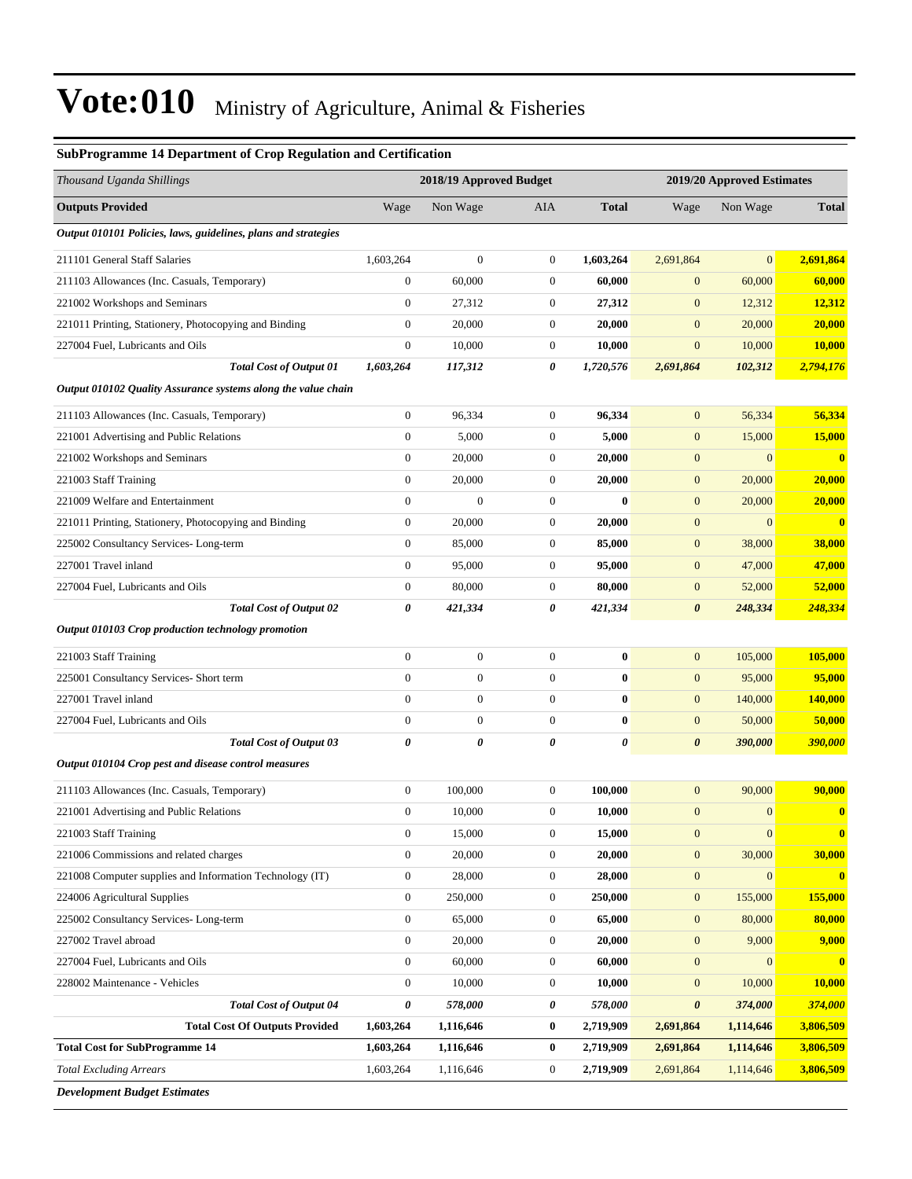| Thousand Uganda Shillings<br>2018/19 Approved Budget<br>2019/20 Approved Estimates<br><b>Outputs Provided</b><br>Wage<br>Non Wage<br><b>Total</b><br>Wage<br>Non Wage<br><b>Total</b><br>AIA<br>Output 010101 Policies, laws, guidelines, plans and strategies<br>$\boldsymbol{0}$<br>2,691,864<br>211101 General Staff Salaries<br>1,603,264<br>$\mathbf{0}$<br>1,603,264<br>2,691,864<br>$\overline{0}$<br>$\mathbf{0}$<br>60,000<br>$\boldsymbol{0}$<br>60,000<br>60,000<br>60,000<br>211103 Allowances (Inc. Casuals, Temporary)<br>$\mathbf{0}$<br>$\boldsymbol{0}$<br>12,312<br>221002 Workshops and Seminars<br>27,312<br>$\boldsymbol{0}$<br>27,312<br>$\mathbf{0}$<br>12,312<br>$\boldsymbol{0}$<br>20,000<br>$\mathbf{0}$<br>20,000<br>$\mathbf{0}$<br>20,000<br>20,000<br>221011 Printing, Stationery, Photocopying and Binding<br>$\boldsymbol{0}$<br>10,000<br>$\boldsymbol{0}$<br>$\boldsymbol{0}$<br>227004 Fuel, Lubricants and Oils<br>10,000<br>10,000<br><b>10,000</b><br><b>Total Cost of Output 01</b><br>1,603,264<br>117,312<br>0<br>1,720,576<br>2,691,864<br>102,312<br>2,794,176<br>Output 010102 Quality Assurance systems along the value chain<br>56,334<br>$\mathbf{0}$<br>96,334<br>$\boldsymbol{0}$<br>96,334<br>$\mathbf{0}$<br>56,334<br>211103 Allowances (Inc. Casuals, Temporary)<br>$\boldsymbol{0}$<br>5,000<br>$\boldsymbol{0}$<br>$\boldsymbol{0}$<br>15,000<br>15,000<br>221001 Advertising and Public Relations<br>5,000<br>$\mathbf{0}$<br>20,000<br>$\mathbf{0}$<br>20,000<br>$\mathbf{0}$<br>$\overline{0}$<br>$\bf{0}$<br>221002 Workshops and Seminars |
|--------------------------------------------------------------------------------------------------------------------------------------------------------------------------------------------------------------------------------------------------------------------------------------------------------------------------------------------------------------------------------------------------------------------------------------------------------------------------------------------------------------------------------------------------------------------------------------------------------------------------------------------------------------------------------------------------------------------------------------------------------------------------------------------------------------------------------------------------------------------------------------------------------------------------------------------------------------------------------------------------------------------------------------------------------------------------------------------------------------------------------------------------------------------------------------------------------------------------------------------------------------------------------------------------------------------------------------------------------------------------------------------------------------------------------------------------------------------------------------------------------------------------------------------------------------------------------------------------------|
|                                                                                                                                                                                                                                                                                                                                                                                                                                                                                                                                                                                                                                                                                                                                                                                                                                                                                                                                                                                                                                                                                                                                                                                                                                                                                                                                                                                                                                                                                                                                                                                                        |
|                                                                                                                                                                                                                                                                                                                                                                                                                                                                                                                                                                                                                                                                                                                                                                                                                                                                                                                                                                                                                                                                                                                                                                                                                                                                                                                                                                                                                                                                                                                                                                                                        |
|                                                                                                                                                                                                                                                                                                                                                                                                                                                                                                                                                                                                                                                                                                                                                                                                                                                                                                                                                                                                                                                                                                                                                                                                                                                                                                                                                                                                                                                                                                                                                                                                        |
|                                                                                                                                                                                                                                                                                                                                                                                                                                                                                                                                                                                                                                                                                                                                                                                                                                                                                                                                                                                                                                                                                                                                                                                                                                                                                                                                                                                                                                                                                                                                                                                                        |
|                                                                                                                                                                                                                                                                                                                                                                                                                                                                                                                                                                                                                                                                                                                                                                                                                                                                                                                                                                                                                                                                                                                                                                                                                                                                                                                                                                                                                                                                                                                                                                                                        |
|                                                                                                                                                                                                                                                                                                                                                                                                                                                                                                                                                                                                                                                                                                                                                                                                                                                                                                                                                                                                                                                                                                                                                                                                                                                                                                                                                                                                                                                                                                                                                                                                        |
|                                                                                                                                                                                                                                                                                                                                                                                                                                                                                                                                                                                                                                                                                                                                                                                                                                                                                                                                                                                                                                                                                                                                                                                                                                                                                                                                                                                                                                                                                                                                                                                                        |
|                                                                                                                                                                                                                                                                                                                                                                                                                                                                                                                                                                                                                                                                                                                                                                                                                                                                                                                                                                                                                                                                                                                                                                                                                                                                                                                                                                                                                                                                                                                                                                                                        |
|                                                                                                                                                                                                                                                                                                                                                                                                                                                                                                                                                                                                                                                                                                                                                                                                                                                                                                                                                                                                                                                                                                                                                                                                                                                                                                                                                                                                                                                                                                                                                                                                        |
|                                                                                                                                                                                                                                                                                                                                                                                                                                                                                                                                                                                                                                                                                                                                                                                                                                                                                                                                                                                                                                                                                                                                                                                                                                                                                                                                                                                                                                                                                                                                                                                                        |
|                                                                                                                                                                                                                                                                                                                                                                                                                                                                                                                                                                                                                                                                                                                                                                                                                                                                                                                                                                                                                                                                                                                                                                                                                                                                                                                                                                                                                                                                                                                                                                                                        |
|                                                                                                                                                                                                                                                                                                                                                                                                                                                                                                                                                                                                                                                                                                                                                                                                                                                                                                                                                                                                                                                                                                                                                                                                                                                                                                                                                                                                                                                                                                                                                                                                        |
|                                                                                                                                                                                                                                                                                                                                                                                                                                                                                                                                                                                                                                                                                                                                                                                                                                                                                                                                                                                                                                                                                                                                                                                                                                                                                                                                                                                                                                                                                                                                                                                                        |
| $\boldsymbol{0}$<br>$\boldsymbol{0}$<br>221003 Staff Training<br>20,000<br>20,000<br>$\mathbf{0}$<br>20,000<br><b>20,000</b>                                                                                                                                                                                                                                                                                                                                                                                                                                                                                                                                                                                                                                                                                                                                                                                                                                                                                                                                                                                                                                                                                                                                                                                                                                                                                                                                                                                                                                                                           |
| 221009 Welfare and Entertainment<br>$\mathbf{0}$<br>$\boldsymbol{0}$<br>$\boldsymbol{0}$<br>$\bf{0}$<br>$\boldsymbol{0}$<br>20,000<br>20,000                                                                                                                                                                                                                                                                                                                                                                                                                                                                                                                                                                                                                                                                                                                                                                                                                                                                                                                                                                                                                                                                                                                                                                                                                                                                                                                                                                                                                                                           |
| $\mathbf{0}$<br>20,000<br>$\mathbf{0}$<br>20,000<br>$\mathbf{0}$<br>$\overline{0}$<br>$\bf{0}$<br>221011 Printing, Stationery, Photocopying and Binding                                                                                                                                                                                                                                                                                                                                                                                                                                                                                                                                                                                                                                                                                                                                                                                                                                                                                                                                                                                                                                                                                                                                                                                                                                                                                                                                                                                                                                                |
| $\boldsymbol{0}$<br>$\boldsymbol{0}$<br>85,000<br>$\boldsymbol{0}$<br>38,000<br>225002 Consultancy Services-Long-term<br>85,000<br>38,000                                                                                                                                                                                                                                                                                                                                                                                                                                                                                                                                                                                                                                                                                                                                                                                                                                                                                                                                                                                                                                                                                                                                                                                                                                                                                                                                                                                                                                                              |
| 227001 Travel inland<br>$\boldsymbol{0}$<br>95,000<br>$\mathbf{0}$<br>95,000<br>$\mathbf{0}$<br>47,000<br>47,000                                                                                                                                                                                                                                                                                                                                                                                                                                                                                                                                                                                                                                                                                                                                                                                                                                                                                                                                                                                                                                                                                                                                                                                                                                                                                                                                                                                                                                                                                       |
| $\mathbf{0}$<br>80,000<br>$\boldsymbol{0}$<br>80,000<br>227004 Fuel, Lubricants and Oils<br>$\mathbf{0}$<br>52,000<br>52,000                                                                                                                                                                                                                                                                                                                                                                                                                                                                                                                                                                                                                                                                                                                                                                                                                                                                                                                                                                                                                                                                                                                                                                                                                                                                                                                                                                                                                                                                           |
| <b>Total Cost of Output 02</b><br>0<br>421,334<br>0<br>421,334<br>$\boldsymbol{\theta}$<br>248,334<br>248,334                                                                                                                                                                                                                                                                                                                                                                                                                                                                                                                                                                                                                                                                                                                                                                                                                                                                                                                                                                                                                                                                                                                                                                                                                                                                                                                                                                                                                                                                                          |
| Output 010103 Crop production technology promotion                                                                                                                                                                                                                                                                                                                                                                                                                                                                                                                                                                                                                                                                                                                                                                                                                                                                                                                                                                                                                                                                                                                                                                                                                                                                                                                                                                                                                                                                                                                                                     |
| $\boldsymbol{0}$<br>$\boldsymbol{0}$<br>105,000<br>221003 Staff Training<br>$\boldsymbol{0}$<br>$\bf{0}$<br>$\mathbf{0}$<br>105,000                                                                                                                                                                                                                                                                                                                                                                                                                                                                                                                                                                                                                                                                                                                                                                                                                                                                                                                                                                                                                                                                                                                                                                                                                                                                                                                                                                                                                                                                    |
| $\boldsymbol{0}$<br>$\mathbf{0}$<br>$\boldsymbol{0}$<br>$\bf{0}$<br>$\boldsymbol{0}$<br>95,000<br>95,000<br>225001 Consultancy Services- Short term                                                                                                                                                                                                                                                                                                                                                                                                                                                                                                                                                                                                                                                                                                                                                                                                                                                                                                                                                                                                                                                                                                                                                                                                                                                                                                                                                                                                                                                    |
| 227001 Travel inland<br>$\boldsymbol{0}$<br>$\boldsymbol{0}$<br>$\boldsymbol{0}$<br>$\bf{0}$<br>$\boldsymbol{0}$<br>140,000<br>140,000                                                                                                                                                                                                                                                                                                                                                                                                                                                                                                                                                                                                                                                                                                                                                                                                                                                                                                                                                                                                                                                                                                                                                                                                                                                                                                                                                                                                                                                                 |
| $\boldsymbol{0}$<br>$\boldsymbol{0}$<br>$\boldsymbol{0}$<br>$\bf{0}$<br>$\boldsymbol{0}$<br>227004 Fuel, Lubricants and Oils<br>50,000<br>50,000                                                                                                                                                                                                                                                                                                                                                                                                                                                                                                                                                                                                                                                                                                                                                                                                                                                                                                                                                                                                                                                                                                                                                                                                                                                                                                                                                                                                                                                       |
| <b>Total Cost of Output 03</b><br>0<br>0<br>0<br>0<br>$\boldsymbol{\theta}$<br>390,000<br><b>390,000</b>                                                                                                                                                                                                                                                                                                                                                                                                                                                                                                                                                                                                                                                                                                                                                                                                                                                                                                                                                                                                                                                                                                                                                                                                                                                                                                                                                                                                                                                                                               |
| Output 010104 Crop pest and disease control measures                                                                                                                                                                                                                                                                                                                                                                                                                                                                                                                                                                                                                                                                                                                                                                                                                                                                                                                                                                                                                                                                                                                                                                                                                                                                                                                                                                                                                                                                                                                                                   |
| 90,000<br>$\boldsymbol{0}$<br>100,000<br>$\boldsymbol{0}$<br>100,000<br>$\mathbf{0}$<br>90,000<br>211103 Allowances (Inc. Casuals, Temporary)                                                                                                                                                                                                                                                                                                                                                                                                                                                                                                                                                                                                                                                                                                                                                                                                                                                                                                                                                                                                                                                                                                                                                                                                                                                                                                                                                                                                                                                          |
| 221001 Advertising and Public Relations<br>$\bf{0}$<br>10,000<br>$\bf{0}$<br>10,000<br>$\bf{0}$<br>$\boldsymbol{0}$<br>$\bf{0}$                                                                                                                                                                                                                                                                                                                                                                                                                                                                                                                                                                                                                                                                                                                                                                                                                                                                                                                                                                                                                                                                                                                                                                                                                                                                                                                                                                                                                                                                        |
| 221003 Staff Training<br>$\boldsymbol{0}$<br>15,000<br>$\mathbf{0}$<br>15,000<br>$\mathbf{0}$<br>$\overline{0}$<br>$\bf{0}$                                                                                                                                                                                                                                                                                                                                                                                                                                                                                                                                                                                                                                                                                                                                                                                                                                                                                                                                                                                                                                                                                                                                                                                                                                                                                                                                                                                                                                                                            |
| $\boldsymbol{0}$<br>221006 Commissions and related charges<br>$\boldsymbol{0}$<br>20,000<br>20,000<br>$\mathbf{0}$<br>30,000<br>30,000                                                                                                                                                                                                                                                                                                                                                                                                                                                                                                                                                                                                                                                                                                                                                                                                                                                                                                                                                                                                                                                                                                                                                                                                                                                                                                                                                                                                                                                                 |
| 221008 Computer supplies and Information Technology (IT)<br>$\boldsymbol{0}$<br>28,000<br>$\boldsymbol{0}$<br>28,000<br>$\boldsymbol{0}$<br>$\bf{0}$<br>$\overline{0}$                                                                                                                                                                                                                                                                                                                                                                                                                                                                                                                                                                                                                                                                                                                                                                                                                                                                                                                                                                                                                                                                                                                                                                                                                                                                                                                                                                                                                                 |
| 155,000<br>224006 Agricultural Supplies<br>$\boldsymbol{0}$<br>250,000<br>$\boldsymbol{0}$<br>250,000<br>$\boldsymbol{0}$<br>155,000                                                                                                                                                                                                                                                                                                                                                                                                                                                                                                                                                                                                                                                                                                                                                                                                                                                                                                                                                                                                                                                                                                                                                                                                                                                                                                                                                                                                                                                                   |
| 225002 Consultancy Services-Long-term<br>$\boldsymbol{0}$<br>$\boldsymbol{0}$<br>65,000<br>80,000<br>80,000<br>65,000<br>$\mathbf{0}$                                                                                                                                                                                                                                                                                                                                                                                                                                                                                                                                                                                                                                                                                                                                                                                                                                                                                                                                                                                                                                                                                                                                                                                                                                                                                                                                                                                                                                                                  |
| 9,000<br>9,000<br>227002 Travel abroad<br>$\boldsymbol{0}$<br>20,000<br>$\boldsymbol{0}$<br>20,000<br>$\mathbf{0}$                                                                                                                                                                                                                                                                                                                                                                                                                                                                                                                                                                                                                                                                                                                                                                                                                                                                                                                                                                                                                                                                                                                                                                                                                                                                                                                                                                                                                                                                                     |
| 227004 Fuel, Lubricants and Oils<br>$\boldsymbol{0}$<br>60,000<br>$\boldsymbol{0}$<br>$\boldsymbol{0}$<br>60,000<br>$\mathbf{0}$<br>$\bf{0}$                                                                                                                                                                                                                                                                                                                                                                                                                                                                                                                                                                                                                                                                                                                                                                                                                                                                                                                                                                                                                                                                                                                                                                                                                                                                                                                                                                                                                                                           |
| 10,000<br>228002 Maintenance - Vehicles<br>$\boldsymbol{0}$<br>10,000<br>$\boldsymbol{0}$<br>10,000<br>$\boldsymbol{0}$<br>10,000                                                                                                                                                                                                                                                                                                                                                                                                                                                                                                                                                                                                                                                                                                                                                                                                                                                                                                                                                                                                                                                                                                                                                                                                                                                                                                                                                                                                                                                                      |
| <b>Total Cost of Output 04</b><br>0<br>374,000<br>578,000<br>0<br>578,000<br>$\boldsymbol{\theta}$<br>374,000                                                                                                                                                                                                                                                                                                                                                                                                                                                                                                                                                                                                                                                                                                                                                                                                                                                                                                                                                                                                                                                                                                                                                                                                                                                                                                                                                                                                                                                                                          |
| <b>Total Cost Of Outputs Provided</b><br>1,116,646<br>2,719,909<br>3,806,509<br>1,603,264<br>$\bf{0}$<br>2,691,864<br>1,114,646                                                                                                                                                                                                                                                                                                                                                                                                                                                                                                                                                                                                                                                                                                                                                                                                                                                                                                                                                                                                                                                                                                                                                                                                                                                                                                                                                                                                                                                                        |
| 3,806,509<br><b>Total Cost for SubProgramme 14</b><br>1,603,264<br>1,116,646<br>$\bf{0}$<br>2,719,909<br>2,691,864<br>1,114,646                                                                                                                                                                                                                                                                                                                                                                                                                                                                                                                                                                                                                                                                                                                                                                                                                                                                                                                                                                                                                                                                                                                                                                                                                                                                                                                                                                                                                                                                        |
| <b>Total Excluding Arrears</b><br>3,806,509<br>1,603,264<br>1,116,646<br>$\boldsymbol{0}$<br>2,719,909<br>2,691,864<br>1,114,646                                                                                                                                                                                                                                                                                                                                                                                                                                                                                                                                                                                                                                                                                                                                                                                                                                                                                                                                                                                                                                                                                                                                                                                                                                                                                                                                                                                                                                                                       |

*Development Budget Estimates*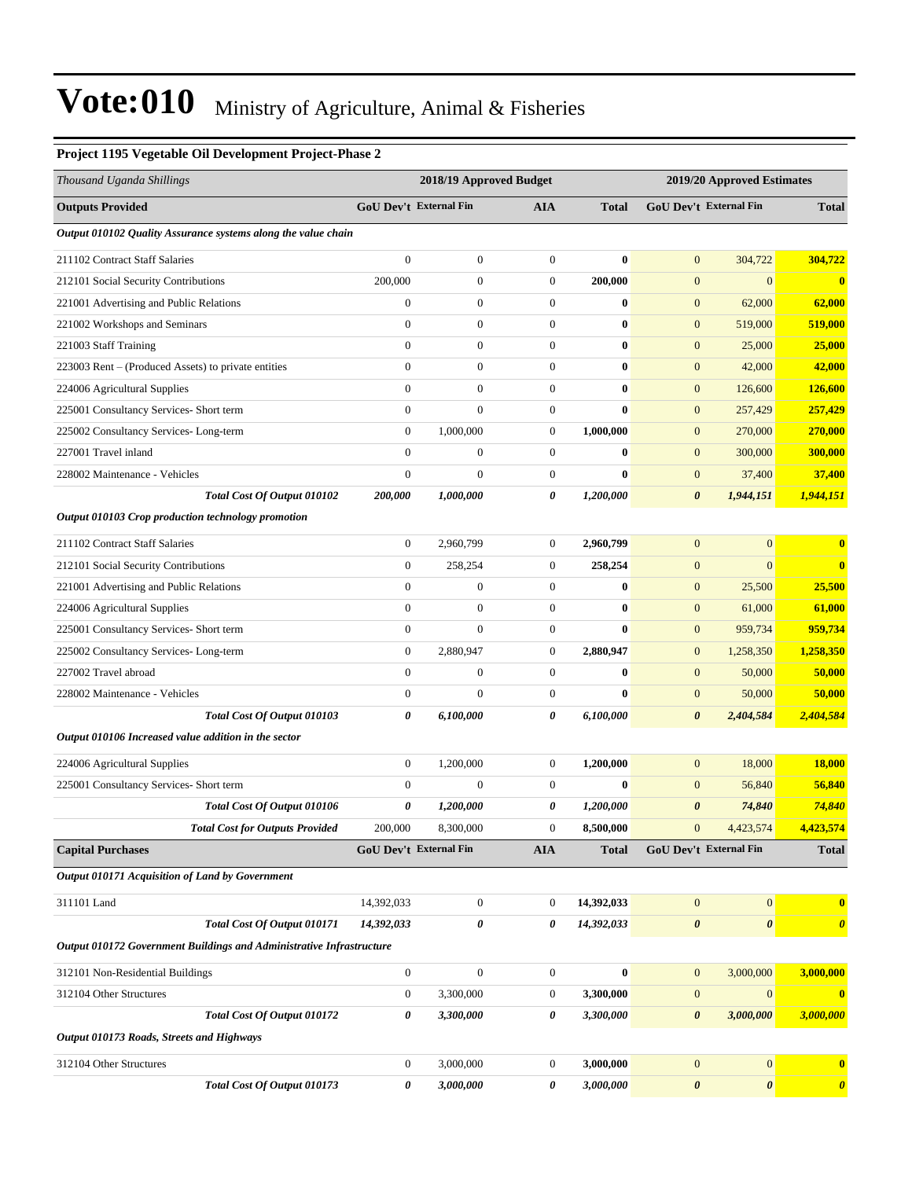#### **Project 1195 Vegetable Oil Development Project-Phase 2**

| Thousand Uganda Shillings                                            |                  | 2018/19 Approved Budget       |                  |              | 2019/20 Approved Estimates |                        |                       |
|----------------------------------------------------------------------|------------------|-------------------------------|------------------|--------------|----------------------------|------------------------|-----------------------|
| <b>Outputs Provided</b>                                              |                  | <b>GoU Dev't External Fin</b> | AIA              | <b>Total</b> |                            | GoU Dev't External Fin | <b>Total</b>          |
| Output 010102 Quality Assurance systems along the value chain        |                  |                               |                  |              |                            |                        |                       |
| 211102 Contract Staff Salaries                                       | $\mathbf{0}$     | $\boldsymbol{0}$              | $\mathbf{0}$     | $\bf{0}$     | $\mathbf{0}$               | 304,722                | 304,722               |
| 212101 Social Security Contributions                                 | 200,000          | $\boldsymbol{0}$              | $\boldsymbol{0}$ | 200,000      | $\mathbf{0}$               | $\mathbf{0}$           | $\bf{0}$              |
| 221001 Advertising and Public Relations                              | $\boldsymbol{0}$ | $\boldsymbol{0}$              | $\boldsymbol{0}$ | $\bf{0}$     | $\mathbf{0}$               | 62,000                 | 62,000                |
| 221002 Workshops and Seminars                                        | $\boldsymbol{0}$ | $\boldsymbol{0}$              | $\boldsymbol{0}$ | $\bf{0}$     | $\mathbf{0}$               | 519,000                | 519,000               |
| 221003 Staff Training                                                | $\overline{0}$   | $\boldsymbol{0}$              | $\overline{0}$   | $\bf{0}$     | $\boldsymbol{0}$           | 25,000                 | 25,000                |
| 223003 Rent - (Produced Assets) to private entities                  | $\mathbf{0}$     | $\boldsymbol{0}$              | $\boldsymbol{0}$ | $\bf{0}$     | $\boldsymbol{0}$           | 42,000                 | 42,000                |
| 224006 Agricultural Supplies                                         | $\overline{0}$   | $\boldsymbol{0}$              | $\boldsymbol{0}$ | $\bf{0}$     | $\mathbf{0}$               | 126,600                | 126,600               |
| 225001 Consultancy Services- Short term                              | $\mathbf{0}$     | $\boldsymbol{0}$              | $\boldsymbol{0}$ | $\bf{0}$     | $\mathbf{0}$               | 257,429                | 257,429               |
| 225002 Consultancy Services-Long-term                                | $\boldsymbol{0}$ | 1,000,000                     | $\boldsymbol{0}$ | 1,000,000    | $\mathbf{0}$               | 270,000                | 270,000               |
| 227001 Travel inland                                                 | $\overline{0}$   | $\boldsymbol{0}$              | $\boldsymbol{0}$ | $\bf{0}$     | $\boldsymbol{0}$           | 300,000                | 300,000               |
| 228002 Maintenance - Vehicles                                        | $\mathbf{0}$     | $\mathbf{0}$                  | $\boldsymbol{0}$ | $\bf{0}$     | $\boldsymbol{0}$           | 37,400                 | 37,400                |
| Total Cost Of Output 010102                                          | 200,000          | 1,000,000                     | 0                | 1,200,000    | $\boldsymbol{\theta}$      | 1,944,151              | 1,944,151             |
| Output 010103 Crop production technology promotion                   |                  |                               |                  |              |                            |                        |                       |
| 211102 Contract Staff Salaries                                       | $\boldsymbol{0}$ | 2,960,799                     | $\boldsymbol{0}$ | 2,960,799    | $\mathbf{0}$               | $\mathbf{0}$           | $\bf{0}$              |
| 212101 Social Security Contributions                                 | $\boldsymbol{0}$ | 258,254                       | 0                | 258,254      | $\mathbf{0}$               | $\mathbf{0}$           | $\bf{0}$              |
| 221001 Advertising and Public Relations                              | $\overline{0}$   | $\boldsymbol{0}$              | $\overline{0}$   | $\bf{0}$     | $\boldsymbol{0}$           | 25,500                 | 25,500                |
| 224006 Agricultural Supplies                                         | $\boldsymbol{0}$ | $\boldsymbol{0}$              | $\mathbf{0}$     | $\bf{0}$     | $\boldsymbol{0}$           | 61,000                 | 61,000                |
| 225001 Consultancy Services- Short term                              | $\boldsymbol{0}$ | $\mathbf{0}$                  | $\boldsymbol{0}$ | $\bf{0}$     | $\mathbf{0}$               | 959,734                | 959,734               |
| 225002 Consultancy Services-Long-term                                | $\mathbf{0}$     | 2,880,947                     | $\boldsymbol{0}$ | 2,880,947    | $\mathbf{0}$               | 1,258,350              | 1,258,350             |
| 227002 Travel abroad                                                 | $\mathbf{0}$     | $\boldsymbol{0}$              | $\boldsymbol{0}$ | $\bf{0}$     | $\mathbf{0}$               | 50,000                 | 50,000                |
| 228002 Maintenance - Vehicles                                        | $\mathbf{0}$     | $\overline{0}$                | $\boldsymbol{0}$ | $\bf{0}$     | $\boldsymbol{0}$           | 50,000                 | 50,000                |
| Total Cost Of Output 010103                                          | 0                | 6,100,000                     | 0                | 6,100,000    | $\boldsymbol{\theta}$      | 2,404,584              | 2,404,584             |
| Output 010106 Increased value addition in the sector                 |                  |                               |                  |              |                            |                        |                       |
| 224006 Agricultural Supplies                                         | $\boldsymbol{0}$ | 1,200,000                     | $\boldsymbol{0}$ | 1,200,000    | $\mathbf{0}$               | 18,000                 | 18,000                |
| 225001 Consultancy Services- Short term                              | $\mathbf{0}$     | $\boldsymbol{0}$              | $\mathbf{0}$     | $\bf{0}$     | $\mathbf{0}$               | 56,840                 | 56,840                |
| Total Cost Of Output 010106                                          | 0                | 1,200,000                     | 0                | 1,200,000    | $\boldsymbol{\theta}$      | 74,840                 | 74,840                |
| <b>Total Cost for Outputs Provided</b>                               | 200,000          | 8,300,000                     | $\mathbf{0}$     | 8,500,000    | $\mathbf{0}$               | 4,423,574              | 4,423,574             |
| <b>Capital Purchases</b>                                             |                  | GoU Dev't External Fin        | AIA              | <b>Total</b> |                            | GoU Dev't External Fin | Total                 |
| Output 010171 Acquisition of Land by Government                      |                  |                               |                  |              |                            |                        |                       |
| 311101 Land                                                          | 14,392,033       | $\boldsymbol{0}$              | $\mathbf{0}$     | 14,392,033   | $\mathbf{0}$               | $\mathbf{0}$           | $\bf{0}$              |
| Total Cost Of Output 010171                                          | 14,392,033       | 0                             | 0                | 14,392,033   | $\pmb{\theta}$             | $\boldsymbol{\theta}$  | $\boldsymbol{\theta}$ |
| Output 010172 Government Buildings and Administrative Infrastructure |                  |                               |                  |              |                            |                        |                       |
| 312101 Non-Residential Buildings                                     | $\boldsymbol{0}$ | $\boldsymbol{0}$              | $\boldsymbol{0}$ | $\bf{0}$     | $\mathbf{0}$               | 3,000,000              | 3,000,000             |
| 312104 Other Structures                                              | $\boldsymbol{0}$ | 3,300,000                     | $\boldsymbol{0}$ | 3,300,000    | $\boldsymbol{0}$           | $\mathbf{0}$           | $\boldsymbol{0}$      |
| Total Cost Of Output 010172                                          | 0                | 3,300,000                     | 0                | 3,300,000    | $\boldsymbol{\theta}$      | 3,000,000              | 3,000,000             |
| Output 010173 Roads, Streets and Highways                            |                  |                               |                  |              |                            |                        |                       |
| 312104 Other Structures                                              | $\boldsymbol{0}$ | 3,000,000                     | $\boldsymbol{0}$ | 3,000,000    | $\boldsymbol{0}$           | $\mathbf{0}$           | $\bf{0}$              |
| Total Cost Of Output 010173                                          | 0                | 3,000,000                     | 0                | 3,000,000    | $\pmb{\theta}$             | $\boldsymbol{\theta}$  | $\boldsymbol{\theta}$ |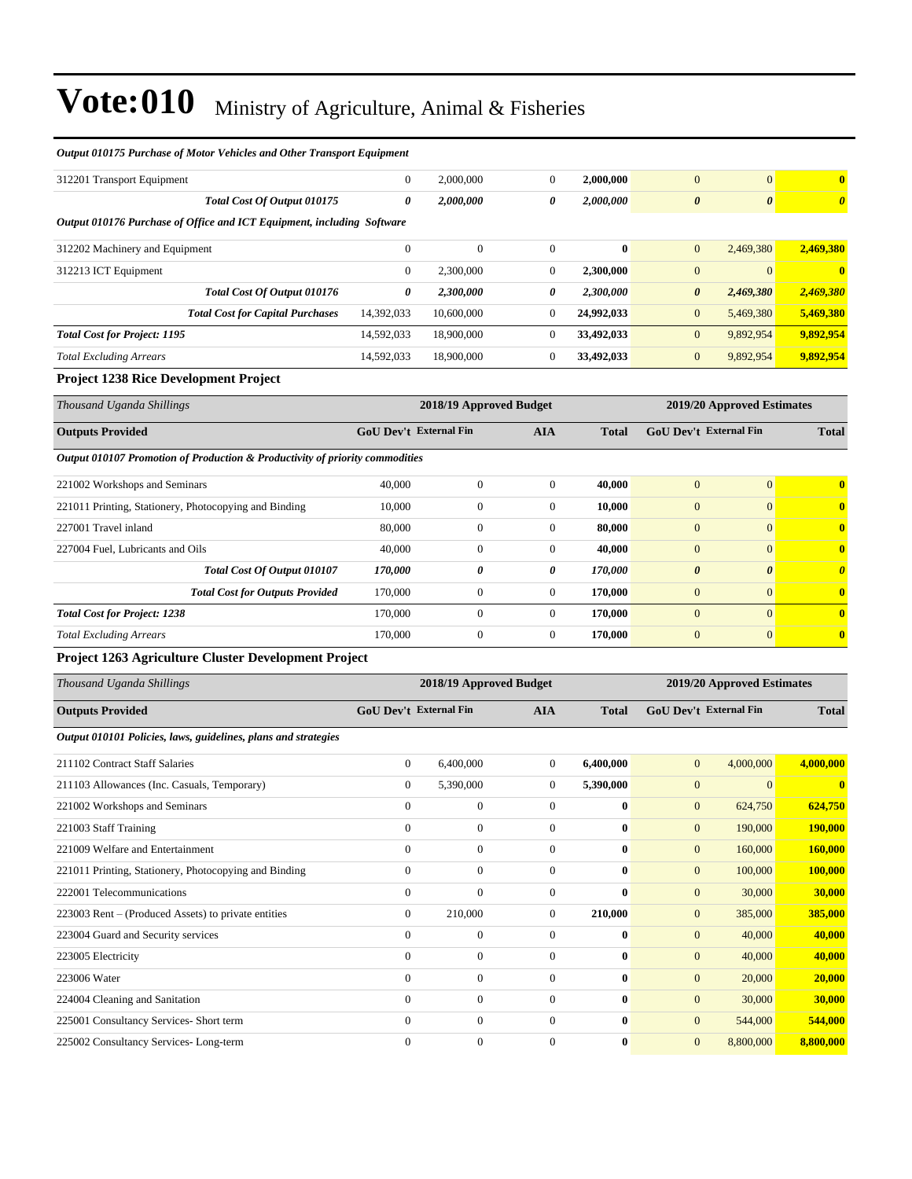| Thousand Uganda Shillings                                                    |                               | 2018/19 Approved Budget |                |              |                            | 2019/20 Approved Estimates    |                         |  |
|------------------------------------------------------------------------------|-------------------------------|-------------------------|----------------|--------------|----------------------------|-------------------------------|-------------------------|--|
| Project 1263 Agriculture Cluster Development Project                         |                               |                         |                |              |                            |                               |                         |  |
| <b>Total Excluding Arrears</b>                                               | 170,000                       | $\mathbf{0}$            | $\overline{0}$ | 170,000      | $\overline{0}$             | $\overline{0}$                | $\bf{0}$                |  |
| <b>Total Cost for Project: 1238</b>                                          | 170,000                       | $\overline{0}$          | $\overline{0}$ | 170,000      | $\Omega$                   | $\overline{0}$                | $\overline{\mathbf{0}}$ |  |
| <b>Total Cost for Outputs Provided</b>                                       | 170,000                       | $\boldsymbol{0}$        | $\overline{0}$ | 170,000      | $\mathbf{0}$               | $\overline{0}$                | $\bf{0}$                |  |
| Total Cost Of Output 010107                                                  | 170,000                       | 0                       | 0              | 170,000      | $\boldsymbol{\theta}$      | $\boldsymbol{\theta}$         | $\boldsymbol{\theta}$   |  |
| 227004 Fuel, Lubricants and Oils                                             | 40,000                        | $\boldsymbol{0}$        | $\overline{0}$ | 40,000       | $\mathbf{0}$               | $\Omega$                      | $\bf{0}$                |  |
| 227001 Travel inland                                                         | 80,000                        | $\overline{0}$          | $\Omega$       | 80,000       | $\Omega$                   | $\Omega$                      | $\mathbf{0}$            |  |
| 221011 Printing, Stationery, Photocopying and Binding                        | 10,000                        | $\mathbf{0}$            | $\overline{0}$ | 10,000       | $\Omega$                   | $\theta$                      | $\mathbf{0}$            |  |
| 221002 Workshops and Seminars                                                | 40,000                        | $\mathbf{0}$            | $\overline{0}$ | 40,000       | $\Omega$                   | $\overline{0}$                | $\bf{0}$                |  |
| Output 010107 Promotion of Production & Productivity of priority commodities |                               |                         |                |              |                            |                               |                         |  |
| <b>Outputs Provided</b>                                                      | <b>GoU Dev't External Fin</b> |                         | <b>AIA</b>     | <b>Total</b> |                            | <b>GoU Dev't External Fin</b> | <b>Total</b>            |  |
| Thousand Uganda Shillings                                                    | 2018/19 Approved Budget       |                         |                |              | 2019/20 Approved Estimates |                               |                         |  |
| <b>Project 1238 Rice Development Project</b>                                 |                               |                         |                |              |                            |                               |                         |  |
| <b>Total Excluding Arrears</b>                                               | 14,592,033                    | 18,900,000              | 0              | 33,492,033   | $\mathbf{0}$               | 9,892,954                     | 9,892,954               |  |
| <b>Total Cost for Project: 1195</b>                                          | 14,592,033                    | 18,900,000              | $\overline{0}$ | 33,492,033   | $\overline{0}$             | 9,892,954                     | 9,892,954               |  |
| <b>Total Cost for Capital Purchases</b>                                      | 14,392,033                    | 10,600,000              | $\overline{0}$ | 24,992,033   | $\mathbf{0}$               | 5,469,380                     | 5,469,380               |  |
| Total Cost Of Output 010176                                                  | $\boldsymbol{\theta}$         | 2,300,000               | 0              | 2,300,000    | $\boldsymbol{\theta}$      | 2,469,380                     | 2,469,380               |  |
| 312213 ICT Equipment                                                         | $\mathbf{0}$                  | 2,300,000               | $\overline{0}$ | 2,300,000    | $\mathbf{0}$               | $\overline{0}$                | $\bf{0}$                |  |
| 312202 Machinery and Equipment                                               | $\mathbf{0}$                  | $\mathbf{0}$            | $\overline{0}$ | $\bf{0}$     | $\mathbf{0}$               | 2,469,380                     | 2,469,380               |  |
| Output 010176 Purchase of Office and ICT Equipment, including Software       |                               |                         |                |              |                            |                               |                         |  |
| Total Cost Of Output 010175                                                  | $\boldsymbol{\theta}$         | 2,000,000               | 0              | 2,000,000    | $\boldsymbol{\theta}$      | $\boldsymbol{\theta}$         | $\boldsymbol{\theta}$   |  |
| 312201 Transport Equipment                                                   | $\overline{0}$                | 2,000,000               | $\overline{0}$ | 2,000,000    | $\mathbf{0}$               | $\overline{0}$                | $\bf{0}$                |  |
| Output 010175 Purchase of Motor Vehicles and Other Transport Equipment       |                               |                         |                |              |                            |                               |                         |  |

| <b>Outputs Provided</b>                                        |                | <b>GoU</b> Dev't External Fin |                | <b>Total</b> | <b>GoU Dev't External Fin</b> |           | <b>Total</b>  |  |
|----------------------------------------------------------------|----------------|-------------------------------|----------------|--------------|-------------------------------|-----------|---------------|--|
| Output 010101 Policies, laws, guidelines, plans and strategies |                |                               |                |              |                               |           |               |  |
| 211102 Contract Staff Salaries                                 | $\overline{0}$ | 6,400,000                     | $\overline{0}$ | 6,400,000    | $\overline{0}$                | 4,000,000 | 4,000,000     |  |
| 211103 Allowances (Inc. Casuals, Temporary)                    | $\overline{0}$ | 5,390,000                     | $\overline{0}$ | 5,390,000    | $\boldsymbol{0}$              | $\Omega$  | $\mathbf{0}$  |  |
| 221002 Workshops and Seminars                                  | $\mathbf{0}$   | $\mathbf{0}$                  | $\overline{0}$ | $\bf{0}$     | $\overline{0}$                | 624,750   | 624,750       |  |
| 221003 Staff Training                                          | $\Omega$       | $\overline{0}$                | $\overline{0}$ | $\mathbf{0}$ | $\mathbf{0}$                  | 190,000   | 190,000       |  |
| 221009 Welfare and Entertainment                               | $\overline{0}$ | $\overline{0}$                | $\mathbf{0}$   | $\mathbf{0}$ | $\overline{0}$                | 160,000   | 160,000       |  |
| 221011 Printing, Stationery, Photocopying and Binding          | $\mathbf{0}$   | 0                             | $\overline{0}$ | $\bf{0}$     | $\mathbf{0}$                  | 100,000   | 100,000       |  |
| 222001 Telecommunications                                      | $\Omega$       | $\overline{0}$                | $\mathbf{0}$   | $\mathbf{0}$ | $\mathbf{0}$                  | 30,000    | <b>30,000</b> |  |
| 223003 Rent – (Produced Assets) to private entities            | $\overline{0}$ | 210,000                       | $\overline{0}$ | 210,000      | $\mathbf{0}$                  | 385,000   | 385,000       |  |
| 223004 Guard and Security services                             | $\mathbf{0}$   | $\overline{0}$                | $\Omega$       | $\mathbf{0}$ | $\overline{0}$                | 40,000    | 40,000        |  |
| 223005 Electricity                                             | $\mathbf{0}$   | $\overline{0}$                | $\mathbf{0}$   | $\bf{0}$     | $\mathbf{0}$                  | 40,000    | 40,000        |  |
| 223006 Water                                                   | $\mathbf{0}$   | $\boldsymbol{0}$              | $\overline{0}$ | $\bf{0}$     | $\overline{0}$                | 20,000    | 20,000        |  |
| 224004 Cleaning and Sanitation                                 | $\Omega$       | $\overline{0}$                | $\Omega$       | $\mathbf{0}$ | $\mathbf{0}$                  | 30,000    | 30,000        |  |
| 225001 Consultancy Services- Short term                        | $\mathbf{0}$   | $\boldsymbol{0}$              | $\mathbf{0}$   | $\bf{0}$     | $\mathbf{0}$                  | 544,000   | 544,000       |  |
| 225002 Consultancy Services-Long-term                          | $\mathbf{0}$   | $\mathbf{0}$                  | $\mathbf{0}$   | $\bf{0}$     | $\mathbf{0}$                  | 8,800,000 | 8,800,000     |  |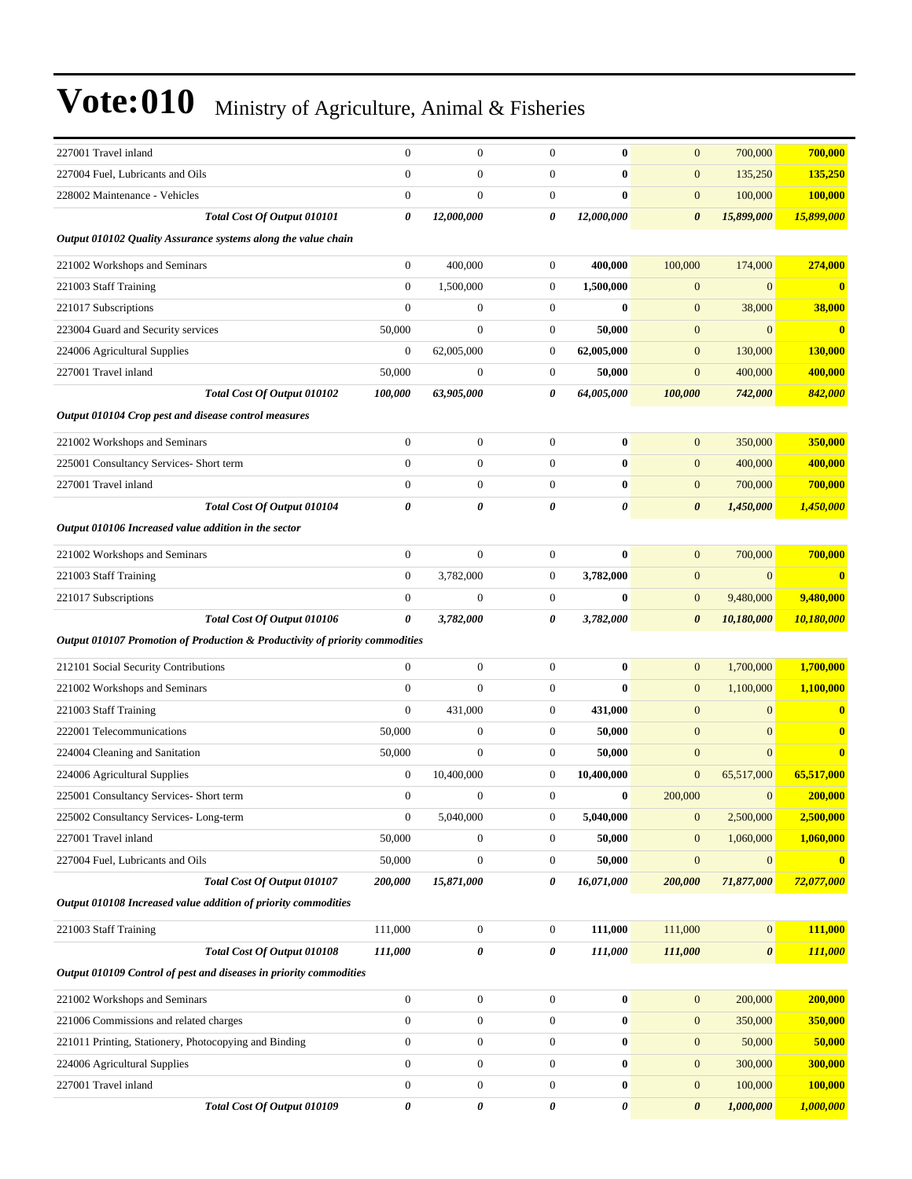| 227001 Travel inland                                                         | $\mathbf{0}$     | $\boldsymbol{0}$ | $\overline{0}$   | $\bf{0}$   | $\mathbf{0}$          | 700,000          | 700,000        |
|------------------------------------------------------------------------------|------------------|------------------|------------------|------------|-----------------------|------------------|----------------|
| 227004 Fuel, Lubricants and Oils                                             | $\mathbf{0}$     | $\boldsymbol{0}$ | $\boldsymbol{0}$ | $\bf{0}$   | $\mathbf{0}$          | 135,250          | <b>135,250</b> |
| 228002 Maintenance - Vehicles                                                | $\overline{0}$   | $\boldsymbol{0}$ | $\boldsymbol{0}$ | $\bf{0}$   | $\mathbf{0}$          | 100,000          | 100,000        |
| Total Cost Of Output 010101                                                  | 0                | 12,000,000       | 0                | 12,000,000 | $\boldsymbol{\theta}$ | 15,899,000       | 15,899,000     |
| Output 010102 Quality Assurance systems along the value chain                |                  |                  |                  |            |                       |                  |                |
| 221002 Workshops and Seminars                                                | $\boldsymbol{0}$ | 400,000          | $\mathbf{0}$     | 400,000    | 100,000               | 174,000          | 274,000        |
| 221003 Staff Training                                                        | $\mathbf{0}$     | 1,500,000        | $\boldsymbol{0}$ | 1,500,000  | $\mathbf{0}$          | $\mathbf{0}$     | $\bf{0}$       |
| 221017 Subscriptions                                                         | $\mathbf{0}$     | $\mathbf{0}$     | $\boldsymbol{0}$ | $\bf{0}$   | $\mathbf{0}$          | 38,000           | 38,000         |
| 223004 Guard and Security services                                           | 50,000           | $\boldsymbol{0}$ | $\boldsymbol{0}$ | 50,000     | $\mathbf{0}$          | $\mathbf{0}$     | $\bf{0}$       |
| 224006 Agricultural Supplies                                                 | $\mathbf{0}$     | 62,005,000       | 0                | 62,005,000 | $\mathbf{0}$          | 130,000          | 130,000        |
| 227001 Travel inland                                                         | 50,000           | $\boldsymbol{0}$ | $\boldsymbol{0}$ | 50,000     | $\mathbf{0}$          | 400,000          | 400,000        |
| Total Cost Of Output 010102                                                  | 100,000          | 63,905,000       | 0                | 64,005,000 | 100,000               | 742,000          | 842,000        |
| Output 010104 Crop pest and disease control measures                         |                  |                  |                  |            |                       |                  |                |
| 221002 Workshops and Seminars                                                | $\boldsymbol{0}$ | $\boldsymbol{0}$ | $\mathbf{0}$     | $\bf{0}$   | $\mathbf{0}$          | 350,000          | 350,000        |
| 225001 Consultancy Services- Short term                                      | $\overline{0}$   | $\boldsymbol{0}$ | $\boldsymbol{0}$ | $\bf{0}$   | $\mathbf{0}$          | 400,000          | 400,000        |
| 227001 Travel inland                                                         | $\boldsymbol{0}$ | $\boldsymbol{0}$ | $\boldsymbol{0}$ | $\bf{0}$   | $\mathbf{0}$          | 700,000          | 700,000        |
| Total Cost Of Output 010104                                                  | $\theta$         | 0                | 0                | 0          | $\boldsymbol{\theta}$ | 1,450,000        | 1,450,000      |
| Output 010106 Increased value addition in the sector                         |                  |                  |                  |            |                       |                  |                |
| 221002 Workshops and Seminars                                                | $\mathbf{0}$     | $\overline{0}$   | $\boldsymbol{0}$ | $\bf{0}$   | $\mathbf{0}$          | 700,000          | 700,000        |
| 221003 Staff Training                                                        | $\boldsymbol{0}$ | 3,782,000        | $\boldsymbol{0}$ | 3,782,000  | $\boldsymbol{0}$      | $\boldsymbol{0}$ | $\mathbf{0}$   |
| 221017 Subscriptions                                                         | $\boldsymbol{0}$ | $\boldsymbol{0}$ | $\boldsymbol{0}$ | $\bf{0}$   | $\mathbf{0}$          | 9,480,000        | 9,480,000      |
| Total Cost Of Output 010106                                                  | 0                | 3,782,000        | 0                | 3,782,000  | $\boldsymbol{\theta}$ | 10,180,000       | 10,180,000     |
| Output 010107 Promotion of Production & Productivity of priority commodities |                  |                  |                  |            |                       |                  |                |
| 212101 Social Security Contributions                                         | $\boldsymbol{0}$ | $\boldsymbol{0}$ | $\boldsymbol{0}$ | $\bf{0}$   | $\mathbf{0}$          | 1,700,000        | 1,700,000      |
| 221002 Workshops and Seminars                                                | $\mathbf{0}$     | $\overline{0}$   | $\boldsymbol{0}$ | $\bf{0}$   | $\mathbf{0}$          | 1,100,000        | 1,100,000      |
| 221003 Staff Training                                                        | $\mathbf{0}$     | 431,000          | $\mathbf{0}$     | 431,000    | $\mathbf{0}$          | $\boldsymbol{0}$ | $\bf{0}$       |
| 222001 Telecommunications                                                    | 50,000           | $\boldsymbol{0}$ | $\boldsymbol{0}$ | 50,000     | $\mathbf{0}$          | $\mathbf{0}$     | $\bf{0}$       |
| 224004 Cleaning and Sanitation                                               | 50,000           | $\overline{0}$   | 0                | 50,000     | $\mathbf{0}$          | $\overline{0}$   | $\bf{0}$       |
| 224006 Agricultural Supplies                                                 | $\boldsymbol{0}$ | 10,400,000       | $\boldsymbol{0}$ | 10,400,000 | $\mathbf{0}$          | 65,517,000       | 65,517,000     |
| 225001 Consultancy Services- Short term                                      | $\boldsymbol{0}$ | $\boldsymbol{0}$ | $\overline{0}$   | $\bf{0}$   | 200,000               | $\mathbf{0}$     | 200,000        |
| 225002 Consultancy Services-Long-term                                        | $\boldsymbol{0}$ | 5,040,000        | $\mathbf{0}$     | 5,040,000  | $\mathbf{0}$          | 2,500,000        | 2,500,000      |
| 227001 Travel inland                                                         | 50,000           | $\boldsymbol{0}$ | $\boldsymbol{0}$ | 50,000     | $\mathbf{0}$          | 1,060,000        | 1,060,000      |
| 227004 Fuel, Lubricants and Oils                                             | 50,000           | $\boldsymbol{0}$ | $\boldsymbol{0}$ | 50,000     | $\boldsymbol{0}$      | $\boldsymbol{0}$ | $\bf{0}$       |
| Total Cost Of Output 010107                                                  | 200,000          | 15,871,000       | 0                | 16,071,000 | 200,000               | 71,877,000       | 72,077,000     |
| Output 010108 Increased value addition of priority commodities               |                  |                  |                  |            |                       |                  |                |
| 221003 Staff Training                                                        | 111,000          | $\boldsymbol{0}$ | $\boldsymbol{0}$ | 111,000    | 111,000               | $\overline{0}$   | 111,000        |
| Total Cost Of Output 010108                                                  | 111,000          | 0                | 0                | 111,000    | 111,000               | $\pmb{\theta}$   | 111,000        |
| Output 010109 Control of pest and diseases in priority commodities           |                  |                  |                  |            |                       |                  |                |
| 221002 Workshops and Seminars                                                | $\boldsymbol{0}$ | $\boldsymbol{0}$ | $\boldsymbol{0}$ | $\bf{0}$   | $\mathbf{0}$          | 200,000          | 200,000        |
| 221006 Commissions and related charges                                       | $\boldsymbol{0}$ | $\boldsymbol{0}$ | $\boldsymbol{0}$ | $\bf{0}$   | $\mathbf{0}$          | 350,000          | 350,000        |
| 221011 Printing, Stationery, Photocopying and Binding                        | $\boldsymbol{0}$ | $\boldsymbol{0}$ | $\boldsymbol{0}$ | $\bf{0}$   | $\mathbf{0}$          | 50,000           | 50,000         |
| 224006 Agricultural Supplies                                                 | $\boldsymbol{0}$ | $\boldsymbol{0}$ | $\boldsymbol{0}$ | $\bf{0}$   | $\mathbf{0}$          | 300,000          | 300,000        |
| 227001 Travel inland                                                         | $\boldsymbol{0}$ | $\boldsymbol{0}$ | $\boldsymbol{0}$ | $\bf{0}$   | $\mathbf{0}$          | 100,000          | 100,000        |
| Total Cost Of Output 010109                                                  | $\pmb{\theta}$   | 0                | 0                | 0          | $\boldsymbol{\theta}$ | 1,000,000        | 1,000,000      |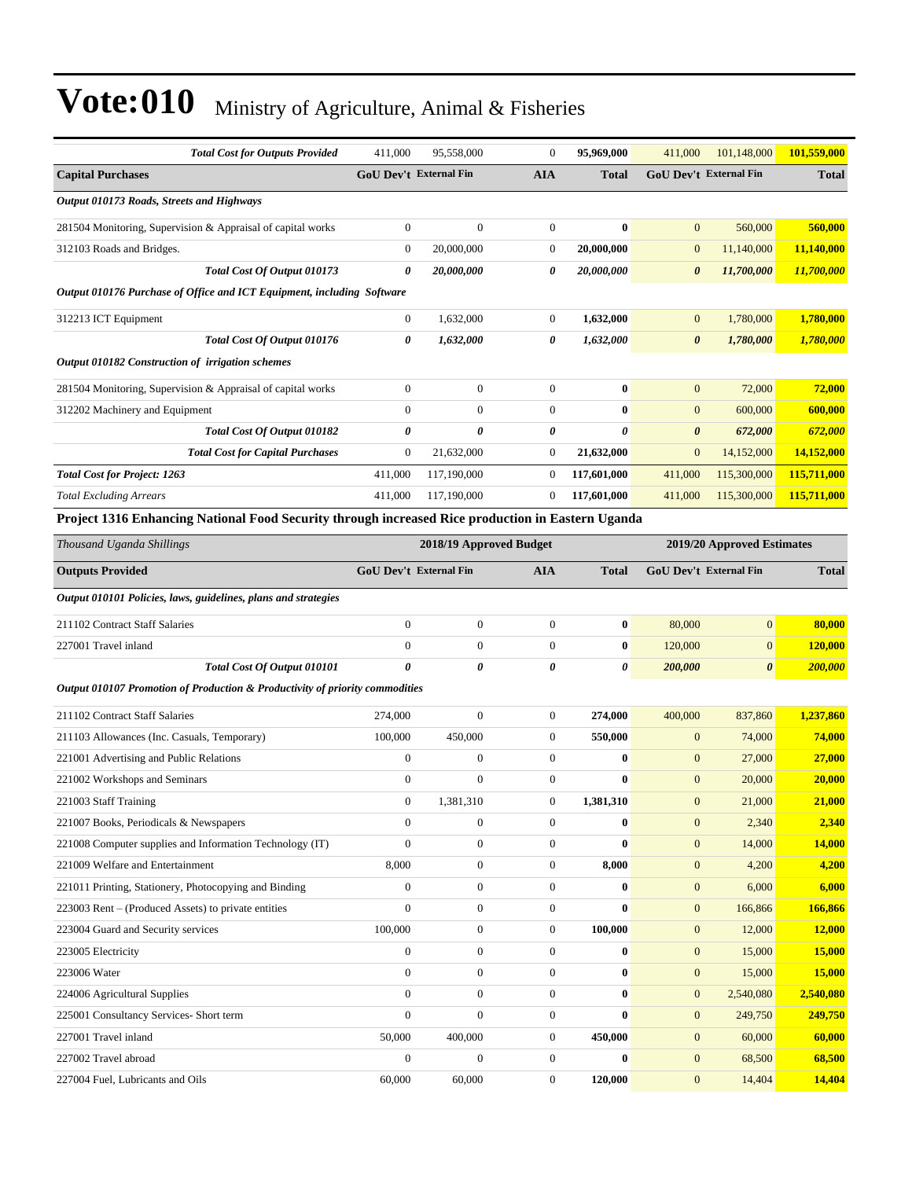| <b>Total Cost for Outputs Provided</b>                                                            | 411,000                | 95,558,000       | $\boldsymbol{0}$ | 95,969,000   | 411,000                       | 101,148,000           | 101,559,000   |  |
|---------------------------------------------------------------------------------------------------|------------------------|------------------|------------------|--------------|-------------------------------|-----------------------|---------------|--|
| <b>Capital Purchases</b>                                                                          | GoU Dev't External Fin |                  | <b>AIA</b>       | <b>Total</b> | <b>GoU Dev't External Fin</b> |                       | <b>Total</b>  |  |
| Output 010173 Roads, Streets and Highways                                                         |                        |                  |                  |              |                               |                       |               |  |
| 281504 Monitoring, Supervision & Appraisal of capital works                                       | $\boldsymbol{0}$       | $\overline{0}$   | $\boldsymbol{0}$ | $\bf{0}$     | $\mathbf{0}$                  | 560,000               | 560,000       |  |
| 312103 Roads and Bridges.                                                                         | $\mathbf{0}$           | 20,000,000       | $\boldsymbol{0}$ | 20,000,000   | $\mathbf{0}$                  | 11,140,000            | 11,140,000    |  |
| Total Cost Of Output 010173                                                                       | 0                      | 20,000,000       | 0                | 20,000,000   | $\boldsymbol{\theta}$         | 11,700,000            | 11,700,000    |  |
| Output 010176 Purchase of Office and ICT Equipment, including Software                            |                        |                  |                  |              |                               |                       |               |  |
| 312213 ICT Equipment                                                                              | $\boldsymbol{0}$       | 1,632,000        | $\boldsymbol{0}$ | 1,632,000    | $\mathbf{0}$                  | 1,780,000             | 1,780,000     |  |
| Total Cost Of Output 010176                                                                       | 0                      | 1,632,000        | 0                | 1,632,000    | $\boldsymbol{\theta}$         | 1,780,000             | 1,780,000     |  |
| Output 010182 Construction of irrigation schemes                                                  |                        |                  |                  |              |                               |                       |               |  |
| 281504 Monitoring, Supervision & Appraisal of capital works                                       | $\boldsymbol{0}$       | $\overline{0}$   | $\boldsymbol{0}$ | $\bf{0}$     | $\mathbf{0}$                  | 72,000                | 72,000        |  |
| 312202 Machinery and Equipment                                                                    | $\mathbf{0}$           | $\mathbf{0}$     | $\boldsymbol{0}$ | $\bf{0}$     | $\mathbf{0}$                  | 600,000               | 600,000       |  |
| <b>Total Cost Of Output 010182</b>                                                                | 0                      | 0                | 0                | 0            | $\boldsymbol{\theta}$         | 672,000               | 672,000       |  |
| <b>Total Cost for Capital Purchases</b>                                                           | $\boldsymbol{0}$       | 21,632,000       | $\boldsymbol{0}$ | 21,632,000   | $\mathbf{0}$                  | 14,152,000            | 14,152,000    |  |
| <b>Total Cost for Project: 1263</b>                                                               | 411,000                | 117,190,000      | $\boldsymbol{0}$ | 117,601,000  | 411,000                       | 115,300,000           | 115,711,000   |  |
| <b>Total Excluding Arrears</b>                                                                    | 411,000                | 117,190,000      | $\boldsymbol{0}$ | 117,601,000  | 411,000                       | 115,300,000           | 115,711,000   |  |
| Project 1316 Enhancing National Food Security through increased Rice production in Eastern Uganda |                        |                  |                  |              |                               |                       |               |  |
| Thousand Uganda Shillings<br>2018/19 Approved Budget<br>2019/20 Approved Estimates                |                        |                  |                  |              |                               |                       |               |  |
| <b>Outputs Provided</b>                                                                           | GoU Dev't External Fin |                  | <b>AIA</b>       | <b>Total</b> | GoU Dev't External Fin        |                       | <b>Total</b>  |  |
| Output 010101 Policies, laws, guidelines, plans and strategies                                    |                        |                  |                  |              |                               |                       |               |  |
| 211102 Contract Staff Salaries                                                                    | $\overline{0}$         | $\boldsymbol{0}$ | $\boldsymbol{0}$ | $\bf{0}$     | 80,000                        | $\mathbf{0}$          | 80,000        |  |
| 227001 Travel inland                                                                              | $\mathbf{0}$           | $\mathbf{0}$     | $\boldsymbol{0}$ | $\bf{0}$     | 120,000                       | $\mathbf{0}$          | 120,000       |  |
| Total Cost Of Output 010101                                                                       | 0                      | 0                | 0                | 0            | 200,000                       | $\boldsymbol{\theta}$ | 200,000       |  |
| Output 010107 Promotion of Production & Productivity of priority commodities                      |                        |                  |                  |              |                               |                       |               |  |
| 211102 Contract Staff Salaries                                                                    | 274,000                | $\boldsymbol{0}$ | $\boldsymbol{0}$ | 274,000      | 400,000                       | 837,860               | 1,237,860     |  |
| 211103 Allowances (Inc. Casuals, Temporary)                                                       | 100,000                | 450,000          | $\boldsymbol{0}$ | 550,000      | $\mathbf{0}$                  | 74,000                | <b>74,000</b> |  |
| 221001 Advertising and Public Relations                                                           | $\boldsymbol{0}$       | $\boldsymbol{0}$ | $\boldsymbol{0}$ | $\bf{0}$     | $\mathbf{0}$                  | 27,000                | 27,000        |  |
| 221002 Workshops and Seminars                                                                     | $\boldsymbol{0}$       | $\boldsymbol{0}$ | $\boldsymbol{0}$ | $\bf{0}$     | $\mathbf{0}$                  | 20,000                | 20,000        |  |
| 221003 Staff Training                                                                             | $\boldsymbol{0}$       | 1,381,310        | $\boldsymbol{0}$ | 1,381,310    | $\boldsymbol{0}$              | 21,000                | 21,000        |  |
| 221007 Books, Periodicals & Newspapers                                                            | $\mathbf{0}$           | $\boldsymbol{0}$ | $\boldsymbol{0}$ | $\bf{0}$     | $\mathbf{0}$                  | 2,340                 | 2,340         |  |
| 221008 Computer supplies and Information Technology (IT)                                          | $\Omega$               | $\boldsymbol{0}$ | $\boldsymbol{0}$ | $\bf{0}$     | $\boldsymbol{0}$              | 14,000                | 14,000        |  |
| 221009 Welfare and Entertainment                                                                  | 8,000                  | $\boldsymbol{0}$ | $\boldsymbol{0}$ | 8,000        | $\mathbf{0}$                  | 4,200                 | 4,200         |  |
| 221011 Printing, Stationery, Photocopying and Binding                                             | $\mathbf{0}$           | $\boldsymbol{0}$ | $\boldsymbol{0}$ | $\bf{0}$     | $\mathbf{0}$                  | 6,000                 | 6,000         |  |
| 223003 Rent – (Produced Assets) to private entities                                               | $\overline{0}$         | $\boldsymbol{0}$ | $\boldsymbol{0}$ | $\bf{0}$     | $\mathbf{0}$                  | 166,866               | 166,866       |  |
| 223004 Guard and Security services                                                                | 100,000                | $\boldsymbol{0}$ | $\boldsymbol{0}$ | 100,000      | $\mathbf{0}$                  | 12,000                | 12,000        |  |
| 223005 Electricity                                                                                | $\boldsymbol{0}$       | $\boldsymbol{0}$ | $\boldsymbol{0}$ | $\bf{0}$     | $\boldsymbol{0}$              | 15,000                | 15,000        |  |
| 223006 Water                                                                                      | $\mathbf{0}$           | $\boldsymbol{0}$ | $\boldsymbol{0}$ | $\bf{0}$     | $\mathbf{0}$                  | 15,000                | 15,000        |  |
| 224006 Agricultural Supplies                                                                      | $\mathbf{0}$           | $\mathbf{0}$     | $\boldsymbol{0}$ | $\bf{0}$     | $\mathbf{0}$                  | 2,540,080             | 2,540,080     |  |
| 225001 Consultancy Services- Short term                                                           | $\overline{0}$         | $\boldsymbol{0}$ | $\boldsymbol{0}$ | $\bf{0}$     | $\mathbf{0}$                  | 249,750               | 249,750       |  |
| 227001 Travel inland                                                                              | 50,000                 | 400,000          | $\boldsymbol{0}$ | 450,000      | $\mathbf{0}$                  | 60,000                | 60,000        |  |
| 227002 Travel abroad                                                                              | $\boldsymbol{0}$       | $\boldsymbol{0}$ | $\boldsymbol{0}$ | $\bf{0}$     | $\boldsymbol{0}$              | 68,500                | 68,500        |  |
| 227004 Fuel, Lubricants and Oils                                                                  | 60,000                 | 60,000           | $\boldsymbol{0}$ | 120,000      | $\mathbf{0}$                  | 14,404                | 14,404        |  |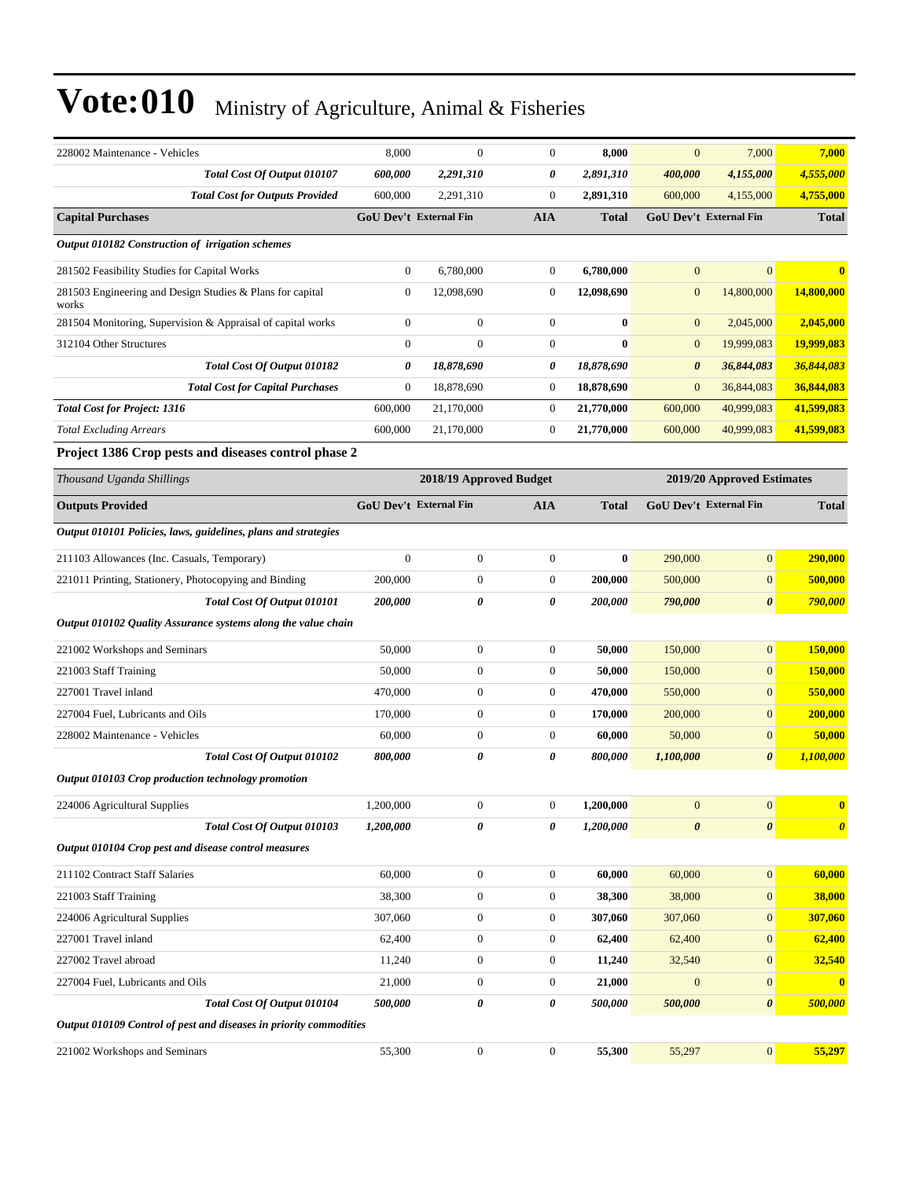| 228002 Maintenance - Vehicles                                      | 8,000                         | $\boldsymbol{0}$        | $\boldsymbol{0}$ | 8,000        | $\mathbf{0}$          | 7,000                         | 7,000                 |
|--------------------------------------------------------------------|-------------------------------|-------------------------|------------------|--------------|-----------------------|-------------------------------|-----------------------|
| Total Cost Of Output 010107                                        | 600,000                       | 2,291,310               | 0                | 2,891,310    | 400,000               | 4,155,000                     | 4,555,000             |
| <b>Total Cost for Outputs Provided</b>                             | 600,000                       | 2,291,310               | $\boldsymbol{0}$ | 2,891,310    | 600,000               | 4,155,000                     | 4,755,000             |
| <b>Capital Purchases</b>                                           | GoU Dev't External Fin        |                         | <b>AIA</b>       | <b>Total</b> |                       | GoU Dev't External Fin        | <b>Total</b>          |
| Output 010182 Construction of irrigation schemes                   |                               |                         |                  |              |                       |                               |                       |
| 281502 Feasibility Studies for Capital Works                       | $\mathbf{0}$                  | 6,780,000               | $\boldsymbol{0}$ | 6,780,000    | $\mathbf{0}$          | $\mathbf{0}$                  |                       |
| 281503 Engineering and Design Studies & Plans for capital<br>works | $\mathbf{0}$                  | 12,098,690              | $\overline{0}$   | 12,098,690   | $\boldsymbol{0}$      | 14,800,000                    | 14,800,000            |
| 281504 Monitoring, Supervision & Appraisal of capital works        | $\mathbf{0}$                  | $\boldsymbol{0}$        | $\mathbf{0}$     | $\bf{0}$     | $\mathbf{0}$          | 2,045,000                     | 2,045,000             |
| 312104 Other Structures                                            | $\mathbf{0}$                  | $\overline{0}$          | $\boldsymbol{0}$ | $\bf{0}$     | $\mathbf{0}$          | 19,999,083                    | 19,999,083            |
| Total Cost Of Output 010182                                        | 0                             | 18,878,690              | 0                | 18,878,690   | $\boldsymbol{\theta}$ | 36,844,083                    | 36,844,083            |
| <b>Total Cost for Capital Purchases</b>                            | $\mathbf{0}$                  | 18,878,690              | 0                | 18,878,690   | $\mathbf{0}$          | 36,844,083                    | 36,844,083            |
| <b>Total Cost for Project: 1316</b>                                | 600,000                       | 21,170,000              | $\boldsymbol{0}$ | 21,770,000   | 600,000               | 40,999,083                    | 41,599,083            |
| <b>Total Excluding Arrears</b>                                     | 600,000                       | 21,170,000              | $\mathbf{0}$     | 21,770,000   | 600,000               | 40,999,083                    | 41,599,083            |
| Project 1386 Crop pests and diseases control phase 2               |                               |                         |                  |              |                       |                               |                       |
| Thousand Uganda Shillings                                          |                               | 2018/19 Approved Budget |                  |              |                       | 2019/20 Approved Estimates    |                       |
| <b>Outputs Provided</b>                                            | <b>GoU Dev't External Fin</b> |                         | AIA              | <b>Total</b> |                       | <b>GoU Dev't External Fin</b> | <b>Total</b>          |
| Output 010101 Policies, laws, guidelines, plans and strategies     |                               |                         |                  |              |                       |                               |                       |
| 211103 Allowances (Inc. Casuals, Temporary)                        | $\mathbf{0}$                  | $\boldsymbol{0}$        | $\mathbf{0}$     | $\bf{0}$     | 290,000               | $\mathbf{0}$                  | 290,000               |
| 221011 Printing, Stationery, Photocopying and Binding              | 200,000                       | $\boldsymbol{0}$        | $\boldsymbol{0}$ | 200,000      | 500,000               | $\mathbf{0}$                  | 500,000               |
| Total Cost Of Output 010101                                        | 200,000                       | 0                       | 0                | 200,000      | 790,000               | $\boldsymbol{\theta}$         | 790,000               |
| Output 010102 Quality Assurance systems along the value chain      |                               |                         |                  |              |                       |                               |                       |
| 221002 Workshops and Seminars                                      | 50,000                        | $\boldsymbol{0}$        | $\boldsymbol{0}$ | 50,000       | 150,000               | $\mathbf{0}$                  | 150,000               |
| 221003 Staff Training                                              | 50,000                        | $\boldsymbol{0}$        | $\boldsymbol{0}$ | 50,000       | 150,000               | $\mathbf{0}$                  | 150,000               |
| 227001 Travel inland                                               | 470,000                       | $\boldsymbol{0}$        | $\boldsymbol{0}$ | 470,000      | 550,000               | $\mathbf{0}$                  | 550,000               |
| 227004 Fuel, Lubricants and Oils                                   | 170,000                       | $\boldsymbol{0}$        | $\boldsymbol{0}$ | 170,000      | 200,000               | $\mathbf{0}$                  | 200,000               |
| 228002 Maintenance - Vehicles                                      | 60,000                        | $\boldsymbol{0}$        | 0                | 60,000       | 50,000                | $\mathbf{0}$                  | 50,000                |
| Total Cost Of Output 010102                                        | 800,000                       | 0                       | 0                | 800,000      | 1,100,000             | $\boldsymbol{\theta}$         | 1,100,000             |
| Output 010103 Crop production technology promotion                 |                               |                         |                  |              |                       |                               |                       |
| 224006 Agricultural Supplies                                       | 1,200,000                     | $\boldsymbol{0}$        | $\boldsymbol{0}$ | 1,200,000    | $\boldsymbol{0}$      | 0                             | $\mathbf{0}$          |
| Total Cost Of Output 010103                                        | 1,200,000                     | 0                       | 0                | 1,200,000    | $\boldsymbol{\theta}$ | $\boldsymbol{\theta}$         | $\boldsymbol{\theta}$ |
| Output 010104 Crop pest and disease control measures               |                               |                         |                  |              |                       |                               |                       |
| 211102 Contract Staff Salaries                                     | 60,000                        | $\boldsymbol{0}$        | $\boldsymbol{0}$ | 60,000       | 60,000                | $\mathbf{0}$                  | 60,000                |
| 221003 Staff Training                                              | 38,300                        | $\boldsymbol{0}$        | $\boldsymbol{0}$ | 38,300       | 38,000                | $\mathbf{0}$                  | 38,000                |
| 224006 Agricultural Supplies                                       | 307,060                       | $\boldsymbol{0}$        | $\boldsymbol{0}$ | 307,060      | 307,060               | $\mathbf{0}$                  | 307,060               |
| 227001 Travel inland                                               | 62,400                        | $\boldsymbol{0}$        | $\boldsymbol{0}$ | 62,400       | 62,400                | $\boldsymbol{0}$              | 62,400                |
| 227002 Travel abroad                                               | 11,240                        | $\boldsymbol{0}$        | $\boldsymbol{0}$ | 11,240       | 32,540                | $\mathbf{0}$                  | 32,540                |
| 227004 Fuel, Lubricants and Oils                                   | 21,000                        | $\boldsymbol{0}$        | 0                | 21,000       | $\mathbf{0}$          | $\mathbf{0}$                  | $\mathbf{0}$          |
| Total Cost Of Output 010104                                        | 500,000                       | 0                       | 0                | 500,000      | 500,000               | $\boldsymbol{\theta}$         | 500,000               |
| Output 010109 Control of pest and diseases in priority commodities |                               |                         |                  |              |                       |                               |                       |
| 221002 Workshops and Seminars                                      | 55,300                        | $\boldsymbol{0}$        | $\boldsymbol{0}$ | 55,300       | 55,297                | $\boldsymbol{0}$              | 55,297                |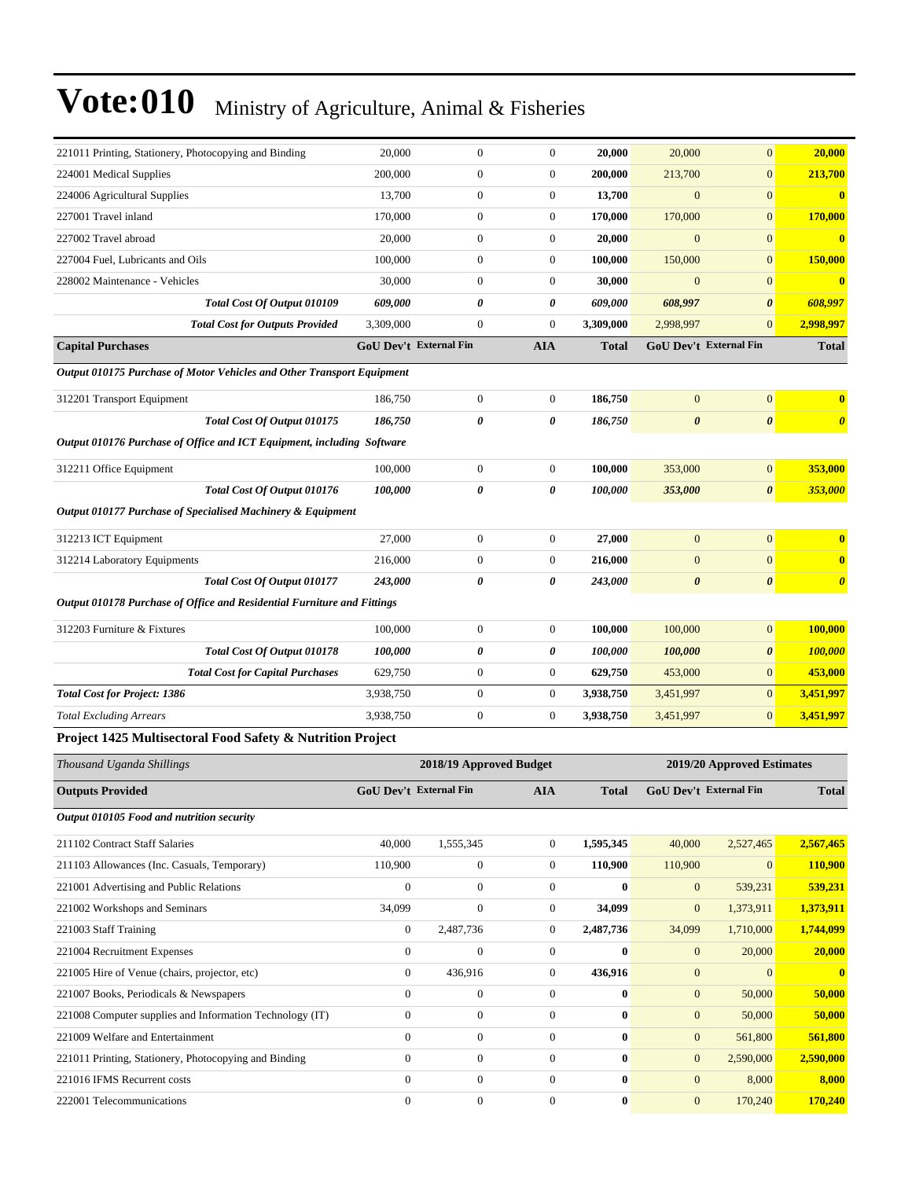| 221011 Printing, Stationery, Photocopying and Binding                   | 20,000                        | $\boldsymbol{0}$        | $\boldsymbol{0}$ | 20,000       | 20,000                | $\boldsymbol{0}$              | 20,000                |
|-------------------------------------------------------------------------|-------------------------------|-------------------------|------------------|--------------|-----------------------|-------------------------------|-----------------------|
| 224001 Medical Supplies                                                 | 200,000                       | $\boldsymbol{0}$        | $\boldsymbol{0}$ | 200,000      | 213,700               | $\boldsymbol{0}$              | 213,700               |
| 224006 Agricultural Supplies                                            | 13,700                        | $\boldsymbol{0}$        | $\boldsymbol{0}$ | 13,700       | $\mathbf{0}$          | $\boldsymbol{0}$              | $\bf{0}$              |
| 227001 Travel inland                                                    | 170,000                       | $\boldsymbol{0}$        | $\boldsymbol{0}$ | 170,000      | 170,000               | $\overline{0}$                | 170,000               |
| 227002 Travel abroad                                                    | 20,000                        | $\boldsymbol{0}$        | $\boldsymbol{0}$ | 20,000       | $\overline{0}$        | $\boldsymbol{0}$              | $\bf{0}$              |
| 227004 Fuel, Lubricants and Oils                                        | 100,000                       | $\boldsymbol{0}$        | $\boldsymbol{0}$ | 100,000      | 150,000               | $\boldsymbol{0}$              | 150,000               |
| 228002 Maintenance - Vehicles                                           | 30,000                        | $\boldsymbol{0}$        | $\boldsymbol{0}$ | 30,000       | $\overline{0}$        | $\boldsymbol{0}$              | $\bf{0}$              |
| Total Cost Of Output 010109                                             | 609,000                       | 0                       | 0                | 609,000      | 608,997               | 0                             | 608,997               |
| <b>Total Cost for Outputs Provided</b>                                  | 3,309,000                     | $\boldsymbol{0}$        | $\boldsymbol{0}$ | 3,309,000    | 2,998,997             | $\overline{0}$                | 2,998,997             |
| <b>Capital Purchases</b>                                                | <b>GoU Dev't External Fin</b> |                         | <b>AIA</b>       | <b>Total</b> |                       | GoU Dev't External Fin        | <b>Total</b>          |
| Output 010175 Purchase of Motor Vehicles and Other Transport Equipment  |                               |                         |                  |              |                       |                               |                       |
| 312201 Transport Equipment                                              | 186,750                       | $\boldsymbol{0}$        | $\boldsymbol{0}$ | 186,750      | $\mathbf{0}$          | $\overline{0}$                | $\mathbf{0}$          |
| Total Cost Of Output 010175                                             | 186,750                       | 0                       | 0                | 186,750      | $\boldsymbol{\theta}$ | $\boldsymbol{\theta}$         | $\boldsymbol{\theta}$ |
| Output 010176 Purchase of Office and ICT Equipment, including Software  |                               |                         |                  |              |                       |                               |                       |
| 312211 Office Equipment                                                 | 100,000                       | $\boldsymbol{0}$        | $\boldsymbol{0}$ | 100,000      | 353,000               | $\mathbf{0}$                  | 353,000               |
| Total Cost Of Output 010176                                             | 100,000                       | 0                       | 0                | 100,000      | 353,000               | $\boldsymbol{\theta}$         | 353,000               |
| Output 010177 Purchase of Specialised Machinery & Equipment             |                               |                         |                  |              |                       |                               |                       |
| 312213 ICT Equipment                                                    | 27,000                        | $\boldsymbol{0}$        | $\boldsymbol{0}$ | 27,000       | $\mathbf{0}$          | $\overline{0}$                | $\mathbf{0}$          |
| 312214 Laboratory Equipments                                            | 216,000                       | $\boldsymbol{0}$        | $\boldsymbol{0}$ | 216,000      | $\mathbf{0}$          | $\boldsymbol{0}$              | $\bf{0}$              |
| Total Cost Of Output 010177                                             | 243,000                       | 0                       | 0                | 243,000      | $\boldsymbol{\theta}$ | $\boldsymbol{\theta}$         | $\boldsymbol{\theta}$ |
| Output 010178 Purchase of Office and Residential Furniture and Fittings |                               |                         |                  |              |                       |                               |                       |
| 312203 Furniture & Fixtures                                             | 100,000                       | $\boldsymbol{0}$        | $\boldsymbol{0}$ | 100,000      | 100,000               | $\boldsymbol{0}$              | 100,000               |
| Total Cost Of Output 010178                                             | 100,000                       | 0                       | 0                | 100,000      | 100,000               | 0                             | <b>100,000</b>        |
| <b>Total Cost for Capital Purchases</b>                                 | 629,750                       | $\boldsymbol{0}$        | $\overline{0}$   | 629,750      | 453,000               | $\boldsymbol{0}$              | 453,000               |
| <b>Total Cost for Project: 1386</b>                                     | 3,938,750                     | $\boldsymbol{0}$        | $\boldsymbol{0}$ | 3,938,750    | 3,451,997             | $\overline{0}$                | 3,451,997             |
| <b>Total Excluding Arrears</b>                                          | 3,938,750                     | $\boldsymbol{0}$        | $\boldsymbol{0}$ | 3,938,750    | 3,451,997             | $\boldsymbol{0}$              | 3,451,997             |
| Project 1425 Multisectoral Food Safety & Nutrition Project              |                               |                         |                  |              |                       |                               |                       |
| Thousand Uganda Shillings                                               |                               | 2018/19 Approved Budget |                  |              |                       | 2019/20 Approved Estimates    |                       |
| <b>Outputs Provided</b>                                                 | <b>GoU Dev't External Fin</b> |                         | <b>AIA</b>       | <b>Total</b> |                       | <b>GoU Dev't External Fin</b> | <b>Total</b>          |
| Output 010105 Food and nutrition security                               |                               |                         |                  |              |                       |                               |                       |
| 211102 Contract Staff Salaries                                          | 40,000                        | 1,555,345               | $\boldsymbol{0}$ | 1,595,345    | 40,000                | 2,527,465                     | 2,567,465             |
| 211103 Allowances (Inc. Casuals, Temporary)                             | 110,900                       | $\boldsymbol{0}$        | $\boldsymbol{0}$ | 110,900      | 110,900               | $\mathbf{0}$                  | <b>110,900</b>        |
| 221001 Advertising and Public Relations                                 | $\boldsymbol{0}$              | $\boldsymbol{0}$        | $\overline{0}$   | $\bf{0}$     | $\boldsymbol{0}$      | 539,231                       | 539,231               |
| 221002 Workshops and Seminars                                           | 34,099                        | $\boldsymbol{0}$        | $\overline{0}$   | 34,099       | $\mathbf{0}$          | 1,373,911                     | 1,373,911             |
| 221003 Staff Training                                                   | $\boldsymbol{0}$              | 2,487,736               | $\boldsymbol{0}$ | 2,487,736    | 34,099                | 1,710,000                     | 1,744,099             |
| 221004 Recruitment Expenses                                             | $\boldsymbol{0}$              | $\boldsymbol{0}$        | $\boldsymbol{0}$ | $\bf{0}$     | $\mathbf{0}$          | 20,000                        | 20,000                |
| 221005 Hire of Venue (chairs, projector, etc)                           | $\boldsymbol{0}$              | 436,916                 | $\boldsymbol{0}$ | 436,916      | $\mathbf{0}$          | $\overline{0}$                | $\bf{0}$              |
| 221007 Books, Periodicals & Newspapers                                  | $\boldsymbol{0}$              | $\boldsymbol{0}$        | $\boldsymbol{0}$ | $\bf{0}$     | $\boldsymbol{0}$      | 50,000                        | 50,000                |
| 221008 Computer supplies and Information Technology (IT)                | $\boldsymbol{0}$              | $\boldsymbol{0}$        | $\boldsymbol{0}$ | $\bf{0}$     | $\mathbf{0}$          | 50,000                        | 50,000                |
| 221009 Welfare and Entertainment                                        | $\boldsymbol{0}$              | $\boldsymbol{0}$        | $\boldsymbol{0}$ | $\bf{0}$     | $\mathbf{0}$          | 561,800                       | 561,800               |
| 221011 Printing, Stationery, Photocopying and Binding                   | $\boldsymbol{0}$              | $\boldsymbol{0}$        | $\boldsymbol{0}$ | $\bf{0}$     | $\mathbf{0}$          | 2,590,000                     | 2,590,000             |
| 221016 IFMS Recurrent costs                                             | $\boldsymbol{0}$              | $\boldsymbol{0}$        | $\boldsymbol{0}$ | $\bf{0}$     | $\mathbf{0}$          | 8,000                         | 8,000                 |
| 222001 Telecommunications                                               | $\boldsymbol{0}$              | $\boldsymbol{0}$        | $\overline{0}$   | $\bf{0}$     | $\mathbf{0}$          | 170,240                       | 170,240               |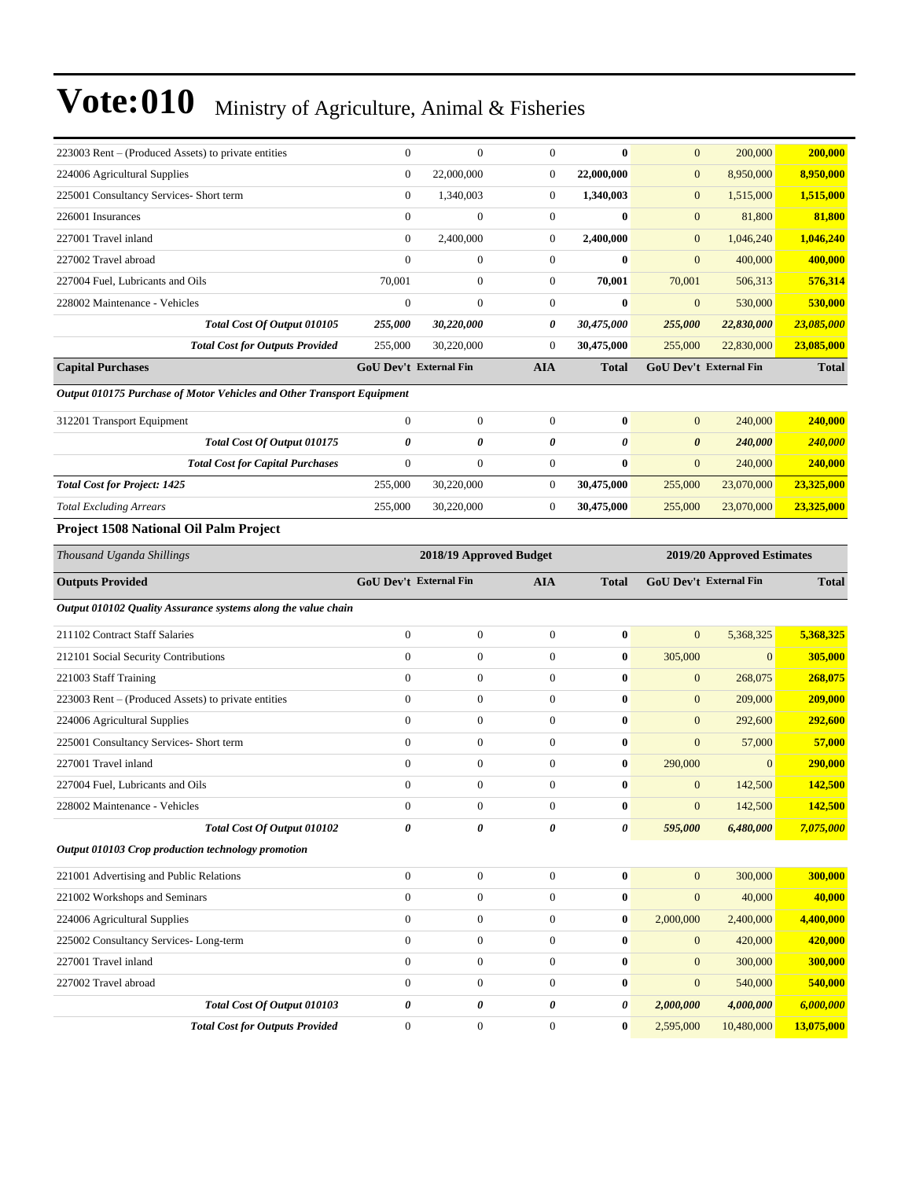| 223003 Rent – (Produced Assets) to private entities                    | $\boldsymbol{0}$       | $\mathbf{0}$            | $\boldsymbol{0}$ | $\bf{0}$         | $\mathbf{0}$                  | 200,000                    | 200,000            |
|------------------------------------------------------------------------|------------------------|-------------------------|------------------|------------------|-------------------------------|----------------------------|--------------------|
| 224006 Agricultural Supplies                                           | $\boldsymbol{0}$       | 22,000,000              | $\mathbf{0}$     | 22,000,000       | $\boldsymbol{0}$              | 8,950,000                  | 8,950,000          |
| 225001 Consultancy Services- Short term                                | $\boldsymbol{0}$       | 1,340,003               | $\mathbf{0}$     | 1,340,003        | $\boldsymbol{0}$              | 1,515,000                  | 1,515,000          |
| 226001 Insurances                                                      | $\overline{0}$         | $\boldsymbol{0}$        | $\mathbf{0}$     | $\bf{0}$         | $\boldsymbol{0}$              | 81,800                     | 81,800             |
| 227001 Travel inland                                                   | $\mathbf{0}$           | 2,400,000               | $\mathbf{0}$     | 2,400,000        | $\boldsymbol{0}$              | 1,046,240                  | 1,046,240          |
| 227002 Travel abroad                                                   | $\overline{0}$         | $\boldsymbol{0}$        | $\mathbf{0}$     | $\bf{0}$         | $\boldsymbol{0}$              | 400,000                    | 400,000            |
| 227004 Fuel, Lubricants and Oils                                       | 70,001                 | $\boldsymbol{0}$        | $\boldsymbol{0}$ | 70,001           | 70,001                        | 506,313                    | 576,314            |
| 228002 Maintenance - Vehicles                                          | $\boldsymbol{0}$       | $\boldsymbol{0}$        | $\boldsymbol{0}$ | $\bf{0}$         | $\boldsymbol{0}$              | 530,000                    | 530,000            |
| Total Cost Of Output 010105                                            | 255,000                | 30,220,000              | 0                | 30,475,000       | 255,000                       | 22,830,000                 | 23,085,000         |
| <b>Total Cost for Outputs Provided</b>                                 | 255,000                | 30,220,000              | $\overline{0}$   | 30,475,000       | 255,000                       | 22,830,000                 | 23,085,000         |
| <b>Capital Purchases</b>                                               | GoU Dev't External Fin |                         | <b>AIA</b>       | <b>Total</b>     | <b>GoU Dev't External Fin</b> |                            | <b>Total</b>       |
| Output 010175 Purchase of Motor Vehicles and Other Transport Equipment |                        |                         |                  |                  |                               |                            |                    |
| 312201 Transport Equipment                                             | $\boldsymbol{0}$       | $\boldsymbol{0}$        | $\mathbf{0}$     | $\bf{0}$         | $\mathbf{0}$                  | 240,000                    | 240,000            |
| Total Cost Of Output 010175                                            | 0                      | 0                       | 0                | 0                | $\boldsymbol{\theta}$         | 240,000                    | 240,000            |
| <b>Total Cost for Capital Purchases</b>                                | $\boldsymbol{0}$       | $\boldsymbol{0}$        | $\mathbf{0}$     | $\bf{0}$         | $\mathbf{0}$                  | 240,000                    | 240,000            |
| <b>Total Cost for Project: 1425</b>                                    | 255,000                | 30,220,000              | $\mathbf{0}$     | 30,475,000       | 255,000                       | 23,070,000                 | 23,325,000         |
| <b>Total Excluding Arrears</b>                                         | 255,000                | 30,220,000              | $\boldsymbol{0}$ | 30,475,000       | 255,000                       | 23,070,000                 | 23,325,000         |
| Project 1508 National Oil Palm Project                                 |                        |                         |                  |                  |                               |                            |                    |
| Thousand Uganda Shillings                                              |                        | 2018/19 Approved Budget |                  |                  |                               | 2019/20 Approved Estimates |                    |
|                                                                        |                        |                         |                  |                  |                               | GoU Dev't External Fin     | <b>Total</b>       |
|                                                                        |                        |                         |                  |                  |                               |                            |                    |
| <b>Outputs Provided</b>                                                | GoU Dev't External Fin |                         | <b>AIA</b>       | <b>Total</b>     |                               |                            |                    |
| Output 010102 Quality Assurance systems along the value chain          |                        |                         |                  |                  |                               |                            |                    |
| 211102 Contract Staff Salaries                                         | $\boldsymbol{0}$       | $\boldsymbol{0}$        | $\mathbf{0}$     | $\bf{0}$         | $\boldsymbol{0}$              | 5,368,325                  | 5,368,325          |
| 212101 Social Security Contributions                                   | $\boldsymbol{0}$       | $\boldsymbol{0}$        | $\boldsymbol{0}$ | $\bf{0}$         | 305,000                       | $\mathbf{0}$               | 305,000            |
| 221003 Staff Training                                                  | $\boldsymbol{0}$       | $\boldsymbol{0}$        | $\mathbf{0}$     | $\bf{0}$         | $\mathbf{0}$                  | 268,075                    | 268,075            |
| 223003 Rent – (Produced Assets) to private entities                    | $\overline{0}$         | $\boldsymbol{0}$        | $\mathbf{0}$     | $\bf{0}$         | $\mathbf{0}$                  | 209,000                    | 209,000            |
| 224006 Agricultural Supplies                                           | $\boldsymbol{0}$       | $\mathbf{0}$            | $\mathbf{0}$     | $\bf{0}$         | $\mathbf{0}$                  | 292,600                    | 292,600            |
| 225001 Consultancy Services- Short term                                | $\boldsymbol{0}$       | $\boldsymbol{0}$        | $\mathbf{0}$     | $\bf{0}$         | $\boldsymbol{0}$              | 57,000                     | 57,000             |
| 227001 Travel inland                                                   | $\boldsymbol{0}$       | $\boldsymbol{0}$        | $\mathbf{0}$     | $\bf{0}$         | 290,000                       | $\overline{0}$             | 290,000            |
| 227004 Fuel, Lubricants and Oils                                       | $\boldsymbol{0}$       | $\boldsymbol{0}$        | $\mathbf{0}$     | $\bf{0}$         | $\boldsymbol{0}$              | 142,500                    | 142,500            |
| 228002 Maintenance - Vehicles                                          | $\boldsymbol{0}$       | $\boldsymbol{0}$        | $\boldsymbol{0}$ | $\boldsymbol{0}$ | $\overline{0}$                | 142,500                    | 142,500            |
| Total Cost Of Output 010102                                            | 0                      | 0                       | 0                | 0                | 595,000                       | 6,480,000                  | 7,075,000          |
| Output 010103 Crop production technology promotion                     |                        |                         |                  |                  |                               |                            |                    |
| 221001 Advertising and Public Relations                                | $\boldsymbol{0}$       | $\boldsymbol{0}$        | $\boldsymbol{0}$ | $\bf{0}$         | $\mathbf{0}$                  | 300,000                    | 300,000            |
| 221002 Workshops and Seminars                                          | $\boldsymbol{0}$       | $\boldsymbol{0}$        | $\boldsymbol{0}$ | $\bf{0}$         | $\mathbf{0}$                  | 40,000                     | 40,000             |
| 224006 Agricultural Supplies                                           | $\boldsymbol{0}$       | $\boldsymbol{0}$        | $\mathbf{0}$     | $\bf{0}$         | 2,000,000                     | 2,400,000                  | 4,400,000          |
| 225002 Consultancy Services-Long-term                                  | $\boldsymbol{0}$       | $\boldsymbol{0}$        | $\boldsymbol{0}$ | $\bf{0}$         | $\boldsymbol{0}$              | 420,000                    |                    |
| 227001 Travel inland                                                   | $\boldsymbol{0}$       | $\boldsymbol{0}$        | $\boldsymbol{0}$ | $\bf{0}$         | $\mathbf{0}$                  | 300,000                    | 420,000<br>300,000 |
| 227002 Travel abroad                                                   | $\boldsymbol{0}$       | $\boldsymbol{0}$        | $\mathbf{0}$     | $\bf{0}$         | $\boldsymbol{0}$              | 540,000                    | 540,000            |
| Total Cost Of Output 010103                                            | 0                      | 0                       | 0                | 0                | 2,000,000                     | 4,000,000                  | 6,000,000          |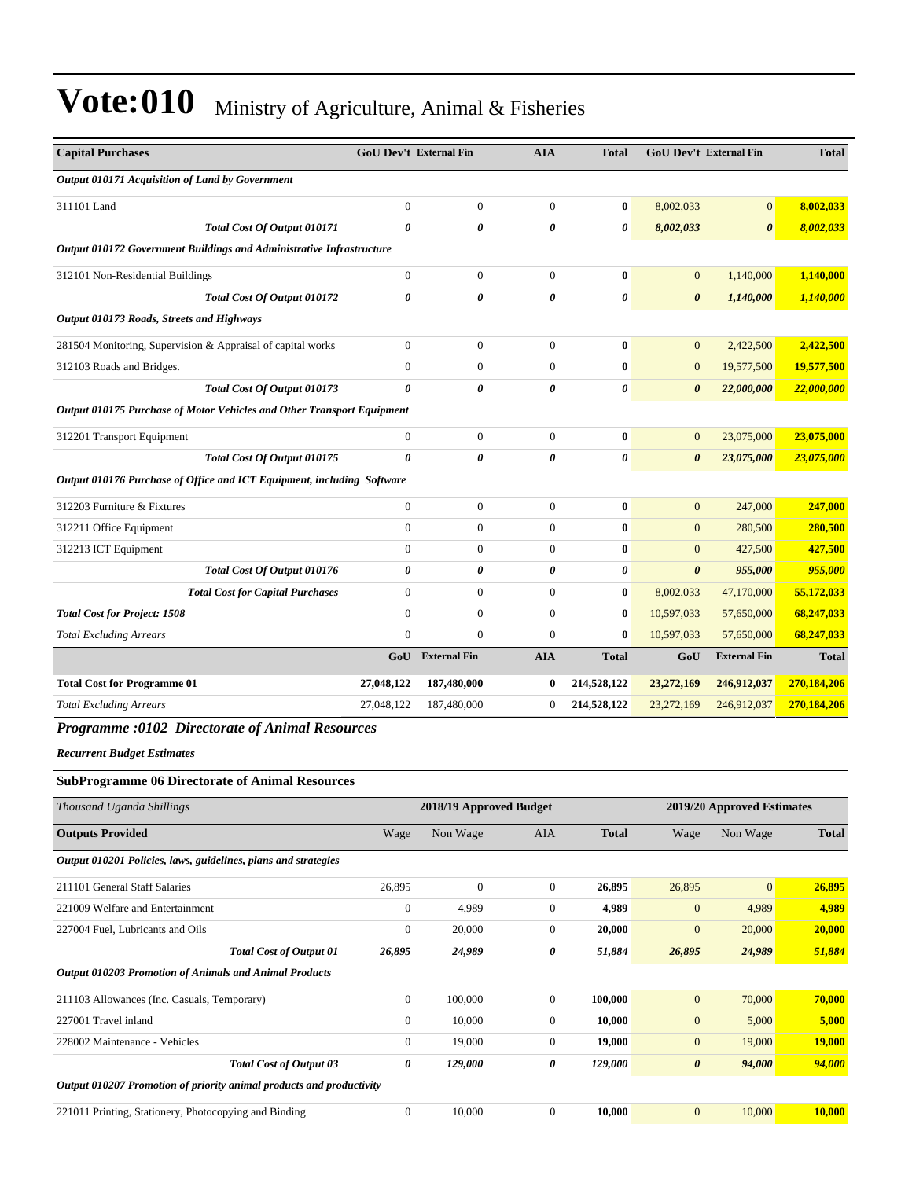| <b>Capital Purchases</b>                                               | <b>GoU Dev't External Fin</b> |                         | <b>AIA</b>       | <b>Total</b> | <b>GoU Dev't External Fin</b> |                            | <b>Total</b>  |
|------------------------------------------------------------------------|-------------------------------|-------------------------|------------------|--------------|-------------------------------|----------------------------|---------------|
| Output 010171 Acquisition of Land by Government                        |                               |                         |                  |              |                               |                            |               |
| 311101 Land                                                            | $\boldsymbol{0}$              | $\boldsymbol{0}$        | $\boldsymbol{0}$ | $\bf{0}$     | 8,002,033                     | $\mathbf{0}$               | 8,002,033     |
| Total Cost Of Output 010171                                            | 0                             | 0                       | 0                | 0            | 8,002,033                     | $\boldsymbol{\theta}$      | 8,002,033     |
| Output 010172 Government Buildings and Administrative Infrastructure   |                               |                         |                  |              |                               |                            |               |
| 312101 Non-Residential Buildings                                       | $\boldsymbol{0}$              | $\boldsymbol{0}$        | $\boldsymbol{0}$ | $\bf{0}$     | $\boldsymbol{0}$              | 1,140,000                  | 1,140,000     |
| Total Cost Of Output 010172                                            | 0                             | 0                       | 0                | 0            | $\boldsymbol{\theta}$         | 1,140,000                  | 1,140,000     |
| Output 010173 Roads, Streets and Highways                              |                               |                         |                  |              |                               |                            |               |
| 281504 Monitoring, Supervision & Appraisal of capital works            | $\boldsymbol{0}$              | $\boldsymbol{0}$        | $\boldsymbol{0}$ | $\bf{0}$     | $\mathbf{0}$                  | 2,422,500                  | 2,422,500     |
| 312103 Roads and Bridges.                                              | $\boldsymbol{0}$              | $\boldsymbol{0}$        | $\boldsymbol{0}$ | $\bf{0}$     | $\boldsymbol{0}$              | 19,577,500                 | 19,577,500    |
| Total Cost Of Output 010173                                            | 0                             | 0                       | 0                | 0            | 0                             | 22,000,000                 | 22,000,000    |
| Output 010175 Purchase of Motor Vehicles and Other Transport Equipment |                               |                         |                  |              |                               |                            |               |
| 312201 Transport Equipment                                             | $\boldsymbol{0}$              | $\boldsymbol{0}$        | $\boldsymbol{0}$ | $\bf{0}$     | $\boldsymbol{0}$              | 23,075,000                 | 23,075,000    |
| Total Cost Of Output 010175                                            | 0                             | $\theta$                | 0                | 0            | $\boldsymbol{\theta}$         | 23,075,000                 | 23,075,000    |
| Output 010176 Purchase of Office and ICT Equipment, including Software |                               |                         |                  |              |                               |                            |               |
| 312203 Furniture & Fixtures                                            | $\boldsymbol{0}$              | $\boldsymbol{0}$        | $\boldsymbol{0}$ | $\bf{0}$     | $\mathbf{0}$                  | 247,000                    | 247,000       |
| 312211 Office Equipment                                                | $\boldsymbol{0}$              | $\boldsymbol{0}$        | $\boldsymbol{0}$ | $\bf{0}$     | $\mathbf{0}$                  | 280,500                    | 280,500       |
| 312213 ICT Equipment                                                   | $\boldsymbol{0}$              | $\boldsymbol{0}$        | $\boldsymbol{0}$ | $\bf{0}$     | $\mathbf{0}$                  | 427,500                    | 427,500       |
| Total Cost Of Output 010176                                            | 0                             | 0                       | 0                | 0            | $\boldsymbol{\theta}$         | 955,000                    | 955,000       |
| <b>Total Cost for Capital Purchases</b>                                | $\boldsymbol{0}$              | $\boldsymbol{0}$        | $\boldsymbol{0}$ | $\bf{0}$     | 8,002,033                     | 47,170,000                 | 55,172,033    |
| <b>Total Cost for Project: 1508</b>                                    | $\overline{0}$                | $\boldsymbol{0}$        | $\boldsymbol{0}$ | $\bf{0}$     | 10,597,033                    | 57,650,000                 | 68,247,033    |
| <b>Total Excluding Arrears</b>                                         | $\overline{0}$                | $\boldsymbol{0}$        | $\mathbf{0}$     | $\bf{0}$     | 10,597,033                    | 57,650,000                 | 68,247,033    |
|                                                                        | GoU                           | <b>External Fin</b>     | <b>AIA</b>       | <b>Total</b> | GoU                           | <b>External Fin</b>        | <b>Total</b>  |
| <b>Total Cost for Programme 01</b>                                     | 27,048,122                    | 187,480,000             | $\bf{0}$         | 214,528,122  | 23,272,169                    | 246,912,037                | 270,184,206   |
| <b>Total Excluding Arrears</b>                                         | 27,048,122                    | 187,480,000             | $\boldsymbol{0}$ | 214,528,122  | 23,272,169                    | 246,912,037                | 270,184,206   |
| Programme :0102 Directorate of Animal Resources                        |                               |                         |                  |              |                               |                            |               |
| <b>Recurrent Budget Estimates</b>                                      |                               |                         |                  |              |                               |                            |               |
| <b>SubProgramme 06 Directorate of Animal Resources</b>                 |                               |                         |                  |              |                               |                            |               |
| Thousand Uganda Shillings                                              |                               | 2018/19 Approved Budget |                  |              |                               | 2019/20 Approved Estimates |               |
| <b>Outputs Provided</b>                                                | Wage                          | Non Wage                | AIA              | <b>Total</b> | Wage                          | Non Wage                   | <b>Total</b>  |
| Output 010201 Policies, laws, guidelines, plans and strategies         |                               |                         |                  |              |                               |                            |               |
| 211101 General Staff Salaries                                          | 26,895                        | $\boldsymbol{0}$        | $\boldsymbol{0}$ | 26,895       | 26,895                        | $\boldsymbol{0}$           | 26,895        |
| 221009 Welfare and Entertainment                                       | $\boldsymbol{0}$              | 4,989                   | $\boldsymbol{0}$ | 4,989        | $\boldsymbol{0}$              | 4,989                      | 4,989         |
| 227004 Fuel, Lubricants and Oils                                       | $\boldsymbol{0}$              | 20,000                  | $\boldsymbol{0}$ | 20,000       | $\boldsymbol{0}$              | 20,000                     | 20,000        |
| <b>Total Cost of Output 01</b>                                         | 26,895                        | 24,989                  | 0                | 51,884       | 26,895                        | 24,989                     | 51,884        |
| Output 010203 Promotion of Animals and Animal Products                 |                               |                         |                  |              |                               |                            |               |
| 211103 Allowances (Inc. Casuals, Temporary)                            | $\boldsymbol{0}$              | 100,000                 | $\boldsymbol{0}$ | 100,000      | $\mathbf{0}$                  | 70,000                     | 70,000        |
| 227001 Travel inland                                                   | $\boldsymbol{0}$              | 10,000                  | $\boldsymbol{0}$ | 10,000       | $\boldsymbol{0}$              | 5,000                      | 5,000         |
| 228002 Maintenance - Vehicles                                          | $\boldsymbol{0}$              | 19,000                  | $\boldsymbol{0}$ | 19,000       | $\mathbf{0}$                  | 19,000                     | <b>19,000</b> |
| <b>Total Cost of Output 03</b>                                         | 0                             | 129,000                 | 0                | 129,000      | $\boldsymbol{\theta}$         | 94,000                     | 94,000        |
| Output 010207 Promotion of priority animal products and productivity   |                               |                         |                  |              |                               |                            |               |
| 221011 Printing, Stationery, Photocopying and Binding                  | $\boldsymbol{0}$              | 10,000                  | $\boldsymbol{0}$ | 10,000       | $\mathbf{0}$                  | 10,000                     | 10,000        |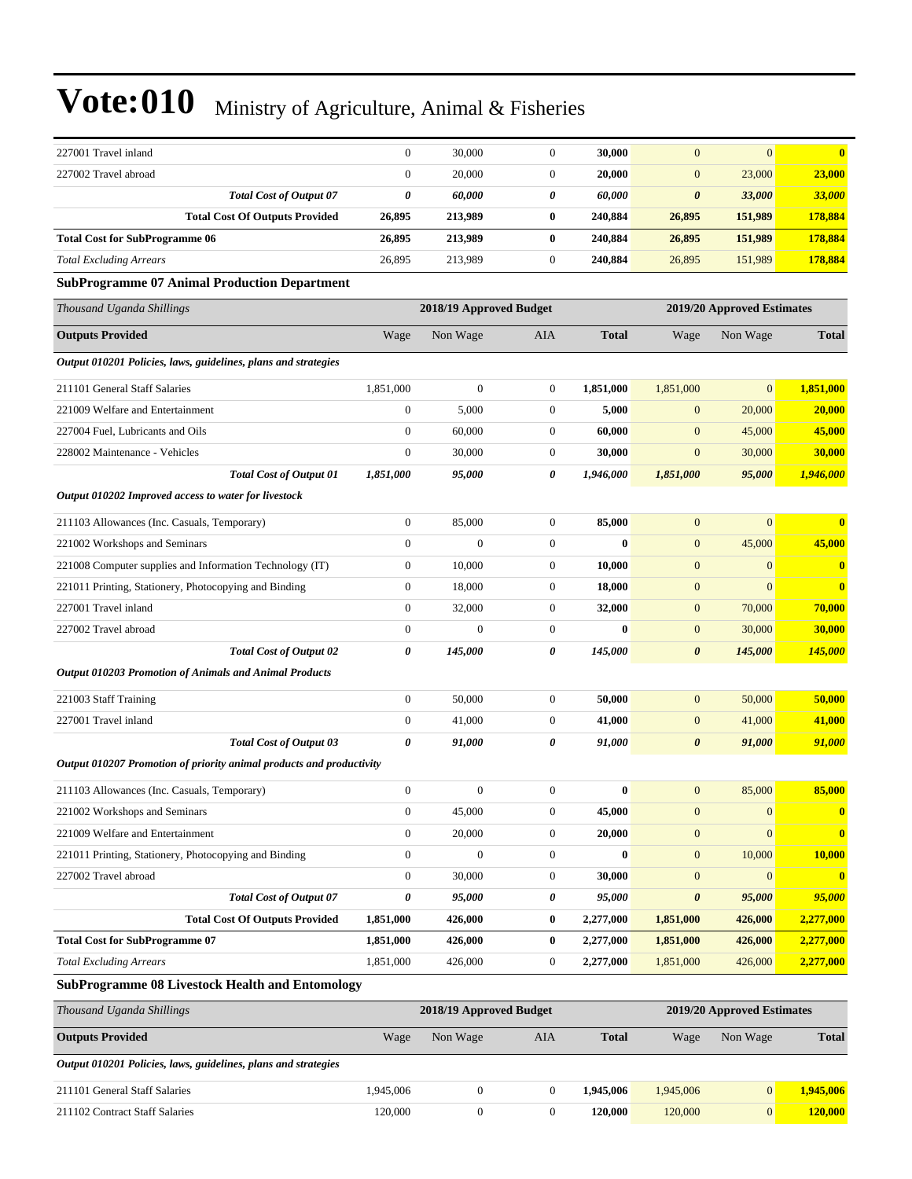| 227001 Travel inland                                                 | $\overline{0}$   | 30,000                  | $\mathbf{0}$                                          | 30,000       | $\mathbf{0}$          | $\boldsymbol{0}$           | $\mathbf{0}$            |
|----------------------------------------------------------------------|------------------|-------------------------|-------------------------------------------------------|--------------|-----------------------|----------------------------|-------------------------|
| 227002 Travel abroad                                                 | $\boldsymbol{0}$ | 20,000                  | $\mathbf{0}$                                          | 20,000       | $\mathbf{0}$          | 23,000                     | 23,000                  |
| <b>Total Cost of Output 07</b>                                       | 0                | 60,000                  | 0                                                     | 60,000       | $\boldsymbol{\theta}$ | 33,000                     | 33,000                  |
| <b>Total Cost Of Outputs Provided</b>                                | 26,895           | 213,989                 | $\bf{0}$                                              | 240,884      | 26,895                | 151,989                    | 178,884                 |
| <b>Total Cost for SubProgramme 06</b>                                | 26,895           | 213,989                 | $\bf{0}$                                              | 240,884      | 26,895                | 151,989                    | 178,884                 |
| <b>Total Excluding Arrears</b>                                       | 26,895           | 213,989                 | $\boldsymbol{0}$                                      | 240,884      | 26,895                | 151,989                    | 178,884                 |
| <b>SubProgramme 07 Animal Production Department</b>                  |                  |                         |                                                       |              |                       |                            |                         |
| Thousand Uganda Shillings                                            |                  |                         | 2018/19 Approved Budget<br>2019/20 Approved Estimates |              |                       |                            |                         |
| <b>Outputs Provided</b>                                              | Wage             | Non Wage                | AIA                                                   | <b>Total</b> | Wage                  | Non Wage                   | <b>Total</b>            |
| Output 010201 Policies, laws, guidelines, plans and strategies       |                  |                         |                                                       |              |                       |                            |                         |
| 211101 General Staff Salaries                                        | 1,851,000        | $\boldsymbol{0}$        | $\boldsymbol{0}$                                      | 1,851,000    | 1,851,000             | $\boldsymbol{0}$           | 1,851,000               |
| 221009 Welfare and Entertainment                                     | $\boldsymbol{0}$ | 5,000                   | $\boldsymbol{0}$                                      | 5,000        | $\boldsymbol{0}$      | 20,000                     | 20,000                  |
| 227004 Fuel, Lubricants and Oils                                     | $\boldsymbol{0}$ | 60,000                  | $\boldsymbol{0}$                                      | 60,000       | $\mathbf{0}$          | 45,000                     | 45,000                  |
| 228002 Maintenance - Vehicles                                        | $\boldsymbol{0}$ | 30,000                  | $\boldsymbol{0}$                                      | 30,000       | $\mathbf{0}$          | 30,000                     | <b>30,000</b>           |
| <b>Total Cost of Output 01</b>                                       | 1,851,000        | 95,000                  | 0                                                     | 1,946,000    | 1,851,000             | 95,000                     | 1,946,000               |
| Output 010202 Improved access to water for livestock                 |                  |                         |                                                       |              |                       |                            |                         |
| 211103 Allowances (Inc. Casuals, Temporary)                          | $\boldsymbol{0}$ | 85,000                  | $\boldsymbol{0}$                                      | 85,000       | $\mathbf{0}$          | $\overline{0}$             | $\mathbf{0}$            |
| 221002 Workshops and Seminars                                        | $\overline{0}$   | $\mathbf{0}$            | $\boldsymbol{0}$                                      | $\bf{0}$     | $\mathbf{0}$          | 45,000                     | 45,000                  |
| 221008 Computer supplies and Information Technology (IT)             | $\boldsymbol{0}$ | 10.000                  | $\boldsymbol{0}$                                      | 10,000       | $\mathbf{0}$          | $\boldsymbol{0}$           | $\mathbf{0}$            |
| 221011 Printing, Stationery, Photocopying and Binding                | $\boldsymbol{0}$ | 18,000                  | $\boldsymbol{0}$                                      | 18,000       | $\boldsymbol{0}$      | $\overline{0}$             | $\overline{\mathbf{0}}$ |
| 227001 Travel inland                                                 | $\boldsymbol{0}$ | 32,000                  | $\boldsymbol{0}$                                      | 32,000       | $\mathbf{0}$          | 70,000                     | 70,000                  |
| 227002 Travel abroad                                                 | $\boldsymbol{0}$ | $\overline{0}$          | $\boldsymbol{0}$                                      | $\bf{0}$     | $\boldsymbol{0}$      | 30,000                     | 30,000                  |
| <b>Total Cost of Output 02</b>                                       | 0                | 145,000                 | 0                                                     | 145,000      | $\boldsymbol{\theta}$ | 145,000                    | 145,000                 |
| Output 010203 Promotion of Animals and Animal Products               |                  |                         |                                                       |              |                       |                            |                         |
| 221003 Staff Training                                                | $\boldsymbol{0}$ | 50,000                  | $\boldsymbol{0}$                                      | 50,000       | $\mathbf{0}$          | 50,000                     | 50,000                  |
| 227001 Travel inland                                                 | $\boldsymbol{0}$ | 41,000                  | $\boldsymbol{0}$                                      | 41,000       | $\boldsymbol{0}$      | 41,000                     | 41,000                  |
| <b>Total Cost of Output 03</b>                                       | 0                | 91,000                  | 0                                                     | 91,000       | $\boldsymbol{\theta}$ | 91,000                     | 91,000                  |
| Output 010207 Promotion of priority animal products and productivity |                  |                         |                                                       |              |                       |                            |                         |
| 211103 Allowances (Inc. Casuals, Temporary)                          | $\boldsymbol{0}$ | $\boldsymbol{0}$        | $\boldsymbol{0}$                                      | $\bf{0}$     | $\mathbf{0}$          | 85,000                     | 85,000                  |
| 221002 Workshops and Seminars                                        | $\boldsymbol{0}$ | 45,000                  | $\boldsymbol{0}$                                      | 45,000       | $\mathbf{0}$          | $\mathbf{0}$               | $\bf{0}$                |
| 221009 Welfare and Entertainment                                     | $\boldsymbol{0}$ | 20,000                  | $\boldsymbol{0}$                                      | 20,000       | $\mathbf{0}$          | $\boldsymbol{0}$           | $\bf{0}$                |
| 221011 Printing, Stationery, Photocopying and Binding                | $\boldsymbol{0}$ | $\boldsymbol{0}$        | $\boldsymbol{0}$                                      | $\bf{0}$     | $\boldsymbol{0}$      | 10,000                     | 10,000                  |
| 227002 Travel abroad                                                 | $\boldsymbol{0}$ | 30,000                  | $\boldsymbol{0}$                                      | 30,000       | $\boldsymbol{0}$      | $\overline{0}$             | $\mathbf{0}$            |
| <b>Total Cost of Output 07</b>                                       | 0                | 95,000                  | 0                                                     | 95,000       | $\pmb{\theta}$        | 95,000                     | 95,000                  |
| <b>Total Cost Of Outputs Provided</b>                                | 1,851,000        | 426,000                 | $\bf{0}$                                              | 2,277,000    | 1,851,000             | 426,000                    | 2,277,000               |
| <b>Total Cost for SubProgramme 07</b>                                | 1,851,000        | 426,000                 | $\bf{0}$                                              | 2,277,000    | 1,851,000             | 426,000                    | 2,277,000               |
| <b>Total Excluding Arrears</b>                                       | 1,851,000        | 426,000                 | $\boldsymbol{0}$                                      | 2,277,000    | 1,851,000             | 426,000                    | 2,277,000               |
| <b>SubProgramme 08 Livestock Health and Entomology</b>               |                  |                         |                                                       |              |                       |                            |                         |
| Thousand Uganda Shillings                                            |                  | 2018/19 Approved Budget |                                                       |              |                       | 2019/20 Approved Estimates |                         |
| <b>Outputs Provided</b>                                              | Wage             | Non Wage                | AIA                                                   | <b>Total</b> | Wage                  | Non Wage                   | Total                   |
| Output 010201 Policies, laws, guidelines, plans and strategies       |                  |                         |                                                       |              |                       |                            |                         |
| 211101 General Staff Salaries                                        | 1,945,006        | $\boldsymbol{0}$        | $\mathbf{0}$                                          | 1,945,006    | 1,945,006             | $\boldsymbol{0}$           | 1,945,006               |
| 211102 Contract Staff Salaries                                       | 120,000          | $\boldsymbol{0}$        | $\boldsymbol{0}$                                      | 120,000      | 120,000               | $\mathbf{0}$               | 120,000                 |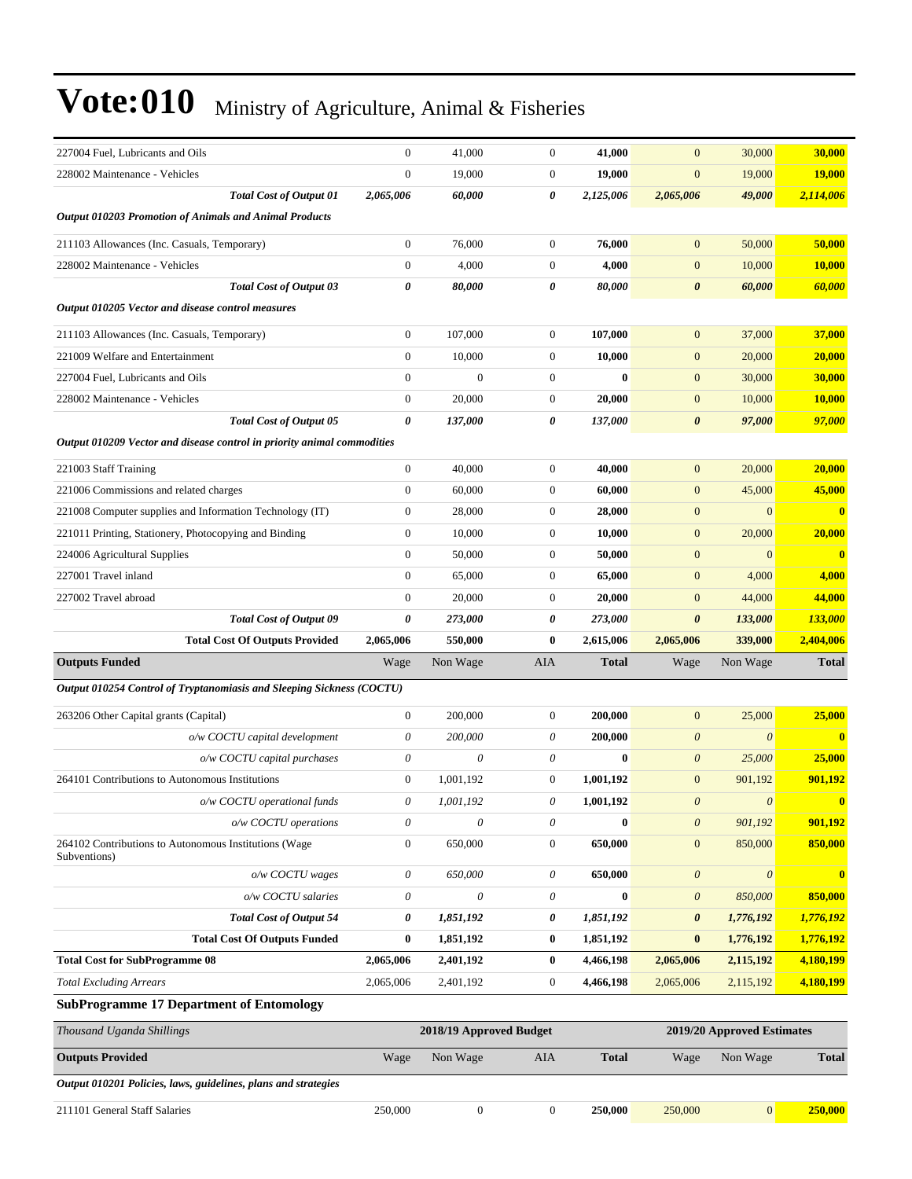| 227004 Fuel, Lubricants and Oils                                                                | $\mathbf{0}$           | 41,000                    | $\boldsymbol{0}$      | 41.000                 | $\mathbf{0}$              | 30,000                     | 30,000                  |
|-------------------------------------------------------------------------------------------------|------------------------|---------------------------|-----------------------|------------------------|---------------------------|----------------------------|-------------------------|
| 228002 Maintenance - Vehicles                                                                   | $\mathbf{0}$           | 19,000                    | $\boldsymbol{0}$      | 19,000                 | $\boldsymbol{0}$          | 19,000                     | <b>19,000</b>           |
| <b>Total Cost of Output 01</b>                                                                  | 2,065,006              | 60,000                    | 0                     | 2,125,006              | 2,065,006                 | 49,000                     | 2,114,006               |
| <b>Output 010203 Promotion of Animals and Animal Products</b>                                   |                        |                           |                       |                        |                           |                            |                         |
| 211103 Allowances (Inc. Casuals, Temporary)                                                     | $\boldsymbol{0}$       | 76,000                    | $\boldsymbol{0}$      | 76,000                 | $\mathbf{0}$              | 50,000                     | 50,000                  |
| 228002 Maintenance - Vehicles                                                                   | $\boldsymbol{0}$       | 4,000                     | $\mathbf{0}$          | 4,000                  | $\mathbf{0}$              | 10,000                     | 10,000                  |
| <b>Total Cost of Output 03</b>                                                                  | $\boldsymbol{\theta}$  | 80,000                    | 0                     | 80,000                 | $\boldsymbol{\theta}$     | 60,000                     | 60,000                  |
| Output 010205 Vector and disease control measures                                               |                        |                           |                       |                        |                           |                            |                         |
| 211103 Allowances (Inc. Casuals, Temporary)                                                     | $\boldsymbol{0}$       | 107,000                   | $\boldsymbol{0}$      | 107,000                | $\mathbf{0}$              | 37,000                     | 37,000                  |
| 221009 Welfare and Entertainment                                                                | $\boldsymbol{0}$       | 10,000                    | $\boldsymbol{0}$      | 10,000                 | $\boldsymbol{0}$          | 20,000                     | 20,000                  |
| 227004 Fuel, Lubricants and Oils                                                                | $\mathbf{0}$           | $\mathbf{0}$              | $\boldsymbol{0}$      | $\bf{0}$               | $\boldsymbol{0}$          | 30,000                     | 30,000                  |
| 228002 Maintenance - Vehicles                                                                   | $\boldsymbol{0}$       | 20,000                    | $\boldsymbol{0}$      | 20,000                 | $\mathbf{0}$              | 10,000                     | 10,000                  |
| <b>Total Cost of Output 05</b>                                                                  | $\boldsymbol{\theta}$  | 137,000                   | 0                     | 137,000                | $\boldsymbol{\theta}$     | 97,000                     | 97,000                  |
| Output 010209 Vector and disease control in priority animal commodities                         |                        |                           |                       |                        |                           |                            |                         |
| 221003 Staff Training                                                                           | $\boldsymbol{0}$       | 40,000                    | $\mathbf{0}$          | 40,000                 | $\mathbf{0}$              | 20,000                     | 20,000                  |
| 221006 Commissions and related charges                                                          | $\boldsymbol{0}$       | 60,000                    | $\boldsymbol{0}$      | 60,000                 | $\mathbf{0}$              | 45,000                     | 45,000                  |
| 221008 Computer supplies and Information Technology (IT)                                        | $\boldsymbol{0}$       | 28,000                    | $\mathbf{0}$          | 28,000                 | $\boldsymbol{0}$          | $\mathbf{0}$               | $\bf{0}$                |
| 221011 Printing, Stationery, Photocopying and Binding                                           | $\boldsymbol{0}$       | 10,000                    | $\mathbf{0}$          | 10,000                 | $\boldsymbol{0}$          | 20,000                     | 20,000                  |
| 224006 Agricultural Supplies                                                                    | $\mathbf{0}$           | 50,000                    | $\boldsymbol{0}$      | 50,000                 | $\mathbf{0}$              | $\mathbf{0}$               | $\bf{0}$                |
| 227001 Travel inland                                                                            | $\mathbf{0}$           | 65,000                    | $\boldsymbol{0}$      | 65,000                 | $\mathbf{0}$              | 4,000                      | 4,000                   |
| 227002 Travel abroad                                                                            | $\boldsymbol{0}$       | 20,000                    | $\boldsymbol{0}$      | 20,000                 | $\mathbf{0}$              | 44,000                     | 44,000                  |
| <b>Total Cost of Output 09</b>                                                                  | 0                      | 273,000                   | 0                     | 273,000                | 0                         | 133,000                    | <b>133,000</b>          |
|                                                                                                 |                        |                           |                       |                        |                           |                            |                         |
| <b>Total Cost Of Outputs Provided</b>                                                           | 2,065,006              | 550,000                   | $\bf{0}$              | 2,615,006              | 2,065,006                 | 339,000                    | 2,404,006               |
| <b>Outputs Funded</b>                                                                           | Wage                   | Non Wage                  | AIA                   | <b>Total</b>           | Wage                      | Non Wage                   | <b>Total</b>            |
| Output 010254 Control of Tryptanomiasis and Sleeping Sickness (COCTU)                           |                        |                           |                       |                        |                           |                            |                         |
| 263206 Other Capital grants (Capital)                                                           | $\boldsymbol{0}$       | 200,000                   | $\boldsymbol{0}$      | 200,000                | $\mathbf{0}$              | 25,000                     | 25,000                  |
| o/w COCTU capital development                                                                   | $\boldsymbol{\theta}$  | 200,000                   | 0                     | 200,000                | $\boldsymbol{\theta}$     | $\boldsymbol{\theta}$      | $\mathbf{0}$            |
| o/w COCTU capital purchases                                                                     | $\theta$               | 0                         | 0                     | $\bf{0}$               | $\boldsymbol{\theta}$     | 25,000                     | 25,000                  |
| 264101 Contributions to Autonomous Institutions                                                 | $\boldsymbol{0}$       | 1,001,192                 | $\mathbf{0}$          | 1,001,192              | $\mathbf{0}$              | 901,192                    | 901,192                 |
| o/w COCTU operational funds                                                                     | 0                      | 1,001,192                 | 0                     | 1,001,192              | $\boldsymbol{\theta}$     | $\boldsymbol{\theta}$      | $\bf{0}$                |
| o/w COCTU operations                                                                            | $\theta$               | $\boldsymbol{\mathit{0}}$ | 0                     | $\bf{0}$               | $\boldsymbol{\theta}$     | 901,192                    | 901,192                 |
| 264102 Contributions to Autonomous Institutions (Wage                                           | $\boldsymbol{0}$       | 650,000                   | $\boldsymbol{0}$      | 650,000                | $\boldsymbol{0}$          | 850,000                    | 850,000                 |
| Subventions)                                                                                    |                        |                           |                       |                        |                           |                            |                         |
| o/w COCTU wages                                                                                 | $\theta$               | 650,000<br>0              | 0                     | 650,000                | $\boldsymbol{\theta}$     | $\theta$                   | $\overline{\mathbf{0}}$ |
| o/w COCTU salaries                                                                              | $\theta$               |                           | 0                     | $\boldsymbol{0}$       | $\boldsymbol{\mathit{0}}$ | 850,000                    | 850,000                 |
| <b>Total Cost of Output 54</b>                                                                  | 0                      | 1,851,192                 | 0                     | 1,851,192              | 0                         | 1,776,192                  | 1,776,192               |
| <b>Total Cost Of Outputs Funded</b>                                                             | $\bf{0}$               | 1,851,192                 | $\bf{0}$              | 1,851,192              | $\bf{0}$                  | 1,776,192                  | 1,776,192               |
| <b>Total Cost for SubProgramme 08</b>                                                           | 2,065,006<br>2,065,006 | 2,401,192                 | 0<br>$\boldsymbol{0}$ | 4,466,198<br>4,466,198 | 2,065,006<br>2,065,006    | 2,115,192                  | 4,180,199               |
| <b>Total Excluding Arrears</b><br><b>SubProgramme 17 Department of Entomology</b>               |                        | 2,401,192                 |                       |                        |                           | 2,115,192                  | 4,180,199               |
|                                                                                                 |                        |                           |                       |                        |                           |                            |                         |
| Thousand Uganda Shillings                                                                       |                        | 2018/19 Approved Budget   |                       |                        |                           | 2019/20 Approved Estimates |                         |
| <b>Outputs Provided</b>                                                                         | Wage                   | Non Wage                  | AIA                   | <b>Total</b>           | Wage                      | Non Wage                   | <b>Total</b>            |
| Output 010201 Policies, laws, guidelines, plans and strategies<br>211101 General Staff Salaries | 250,000                | $\boldsymbol{0}$          | $\boldsymbol{0}$      | 250,000                | 250,000                   | $\boldsymbol{0}$           | 250,000                 |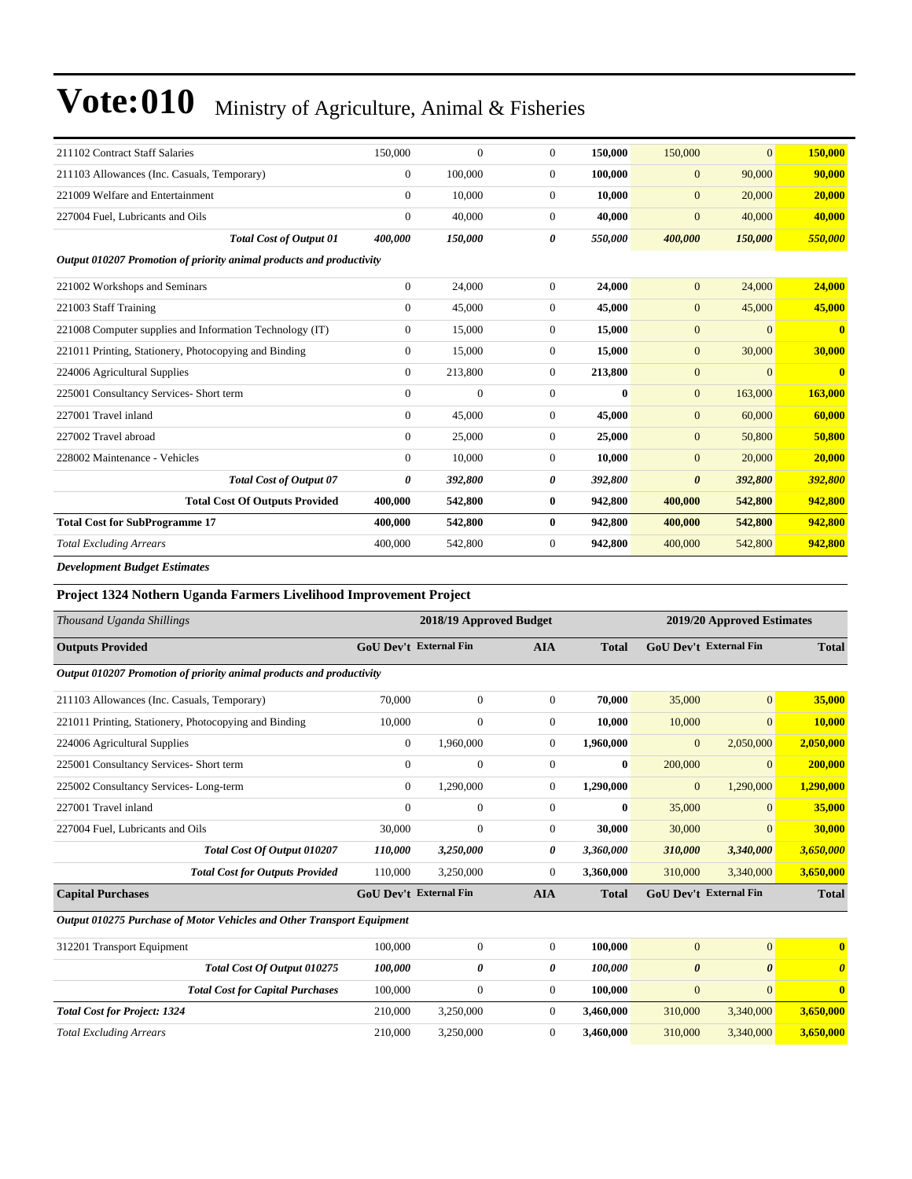| 211102 Contract Staff Salaries                                                                                                                                                                                                                                                                                                            | 150,000        | $\theta$       | $\Omega$       | 150,000      | 150,000          | $\overline{0}$ | 150,000                 |
|-------------------------------------------------------------------------------------------------------------------------------------------------------------------------------------------------------------------------------------------------------------------------------------------------------------------------------------------|----------------|----------------|----------------|--------------|------------------|----------------|-------------------------|
| 211103 Allowances (Inc. Casuals, Temporary)                                                                                                                                                                                                                                                                                               | $\mathbf{0}$   | 100,000        | $\overline{0}$ | 100.000      | $\mathbf{0}$     | 90,000         | 90,000                  |
| 221009 Welfare and Entertainment                                                                                                                                                                                                                                                                                                          | $\mathbf{0}$   | 10,000         | $\overline{0}$ | 10,000       | $\mathbf{0}$     | 20,000         | 20,000                  |
| 227004 Fuel, Lubricants and Oils                                                                                                                                                                                                                                                                                                          | $\overline{0}$ | 40,000         | $\overline{0}$ | 40,000       | $\boldsymbol{0}$ | 40,000         | 40,000                  |
| <b>Total Cost of Output 01</b>                                                                                                                                                                                                                                                                                                            | 400,000        | 150,000        | 0              | 550,000      | 400,000          | 150,000        | 550,000                 |
| Output 010207 Promotion of priority animal products and productivity                                                                                                                                                                                                                                                                      |                |                |                |              |                  |                |                         |
| 221002 Workshops and Seminars                                                                                                                                                                                                                                                                                                             | $\overline{0}$ | 24,000         | $\overline{0}$ | 24,000       | $\mathbf{0}$     | 24,000         | 24,000                  |
| 221003 Staff Training                                                                                                                                                                                                                                                                                                                     | $\mathbf{0}$   | 45,000         | $\overline{0}$ | 45,000       | $\boldsymbol{0}$ | 45,000         | 45,000                  |
| 221008 Computer supplies and Information Technology (IT)                                                                                                                                                                                                                                                                                  | $\mathbf{0}$   | 15,000         | $\overline{0}$ | 15,000       | $\boldsymbol{0}$ | $\overline{0}$ | $\overline{\mathbf{0}}$ |
| 221011 Printing, Stationery, Photocopying and Binding                                                                                                                                                                                                                                                                                     | 0              | 15,000         | 0              | 15,000       | $\mathbf{0}$     | 30,000         | 30,000                  |
| 224006 Agricultural Supplies                                                                                                                                                                                                                                                                                                              | $\overline{0}$ | 213,800        | $\overline{0}$ | 213,800      | $\mathbf{0}$     | $\overline{0}$ | $\mathbf{0}$            |
| 225001 Consultancy Services- Short term                                                                                                                                                                                                                                                                                                   | $\Omega$       | $\overline{0}$ | $\Omega$       | $\mathbf{0}$ | $\mathbf{0}$     | 163,000        | 163,000                 |
| 227001 Travel inland                                                                                                                                                                                                                                                                                                                      | $\Omega$       | 45,000         | $\Omega$       | 45,000       | $\mathbf{0}$     | 60,000         | 60,000                  |
| 227002 Travel abroad                                                                                                                                                                                                                                                                                                                      | $\overline{0}$ | 25,000         | $\overline{0}$ | 25,000       | $\mathbf{0}$     | 50,800         | 50,800                  |
| 228002 Maintenance - Vehicles                                                                                                                                                                                                                                                                                                             | $\mathbf{0}$   | 10,000         | $\overline{0}$ | 10,000       | $\overline{0}$   | 20,000         | 20,000                  |
| <b>Total Cost of Output 07</b>                                                                                                                                                                                                                                                                                                            | $\theta$       | 392,800        | 0              | 392,800      | 0                | 392,800        | 392,800                 |
| <b>Total Cost Of Outputs Provided</b>                                                                                                                                                                                                                                                                                                     | 400,000        | 542,800        | $\bf{0}$       | 942,800      | 400,000          | 542,800        | 942,800                 |
| <b>Total Cost for SubProgramme 17</b>                                                                                                                                                                                                                                                                                                     | 400,000        | 542,800        | $\bf{0}$       | 942,800      | 400,000          | 542,800        | 942,800                 |
| <b>Total Excluding Arrears</b>                                                                                                                                                                                                                                                                                                            | 400,000        | 542,800        | $\overline{0}$ | 942,800      | 400,000          | 542,800        | 942,800                 |
| $\mathbf{r}$ , $\mathbf{r}$ , $\mathbf{r}$ , $\mathbf{r}$ , $\mathbf{r}$ , $\mathbf{r}$ , $\mathbf{r}$ , $\mathbf{r}$ , $\mathbf{r}$ , $\mathbf{r}$ , $\mathbf{r}$ , $\mathbf{r}$ , $\mathbf{r}$ , $\mathbf{r}$ , $\mathbf{r}$ , $\mathbf{r}$ , $\mathbf{r}$ , $\mathbf{r}$ , $\mathbf{r}$ , $\mathbf{r}$ , $\mathbf{r}$ , $\mathbf{r}$ , |                |                |                |              |                  |                |                         |

*Development Budget Estimates*

#### **Project 1324 Nothern Uganda Farmers Livelihood Improvement Project**

| Thousand Uganda Shillings                                              |                | 2018/19 Approved Budget       |                |              |                       | 2019/20 Approved Estimates    |                         |
|------------------------------------------------------------------------|----------------|-------------------------------|----------------|--------------|-----------------------|-------------------------------|-------------------------|
| <b>Outputs Provided</b>                                                |                | GoU Dev't External Fin        | <b>AIA</b>     | <b>Total</b> |                       | <b>GoU Dev't External Fin</b> | <b>Total</b>            |
| Output 010207 Promotion of priority animal products and productivity   |                |                               |                |              |                       |                               |                         |
| 211103 Allowances (Inc. Casuals, Temporary)                            | 70,000         | $\boldsymbol{0}$              | $\overline{0}$ | 70,000       | 35,000                | $\mathbf{0}$                  | 35,000                  |
| 221011 Printing, Stationery, Photocopying and Binding                  | 10,000         | $\boldsymbol{0}$              | $\overline{0}$ | 10,000       | 10,000                | $\mathbf{0}$                  | 10,000                  |
| 224006 Agricultural Supplies                                           | $\mathbf{0}$   | 1,960,000                     | $\overline{0}$ | 1,960,000    | $\boldsymbol{0}$      | 2,050,000                     | 2,050,000               |
| 225001 Consultancy Services- Short term                                | $\mathbf{0}$   | $\boldsymbol{0}$              | $\overline{0}$ | $\bf{0}$     | 200,000               | $\mathbf{0}$                  | 200,000                 |
| 225002 Consultancy Services-Long-term                                  | $\mathbf{0}$   | 1,290,000                     | $\Omega$       | 1,290,000    | $\mathbf{0}$          | 1,290,000                     | 1,290,000               |
| 227001 Travel inland                                                   | $\overline{0}$ | $\overline{0}$                | $\overline{0}$ | $\bf{0}$     | 35,000                | $\mathbf{0}$                  | 35,000                  |
| 227004 Fuel, Lubricants and Oils                                       | 30,000         | $\overline{0}$                | $\Omega$       | 30,000       | 30,000                | $\mathbf{0}$                  | 30,000                  |
| Total Cost Of Output 010207                                            | 110,000        | 3,250,000                     | 0              | 3,360,000    | 310,000               | 3,340,000                     | 3,650,000               |
| <b>Total Cost for Outputs Provided</b>                                 | 110,000        | 3,250,000                     | $\mathbf{0}$   | 3,360,000    | 310,000               | 3,340,000                     | 3,650,000               |
| <b>Capital Purchases</b>                                               |                | <b>GoU Dev't External Fin</b> | <b>AIA</b>     | <b>Total</b> |                       | <b>GoU Dev't External Fin</b> | <b>Total</b>            |
| Output 010275 Purchase of Motor Vehicles and Other Transport Equipment |                |                               |                |              |                       |                               |                         |
| 312201 Transport Equipment                                             | 100,000        | $\Omega$                      | $\Omega$       | 100,000      | $\theta$              | $\overline{0}$                | $\overline{\mathbf{0}}$ |
| Total Cost Of Output 010275                                            | 100,000        | 0                             | 0              | 100,000      | $\boldsymbol{\theta}$ | $\boldsymbol{\theta}$         | $\boldsymbol{\theta}$   |
| <b>Total Cost for Capital Purchases</b>                                | 100,000        | $\overline{0}$                | $\overline{0}$ | 100,000      | $\overline{0}$        | $\mathbf{0}$                  | $\bf{0}$                |
| <b>Total Cost for Project: 1324</b>                                    | 210,000        | 3,250,000                     | $\overline{0}$ | 3,460,000    | 310,000               | 3,340,000                     | 3,650,000               |
| <b>Total Excluding Arrears</b>                                         | 210,000        | 3,250,000                     | $\Omega$       | 3,460,000    | 310,000               | 3,340,000                     | 3,650,000               |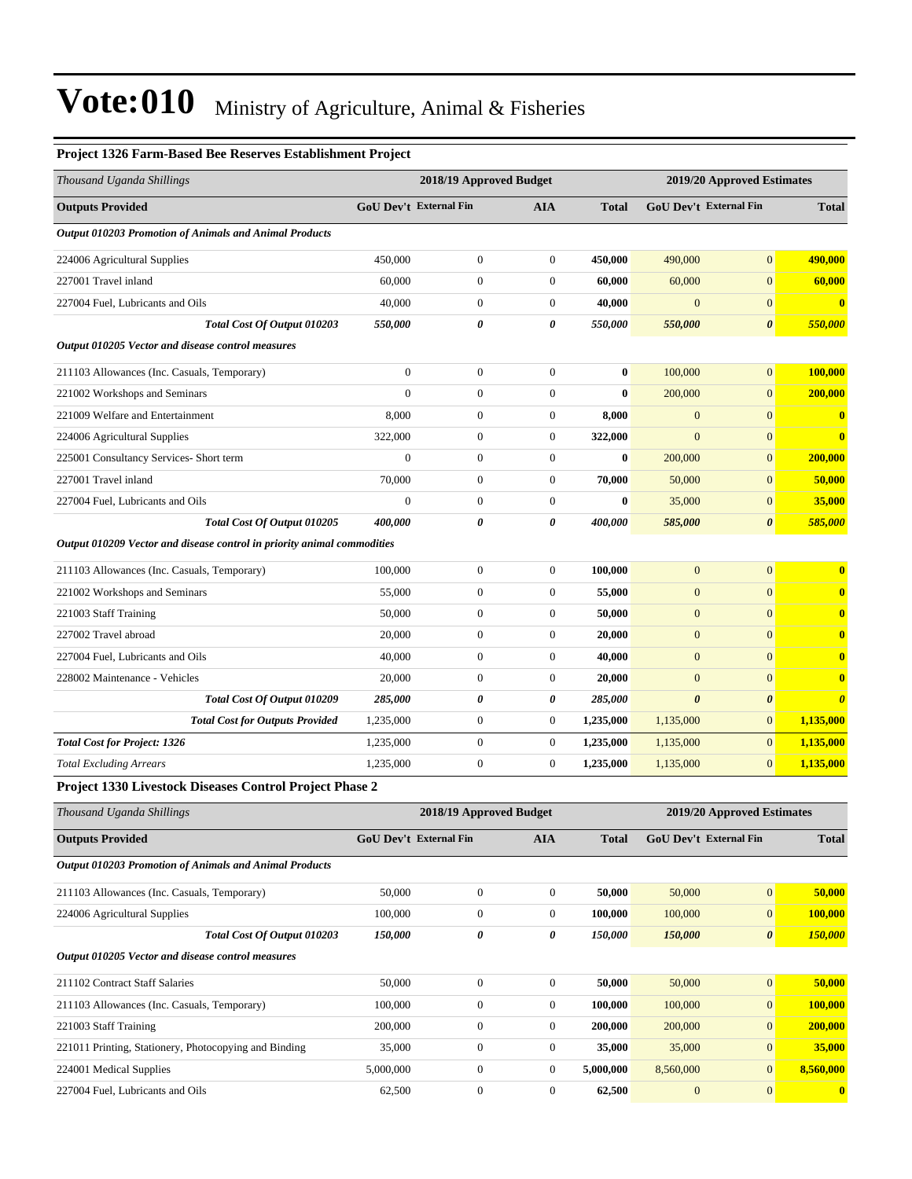#### **Project 1326 Farm-Based Bee Reserves Establishment Project**

| Thousand Uganda Shillings                                               |                  | 2018/19 Approved Budget |                  |              |                               | 2019/20 Approved Estimates |                       |
|-------------------------------------------------------------------------|------------------|-------------------------|------------------|--------------|-------------------------------|----------------------------|-----------------------|
| <b>Outputs Provided</b>                                                 |                  | GoU Dev't External Fin  | <b>AIA</b>       | <b>Total</b> | <b>GoU Dev't External Fin</b> |                            | <b>Total</b>          |
| Output 010203 Promotion of Animals and Animal Products                  |                  |                         |                  |              |                               |                            |                       |
| 224006 Agricultural Supplies                                            | 450,000          | $\boldsymbol{0}$        | $\mathbf{0}$     | 450,000      | 490,000                       | $\overline{0}$             | 490,000               |
| 227001 Travel inland                                                    | 60,000           | $\boldsymbol{0}$        | $\boldsymbol{0}$ | 60,000       | 60,000                        | $\overline{0}$             | 60,000                |
| 227004 Fuel, Lubricants and Oils                                        | 40,000           | $\boldsymbol{0}$        | $\mathbf{0}$     | 40,000       | $\overline{0}$                | $\overline{0}$             | $\mathbf{0}$          |
| Total Cost Of Output 010203                                             | 550,000          | 0                       | 0                | 550,000      | 550,000                       | 0                          | 550,000               |
| Output 010205 Vector and disease control measures                       |                  |                         |                  |              |                               |                            |                       |
| 211103 Allowances (Inc. Casuals, Temporary)                             | $\mathbf{0}$     | $\boldsymbol{0}$        | $\mathbf{0}$     | $\bf{0}$     | 100,000                       | $\overline{0}$             | 100,000               |
| 221002 Workshops and Seminars                                           | $\overline{0}$   | $\boldsymbol{0}$        | $\mathbf{0}$     | $\bf{0}$     | 200,000                       | $\overline{0}$             | 200,000               |
| 221009 Welfare and Entertainment                                        | 8,000            | $\boldsymbol{0}$        | $\mathbf{0}$     | 8,000        | $\mathbf{0}$                  | $\overline{0}$             | $\bf{0}$              |
| 224006 Agricultural Supplies                                            | 322,000          | $\boldsymbol{0}$        | $\mathbf{0}$     | 322,000      | $\boldsymbol{0}$              | $\overline{0}$             | $\bf{0}$              |
| 225001 Consultancy Services- Short term                                 | $\boldsymbol{0}$ | $\boldsymbol{0}$        | $\boldsymbol{0}$ | $\bf{0}$     | 200,000                       | $\overline{0}$             | 200,000               |
| 227001 Travel inland                                                    | 70,000           | $\boldsymbol{0}$        | $\mathbf{0}$     | 70,000       | 50,000                        | $\overline{0}$             | 50,000                |
| 227004 Fuel, Lubricants and Oils                                        | $\mathbf{0}$     | 0                       | $\boldsymbol{0}$ | $\bf{0}$     | 35,000                        | $\overline{0}$             | 35,000                |
| Total Cost Of Output 010205                                             | 400,000          | 0                       | 0                | 400,000      | 585,000                       | $\boldsymbol{\theta}$      | 585,000               |
| Output 010209 Vector and disease control in priority animal commodities |                  |                         |                  |              |                               |                            |                       |
| 211103 Allowances (Inc. Casuals, Temporary)                             | 100,000          | $\boldsymbol{0}$        | $\mathbf{0}$     | 100,000      | $\mathbf{0}$                  | $\overline{0}$             | $\bf{0}$              |
| 221002 Workshops and Seminars                                           | 55,000           | $\boldsymbol{0}$        | $\mathbf{0}$     | 55,000       | $\mathbf{0}$                  | $\overline{0}$             | $\bf{0}$              |
| 221003 Staff Training                                                   | 50,000           | $\boldsymbol{0}$        | $\mathbf{0}$     | 50,000       | $\boldsymbol{0}$              | $\overline{0}$             | $\bf{0}$              |
| 227002 Travel abroad                                                    | 20,000           | $\boldsymbol{0}$        | $\boldsymbol{0}$ | 20,000       | $\mathbf{0}$                  | $\overline{0}$             | $\bf{0}$              |
| 227004 Fuel, Lubricants and Oils                                        | 40,000           | $\boldsymbol{0}$        | $\mathbf{0}$     | 40,000       | $\boldsymbol{0}$              | $\overline{0}$             | $\bf{0}$              |
| 228002 Maintenance - Vehicles                                           | 20,000           | $\boldsymbol{0}$        | $\mathbf{0}$     | 20,000       | $\mathbf{0}$                  | $\overline{0}$             | $\bf{0}$              |
| Total Cost Of Output 010209                                             | 285,000          | 0                       | 0                | 285,000      | $\boldsymbol{\theta}$         | 0                          | $\boldsymbol{\theta}$ |
| <b>Total Cost for Outputs Provided</b>                                  | 1,235,000        | $\boldsymbol{0}$        | $\mathbf{0}$     | 1,235,000    | 1,135,000                     | $\boldsymbol{0}$           | 1,135,000             |
| <b>Total Cost for Project: 1326</b>                                     | 1,235,000        | $\boldsymbol{0}$        | $\mathbf{0}$     | 1,235,000    | 1,135,000                     | $\overline{0}$             | 1,135,000             |
| <b>Total Excluding Arrears</b>                                          | 1,235,000        | $\boldsymbol{0}$        | $\mathbf{0}$     | 1,235,000    | 1,135,000                     | $\overline{0}$             | 1,135,000             |
| Project 1330 Livestock Diseases Control Project Phase 2                 |                  |                         |                  |              |                               |                            |                       |
| Thousand Uganda Shillings                                               |                  | 2018/19 Approved Budget |                  |              |                               | 2019/20 Approved Estimates |                       |
| <b>Outputs Provided</b>                                                 |                  | GoU Dev't External Fin  | <b>AIA</b>       | <b>Total</b> | GoU Dev't External Fin        |                            | <b>Total</b>          |
| Output 010203 Promotion of Animals and Animal Products                  |                  |                         |                  |              |                               |                            |                       |
| 211103 Allowances (Inc. Casuals, Temporary)                             | 50,000           | $\boldsymbol{0}$        | $\boldsymbol{0}$ | 50,000       | 50,000                        | $\boldsymbol{0}$           | 50,000                |
| 224006 Agricultural Supplies                                            | 100,000          | $\boldsymbol{0}$        | $\boldsymbol{0}$ | 100,000      | 100,000                       | $\boldsymbol{0}$           | 100,000               |
| Total Cost Of Output 010203                                             | 150,000          | 0                       | 0                | 150,000      | 150,000                       | $\pmb{\theta}$             | 150,000               |
| Output 010205 Vector and disease control measures                       |                  |                         |                  |              |                               |                            |                       |
| 211102 Contract Staff Salaries                                          | 50,000           | $\boldsymbol{0}$        | $\boldsymbol{0}$ | 50,000       | 50,000                        | $\mathbf{0}$               | 50,000                |
| 211103 Allowances (Inc. Casuals, Temporary)                             | 100,000          | $\boldsymbol{0}$        | $\boldsymbol{0}$ | 100,000      | 100,000                       | $\mathbf{0}$               | 100,000               |
| 221003 Staff Training                                                   | 200,000          | $\boldsymbol{0}$        | $\boldsymbol{0}$ | 200,000      | 200,000                       | $\boldsymbol{0}$           | 200,000               |
| 221011 Printing, Stationery, Photocopying and Binding                   | 35,000           | $\boldsymbol{0}$        | $\boldsymbol{0}$ | 35,000       | 35,000                        | $\boldsymbol{0}$           | 35,000                |
| 224001 Medical Supplies                                                 | 5,000,000        | $\boldsymbol{0}$        | $\boldsymbol{0}$ | 5,000,000    | 8,560,000                     | $\mathbf{0}$               | 8,560,000             |
| 227004 Fuel, Lubricants and Oils                                        | 62,500           | $\boldsymbol{0}$        | $\boldsymbol{0}$ | 62,500       | $\boldsymbol{0}$              | $\mathbf{0}$               | $\boldsymbol{0}$      |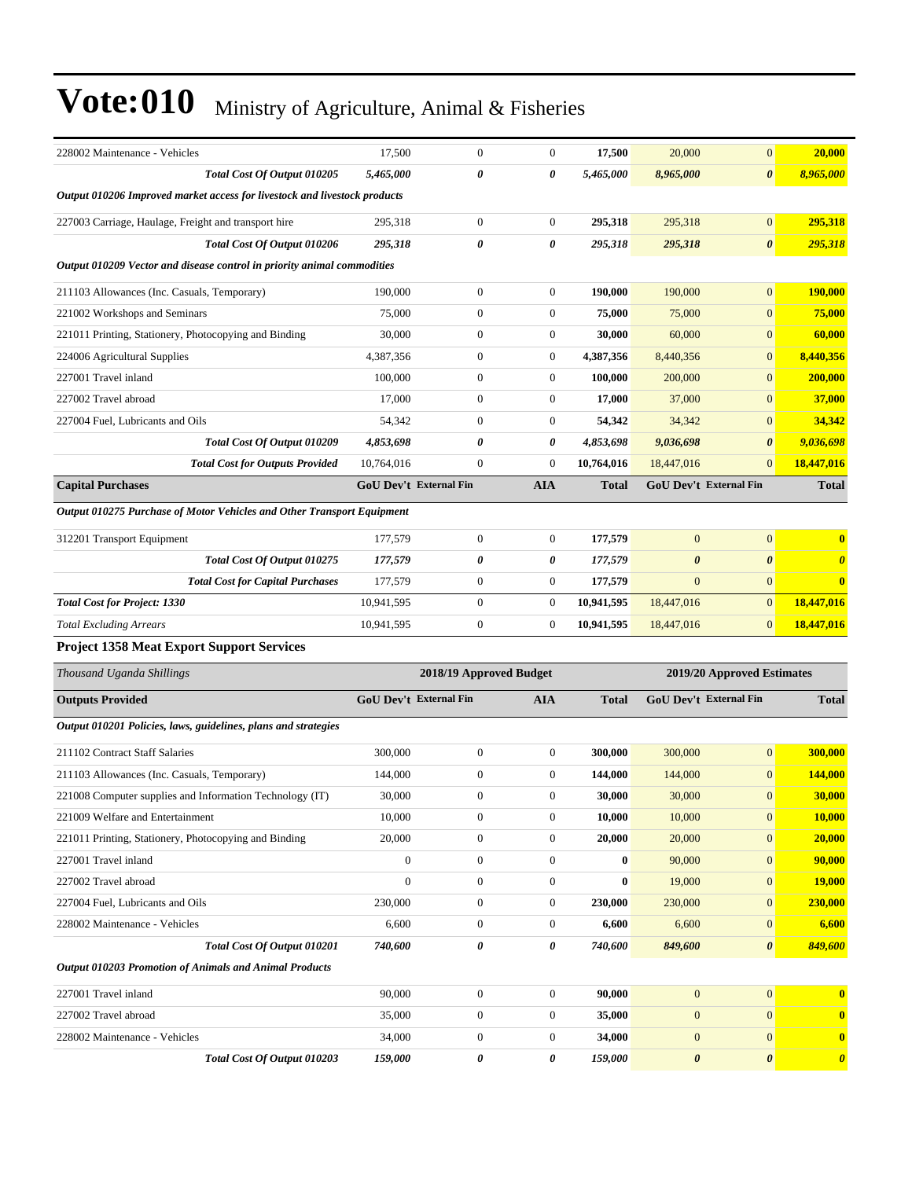| 228002 Maintenance - Vehicles                                             | 17,500                        | $\boldsymbol{0}$        | $\mathbf{0}$          | 17,500       | 20,000                        | $\mathbf{0}$               | 20,000                |
|---------------------------------------------------------------------------|-------------------------------|-------------------------|-----------------------|--------------|-------------------------------|----------------------------|-----------------------|
| Total Cost Of Output 010205                                               | 5,465,000                     | 0                       | $\boldsymbol{\theta}$ | 5,465,000    | 8,965,000                     | $\boldsymbol{\theta}$      | 8,965,000             |
| Output 010206 Improved market access for livestock and livestock products |                               |                         |                       |              |                               |                            |                       |
| 227003 Carriage, Haulage, Freight and transport hire                      | 295,318                       | $\mathbf{0}$            | $\boldsymbol{0}$      | 295,318      | 295,318                       | $\mathbf{0}$               | 295,318               |
| Total Cost Of Output 010206                                               | 295,318                       | 0                       | $\boldsymbol{\theta}$ | 295,318      | 295,318                       | $\boldsymbol{\theta}$      | 295,318               |
| Output 010209 Vector and disease control in priority animal commodities   |                               |                         |                       |              |                               |                            |                       |
| 211103 Allowances (Inc. Casuals, Temporary)                               | 190,000                       | $\boldsymbol{0}$        | $\boldsymbol{0}$      | 190,000      | 190,000                       | $\mathbf{0}$               | 190,000               |
| 221002 Workshops and Seminars                                             | 75,000                        | $\boldsymbol{0}$        | $\boldsymbol{0}$      | 75,000       | 75,000                        | $\mathbf{0}$               | 75,000                |
| 221011 Printing, Stationery, Photocopying and Binding                     | 30,000                        | $\mathbf{0}$            | $\mathbf{0}$          | 30,000       | 60,000                        | $\mathbf{0}$               | 60,000                |
| 224006 Agricultural Supplies                                              | 4,387,356                     | $\mathbf{0}$            | $\boldsymbol{0}$      | 4,387,356    | 8,440,356                     | $\mathbf{0}$               | 8,440,356             |
| 227001 Travel inland                                                      | 100,000                       | $\mathbf{0}$            | $\mathbf{0}$          | 100,000      | 200,000                       | $\mathbf{0}$               | 200,000               |
| 227002 Travel abroad                                                      | 17,000                        | $\boldsymbol{0}$        | $\boldsymbol{0}$      | 17,000       | 37,000                        | $\mathbf{0}$               | 37,000                |
| 227004 Fuel, Lubricants and Oils                                          | 54,342                        | $\mathbf{0}$            | $\boldsymbol{0}$      | 54,342       | 34,342                        | $\mathbf{0}$               | 34,342                |
| Total Cost Of Output 010209                                               | 4,853,698                     | 0                       | 0                     | 4,853,698    | 9,036,698                     | $\boldsymbol{\theta}$      | 9,036,698             |
| <b>Total Cost for Outputs Provided</b>                                    | 10,764,016                    | $\mathbf{0}$            | $\mathbf{0}$          | 10,764,016   | 18,447,016                    | $\mathbf{0}$               | 18,447,016            |
| <b>Capital Purchases</b>                                                  | <b>GoU Dev't External Fin</b> |                         | <b>AIA</b>            | <b>Total</b> | <b>GoU Dev't External Fin</b> |                            | <b>Total</b>          |
| Output 010275 Purchase of Motor Vehicles and Other Transport Equipment    |                               |                         |                       |              |                               |                            |                       |
| 312201 Transport Equipment                                                | 177,579                       | $\boldsymbol{0}$        | $\boldsymbol{0}$      | 177,579      | $\overline{0}$                | $\mathbf{0}$               | $\bf{0}$              |
| Total Cost Of Output 010275                                               | 177,579                       | 0                       | 0                     | 177,579      | $\boldsymbol{\theta}$         | $\boldsymbol{\theta}$      | $\boldsymbol{\theta}$ |
| <b>Total Cost for Capital Purchases</b>                                   | 177,579                       | $\boldsymbol{0}$        | $\boldsymbol{0}$      | 177,579      | $\mathbf{0}$                  | $\mathbf{0}$               | $\mathbf{0}$          |
| <b>Total Cost for Project: 1330</b>                                       | 10,941,595                    | $\mathbf{0}$            | $\boldsymbol{0}$      | 10,941,595   | 18,447,016                    | $\mathbf{0}$               | 18,447,016            |
| <b>Total Excluding Arrears</b>                                            | 10,941,595                    | $\boldsymbol{0}$        | $\mathbf{0}$          | 10,941,595   | 18,447,016                    | $\mathbf{0}$               | 18,447,016            |
| <b>Project 1358 Meat Export Support Services</b>                          |                               |                         |                       |              |                               |                            |                       |
| Thousand Uganda Shillings                                                 |                               | 2018/19 Approved Budget |                       |              |                               | 2019/20 Approved Estimates |                       |
| <b>Outputs Provided</b>                                                   | <b>GoU Dev't External Fin</b> |                         | <b>AIA</b>            | <b>Total</b> | <b>GoU Dev't External Fin</b> |                            | <b>Total</b>          |
|                                                                           |                               |                         |                       |              |                               |                            |                       |
| Output 010201 Policies, laws, guidelines, plans and strategies            |                               |                         |                       |              |                               |                            |                       |
| 211102 Contract Staff Salaries                                            | 300,000                       | $\boldsymbol{0}$        | $\boldsymbol{0}$      | 300,000      | 300,000                       | $\mathbf{0}$               | 300,000               |
| 211103 Allowances (Inc. Casuals, Temporary)                               | 144,000                       | $\boldsymbol{0}$        | $\boldsymbol{0}$      | 144,000      | 144,000                       | $\mathbf{0}$               | <b>144,000</b>        |
| 221008 Computer supplies and Information Technology (IT)                  | 30,000                        | $\Omega$                | $\theta$              | 30,000       | 30,000                        | $\mathbf{0}$               | 30,000                |
| 221009 Welfare and Entertainment                                          | 10,000                        | $\boldsymbol{0}$        | $\boldsymbol{0}$      | 10,000       | 10,000                        | $\boldsymbol{0}$           | 10,000                |
| 221011 Printing, Stationery, Photocopying and Binding                     | 20,000                        | $\boldsymbol{0}$        | $\boldsymbol{0}$      | 20,000       | 20,000                        | $\boldsymbol{0}$           | 20,000                |
| 227001 Travel inland                                                      | $\boldsymbol{0}$              | $\boldsymbol{0}$        | $\boldsymbol{0}$      | $\bf{0}$     | 90,000                        | $\mathbf{0}$               | 90,000                |
| 227002 Travel abroad                                                      | $\boldsymbol{0}$              | $\boldsymbol{0}$        | $\boldsymbol{0}$      | $\bf{0}$     | 19,000                        | $\mathbf{0}$               | <b>19,000</b>         |
| 227004 Fuel, Lubricants and Oils                                          | 230,000                       | $\boldsymbol{0}$        | $\boldsymbol{0}$      | 230,000      | 230,000                       | $\mathbf{0}$               | 230,000               |
| 228002 Maintenance - Vehicles                                             | 6,600                         | $\boldsymbol{0}$        | $\boldsymbol{0}$      | 6,600        | 6,600                         | $\mathbf{0}$               | 6,600                 |
| Total Cost Of Output 010201                                               | 740,600                       | 0                       | 0                     | 740,600      | 849,600                       | $\boldsymbol{\theta}$      | 849,600               |
| <b>Output 010203 Promotion of Animals and Animal Products</b>             |                               |                         |                       |              |                               |                            |                       |
| 227001 Travel inland                                                      | 90,000                        | $\boldsymbol{0}$        | $\boldsymbol{0}$      | 90,000       | $\mathbf{0}$                  | $\mathbf{0}$               |                       |
| 227002 Travel abroad                                                      | 35,000                        | $\boldsymbol{0}$        | $\boldsymbol{0}$      | 35,000       | $\bf{0}$                      | $\mathbf{0}$               | $\mathbf{0}$          |
| 228002 Maintenance - Vehicles                                             | 34,000                        | $\boldsymbol{0}$        | $\boldsymbol{0}$      | 34,000       | $\mathbf{0}$                  | $\mathbf{0}$               | $\bf{0}$              |
| Total Cost Of Output 010203                                               | 159,000                       | $\pmb{\theta}$          | 0                     | 159,000      | $\pmb{\theta}$                | $\boldsymbol{\theta}$      | $\boldsymbol{\theta}$ |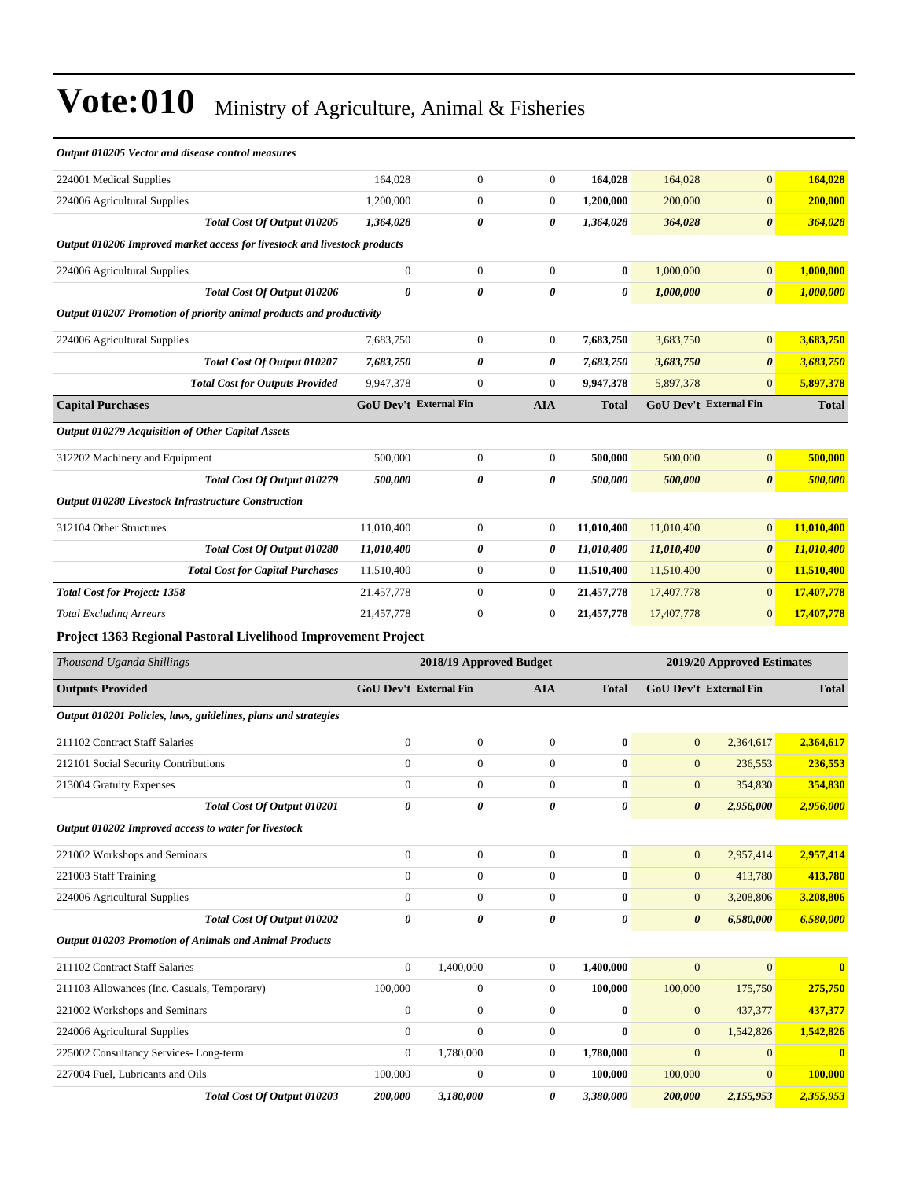| Output 010205 Vector and disease control measures                         |                        |                  |                         |                            |                       |                        |                         |
|---------------------------------------------------------------------------|------------------------|------------------|-------------------------|----------------------------|-----------------------|------------------------|-------------------------|
| 224001 Medical Supplies                                                   | 164,028                | $\boldsymbol{0}$ | $\boldsymbol{0}$        | 164,028                    | 164,028               | $\boldsymbol{0}$       | 164,028                 |
| 224006 Agricultural Supplies                                              | 1,200,000              | $\boldsymbol{0}$ | 0                       | 1,200,000                  | 200,000               | $\boldsymbol{0}$       | 200,000                 |
| Total Cost Of Output 010205                                               | 1,364,028              | 0                | 0                       | 1,364,028                  | 364,028               | $\boldsymbol{\theta}$  | 364,028                 |
| Output 010206 Improved market access for livestock and livestock products |                        |                  |                         |                            |                       |                        |                         |
| 224006 Agricultural Supplies                                              | $\boldsymbol{0}$       | $\boldsymbol{0}$ | $\boldsymbol{0}$        | $\bf{0}$                   | 1,000,000             | $\boldsymbol{0}$       | 1,000,000               |
| Total Cost Of Output 010206                                               | 0                      | 0                | 0                       | 0                          | 1,000,000             | $\boldsymbol{\theta}$  | 1,000,000               |
| Output 010207 Promotion of priority animal products and productivity      |                        |                  |                         |                            |                       |                        |                         |
| 224006 Agricultural Supplies                                              | 7,683,750              | $\boldsymbol{0}$ | $\boldsymbol{0}$        | 7,683,750                  | 3,683,750             | $\mathbf{0}$           | 3,683,750               |
| Total Cost Of Output 010207                                               | 7,683,750              | 0                | 0                       | 7,683,750                  | 3,683,750             | 0                      | 3,683,750               |
| <b>Total Cost for Outputs Provided</b>                                    | 9,947,378              | $\mathbf{0}$     | $\boldsymbol{0}$        | 9,947,378                  | 5,897,378             | $\mathbf{0}$           | 5,897,378               |
| <b>Capital Purchases</b>                                                  | GoU Dev't External Fin |                  | <b>AIA</b>              | <b>Total</b>               |                       | GoU Dev't External Fin | <b>Total</b>            |
| Output 010279 Acquisition of Other Capital Assets                         |                        |                  |                         |                            |                       |                        |                         |
| 312202 Machinery and Equipment                                            | 500,000                | $\boldsymbol{0}$ | $\boldsymbol{0}$        | 500,000                    | 500,000               | $\boldsymbol{0}$       | 500,000                 |
| Total Cost Of Output 010279                                               | 500,000                | 0                | 0                       | 500,000                    | 500,000               | $\boldsymbol{\theta}$  | 500,000                 |
| <b>Output 010280 Livestock Infrastructure Construction</b>                |                        |                  |                         |                            |                       |                        |                         |
| 312104 Other Structures                                                   | 11,010,400             | $\mathbf{0}$     | $\boldsymbol{0}$        | 11,010,400                 | 11,010,400            | $\mathbf{0}$           | 11,010,400              |
| Total Cost Of Output 010280                                               | 11,010,400             | 0                | 0                       | 11,010,400                 | 11,010,400            | $\boldsymbol{\theta}$  | 11,010,400              |
| <b>Total Cost for Capital Purchases</b>                                   | 11,510,400             | $\mathbf{0}$     | 0                       | 11,510,400                 | 11,510,400            | $\mathbf{0}$           | 11,510,400              |
| <b>Total Cost for Project: 1358</b>                                       | 21,457,778             | $\mathbf{0}$     | $\boldsymbol{0}$        | 21,457,778                 | 17,407,778            | $\mathbf{0}$           | 17,407,778              |
| <b>Total Excluding Arrears</b>                                            | 21,457,778             | $\boldsymbol{0}$ | 0                       | 21,457,778                 | 17,407,778            | $\mathbf{0}$           | 17,407,778              |
| Project 1363 Regional Pastoral Livelihood Improvement Project             |                        |                  |                         |                            |                       |                        |                         |
| Thousand Uganda Shillings                                                 |                        |                  | 2018/19 Approved Budget | 2019/20 Approved Estimates |                       |                        |                         |
| <b>Outputs Provided</b>                                                   | GoU Dev't External Fin |                  | <b>AIA</b>              | <b>Total</b>               |                       | GoU Dev't External Fin | <b>Total</b>            |
| Output 010201 Policies, laws, guidelines, plans and strategies            |                        |                  |                         |                            |                       |                        |                         |
| 211102 Contract Staff Salaries                                            | $\boldsymbol{0}$       | $\boldsymbol{0}$ | $\boldsymbol{0}$        | $\bf{0}$                   | $\mathbf{0}$          | 2,364,617              | 2,364,617               |
| 212101 Social Security Contributions                                      | $\overline{0}$         | $\boldsymbol{0}$ | $\boldsymbol{0}$        | $\bf{0}$                   | $\mathbf{0}$          | 236,553                | 236,553                 |
| 213004 Gratuity Expenses                                                  | $\boldsymbol{0}$       | $\mathbf{0}$     | $\boldsymbol{0}$        | $\bf{0}$                   | $\mathbf{0}$          | 354,830                | 354,830                 |
| Total Cost Of Output 010201                                               | 0                      | 0                | 0                       | 0                          | $\boldsymbol{\theta}$ | 2,956,000              | 2,956,000               |
| Output 010202 Improved access to water for livestock                      |                        |                  |                         |                            |                       |                        |                         |
| 221002 Workshops and Seminars                                             | $\boldsymbol{0}$       | $\boldsymbol{0}$ | $\boldsymbol{0}$        | $\boldsymbol{0}$           | $\boldsymbol{0}$      | 2,957,414              | 2,957,414               |
| 221003 Staff Training                                                     | $\boldsymbol{0}$       | $\mathbf{0}$     | $\boldsymbol{0}$        | $\bf{0}$                   | $\mathbf{0}$          | 413,780                | 413,780                 |
| 224006 Agricultural Supplies                                              | $\boldsymbol{0}$       | $\boldsymbol{0}$ | $\boldsymbol{0}$        | $\bf{0}$                   | $\boldsymbol{0}$      | 3,208,806              | 3,208,806               |
| Total Cost Of Output 010202                                               | 0                      | 0                | 0                       | 0                          | $\boldsymbol{\theta}$ | 6,580,000              | 6,580,000               |
| <b>Output 010203 Promotion of Animals and Animal Products</b>             |                        |                  |                         |                            |                       |                        |                         |
| 211102 Contract Staff Salaries                                            | $\boldsymbol{0}$       | 1,400,000        | $\boldsymbol{0}$        | 1,400,000                  | $\boldsymbol{0}$      | $\overline{0}$         | $\overline{\mathbf{0}}$ |

| 211102 Contract Staff Salaries              |                             | $_{0}$  | .400.000       | 1.400.000    |              | $\mathbf{0}$ | $\mathbf{0}$ |
|---------------------------------------------|-----------------------------|---------|----------------|--------------|--------------|--------------|--------------|
| 211103 Allowances (Inc. Casuals, Temporary) |                             | 100,000 | $\overline{0}$ | 100.000      | 100,000      | 175,750      | 275,750      |
| 221002 Workshops and Seminars               |                             |         | $\overline{0}$ | $\mathbf{0}$ | $\mathbf{0}$ | 437,377      | 437.377      |
| 224006 Agricultural Supplies                |                             |         | $\overline{0}$ | $\mathbf{0}$ | $\mathbf{0}$ | 1.542.826    | 1.542.826    |
| 225002 Consultancy Services-Long-term       |                             |         | 1.780.000      | 1.780.000    | $\Omega$     | $\mathbf{0}$ | $\mathbf{0}$ |
| 227004 Fuel. Lubricants and Oils            |                             | 100,000 | $\overline{0}$ | 100.000      | 100,000      | $\mathbf{0}$ | 100,000      |
|                                             | Total Cost Of Output 010203 | 200,000 | 3.180.000      | 3,380,000    | 200,000      | 2,155,953    | 2.355,953    |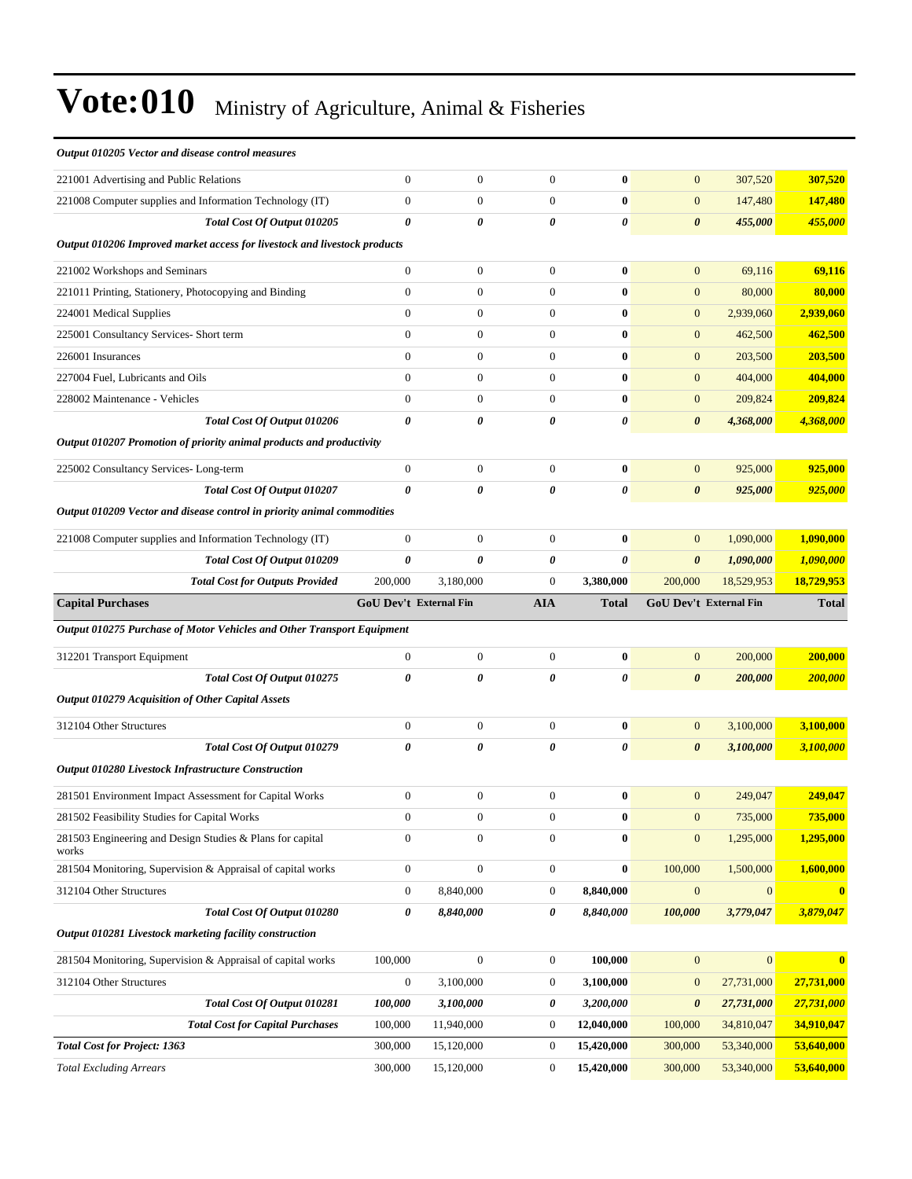#### *Output 010205 Vector and disease control measures*

| 221001 Advertising and Public Relations                                   | $\overline{0}$         | $\mathbf{0}$     | $\mathbf{0}$          | $\bf{0}$              | $\mathbf{0}$          | 307,520                | 307,520      |
|---------------------------------------------------------------------------|------------------------|------------------|-----------------------|-----------------------|-----------------------|------------------------|--------------|
| 221008 Computer supplies and Information Technology (IT)                  | $\boldsymbol{0}$       | $\boldsymbol{0}$ | $\boldsymbol{0}$      | $\bf{0}$              | $\mathbf{0}$          | 147,480                | 147,480      |
| Total Cost Of Output 010205                                               | 0                      | 0                | 0                     | 0                     | $\boldsymbol{\theta}$ | 455,000                | 455,000      |
| Output 010206 Improved market access for livestock and livestock products |                        |                  |                       |                       |                       |                        |              |
| 221002 Workshops and Seminars                                             | $\boldsymbol{0}$       | $\boldsymbol{0}$ | $\boldsymbol{0}$      | $\bf{0}$              | $\mathbf{0}$          | 69,116                 | 69,116       |
| 221011 Printing, Stationery, Photocopying and Binding                     | $\boldsymbol{0}$       | $\boldsymbol{0}$ | $\mathbf{0}$          | $\bf{0}$              | $\mathbf{0}$          | 80,000                 | 80,000       |
| 224001 Medical Supplies                                                   | $\overline{0}$         | $\boldsymbol{0}$ | $\boldsymbol{0}$      | $\bf{0}$              | $\mathbf{0}$          | 2,939,060              | 2,939,060    |
| 225001 Consultancy Services- Short term                                   | $\overline{0}$         | $\boldsymbol{0}$ | $\boldsymbol{0}$      | $\bf{0}$              | $\mathbf{0}$          | 462,500                | 462,500      |
| 226001 Insurances                                                         | $\mathbf{0}$           | $\boldsymbol{0}$ | $\boldsymbol{0}$      | $\bf{0}$              | $\mathbf{0}$          | 203,500                | 203,500      |
| 227004 Fuel, Lubricants and Oils                                          | $\overline{0}$         | $\boldsymbol{0}$ | $\mathbf{0}$          | $\bf{0}$              | $\mathbf{0}$          | 404,000                | 404,000      |
| 228002 Maintenance - Vehicles                                             | $\overline{0}$         | $\boldsymbol{0}$ | $\mathbf{0}$          | $\bf{0}$              | $\mathbf{0}$          | 209,824                | 209,824      |
| Total Cost Of Output 010206                                               | 0                      | $\theta$         | $\boldsymbol{\theta}$ | 0                     | $\boldsymbol{\theta}$ | 4,368,000              | 4,368,000    |
| Output 010207 Promotion of priority animal products and productivity      |                        |                  |                       |                       |                       |                        |              |
| 225002 Consultancy Services-Long-term                                     | $\boldsymbol{0}$       | $\boldsymbol{0}$ | $\mathbf{0}$          | $\bf{0}$              | $\mathbf{0}$          | 925,000                | 925,000      |
| Total Cost Of Output 010207                                               | 0                      | 0                | 0                     | 0                     | $\boldsymbol{\theta}$ | 925,000                | 925,000      |
| Output 010209 Vector and disease control in priority animal commodities   |                        |                  |                       |                       |                       |                        |              |
| 221008 Computer supplies and Information Technology (IT)                  | $\boldsymbol{0}$       | $\boldsymbol{0}$ | $\mathbf{0}$          | $\bf{0}$              | $\mathbf{0}$          | 1,090,000              | 1,090,000    |
| Total Cost Of Output 010209                                               | 0                      | $\theta$         | $\boldsymbol{\theta}$ | 0                     | $\boldsymbol{\theta}$ | 1,090,000              | 1,090,000    |
| <b>Total Cost for Outputs Provided</b>                                    | 200,000                | 3,180,000        | $\boldsymbol{0}$      | 3,380,000             | 200,000               | 18,529,953             | 18,729,953   |
| <b>Capital Purchases</b>                                                  | GoU Dev't External Fin |                  | <b>AIA</b>            | <b>Total</b>          |                       | GoU Dev't External Fin | <b>Total</b> |
|                                                                           |                        |                  |                       |                       |                       |                        |              |
| Output 010275 Purchase of Motor Vehicles and Other Transport Equipment    |                        |                  |                       |                       |                       |                        |              |
| 312201 Transport Equipment                                                | $\boldsymbol{0}$       | $\boldsymbol{0}$ | $\boldsymbol{0}$      | $\bf{0}$              | $\mathbf{0}$          | 200,000                | 200,000      |
| Total Cost Of Output 010275                                               | 0                      | 0                | 0                     | 0                     | $\boldsymbol{\theta}$ | 200,000                | 200,000      |
| <b>Output 010279 Acquisition of Other Capital Assets</b>                  |                        |                  |                       |                       |                       |                        |              |
| 312104 Other Structures                                                   | $\boldsymbol{0}$       | $\boldsymbol{0}$ | $\mathbf{0}$          | $\bf{0}$              | $\mathbf{0}$          | 3,100,000              | 3,100,000    |
| Total Cost Of Output 010279                                               | 0                      | 0                | 0                     | $\boldsymbol{\theta}$ | $\boldsymbol{\theta}$ | 3,100,000              | 3,100,000    |
| <b>Output 010280 Livestock Infrastructure Construction</b>                |                        |                  |                       |                       |                       |                        |              |
| 281501 Environment Impact Assessment for Capital Works                    | $\boldsymbol{0}$       | $\boldsymbol{0}$ | $\boldsymbol{0}$      | $\bf{0}$              | $\mathbf{0}$          | 249,047                | 249,047      |
| 281502 Feasibility Studies for Capital Works                              | $\boldsymbol{0}$       | $\boldsymbol{0}$ | $\boldsymbol{0}$      | $\bf{0}$              | $\mathbf{0}$          | 735,000                | 735,000      |
| 281503 Engineering and Design Studies & Plans for capital                 | $\boldsymbol{0}$       | $\boldsymbol{0}$ | $\boldsymbol{0}$      | $\bf{0}$              | $\boldsymbol{0}$      | 1,295,000              | 1,295,000    |
| works<br>281504 Monitoring, Supervision & Appraisal of capital works      | $\boldsymbol{0}$       | $\boldsymbol{0}$ | $\boldsymbol{0}$      | $\bf{0}$              | 100,000               | 1,500,000              | 1,600,000    |
| 312104 Other Structures                                                   | $\boldsymbol{0}$       | 8,840,000        | $\boldsymbol{0}$      | 8,840,000             | $\boldsymbol{0}$      | $\mathbf{0}$           | $\bf{0}$     |
| Total Cost Of Output 010280                                               | 0                      | 8,840,000        | 0                     | 8,840,000             | 100,000               | 3,779,047              | 3,879,047    |
| Output 010281 Livestock marketing facility construction                   |                        |                  |                       |                       |                       |                        |              |
| 281504 Monitoring, Supervision & Appraisal of capital works               | 100,000                | $\boldsymbol{0}$ | $\boldsymbol{0}$      | 100,000               | $\mathbf{0}$          | $\mathbf{0}$           | $\mathbf{0}$ |
| 312104 Other Structures                                                   | $\boldsymbol{0}$       | 3,100,000        | $\boldsymbol{0}$      | 3,100,000             | $\mathbf{0}$          | 27,731,000             | 27,731,000   |
| Total Cost Of Output 010281                                               | 100,000                | 3,100,000        | 0                     | 3,200,000             | $\boldsymbol{\theta}$ | 27,731,000             | 27,731,000   |
| <b>Total Cost for Capital Purchases</b>                                   | 100,000                | 11,940,000       | $\boldsymbol{0}$      | 12,040,000            | 100,000               | 34,810,047             | 34,910,047   |
| <b>Total Cost for Project: 1363</b>                                       | 300,000                | 15,120,000       | $\boldsymbol{0}$      | 15,420,000            | 300,000               | 53,340,000             | 53,640,000   |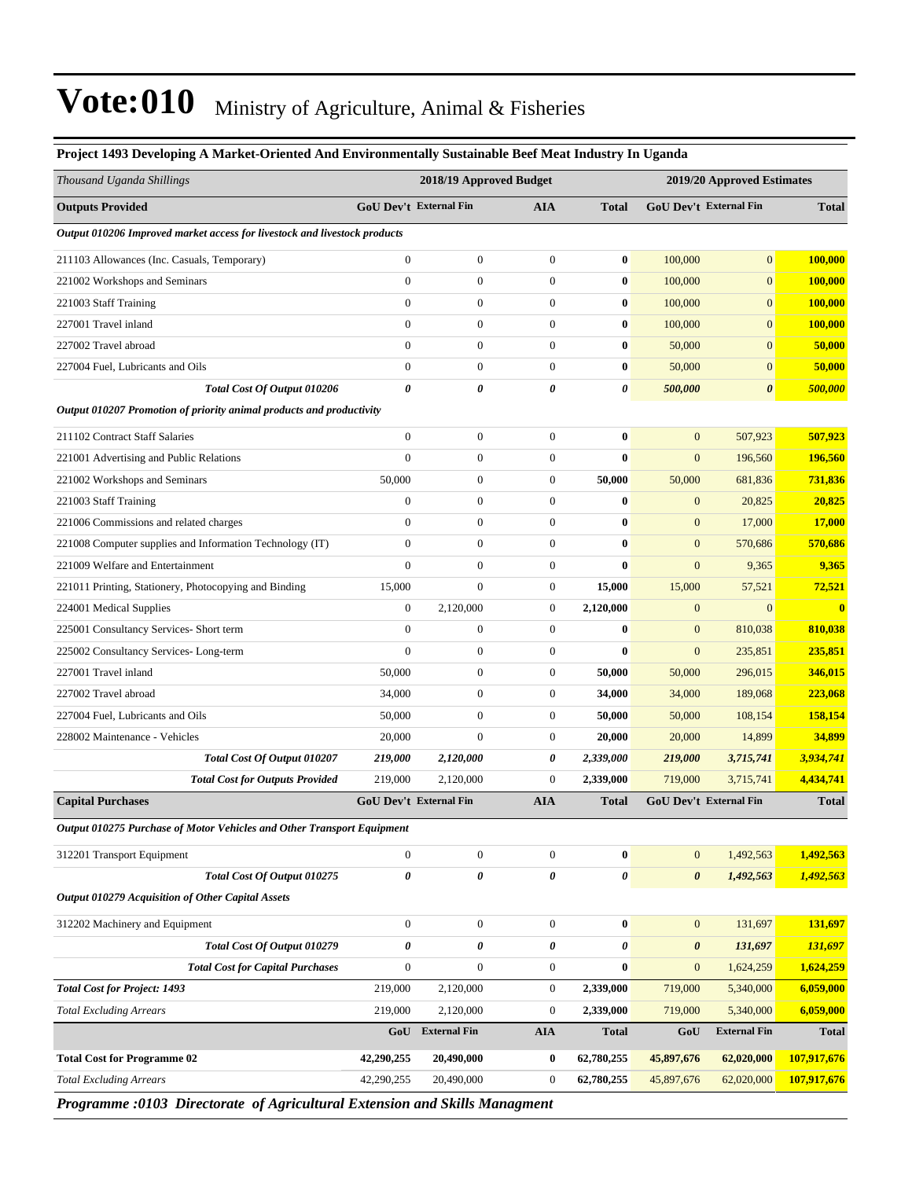| Project 1493 Developing A Market-Oriented And Environmentally Sustainable Beef Meat Industry In Uganda |                        |                               |                       |              |                       |                               |              |
|--------------------------------------------------------------------------------------------------------|------------------------|-------------------------------|-----------------------|--------------|-----------------------|-------------------------------|--------------|
| Thousand Uganda Shillings                                                                              |                        | 2018/19 Approved Budget       |                       |              |                       | 2019/20 Approved Estimates    |              |
| <b>Outputs Provided</b>                                                                                | GoU Dev't External Fin |                               | <b>AIA</b>            | <b>Total</b> |                       | GoU Dev't External Fin        | <b>Total</b> |
| Output 010206 Improved market access for livestock and livestock products                              |                        |                               |                       |              |                       |                               |              |
| 211103 Allowances (Inc. Casuals, Temporary)                                                            | $\boldsymbol{0}$       | $\boldsymbol{0}$              | $\boldsymbol{0}$      | $\bf{0}$     | 100,000               | $\overline{0}$                | 100,000      |
| 221002 Workshops and Seminars                                                                          | $\boldsymbol{0}$       | $\boldsymbol{0}$              | $\boldsymbol{0}$      | $\bf{0}$     | 100,000               | $\boldsymbol{0}$              | 100,000      |
| 221003 Staff Training                                                                                  | $\overline{0}$         | $\boldsymbol{0}$              | $\boldsymbol{0}$      | $\bf{0}$     | 100,000               | $\boldsymbol{0}$              | 100,000      |
| 227001 Travel inland                                                                                   | $\overline{0}$         | $\overline{0}$                | $\boldsymbol{0}$      | $\bf{0}$     | 100,000               | $\overline{0}$                | 100,000      |
| 227002 Travel abroad                                                                                   | $\overline{0}$         | $\overline{0}$                | $\boldsymbol{0}$      | $\bf{0}$     | 50,000                | $\overline{0}$                | 50,000       |
| 227004 Fuel, Lubricants and Oils                                                                       | $\boldsymbol{0}$       | $\boldsymbol{0}$              | $\boldsymbol{0}$      | $\bf{0}$     | 50,000                | $\overline{0}$                | 50,000       |
| Total Cost Of Output 010206                                                                            | 0                      | 0                             | $\boldsymbol{\theta}$ | 0            | 500,000               | $\boldsymbol{\theta}$         | 500,000      |
| Output 010207 Promotion of priority animal products and productivity                                   |                        |                               |                       |              |                       |                               |              |
| 211102 Contract Staff Salaries                                                                         | $\overline{0}$         | $\boldsymbol{0}$              | $\boldsymbol{0}$      | $\bf{0}$     | $\mathbf{0}$          | 507,923                       | 507,923      |
| 221001 Advertising and Public Relations                                                                | $\overline{0}$         | $\boldsymbol{0}$              | $\boldsymbol{0}$      | $\bf{0}$     | $\boldsymbol{0}$      | 196,560                       | 196,560      |
| 221002 Workshops and Seminars                                                                          | 50,000                 | $\boldsymbol{0}$              | $\boldsymbol{0}$      | 50,000       | 50,000                | 681,836                       | 731,836      |
| 221003 Staff Training                                                                                  | $\boldsymbol{0}$       | $\boldsymbol{0}$              | $\boldsymbol{0}$      | $\bf{0}$     | $\mathbf{0}$          | 20,825                        | 20,825       |
| 221006 Commissions and related charges                                                                 | $\boldsymbol{0}$       | $\boldsymbol{0}$              | $\boldsymbol{0}$      | $\bf{0}$     | $\mathbf{0}$          | 17,000                        | 17,000       |
| 221008 Computer supplies and Information Technology (IT)                                               | $\overline{0}$         | $\boldsymbol{0}$              | $\boldsymbol{0}$      | $\bf{0}$     | $\mathbf{0}$          | 570,686                       | 570,686      |
| 221009 Welfare and Entertainment                                                                       | $\overline{0}$         | $\boldsymbol{0}$              | $\boldsymbol{0}$      | $\bf{0}$     | $\boldsymbol{0}$      | 9,365                         | 9,365        |
| 221011 Printing, Stationery, Photocopying and Binding                                                  | 15,000                 | $\boldsymbol{0}$              | $\mathbf{0}$          | 15,000       | 15,000                | 57,521                        | 72,521       |
| 224001 Medical Supplies                                                                                | $\boldsymbol{0}$       | 2,120,000                     | $\boldsymbol{0}$      | 2,120,000    | $\boldsymbol{0}$      | $\mathbf{0}$                  | $\bf{0}$     |
| 225001 Consultancy Services- Short term                                                                | $\boldsymbol{0}$       | $\boldsymbol{0}$              | $\boldsymbol{0}$      | $\bf{0}$     | $\mathbf{0}$          | 810,038                       | 810,038      |
| 225002 Consultancy Services-Long-term                                                                  | $\overline{0}$         | $\boldsymbol{0}$              | $\mathbf{0}$          | $\bf{0}$     | $\mathbf{0}$          | 235,851                       | 235,851      |
| 227001 Travel inland                                                                                   | 50,000                 | $\overline{0}$                | $\boldsymbol{0}$      | 50,000       | 50,000                | 296,015                       | 346,015      |
| 227002 Travel abroad                                                                                   | 34,000                 | $\overline{0}$                | $\boldsymbol{0}$      | 34,000       | 34,000                | 189,068                       | 223,068      |
| 227004 Fuel, Lubricants and Oils                                                                       | 50,000                 | $\boldsymbol{0}$              | $\boldsymbol{0}$      | 50,000       | 50,000                | 108,154                       | 158,154      |
| 228002 Maintenance - Vehicles                                                                          | 20,000                 | $\overline{0}$                | $\mathbf{0}$          | 20,000       | 20,000                | 14,899                        | 34,899       |
| Total Cost Of Output 010207                                                                            | 219,000                | 2,120,000                     | 0                     | 2,339,000    | 219,000               | 3,715,741                     | 3,934,741    |
| <b>Total Cost for Outputs Provided</b>                                                                 | 219,000                | 2,120,000                     | $\mathbf{0}$          | 2,339,000    | 719,000               | 3,715,741                     | 4,434,741    |
| <b>Capital Purchases</b>                                                                               |                        | <b>GoU Dev't External Fin</b> | <b>AIA</b>            | <b>Total</b> |                       | <b>GoU Dev't External Fin</b> | <b>Total</b> |
| Output 010275 Purchase of Motor Vehicles and Other Transport Equipment                                 |                        |                               |                       |              |                       |                               |              |
| 312201 Transport Equipment                                                                             | $\boldsymbol{0}$       | $\boldsymbol{0}$              | $\boldsymbol{0}$      | $\bf{0}$     | $\mathbf{0}$          | 1,492,563                     | 1,492,563    |
| Total Cost Of Output 010275                                                                            | $\pmb{\theta}$         | 0                             | $\pmb{\theta}$        | 0            | $\boldsymbol{\theta}$ | 1,492,563                     | 1,492,563    |
| <b>Output 010279 Acquisition of Other Capital Assets</b>                                               |                        |                               |                       |              |                       |                               |              |
| 312202 Machinery and Equipment                                                                         | $\boldsymbol{0}$       | $\boldsymbol{0}$              | $\mathbf{0}$          | $\bf{0}$     | $\mathbf{0}$          | 131,697                       | 131,697      |
| Total Cost Of Output 010279                                                                            | 0                      | 0                             | 0                     | 0            | $\boldsymbol{\theta}$ | 131,697                       | 131,697      |
| <b>Total Cost for Capital Purchases</b>                                                                | $\boldsymbol{0}$       | $\overline{0}$                | $\mathbf{0}$          | $\bf{0}$     | $\mathbf{0}$          | 1,624,259                     | 1,624,259    |
| <b>Total Cost for Project: 1493</b>                                                                    | 219,000                | 2,120,000                     | $\mathbf{0}$          | 2,339,000    | 719,000               | 5,340,000                     | 6,059,000    |
| <b>Total Excluding Arrears</b>                                                                         | 219,000                | 2,120,000                     | $\boldsymbol{0}$      | 2,339,000    | 719,000               | 5,340,000                     | 6,059,000    |
|                                                                                                        | GoU                    | <b>External Fin</b>           | <b>AIA</b>            | <b>Total</b> | GoU                   | <b>External Fin</b>           | <b>Total</b> |
| <b>Total Cost for Programme 02</b>                                                                     | 42,290,255             | 20,490,000                    | $\bf{0}$              | 62,780,255   | 45,897,676            | 62,020,000                    | 107,917,676  |
| <b>Total Excluding Arrears</b>                                                                         | 42,290,255             | 20,490,000                    | $\boldsymbol{0}$      | 62,780,255   | 45,897,676            | 62,020,000                    | 107,917,676  |

*Programme :0103 Directorate of Agricultural Extension and Skills Managment*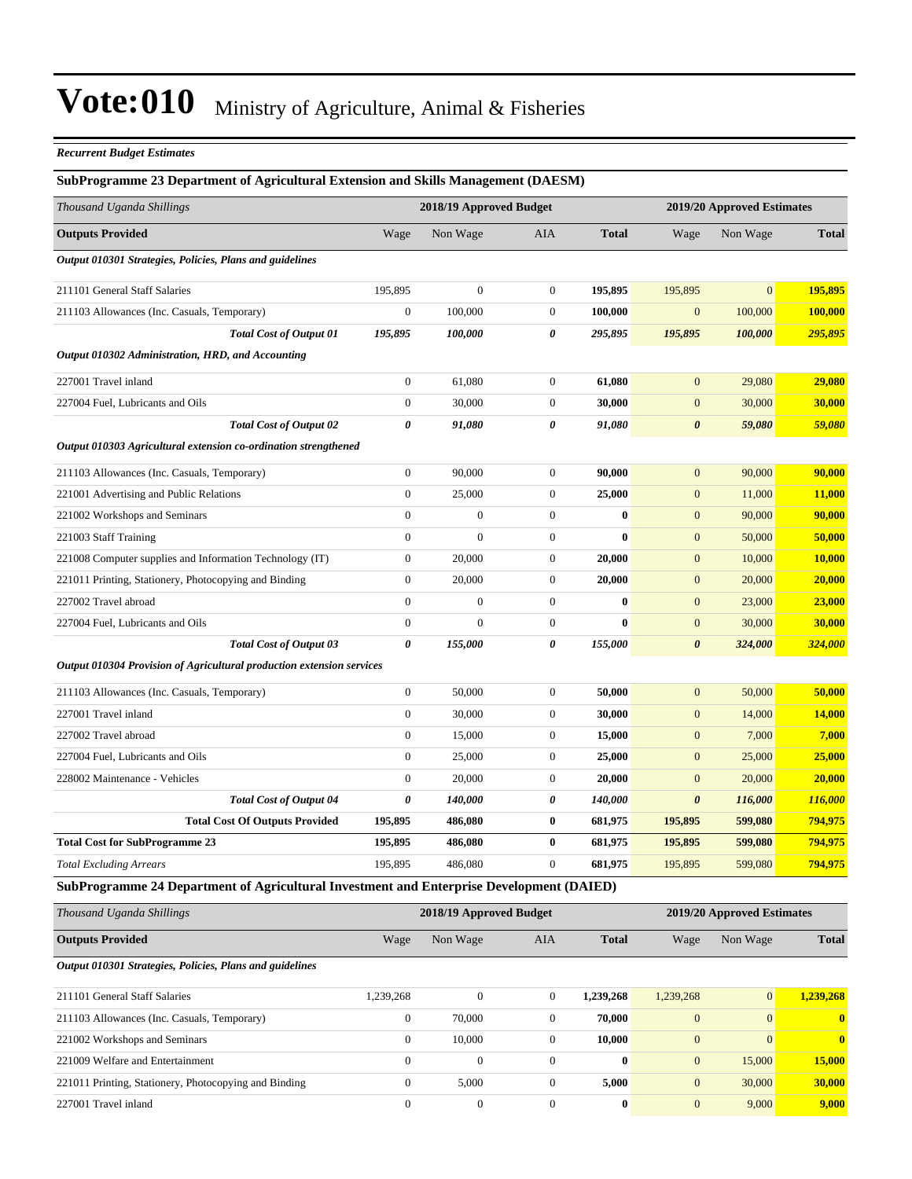#### *Recurrent Budget Estimates*

#### **SubProgramme 23 Department of Agricultural Extension and Skills Management (DAESM)**

| <b>Outputs Provided</b><br>Non Wage<br>Wage<br>Output 010301 Strategies, Policies, Plans and guidelines<br>211101 General Staff Salaries<br>195,895<br>$\mathbf{0}$<br>100,000<br>211103 Allowances (Inc. Casuals, Temporary)<br>195,895<br>100,000<br><b>Total Cost of Output 01</b><br>Output 010302 Administration, HRD, and Accounting<br>227001 Travel inland<br>$\boldsymbol{0}$<br>61,080<br>$\overline{0}$<br>30,000<br>227004 Fuel, Lubricants and Oils<br>$\pmb{\theta}$<br><b>Total Cost of Output 02</b><br>91,080<br>Output 010303 Agricultural extension co-ordination strengthened<br>$\mathbf{0}$<br>90,000<br>211103 Allowances (Inc. Casuals, Temporary)<br>$\boldsymbol{0}$<br>25,000<br>221001 Advertising and Public Relations<br>$\theta$<br>221002 Workshops and Seminars<br>$\overline{0}$<br>221003 Staff Training<br>221008 Computer supplies and Information Technology (IT)<br>$\boldsymbol{0}$<br>20,000<br>$\mathbf{0}$<br>221011 Printing, Stationery, Photocopying and Binding<br>20,000<br>$\overline{0}$<br>227002 Travel abroad | <b>AIA</b><br>$\overline{0}$<br>$\mathbf{0}$<br>$\mathbf{0}$<br>$\boldsymbol{\theta}$ | <b>Total</b><br>195,895<br>100,000 | Wage<br>195,895       | Non Wage       | <b>Total</b> |
|--------------------------------------------------------------------------------------------------------------------------------------------------------------------------------------------------------------------------------------------------------------------------------------------------------------------------------------------------------------------------------------------------------------------------------------------------------------------------------------------------------------------------------------------------------------------------------------------------------------------------------------------------------------------------------------------------------------------------------------------------------------------------------------------------------------------------------------------------------------------------------------------------------------------------------------------------------------------------------------------------------------------------------------------------------------------|---------------------------------------------------------------------------------------|------------------------------------|-----------------------|----------------|--------------|
|                                                                                                                                                                                                                                                                                                                                                                                                                                                                                                                                                                                                                                                                                                                                                                                                                                                                                                                                                                                                                                                                    |                                                                                       |                                    |                       |                |              |
|                                                                                                                                                                                                                                                                                                                                                                                                                                                                                                                                                                                                                                                                                                                                                                                                                                                                                                                                                                                                                                                                    |                                                                                       |                                    |                       |                |              |
|                                                                                                                                                                                                                                                                                                                                                                                                                                                                                                                                                                                                                                                                                                                                                                                                                                                                                                                                                                                                                                                                    |                                                                                       |                                    |                       | $\overline{0}$ | 195,895      |
|                                                                                                                                                                                                                                                                                                                                                                                                                                                                                                                                                                                                                                                                                                                                                                                                                                                                                                                                                                                                                                                                    |                                                                                       |                                    | $\mathbf{0}$          | 100,000        | 100,000      |
|                                                                                                                                                                                                                                                                                                                                                                                                                                                                                                                                                                                                                                                                                                                                                                                                                                                                                                                                                                                                                                                                    |                                                                                       | 295,895                            | 195,895               | 100,000        | 295,895      |
|                                                                                                                                                                                                                                                                                                                                                                                                                                                                                                                                                                                                                                                                                                                                                                                                                                                                                                                                                                                                                                                                    |                                                                                       |                                    |                       |                |              |
|                                                                                                                                                                                                                                                                                                                                                                                                                                                                                                                                                                                                                                                                                                                                                                                                                                                                                                                                                                                                                                                                    | $\overline{0}$                                                                        | 61,080                             | $\mathbf{0}$          | 29,080         | 29,080       |
|                                                                                                                                                                                                                                                                                                                                                                                                                                                                                                                                                                                                                                                                                                                                                                                                                                                                                                                                                                                                                                                                    | $\boldsymbol{0}$                                                                      | 30,000                             | $\mathbf{0}$          | 30,000         | 30,000       |
|                                                                                                                                                                                                                                                                                                                                                                                                                                                                                                                                                                                                                                                                                                                                                                                                                                                                                                                                                                                                                                                                    | $\pmb{\theta}$                                                                        | 91,080                             | $\boldsymbol{\theta}$ | 59,080         | 59,080       |
|                                                                                                                                                                                                                                                                                                                                                                                                                                                                                                                                                                                                                                                                                                                                                                                                                                                                                                                                                                                                                                                                    |                                                                                       |                                    |                       |                |              |
|                                                                                                                                                                                                                                                                                                                                                                                                                                                                                                                                                                                                                                                                                                                                                                                                                                                                                                                                                                                                                                                                    | $\overline{0}$                                                                        | 90,000                             | $\mathbf{0}$          | 90,000         | 90,000       |
|                                                                                                                                                                                                                                                                                                                                                                                                                                                                                                                                                                                                                                                                                                                                                                                                                                                                                                                                                                                                                                                                    | $\mathbf{0}$                                                                          | 25,000                             | $\mathbf{0}$          | 11,000         | 11,000       |
|                                                                                                                                                                                                                                                                                                                                                                                                                                                                                                                                                                                                                                                                                                                                                                                                                                                                                                                                                                                                                                                                    | $\boldsymbol{0}$<br>$\boldsymbol{0}$                                                  | $\bf{0}$                           | $\boldsymbol{0}$      | 90,000         | 90,000       |
|                                                                                                                                                                                                                                                                                                                                                                                                                                                                                                                                                                                                                                                                                                                                                                                                                                                                                                                                                                                                                                                                    | $\overline{0}$<br>$\mathbf{0}$                                                        | $\bf{0}$                           | $\mathbf{0}$          | 50,000         | 50,000       |
|                                                                                                                                                                                                                                                                                                                                                                                                                                                                                                                                                                                                                                                                                                                                                                                                                                                                                                                                                                                                                                                                    | $\mathbf{0}$                                                                          | 20,000                             | $\boldsymbol{0}$      | 10,000         | 10,000       |
|                                                                                                                                                                                                                                                                                                                                                                                                                                                                                                                                                                                                                                                                                                                                                                                                                                                                                                                                                                                                                                                                    | $\mathbf{0}$                                                                          | 20,000                             | $\mathbf{0}$          | 20,000         | 20,000       |
|                                                                                                                                                                                                                                                                                                                                                                                                                                                                                                                                                                                                                                                                                                                                                                                                                                                                                                                                                                                                                                                                    | $\boldsymbol{0}$<br>$\mathbf{0}$                                                      | $\bf{0}$                           | $\boldsymbol{0}$      | 23,000         | 23,000       |
| $\boldsymbol{0}$<br>227004 Fuel, Lubricants and Oils                                                                                                                                                                                                                                                                                                                                                                                                                                                                                                                                                                                                                                                                                                                                                                                                                                                                                                                                                                                                               | $\overline{0}$<br>$\mathbf{0}$                                                        | $\bf{0}$                           | $\boldsymbol{0}$      | 30,000         | 30,000       |
| $\boldsymbol{\theta}$<br><b>Total Cost of Output 03</b><br>155,000                                                                                                                                                                                                                                                                                                                                                                                                                                                                                                                                                                                                                                                                                                                                                                                                                                                                                                                                                                                                 | 0                                                                                     | 155,000                            | $\boldsymbol{\theta}$ | 324,000        | 324,000      |
| Output 010304 Provision of Agricultural production extension services                                                                                                                                                                                                                                                                                                                                                                                                                                                                                                                                                                                                                                                                                                                                                                                                                                                                                                                                                                                              |                                                                                       |                                    |                       |                |              |
| $\boldsymbol{0}$<br>50,000<br>211103 Allowances (Inc. Casuals, Temporary)                                                                                                                                                                                                                                                                                                                                                                                                                                                                                                                                                                                                                                                                                                                                                                                                                                                                                                                                                                                          | $\mathbf{0}$                                                                          | 50,000                             | $\mathbf{0}$          | 50,000         | 50,000       |
| $\boldsymbol{0}$<br>227001 Travel inland<br>30,000                                                                                                                                                                                                                                                                                                                                                                                                                                                                                                                                                                                                                                                                                                                                                                                                                                                                                                                                                                                                                 | $\boldsymbol{0}$                                                                      | 30,000                             | $\boldsymbol{0}$      | 14,000         | 14,000       |
| $\mathbf{0}$<br>15,000<br>227002 Travel abroad                                                                                                                                                                                                                                                                                                                                                                                                                                                                                                                                                                                                                                                                                                                                                                                                                                                                                                                                                                                                                     | $\mathbf{0}$                                                                          | 15,000                             | $\mathbf{0}$          | 7,000          | 7,000        |
| $\boldsymbol{0}$<br>227004 Fuel, Lubricants and Oils<br>25,000                                                                                                                                                                                                                                                                                                                                                                                                                                                                                                                                                                                                                                                                                                                                                                                                                                                                                                                                                                                                     | $\mathbf{0}$                                                                          | 25,000                             | $\boldsymbol{0}$      | 25,000         | 25,000       |
| 228002 Maintenance - Vehicles<br>$\mathbf{0}$<br>20,000                                                                                                                                                                                                                                                                                                                                                                                                                                                                                                                                                                                                                                                                                                                                                                                                                                                                                                                                                                                                            | $\overline{0}$                                                                        | 20,000                             | $\mathbf{0}$          | 20,000         | 20,000       |
| <b>Total Cost of Output 04</b><br>$\boldsymbol{\theta}$<br>140,000                                                                                                                                                                                                                                                                                                                                                                                                                                                                                                                                                                                                                                                                                                                                                                                                                                                                                                                                                                                                 | 0                                                                                     | 140,000                            | $\boldsymbol{\theta}$ | 116,000        | 116,000      |
| <b>Total Cost Of Outputs Provided</b><br>486,080<br>195,895                                                                                                                                                                                                                                                                                                                                                                                                                                                                                                                                                                                                                                                                                                                                                                                                                                                                                                                                                                                                        | 0                                                                                     | 681,975                            | 195,895               | 599,080        | 794,975      |
| <b>Total Cost for SubProgramme 23</b><br>195,895<br>486,080                                                                                                                                                                                                                                                                                                                                                                                                                                                                                                                                                                                                                                                                                                                                                                                                                                                                                                                                                                                                        | 0                                                                                     | 681,975                            | 195,895               | 599,080        | 794,975      |
| 195,895<br><b>Total Excluding Arrears</b><br>486,080                                                                                                                                                                                                                                                                                                                                                                                                                                                                                                                                                                                                                                                                                                                                                                                                                                                                                                                                                                                                               | $\mathbf{0}$                                                                          | 681,975                            | 195,895               | 599,080        | 794,975      |

#### **SubProgramme 24 Department of Agricultural Investment and Enterprise Development (DAIED)**

| Thousand Uganda Shillings                                | 2018/19 Approved Budget |              |              |              | 2019/20 Approved Estimates |                |              |
|----------------------------------------------------------|-------------------------|--------------|--------------|--------------|----------------------------|----------------|--------------|
| <b>Outputs Provided</b>                                  | Wage                    | Non Wage     | <b>AIA</b>   | <b>Total</b> | Wage                       | Non Wage       | <b>Total</b> |
| Output 010301 Strategies, Policies, Plans and guidelines |                         |              |              |              |                            |                |              |
| 211101 General Staff Salaries                            | 1,239,268               | $\mathbf{0}$ | $\mathbf{0}$ | 1,239,268    | 1,239,268                  | $\mathbf{0}$   | 1.239.268    |
| 211103 Allowances (Inc. Casuals, Temporary)              | $\overline{0}$          | 70,000       | $\mathbf{0}$ | 70,000       | $\mathbf{0}$               | $\overline{0}$ | $\mathbf{0}$ |
| 221002 Workshops and Seminars                            | $\mathbf{0}$            | 10.000       | $\Omega$     | 10,000       | $\mathbf{0}$               | $\Omega$       | $\mathbf{0}$ |
| 221009 Welfare and Entertainment                         | $\Omega$                | $\mathbf{0}$ | $\Omega$     | $\mathbf{0}$ | $\mathbf{0}$               | 15,000         | 15,000       |
| 221011 Printing, Stationery, Photocopying and Binding    | $\Omega$                | 5,000        | $\mathbf{0}$ | 5,000        | $\mathbf{0}$               | 30,000         | 30,000       |
| 227001 Travel inland                                     | $\mathbf{0}$            | $\mathbf{0}$ | $\mathbf{0}$ | $\bf{0}$     | $\mathbf{0}$               | 9,000          | 9,000        |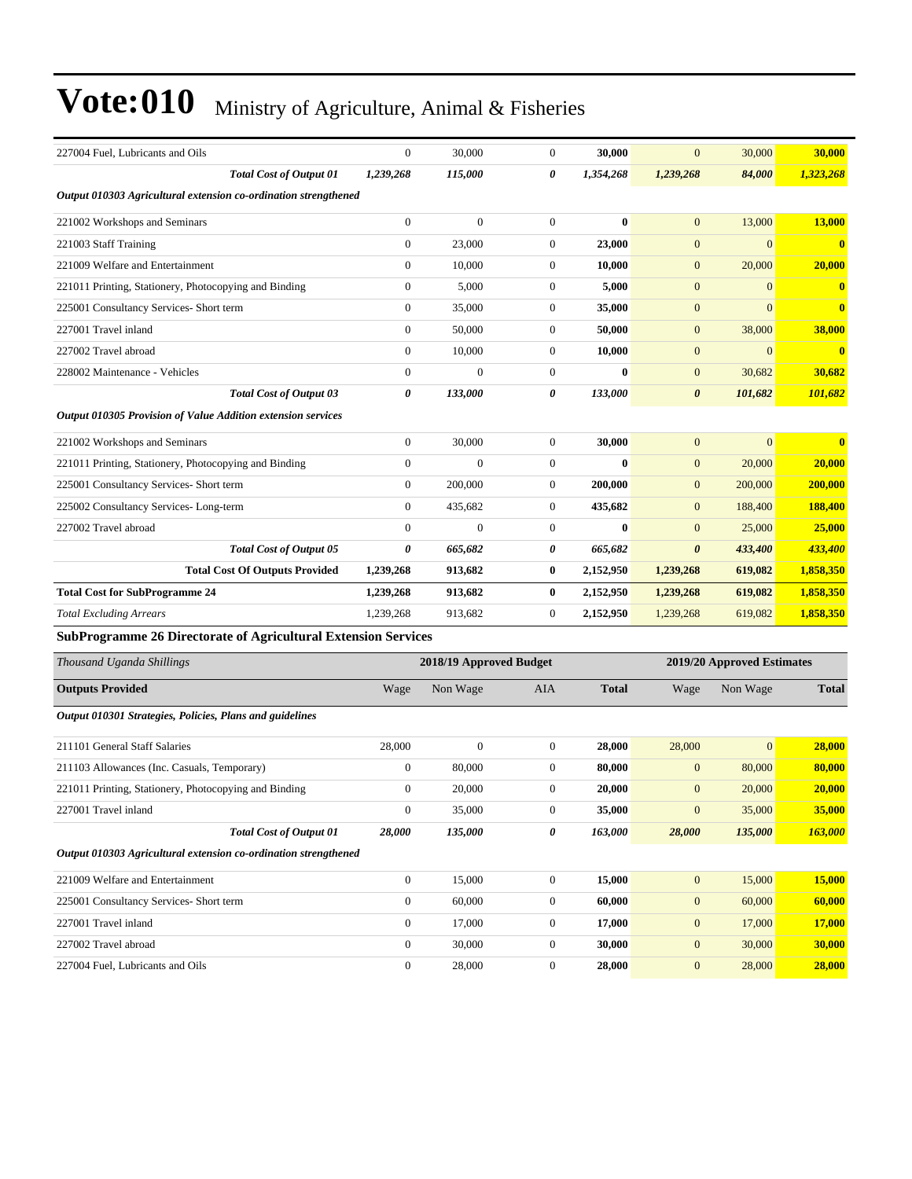| 227004 Fuel, Lubricants and Oils                                      | $\overline{0}$   | 30,000                  | $\boldsymbol{0}$ | 30,000           | $\overline{0}$        | 30,000                     | 30,000        |
|-----------------------------------------------------------------------|------------------|-------------------------|------------------|------------------|-----------------------|----------------------------|---------------|
| <b>Total Cost of Output 01</b>                                        | 1,239,268        | 115,000                 | 0                | 1,354,268        | 1,239,268             | 84,000                     | 1,323,268     |
| Output 010303 Agricultural extension co-ordination strengthened       |                  |                         |                  |                  |                       |                            |               |
| 221002 Workshops and Seminars                                         | $\mathbf{0}$     | $\boldsymbol{0}$        | $\mathbf{0}$     | $\bf{0}$         | $\mathbf{0}$          | 13,000                     | 13,000        |
| 221003 Staff Training                                                 | $\boldsymbol{0}$ | 23,000                  | $\mathbf{0}$     | 23,000           | $\mathbf{0}$          | $\overline{0}$             | $\bf{0}$      |
| 221009 Welfare and Entertainment                                      | $\boldsymbol{0}$ | 10,000                  | $\mathbf{0}$     | 10,000           | $\mathbf{0}$          | 20,000                     | 20,000        |
| 221011 Printing, Stationery, Photocopying and Binding                 | $\mathbf{0}$     | 5,000                   | $\mathbf{0}$     | 5,000            | $\mathbf{0}$          | $\mathbf{0}$               | $\bf{0}$      |
| 225001 Consultancy Services- Short term                               | $\mathbf{0}$     | 35,000                  | $\mathbf{0}$     | 35,000           | $\mathbf{0}$          | $\overline{0}$             | $\bf{0}$      |
| 227001 Travel inland                                                  | $\mathbf{0}$     | 50,000                  | $\boldsymbol{0}$ | 50,000           | $\mathbf{0}$          | 38,000                     | 38,000        |
| 227002 Travel abroad                                                  | $\mathbf{0}$     | 10,000                  | $\mathbf{0}$     | 10,000           | $\mathbf{0}$          | $\overline{0}$             | $\bf{0}$      |
| 228002 Maintenance - Vehicles                                         | $\mathbf{0}$     | $\boldsymbol{0}$        | $\boldsymbol{0}$ | $\bf{0}$         | $\mathbf{0}$          | 30,682                     | 30,682        |
| <b>Total Cost of Output 03</b>                                        | 0                | 133,000                 | 0                | 133,000          | $\boldsymbol{\theta}$ | 101,682                    | 101,682       |
| Output 010305 Provision of Value Addition extension services          |                  |                         |                  |                  |                       |                            |               |
| 221002 Workshops and Seminars                                         | $\mathbf{0}$     | 30,000                  | $\mathbf{0}$     | 30,000           | $\mathbf{0}$          | $\overline{0}$             | $\bf{0}$      |
| 221011 Printing, Stationery, Photocopying and Binding                 | $\boldsymbol{0}$ | $\boldsymbol{0}$        | $\boldsymbol{0}$ | $\boldsymbol{0}$ | $\mathbf{0}$          | 20,000                     | <b>20,000</b> |
| 225001 Consultancy Services- Short term                               | $\boldsymbol{0}$ | 200,000                 | $\mathbf{0}$     | 200,000          | $\mathbf{0}$          | 200,000                    | 200,000       |
| 225002 Consultancy Services-Long-term                                 | $\mathbf{0}$     | 435,682                 | $\mathbf{0}$     | 435,682          | $\mathbf{0}$          | 188,400                    | 188,400       |
| 227002 Travel abroad                                                  | $\mathbf{0}$     | $\overline{0}$          | $\mathbf{0}$     | $\bf{0}$         | $\mathbf{0}$          | 25,000                     | 25,000        |
| <b>Total Cost of Output 05</b>                                        | 0                | 665,682                 | 0                | 665,682          | $\boldsymbol{\theta}$ | 433,400                    | 433,400       |
| <b>Total Cost Of Outputs Provided</b>                                 | 1,239,268        | 913,682                 | $\bf{0}$         | 2,152,950        | 1,239,268             | 619,082                    | 1,858,350     |
| <b>Total Cost for SubProgramme 24</b>                                 | 1,239,268        | 913,682                 | $\bf{0}$         | 2,152,950        | 1,239,268             | 619,082                    | 1,858,350     |
| <b>Total Excluding Arrears</b>                                        | 1,239,268        | 913,682                 | $\boldsymbol{0}$ | 2,152,950        | 1,239,268             | 619,082                    | 1,858,350     |
| <b>SubProgramme 26 Directorate of Agricultural Extension Services</b> |                  |                         |                  |                  |                       |                            |               |
| Thousand Uganda Shillings                                             |                  | 2018/19 Approved Budget |                  |                  |                       | 2019/20 Approved Estimates |               |
| <b>Outputs Provided</b>                                               | Wage             | Non Wage                | AIA              | <b>Total</b>     | Wage                  | Non Wage                   | <b>Total</b>  |
|                                                                       |                  |                         |                  |                  |                       |                            |               |
| Output 010301 Strategies, Policies, Plans and guidelines              |                  |                         |                  |                  |                       |                            |               |
| 211101 General Staff Salaries                                         | 28,000           | $\boldsymbol{0}$        | $\boldsymbol{0}$ | 28,000           | 28,000                | $\overline{0}$             | 28,000        |
| 211103 Allowances (Inc. Casuals, Temporary)                           | $\mathbf{0}$     | 80,000                  | $\mathbf{0}$     | 80,000           | $\mathbf{0}$          | 80,000                     | 80,000        |
| 221011 Printing, Stationery, Photocopying and Binding                 | $\boldsymbol{0}$ | 20,000                  | $\mathbf{0}$     | 20,000           | $\mathbf{0}$          | 20,000                     | 20,000        |
| 227001 Travel inland                                                  | $\boldsymbol{0}$ | 35,000                  | $\boldsymbol{0}$ | 35,000           | $\boldsymbol{0}$      | 35,000                     | <b>35,000</b> |
| <b>Total Cost of Output 01</b>                                        | 28,000           | 135,000                 | 0                | 163,000          | 28,000                | 135,000                    | 163,000       |
| Output 010303 Agricultural extension co-ordination strengthened       |                  |                         |                  |                  |                       |                            |               |
| 221009 Welfare and Entertainment                                      | $\boldsymbol{0}$ | 15,000                  | $\boldsymbol{0}$ | 15,000           | $\mathbf{0}$          | 15,000                     | 15,000        |
| 225001 Consultancy Services- Short term                               | $\boldsymbol{0}$ | 60,000                  | $\boldsymbol{0}$ | 60,000           | $\mathbf{0}$          | 60,000                     | 60,000        |
| 227001 Travel inland                                                  | $\boldsymbol{0}$ | 17,000                  | $\boldsymbol{0}$ | 17,000           | $\mathbf{0}$          | 17,000                     | 17,000        |
| 227002 Travel abroad                                                  | $\boldsymbol{0}$ | 30,000                  | $\boldsymbol{0}$ | 30,000           | $\mathbf{0}$          | 30,000                     | 30,000        |
| 227004 Fuel, Lubricants and Oils                                      | $\boldsymbol{0}$ | 28,000                  | $\boldsymbol{0}$ | 28,000           | $\mathbf{0}$          | 28,000                     | 28,000        |
|                                                                       |                  |                         |                  |                  |                       |                            |               |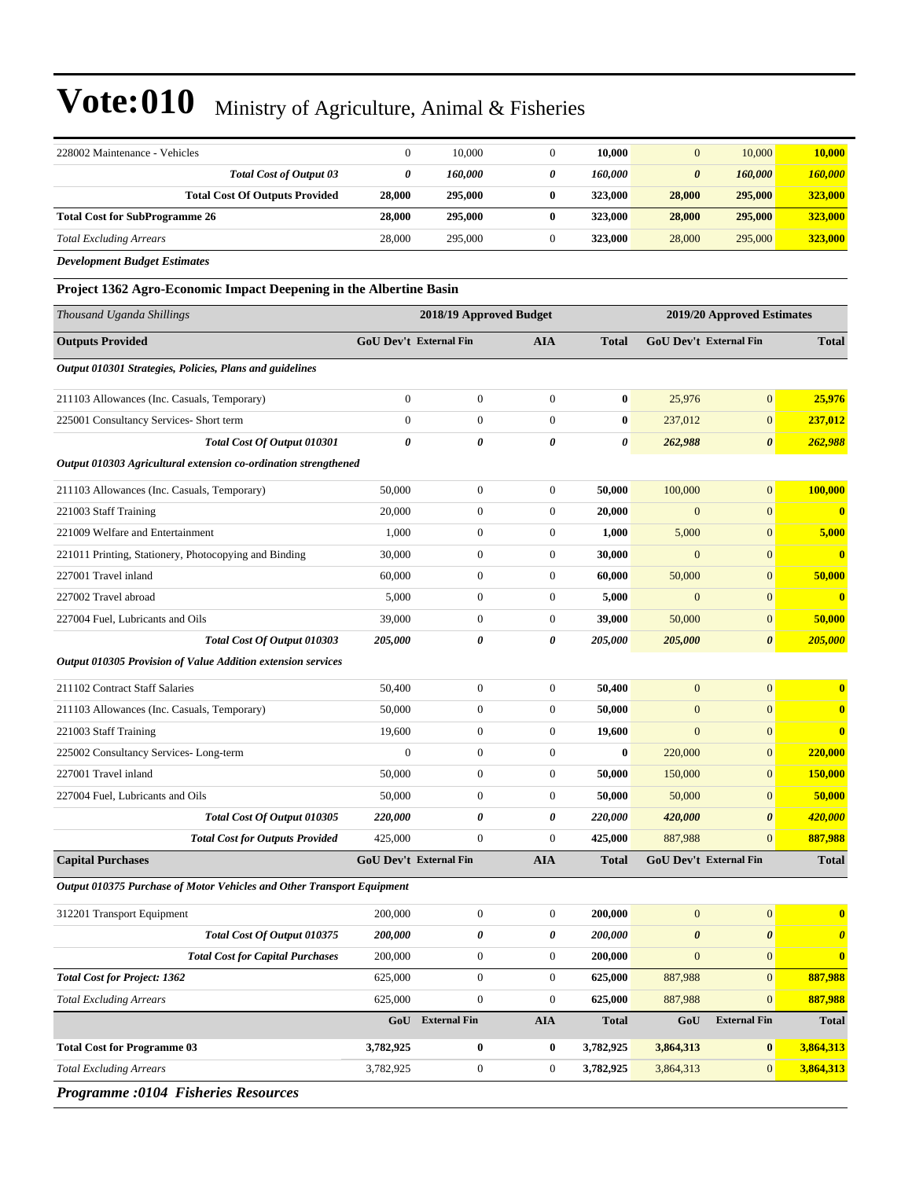| 228002 Maintenance - Vehicles                                          | $\mathbf{0}$           | 10,000                  | $\mathbf{0}$     | 10,000       | $\mathbf{0}$          | 10,000                        | 10,000                  |
|------------------------------------------------------------------------|------------------------|-------------------------|------------------|--------------|-----------------------|-------------------------------|-------------------------|
| <b>Total Cost of Output 03</b>                                         | 0                      | 160,000                 | 0                | 160,000      | $\boldsymbol{\theta}$ | 160,000                       | 160,000                 |
| <b>Total Cost Of Outputs Provided</b>                                  | 28,000                 | 295,000                 | $\bf{0}$         | 323,000      | 28,000                | 295,000                       | 323,000                 |
| <b>Total Cost for SubProgramme 26</b>                                  | 28,000                 | 295,000                 | $\bf{0}$         | 323,000      | 28,000                | 295,000                       | 323,000                 |
| <b>Total Excluding Arrears</b>                                         | 28,000                 | 295,000                 | $\boldsymbol{0}$ | 323,000      | 28,000                | 295,000                       | 323,000                 |
| <b>Development Budget Estimates</b>                                    |                        |                         |                  |              |                       |                               |                         |
| Project 1362 Agro-Economic Impact Deepening in the Albertine Basin     |                        |                         |                  |              |                       |                               |                         |
| Thousand Uganda Shillings                                              |                        | 2018/19 Approved Budget |                  |              |                       | 2019/20 Approved Estimates    |                         |
| <b>Outputs Provided</b>                                                | GoU Dev't External Fin |                         | <b>AIA</b>       | <b>Total</b> |                       | <b>GoU Dev't External Fin</b> | <b>Total</b>            |
| Output 010301 Strategies, Policies, Plans and guidelines               |                        |                         |                  |              |                       |                               |                         |
| 211103 Allowances (Inc. Casuals, Temporary)                            | $\mathbf{0}$           | $\mathbf{0}$            | $\boldsymbol{0}$ | $\bf{0}$     | 25,976                | $\overline{0}$                | 25,976                  |
| 225001 Consultancy Services- Short term                                | $\mathbf{0}$           | $\boldsymbol{0}$        | $\boldsymbol{0}$ | $\bf{0}$     | 237,012               | $\boldsymbol{0}$              | 237,012                 |
| Total Cost Of Output 010301                                            | 0                      | 0                       | 0                | 0            | 262,988               | 0                             | 262,988                 |
| Output 010303 Agricultural extension co-ordination strengthened        |                        |                         |                  |              |                       |                               |                         |
| 211103 Allowances (Inc. Casuals, Temporary)                            | 50,000                 | $\boldsymbol{0}$        | $\boldsymbol{0}$ | 50,000       | 100,000               | $\boldsymbol{0}$              | 100,000                 |
| 221003 Staff Training                                                  | 20,000                 | $\boldsymbol{0}$        | $\boldsymbol{0}$ | 20,000       | $\mathbf{0}$          | $\boldsymbol{0}$              | $\bf{0}$                |
| 221009 Welfare and Entertainment                                       | 1,000                  | $\boldsymbol{0}$        | $\boldsymbol{0}$ | 1,000        | 5,000                 | $\boldsymbol{0}$              | 5,000                   |
| 221011 Printing, Stationery, Photocopying and Binding                  | 30,000                 | $\boldsymbol{0}$        | $\boldsymbol{0}$ | 30,000       | $\mathbf{0}$          | $\overline{0}$                | $\overline{\mathbf{0}}$ |
| 227001 Travel inland                                                   | 60,000                 | $\boldsymbol{0}$        | $\boldsymbol{0}$ | 60,000       | 50,000                | $\boldsymbol{0}$              | 50,000                  |
| 227002 Travel abroad                                                   | 5,000                  | $\boldsymbol{0}$        | $\boldsymbol{0}$ | 5,000        | $\overline{0}$        | $\mathbf{0}$                  | $\bf{0}$                |
| 227004 Fuel, Lubricants and Oils                                       | 39,000                 | $\boldsymbol{0}$        | $\boldsymbol{0}$ | 39,000       | 50,000                | $\boldsymbol{0}$              | 50,000                  |
| Total Cost Of Output 010303                                            | 205,000                | 0                       | 0                | 205,000      | 205,000               | $\boldsymbol{\theta}$         | 205,000                 |
| Output 010305 Provision of Value Addition extension services           |                        |                         |                  |              |                       |                               |                         |
| 211102 Contract Staff Salaries                                         | 50,400                 | $\boldsymbol{0}$        | $\boldsymbol{0}$ | 50,400       | $\mathbf{0}$          | $\mathbf{0}$                  | $\bf{0}$                |
| 211103 Allowances (Inc. Casuals, Temporary)                            | 50,000                 | $\boldsymbol{0}$        | $\boldsymbol{0}$ | 50,000       | $\mathbf{0}$          | $\boldsymbol{0}$              | $\bf{0}$                |
| 221003 Staff Training                                                  | 19,600                 | $\boldsymbol{0}$        | $\boldsymbol{0}$ | 19,600       | $\mathbf{0}$          | $\boldsymbol{0}$              | $\mathbf{0}$            |
| 225002 Consultancy Services-Long-term                                  | $\boldsymbol{0}$       | $\mathbf{0}$            | $\boldsymbol{0}$ | $\bf{0}$     | 220,000               | $\boldsymbol{0}$              | 220,000                 |
| 227001 Travel inland                                                   | 50,000                 | $\boldsymbol{0}$        | $\boldsymbol{0}$ | 50,000       | 150,000               | $\boldsymbol{0}$              | 150,000                 |
| 227004 Fuel, Lubricants and Oils                                       | 50,000                 | $\overline{0}$          | $\mathbf{0}$     | 50,000       | 50,000                | $\boldsymbol{0}$              | 50,000                  |
| Total Cost Of Output 010305                                            | 220,000                | 0                       | 0                | 220,000      | 420,000               | 0                             | 420,000                 |
| <b>Total Cost for Outputs Provided</b>                                 | 425,000                | $\boldsymbol{0}$        | $\theta$         | 425,000      | 887,988               | $\boldsymbol{0}$              | 887,988                 |
| <b>Capital Purchases</b>                                               |                        | GoU Dev't External Fin  | <b>AIA</b>       | <b>Total</b> |                       | <b>GoU Dev't External Fin</b> | <b>Total</b>            |
| Output 010375 Purchase of Motor Vehicles and Other Transport Equipment |                        |                         |                  |              |                       |                               |                         |
| 312201 Transport Equipment                                             | 200,000                | $\boldsymbol{0}$        | $\boldsymbol{0}$ | 200,000      | $\boldsymbol{0}$      | $\boldsymbol{0}$              | $\bf{0}$                |
| Total Cost Of Output 010375                                            | 200,000                | 0                       | 0                | 200,000      | $\pmb{\theta}$        | $\pmb{\theta}$                | $\boldsymbol{\theta}$   |
| <b>Total Cost for Capital Purchases</b>                                | 200,000                | $\boldsymbol{0}$        | $\boldsymbol{0}$ | 200,000      | $\mathbf{0}$          | $\boldsymbol{0}$              | $\bf{0}$                |
| <b>Total Cost for Project: 1362</b>                                    | 625,000                | $\boldsymbol{0}$        | $\boldsymbol{0}$ | 625,000      | 887,988               | $\boldsymbol{0}$              | 887,988                 |
| <b>Total Excluding Arrears</b>                                         | 625,000                | $\mathbf{0}$            | $\boldsymbol{0}$ | 625,000      | 887,988               | $\boldsymbol{0}$              | 887,988                 |
|                                                                        | GoU                    | <b>External Fin</b>     | <b>AIA</b>       | <b>Total</b> | GoU                   | <b>External Fin</b>           | <b>Total</b>            |
| <b>Total Cost for Programme 03</b>                                     | 3,782,925              | $\bf{0}$                | $\bf{0}$         | 3,782,925    | 3,864,313             | $\bf{0}$                      | 3,864,313               |
| <b>Total Excluding Arrears</b>                                         | 3,782,925              | $\boldsymbol{0}$        | $\boldsymbol{0}$ | 3,782,925    | 3,864,313             | $\boldsymbol{0}$              | 3,864,313               |
|                                                                        |                        |                         |                  |              |                       |                               |                         |

*Programme :0104 Fisheries Resources*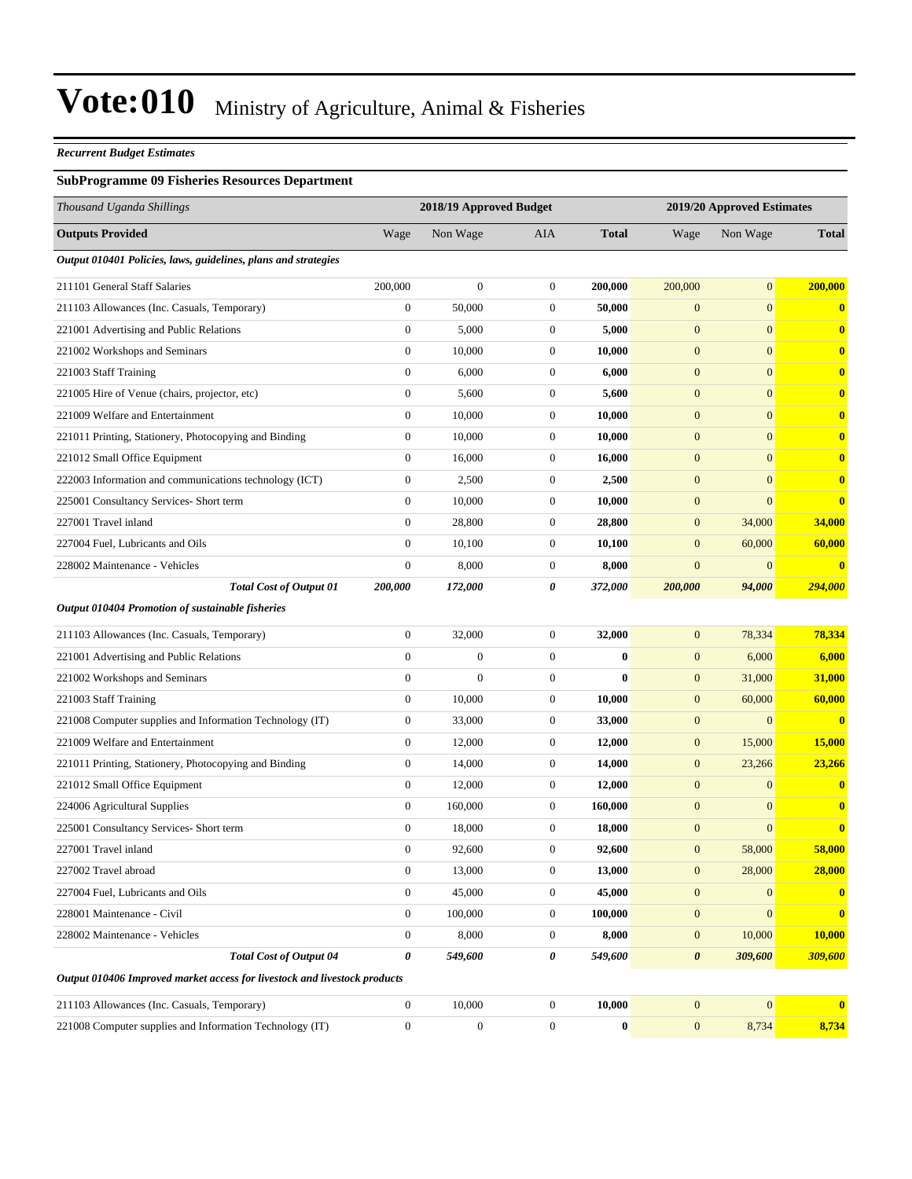#### *Recurrent Budget Estimates*

#### **SubProgramme 09 Fisheries Resources Department**

| Thousand Uganda Shillings                                                 |                  | 2018/19 Approved Budget |                  |              |                       |              |              |  | 2019/20 Approved Estimates |  |  |
|---------------------------------------------------------------------------|------------------|-------------------------|------------------|--------------|-----------------------|--------------|--------------|--|----------------------------|--|--|
| <b>Outputs Provided</b>                                                   | Wage             | Non Wage                | AIA              | <b>Total</b> | Wage                  | Non Wage     | <b>Total</b> |  |                            |  |  |
| Output 010401 Policies, laws, guidelines, plans and strategies            |                  |                         |                  |              |                       |              |              |  |                            |  |  |
| 211101 General Staff Salaries                                             | 200,000          | $\boldsymbol{0}$        | $\boldsymbol{0}$ | 200,000      | 200,000               | $\mathbf{0}$ | 200,000      |  |                            |  |  |
| 211103 Allowances (Inc. Casuals, Temporary)                               | $\boldsymbol{0}$ | 50,000                  | $\mathbf{0}$     | 50,000       | $\mathbf{0}$          | $\mathbf{0}$ | $\bf{0}$     |  |                            |  |  |
| 221001 Advertising and Public Relations                                   | $\boldsymbol{0}$ | 5,000                   | $\boldsymbol{0}$ | 5,000        | $\boldsymbol{0}$      | $\mathbf{0}$ | $\mathbf{0}$ |  |                            |  |  |
| 221002 Workshops and Seminars                                             | $\boldsymbol{0}$ | 10,000                  | $\mathbf{0}$     | 10,000       | $\boldsymbol{0}$      | $\mathbf{0}$ | $\bf{0}$     |  |                            |  |  |
| 221003 Staff Training                                                     | $\boldsymbol{0}$ | 6,000                   | $\boldsymbol{0}$ | 6,000        | $\mathbf{0}$          | $\mathbf{0}$ | $\bf{0}$     |  |                            |  |  |
| 221005 Hire of Venue (chairs, projector, etc)                             | $\boldsymbol{0}$ | 5,600                   | $\mathbf{0}$     | 5,600        | $\mathbf{0}$          | $\mathbf{0}$ | $\mathbf{0}$ |  |                            |  |  |
| 221009 Welfare and Entertainment                                          | $\boldsymbol{0}$ | 10,000                  | $\mathbf{0}$     | 10,000       | $\mathbf{0}$          | $\mathbf{0}$ | $\bf{0}$     |  |                            |  |  |
| 221011 Printing, Stationery, Photocopying and Binding                     | $\boldsymbol{0}$ | 10,000                  | $\mathbf{0}$     | 10,000       | $\boldsymbol{0}$      | $\mathbf{0}$ | $\bf{0}$     |  |                            |  |  |
| 221012 Small Office Equipment                                             | $\boldsymbol{0}$ | 16,000                  | $\mathbf{0}$     | 16,000       | $\boldsymbol{0}$      | $\mathbf{0}$ | $\bf{0}$     |  |                            |  |  |
| 222003 Information and communications technology (ICT)                    | $\boldsymbol{0}$ | 2,500                   | $\mathbf{0}$     | 2,500        | $\mathbf{0}$          | $\mathbf{0}$ | $\bf{0}$     |  |                            |  |  |
| 225001 Consultancy Services- Short term                                   | $\boldsymbol{0}$ | 10,000                  | $\mathbf{0}$     | 10,000       | $\mathbf{0}$          | $\mathbf{0}$ | $\bf{0}$     |  |                            |  |  |
| 227001 Travel inland                                                      | $\boldsymbol{0}$ | 28,800                  | $\mathbf{0}$     | 28,800       | $\mathbf{0}$          | 34,000       | 34,000       |  |                            |  |  |
| 227004 Fuel, Lubricants and Oils                                          | $\overline{0}$   | 10,100                  | $\mathbf{0}$     | 10,100       | $\mathbf{0}$          | 60,000       | 60,000       |  |                            |  |  |
| 228002 Maintenance - Vehicles                                             | $\boldsymbol{0}$ | 8,000                   | $\boldsymbol{0}$ | 8,000        | $\boldsymbol{0}$      | $\mathbf{0}$ | $\bf{0}$     |  |                            |  |  |
| <b>Total Cost of Output 01</b>                                            | 200,000          | 172,000                 | 0                | 372,000      | 200,000               | 94,000       | 294,000      |  |                            |  |  |
| <b>Output 010404 Promotion of sustainable fisheries</b>                   |                  |                         |                  |              |                       |              |              |  |                            |  |  |
| 211103 Allowances (Inc. Casuals, Temporary)                               | $\boldsymbol{0}$ | 32,000                  | $\mathbf{0}$     | 32,000       | $\mathbf{0}$          | 78,334       | 78,334       |  |                            |  |  |
| 221001 Advertising and Public Relations                                   | $\boldsymbol{0}$ | $\boldsymbol{0}$        | $\boldsymbol{0}$ | $\bf{0}$     | $\mathbf{0}$          | 6,000        | 6,000        |  |                            |  |  |
| 221002 Workshops and Seminars                                             | $\boldsymbol{0}$ | $\boldsymbol{0}$        | $\boldsymbol{0}$ | $\bf{0}$     | $\mathbf{0}$          | 31,000       | 31,000       |  |                            |  |  |
| 221003 Staff Training                                                     | $\boldsymbol{0}$ | 10,000                  | $\mathbf{0}$     | 10,000       | $\mathbf{0}$          | 60,000       | 60,000       |  |                            |  |  |
| 221008 Computer supplies and Information Technology (IT)                  | $\boldsymbol{0}$ | 33,000                  | $\mathbf{0}$     | 33,000       | $\mathbf{0}$          | $\mathbf{0}$ | $\bf{0}$     |  |                            |  |  |
| 221009 Welfare and Entertainment                                          | $\boldsymbol{0}$ | 12,000                  | $\mathbf{0}$     | 12,000       | $\mathbf{0}$          | 15,000       | 15,000       |  |                            |  |  |
| 221011 Printing, Stationery, Photocopying and Binding                     | $\boldsymbol{0}$ | 14,000                  | $\mathbf{0}$     | 14,000       | $\mathbf{0}$          | 23,266       | 23,266       |  |                            |  |  |
| 221012 Small Office Equipment                                             | $\boldsymbol{0}$ | 12,000                  | $\mathbf{0}$     | 12,000       | $\mathbf{0}$          | $\mathbf{0}$ | $\mathbf{0}$ |  |                            |  |  |
| 224006 Agricultural Supplies                                              | $\boldsymbol{0}$ | 160,000                 | $\mathbf{0}$     | 160,000      | $\mathbf{0}$          | $\mathbf{0}$ | $\mathbf{0}$ |  |                            |  |  |
| 225001 Consultancy Services- Short term                                   | $\boldsymbol{0}$ | 18,000                  | $\boldsymbol{0}$ | 18,000       | $\mathbf{0}$          | $\mathbf{0}$ | $\bf{0}$     |  |                            |  |  |
| 227001 Travel inland                                                      | $\boldsymbol{0}$ | 92,600                  | $\mathbf{0}$     | 92,600       | $\mathbf{0}$          | 58,000       | 58,000       |  |                            |  |  |
| 227002 Travel abroad                                                      | $\boldsymbol{0}$ | 13,000                  | $\boldsymbol{0}$ | 13,000       | $\mathbf{0}$          | 28,000       | 28,000       |  |                            |  |  |
| 227004 Fuel, Lubricants and Oils                                          | $\boldsymbol{0}$ | 45,000                  | $\mathbf{0}$     | 45,000       | $\mathbf{0}$          | $\mathbf{0}$ | $\mathbf{0}$ |  |                            |  |  |
| 228001 Maintenance - Civil                                                | $\boldsymbol{0}$ | 100,000                 | $\mathbf{0}$     | 100,000      | $\mathbf{0}$          | $\mathbf{0}$ | $\bf{0}$     |  |                            |  |  |
| 228002 Maintenance - Vehicles                                             | $\boldsymbol{0}$ | 8,000                   | $\mathbf{0}$     | 8,000        | $\mathbf{0}$          | 10,000       | 10,000       |  |                            |  |  |
| <b>Total Cost of Output 04</b>                                            | 0                | 549,600                 | 0                | 549,600      | $\boldsymbol{\theta}$ | 309,600      | 309,600      |  |                            |  |  |
| Output 010406 Improved market access for livestock and livestock products |                  |                         |                  |              |                       |              |              |  |                            |  |  |
| 211103 Allowances (Inc. Casuals, Temporary)                               | $\boldsymbol{0}$ | 10,000                  | $\boldsymbol{0}$ | 10,000       | $\mathbf{0}$          | $\mathbf{0}$ | $\bf{0}$     |  |                            |  |  |
| 221008 Computer supplies and Information Technology (IT)                  | $\boldsymbol{0}$ | $\boldsymbol{0}$        | $\overline{0}$   | $\bf{0}$     | $\mathbf{0}$          | 8,734        | 8,734        |  |                            |  |  |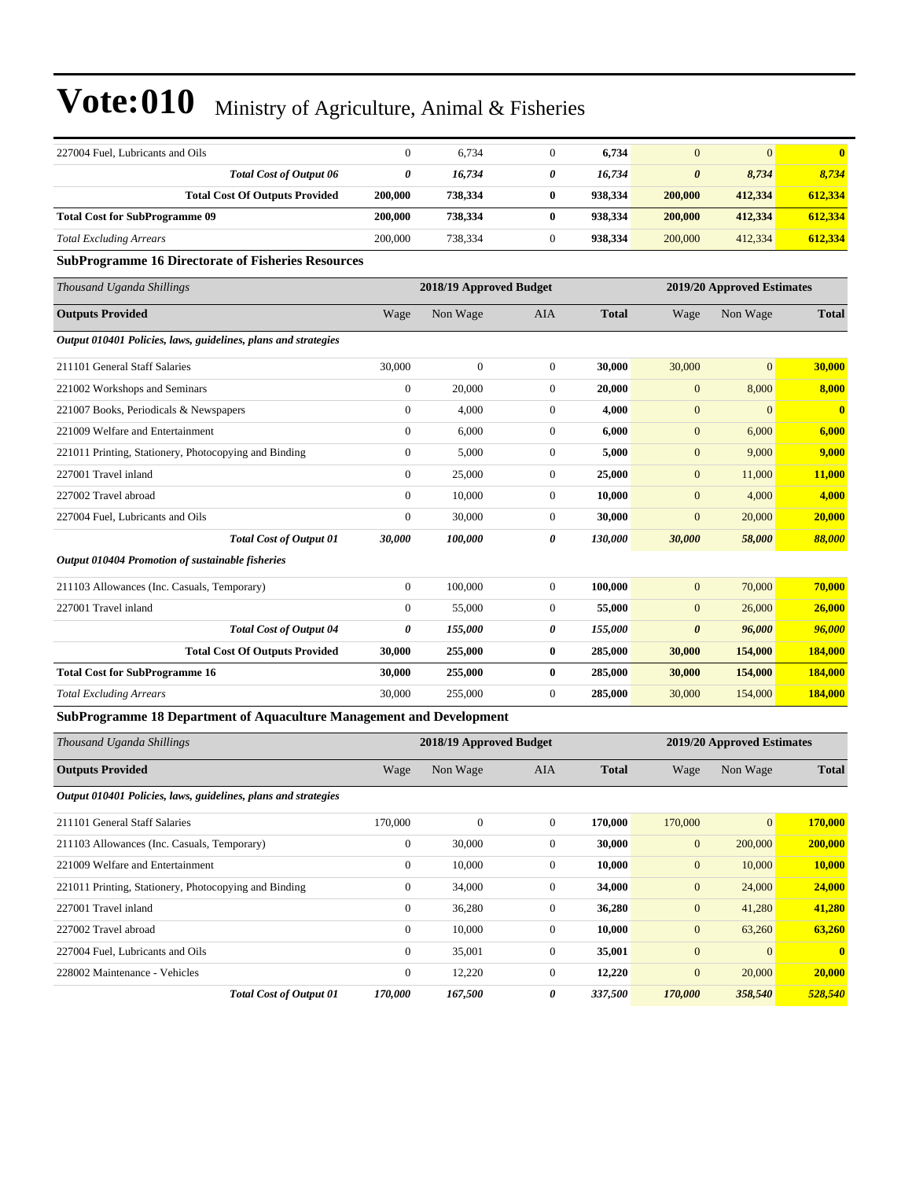| 227004 Fuel, Lubricants and Oils                                     | $\boldsymbol{0}$ | 6,734                   | $\mathbf{0}$     | 6,734        | $\overline{0}$        | $\mathbf{0}$               | $\bf{0}$                |
|----------------------------------------------------------------------|------------------|-------------------------|------------------|--------------|-----------------------|----------------------------|-------------------------|
| <b>Total Cost of Output 06</b>                                       | 0                | 16,734                  | 0                | 16,734       | $\boldsymbol{\theta}$ | 8,734                      | 8,734                   |
| <b>Total Cost Of Outputs Provided</b>                                | 200,000          | 738,334                 | $\bf{0}$         | 938,334      | 200,000               | 412,334                    | 612,334                 |
| <b>Total Cost for SubProgramme 09</b>                                | 200,000          | 738,334                 | $\bf{0}$         | 938,334      | 200,000               | 412,334                    | 612,334                 |
| <b>Total Excluding Arrears</b>                                       | 200,000          | 738,334                 | $\boldsymbol{0}$ | 938,334      | 200,000               | 412,334                    | 612,334                 |
| <b>SubProgramme 16 Directorate of Fisheries Resources</b>            |                  |                         |                  |              |                       |                            |                         |
| Thousand Uganda Shillings                                            |                  | 2018/19 Approved Budget |                  |              |                       | 2019/20 Approved Estimates |                         |
| <b>Outputs Provided</b>                                              | Wage             | Non Wage                | AIA              | <b>Total</b> | Wage                  | Non Wage                   | <b>Total</b>            |
| Output 010401 Policies, laws, guidelines, plans and strategies       |                  |                         |                  |              |                       |                            |                         |
| 211101 General Staff Salaries                                        | 30,000           | $\boldsymbol{0}$        | $\mathbf{0}$     | 30,000       | 30,000                | $\mathbf{0}$               | 30,000                  |
| 221002 Workshops and Seminars                                        | $\boldsymbol{0}$ | 20,000                  | $\mathbf{0}$     | 20,000       | $\mathbf{0}$          | 8,000                      | 8,000                   |
| 221007 Books, Periodicals & Newspapers                               | $\boldsymbol{0}$ | 4,000                   | $\mathbf{0}$     | 4,000        | $\mathbf{0}$          | $\mathbf{0}$               | $\overline{\mathbf{0}}$ |
| 221009 Welfare and Entertainment                                     | $\boldsymbol{0}$ | 6,000                   | $\mathbf{0}$     | 6,000        | $\mathbf{0}$          | 6,000                      | 6,000                   |
| 221011 Printing, Stationery, Photocopying and Binding                | $\boldsymbol{0}$ | 5,000                   | $\mathbf{0}$     | 5,000        | $\mathbf{0}$          | 9,000                      | 9,000                   |
| 227001 Travel inland                                                 | $\boldsymbol{0}$ | 25,000                  | $\boldsymbol{0}$ | 25,000       | $\mathbf{0}$          | 11,000                     | <b>11,000</b>           |
| 227002 Travel abroad                                                 | $\boldsymbol{0}$ | 10,000                  | $\mathbf{0}$     | 10,000       | $\mathbf{0}$          | 4,000                      | 4,000                   |
| 227004 Fuel, Lubricants and Oils                                     | $\boldsymbol{0}$ | 30,000                  | $\mathbf{0}$     | 30,000       | $\mathbf{0}$          | 20,000                     | 20,000                  |
| <b>Total Cost of Output 01</b>                                       | 30,000           | 100,000                 | 0                | 130,000      | 30,000                | 58,000                     | 88,000                  |
| Output 010404 Promotion of sustainable fisheries                     |                  |                         |                  |              |                       |                            |                         |
| 211103 Allowances (Inc. Casuals, Temporary)                          | $\boldsymbol{0}$ | 100,000                 | $\mathbf{0}$     | 100,000      | $\mathbf{0}$          | 70,000                     | 70,000                  |
| 227001 Travel inland                                                 | $\boldsymbol{0}$ | 55,000                  | $\boldsymbol{0}$ | 55,000       | $\mathbf{0}$          | 26,000                     | 26,000                  |
| <b>Total Cost of Output 04</b>                                       | 0                | <i><b>155,000</b></i>   | 0                | 155,000      | $\boldsymbol{\theta}$ | 96,000                     | 96,000                  |
| <b>Total Cost Of Outputs Provided</b>                                | 30,000           | 255,000                 | $\bf{0}$         | 285,000      | 30,000                | 154,000                    | 184,000                 |
| <b>Total Cost for SubProgramme 16</b>                                | 30,000           | 255,000                 | $\bf{0}$         | 285,000      | 30,000                | 154,000                    | 184,000                 |
| <b>Total Excluding Arrears</b>                                       | 30,000           | 255,000                 | $\mathbf{0}$     | 285,000      | 30,000                | 154,000                    | 184,000                 |
| SubProgramme 18 Department of Aquaculture Management and Development |                  |                         |                  |              |                       |                            |                         |
| Thousand Uganda Shillings                                            |                  | 2018/19 Approved Budget |                  |              |                       | 2019/20 Approved Estimates |                         |
| <b>Outputs Provided</b>                                              | Wage             | Non Wage                | AIA              | <b>Total</b> | Wage                  | Non Wage                   | <b>Total</b>            |
| Output 010401 Policies, laws, guidelines, plans and strategies       |                  |                         |                  |              |                       |                            |                         |
| 211101 General Staff Salaries                                        | 170,000          | $\boldsymbol{0}$        | $\boldsymbol{0}$ | 170,000      | 170,000               | $\mathbf{0}$               | 170,000                 |
| 211103 Allowances (Inc. Casuals, Temporary)                          | $\boldsymbol{0}$ | 30,000                  | $\boldsymbol{0}$ | 30,000       | $\boldsymbol{0}$      | 200,000                    | 200,000                 |
| 221009 Welfare and Entertainment                                     | $\boldsymbol{0}$ | 10,000                  | $\boldsymbol{0}$ | 10,000       | $\boldsymbol{0}$      | 10,000                     | 10,000                  |
| 221011 Printing, Stationery, Photocopying and Binding                | $\boldsymbol{0}$ | 34,000                  | $\boldsymbol{0}$ | 34,000       | $\boldsymbol{0}$      | 24,000                     | 24,000                  |
| 227001 Travel inland                                                 | $\boldsymbol{0}$ | 36,280                  | $\boldsymbol{0}$ | 36,280       | $\mathbf{0}$          | 41,280                     | 41,280                  |
| 227002 Travel abroad                                                 | $\boldsymbol{0}$ | 10,000                  | $\boldsymbol{0}$ | 10,000       | $\mathbf{0}$          | 63,260                     | 63,260                  |
| 227004 Fuel, Lubricants and Oils                                     | $\boldsymbol{0}$ | 35,001                  | $\boldsymbol{0}$ | 35,001       | $\boldsymbol{0}$      | $\mathbf{0}$               | $\bf{0}$                |
| 228002 Maintenance - Vehicles                                        | $\boldsymbol{0}$ | 12,220                  | $\boldsymbol{0}$ | 12,220       | $\boldsymbol{0}$      | 20,000                     | 20,000                  |
| <b>Total Cost of Output 01</b>                                       | 170,000          | 167,500                 | 0                | 337,500      | 170,000               | 358,540                    | 528,540                 |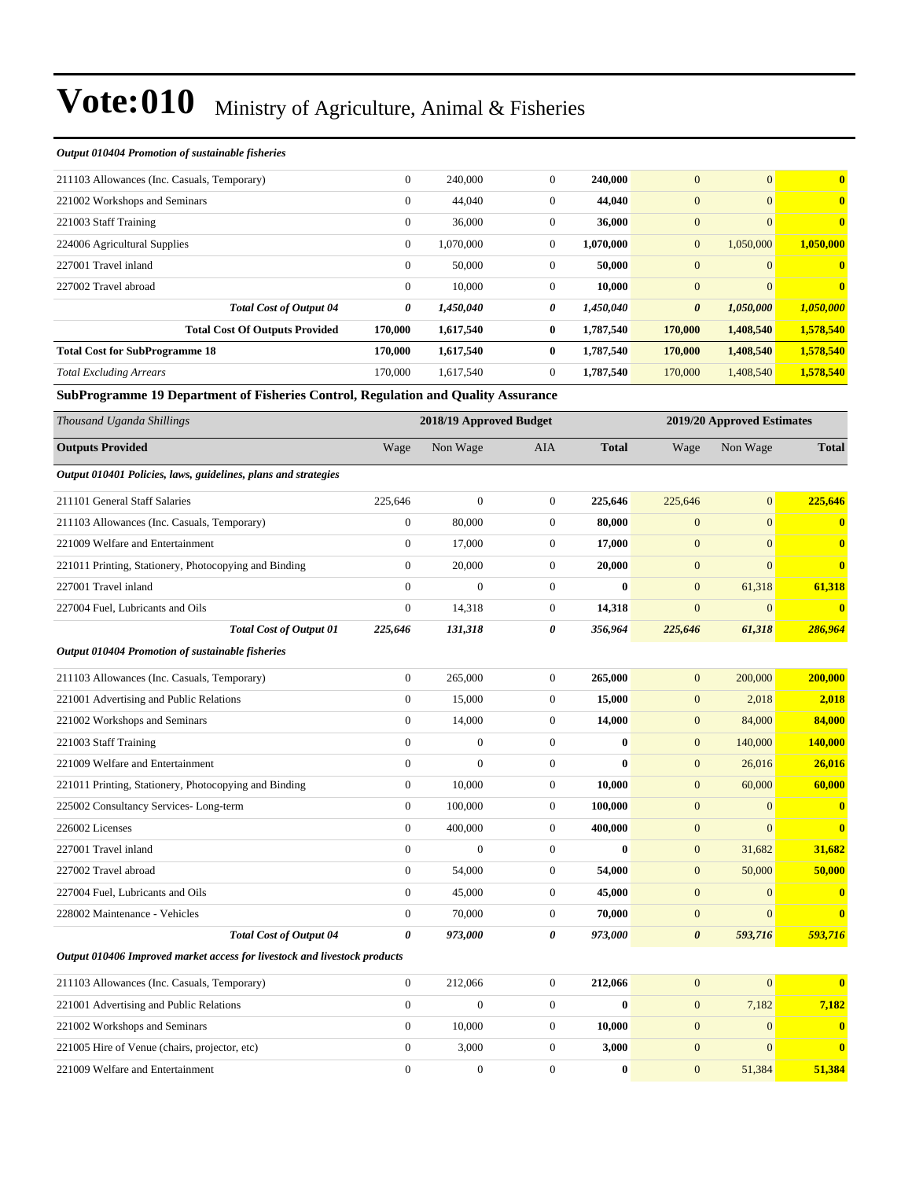#### *Output 010404 Promotion of sustainable fisheries*

| 211103 Allowances (Inc. Casuals, Temporary) |                                       | $\overline{0}$ | 240,000   | $\mathbf{0}$   | 240,000   | $\overline{0}$        | $\overline{0}$ | $\overline{\mathbf{0}}$ |
|---------------------------------------------|---------------------------------------|----------------|-----------|----------------|-----------|-----------------------|----------------|-------------------------|
| 221002 Workshops and Seminars               |                                       | $\theta$       | 44,040    | $\mathbf{0}$   | 44,040    | $\overline{0}$        | $\overline{0}$ | $\overline{\mathbf{0}}$ |
| 221003 Staff Training                       |                                       | $\mathbf{0}$   | 36,000    | $\overline{0}$ | 36,000    | $\boldsymbol{0}$      | $\overline{0}$ | $\mathbf{0}$            |
| 224006 Agricultural Supplies                |                                       | $\overline{0}$ | 1,070,000 | $\mathbf{0}$   | 1,070,000 | $\mathbf{0}$          | 1.050.000      | 1.050.000               |
| 227001 Travel inland                        |                                       | $\overline{0}$ | 50,000    | $\mathbf{0}$   | 50,000    | $\mathbf{0}$          | $\overline{0}$ | $\mathbf{0}$            |
| 227002 Travel abroad                        |                                       | $\theta$       | 10,000    | $\overline{0}$ | 10,000    | $\mathbf{0}$          | $\overline{0}$ | $\mathbf{0}$            |
|                                             | <b>Total Cost of Output 04</b>        | 0              | 1,450,040 | 0              | 1,450,040 | $\boldsymbol{\theta}$ | 1,050,000      | 1,050,000               |
|                                             | <b>Total Cost Of Outputs Provided</b> | 170,000        | 1,617,540 | $\bf{0}$       | 1,787,540 | 170,000               | 1,408,540      | 1,578,540               |
| <b>Total Cost for SubProgramme 18</b>       |                                       | 170,000        | 1,617,540 | $\bf{0}$       | 1,787,540 | 170,000               | 1,408,540      | 1,578,540               |
| <b>Total Excluding Arrears</b>              |                                       | 170,000        | 1,617,540 | $\overline{0}$ | 1,787,540 | 170,000               | 1,408,540      | 1,578,540               |

**SubProgramme 19 Department of Fisheries Control, Regulation and Quality Assurance**

| Thousand Uganda Shillings                                                 |                  | 2018/19 Approved Budget |                |              |                       | 2019/20 Approved Estimates |                |  |
|---------------------------------------------------------------------------|------------------|-------------------------|----------------|--------------|-----------------------|----------------------------|----------------|--|
| <b>Outputs Provided</b>                                                   | Wage             | Non Wage                | <b>AIA</b>     | <b>Total</b> | Wage                  | Non Wage                   | <b>Total</b>   |  |
| Output 010401 Policies, laws, guidelines, plans and strategies            |                  |                         |                |              |                       |                            |                |  |
| 211101 General Staff Salaries                                             | 225,646          | $\overline{0}$          | $\mathbf{0}$   | 225,646      | 225,646               | $\mathbf{0}$               | 225,646        |  |
| 211103 Allowances (Inc. Casuals, Temporary)                               | $\mathbf{0}$     | 80,000                  | $\mathbf{0}$   | 80,000       | $\boldsymbol{0}$      | $\mathbf{0}$               | $\mathbf{0}$   |  |
| 221009 Welfare and Entertainment                                          | $\overline{0}$   | 17,000                  | $\mathbf{0}$   | 17,000       | $\boldsymbol{0}$      | $\mathbf{0}$               | $\mathbf{0}$   |  |
| 221011 Printing, Stationery, Photocopying and Binding                     | $\overline{0}$   | 20,000                  | $\mathbf{0}$   | 20,000       | $\boldsymbol{0}$      | $\mathbf{0}$               | $\bf{0}$       |  |
| 227001 Travel inland                                                      | $\Omega$         | $\overline{0}$          | $\overline{0}$ | $\mathbf{0}$ | $\overline{0}$        | 61,318                     | 61,318         |  |
| 227004 Fuel, Lubricants and Oils                                          | $\overline{0}$   | 14,318                  | $\mathbf{0}$   | 14,318       | $\overline{0}$        | $\mathbf{0}$               | $\mathbf{0}$   |  |
| <b>Total Cost of Output 01</b>                                            | 225,646          | 131,318                 | 0              | 356,964      | 225,646               | 61,318                     | 286,964        |  |
| Output 010404 Promotion of sustainable fisheries                          |                  |                         |                |              |                       |                            |                |  |
| 211103 Allowances (Inc. Casuals, Temporary)                               | $\boldsymbol{0}$ | 265,000                 | $\mathbf{0}$   | 265,000      | $\mathbf{0}$          | 200,000                    | 200,000        |  |
| 221001 Advertising and Public Relations                                   | $\boldsymbol{0}$ | 15,000                  | $\mathbf{0}$   | 15,000       | $\boldsymbol{0}$      | 2,018                      | 2,018          |  |
| 221002 Workshops and Seminars                                             | $\boldsymbol{0}$ | 14,000                  | $\mathbf{0}$   | 14,000       | $\boldsymbol{0}$      | 84,000                     | 84,000         |  |
| 221003 Staff Training                                                     | $\overline{0}$   | $\overline{0}$          | $\overline{0}$ | $\mathbf{0}$ | $\overline{0}$        | 140,000                    | <b>140,000</b> |  |
| 221009 Welfare and Entertainment                                          | $\overline{0}$   | $\theta$                | $\overline{0}$ | $\theta$     | $\overline{0}$        | 26,016                     | 26,016         |  |
| 221011 Printing, Stationery, Photocopying and Binding                     | $\overline{0}$   | 10,000                  | $\mathbf{0}$   | 10,000       | $\mathbf{0}$          | 60,000                     | 60,000         |  |
| 225002 Consultancy Services-Long-term                                     | $\overline{0}$   | 100,000                 | $\mathbf{0}$   | 100,000      | $\boldsymbol{0}$      | $\mathbf{0}$               | $\mathbf{0}$   |  |
| 226002 Licenses                                                           | $\overline{0}$   | 400,000                 | $\overline{0}$ | 400,000      | $\mathbf{0}$          | $\Omega$                   | $\mathbf{0}$   |  |
| 227001 Travel inland                                                      | $\overline{0}$   | $\overline{0}$          | $\mathbf{0}$   | $\mathbf{0}$ | $\boldsymbol{0}$      | 31,682                     | 31,682         |  |
| 227002 Travel abroad                                                      | $\boldsymbol{0}$ | 54,000                  | $\mathbf{0}$   | 54,000       | $\boldsymbol{0}$      | 50,000                     | 50,000         |  |
| 227004 Fuel, Lubricants and Oils                                          | $\boldsymbol{0}$ | 45,000                  | $\mathbf{0}$   | 45,000       | $\boldsymbol{0}$      | $\mathbf{0}$               | $\mathbf{0}$   |  |
| 228002 Maintenance - Vehicles                                             | $\mathbf{0}$     | 70,000                  | $\overline{0}$ | 70,000       | $\overline{0}$        | $\Omega$                   | $\bf{0}$       |  |
| <b>Total Cost of Output 04</b>                                            | $\theta$         | 973,000                 | 0              | 973,000      | $\boldsymbol{\theta}$ | 593,716                    | 593,716        |  |
| Output 010406 Improved market access for livestock and livestock products |                  |                         |                |              |                       |                            |                |  |
| 211103 Allowances (Inc. Casuals, Temporary)                               | $\mathbf{0}$     | 212,066                 | $\mathbf{0}$   | 212,066      | $\mathbf{0}$          | $\mathbf{0}$               | $\bf{0}$       |  |
| 221001 Advertising and Public Relations                                   | $\overline{0}$   | $\overline{0}$          | $\mathbf{0}$   | $\mathbf{0}$ | $\boldsymbol{0}$      | 7,182                      | 7,182          |  |
| 221002 Workshops and Seminars                                             | $\overline{0}$   | 10,000                  | $\mathbf{0}$   | 10,000       | $\boldsymbol{0}$      | $\mathbf{0}$               | $\bf{0}$       |  |
| 221005 Hire of Venue (chairs, projector, etc)                             | $\boldsymbol{0}$ | 3,000                   | $\mathbf{0}$   | 3,000        | $\boldsymbol{0}$      | $\mathbf{0}$               | $\bf{0}$       |  |
| 221009 Welfare and Entertainment                                          | $\boldsymbol{0}$ | $\boldsymbol{0}$        | $\mathbf{0}$   | $\bf{0}$     | $\boldsymbol{0}$      | 51,384                     | 51,384         |  |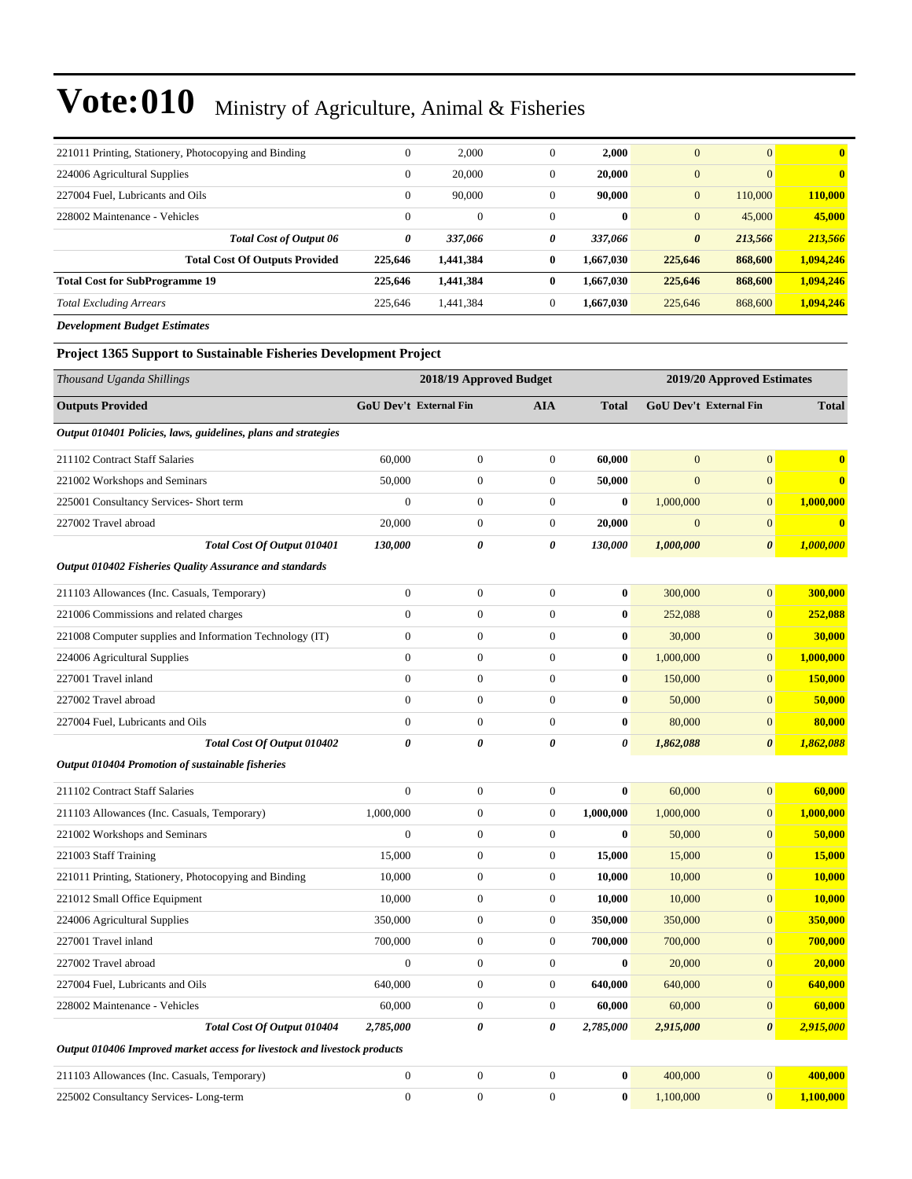| 221011 Printing, Stationery, Photocopying and Binding | $\theta$     | 2,000        | $\mathbf{0}$ | 2,000        | $\mathbf{0}$   | $\mathbf{0}$ | $\bf{0}$     |
|-------------------------------------------------------|--------------|--------------|--------------|--------------|----------------|--------------|--------------|
|                                                       |              |              |              |              |                | $\Omega$     | $\mathbf{0}$ |
| 224006 Agricultural Supplies                          | $\mathbf{0}$ | 20,000       | $\mathbf{0}$ | 20,000       | $\mathbf{0}$   |              |              |
| 227004 Fuel, Lubricants and Oils                      | $\mathbf{0}$ | 90,000       | $\mathbf{0}$ | 90,000       | $\mathbf{0}$   | 110,000      | 110,000      |
| 228002 Maintenance - Vehicles                         | $\mathbf{0}$ | $\mathbf{0}$ | $\mathbf{0}$ | $\mathbf{0}$ | $\overline{0}$ | 45,000       | 45,000       |
| <b>Total Cost of Output 06</b>                        | 0            | 337,066      | 0            | 337,066      | 0              | 213,566      | 213,566      |
| <b>Total Cost Of Outputs Provided</b>                 | 225,646      | 1,441,384    | $\bf{0}$     | 1.667.030    | 225,646        | 868,600      | 1.094.246    |
| <b>Total Cost for SubProgramme 19</b>                 | 225,646      | 1,441,384    | $\bf{0}$     | 1,667,030    | 225,646        | 868,600      | 1.094.246    |
| <b>Total Excluding Arrears</b>                        | 225,646      | 1.441.384    | $\mathbf{0}$ | 1.667.030    | 225,646        | 868,600      | 1,094,246    |
| <b>Development Budget Estimates</b>                   |              |              |              |              |                |              |              |

#### **Project 1365 Support to Sustainable Fisheries Development Project**

| Thousand Uganda Shillings                                                 |                        | 2018/19 Approved Budget |                  |                       |                | 2019/20 Approved Estimates |              |  |  |
|---------------------------------------------------------------------------|------------------------|-------------------------|------------------|-----------------------|----------------|----------------------------|--------------|--|--|
| <b>Outputs Provided</b>                                                   | GoU Dev't External Fin |                         | <b>AIA</b>       | <b>Total</b>          |                | GoU Dev't External Fin     | <b>Total</b> |  |  |
| Output 010401 Policies, laws, guidelines, plans and strategies            |                        |                         |                  |                       |                |                            |              |  |  |
| 211102 Contract Staff Salaries                                            | 60,000                 | $\boldsymbol{0}$        | $\boldsymbol{0}$ | 60,000                | $\mathbf{0}$   | $\overline{0}$             | $\bf{0}$     |  |  |
| 221002 Workshops and Seminars                                             | 50,000                 | $\boldsymbol{0}$        | $\boldsymbol{0}$ | 50,000                | $\overline{0}$ | $\overline{0}$             | $\bf{0}$     |  |  |
| 225001 Consultancy Services- Short term                                   | $\overline{0}$         | $\boldsymbol{0}$        | $\boldsymbol{0}$ | $\bf{0}$              | 1,000,000      | $\overline{0}$             | 1,000,000    |  |  |
| 227002 Travel abroad                                                      | 20,000                 | $\boldsymbol{0}$        | $\boldsymbol{0}$ | 20,000                | $\mathbf{0}$   | $\mathbf{0}$               | $\bf{0}$     |  |  |
| Total Cost Of Output 010401                                               | 130,000                | 0                       | 0                | 130,000               | 1,000,000      | $\pmb{\theta}$             | 1,000,000    |  |  |
| Output 010402 Fisheries Quality Assurance and standards                   |                        |                         |                  |                       |                |                            |              |  |  |
| 211103 Allowances (Inc. Casuals, Temporary)                               | $\boldsymbol{0}$       | $\boldsymbol{0}$        | $\boldsymbol{0}$ | $\bf{0}$              | 300,000        | $\overline{0}$             | 300,000      |  |  |
| 221006 Commissions and related charges                                    | $\mathbf{0}$           | $\boldsymbol{0}$        | $\overline{0}$   | $\bf{0}$              | 252,088        | $\boldsymbol{0}$           | 252,088      |  |  |
| 221008 Computer supplies and Information Technology (IT)                  | $\mathbf{0}$           | $\overline{0}$          | $\overline{0}$   | $\bf{0}$              | 30,000         | $\overline{0}$             | 30,000       |  |  |
| 224006 Agricultural Supplies                                              | $\mathbf{0}$           | $\boldsymbol{0}$        | $\boldsymbol{0}$ | $\bf{0}$              | 1,000,000      | $\overline{0}$             | 1,000,000    |  |  |
| 227001 Travel inland                                                      | $\boldsymbol{0}$       | $\boldsymbol{0}$        | $\boldsymbol{0}$ | $\bf{0}$              | 150,000        | $\mathbf{0}$               | 150,000      |  |  |
| 227002 Travel abroad                                                      | $\mathbf{0}$           | $\overline{0}$          | $\overline{0}$   | $\bf{0}$              | 50,000         | $\mathbf{0}$               | 50,000       |  |  |
| 227004 Fuel, Lubricants and Oils                                          | $\mathbf{0}$           | $\boldsymbol{0}$        | $\boldsymbol{0}$ | $\bf{0}$              | 80,000         | $\boldsymbol{0}$           | 80,000       |  |  |
| Total Cost Of Output 010402                                               | $\boldsymbol{\theta}$  | 0                       | 0                | $\boldsymbol{\theta}$ | 1,862,088      | 0                          | 1,862,088    |  |  |
| Output 010404 Promotion of sustainable fisheries                          |                        |                         |                  |                       |                |                            |              |  |  |
| 211102 Contract Staff Salaries                                            | $\mathbf{0}$           | $\mathbf{0}$            | $\boldsymbol{0}$ | $\bf{0}$              | 60,000         | $\overline{0}$             | 60,000       |  |  |
| 211103 Allowances (Inc. Casuals, Temporary)                               | 1,000,000              | $\boldsymbol{0}$        | $\boldsymbol{0}$ | 1,000,000             | 1,000,000      | $\overline{0}$             | 1,000,000    |  |  |
| 221002 Workshops and Seminars                                             | $\overline{0}$         | $\overline{0}$          | $\overline{0}$   | $\bf{0}$              | 50,000         | $\overline{0}$             | 50,000       |  |  |
| 221003 Staff Training                                                     | 15,000                 | $\mathbf{0}$            | $\boldsymbol{0}$ | 15,000                | 15,000         | $\overline{0}$             | 15,000       |  |  |
| 221011 Printing, Stationery, Photocopying and Binding                     | 10,000                 | $\boldsymbol{0}$        | $\boldsymbol{0}$ | 10,000                | 10,000         | $\overline{0}$             | 10,000       |  |  |
| 221012 Small Office Equipment                                             | 10,000                 | $\boldsymbol{0}$        | $\boldsymbol{0}$ | 10,000                | 10,000         | $\boldsymbol{0}$           | 10,000       |  |  |
| 224006 Agricultural Supplies                                              | 350,000                | $\boldsymbol{0}$        | $\boldsymbol{0}$ | 350,000               | 350,000        | $\overline{0}$             | 350,000      |  |  |
| 227001 Travel inland                                                      | 700,000                | $\boldsymbol{0}$        | $\boldsymbol{0}$ | 700,000               | 700,000        | $\overline{0}$             | 700,000      |  |  |
| 227002 Travel abroad                                                      | $\boldsymbol{0}$       | $\boldsymbol{0}$        | $\boldsymbol{0}$ | $\bf{0}$              | 20,000         | $\overline{0}$             | 20,000       |  |  |
| 227004 Fuel, Lubricants and Oils                                          | 640,000                | $\boldsymbol{0}$        | $\overline{0}$   | 640,000               | 640,000        | $\overline{0}$             | 640,000      |  |  |
| 228002 Maintenance - Vehicles                                             | 60,000                 | $\boldsymbol{0}$        | $\boldsymbol{0}$ | 60,000                | 60,000         | $\mathbf{0}$               | 60,000       |  |  |
| Total Cost Of Output 010404                                               | 2,785,000              | 0                       | 0                | 2,785,000             | 2,915,000      | $\boldsymbol{\theta}$      | 2,915,000    |  |  |
| Output 010406 Improved market access for livestock and livestock products |                        |                         |                  |                       |                |                            |              |  |  |
| 211103 Allowances (Inc. Casuals, Temporary)                               | $\boldsymbol{0}$       | $\boldsymbol{0}$        | $\boldsymbol{0}$ | $\bf{0}$              | 400,000        | $\overline{0}$             | 400,000      |  |  |
| 225002 Consultancy Services-Long-term                                     | $\boldsymbol{0}$       | $\boldsymbol{0}$        | $\boldsymbol{0}$ | $\bf{0}$              | 1,100,000      | $\mathbf{0}$               | 1,100,000    |  |  |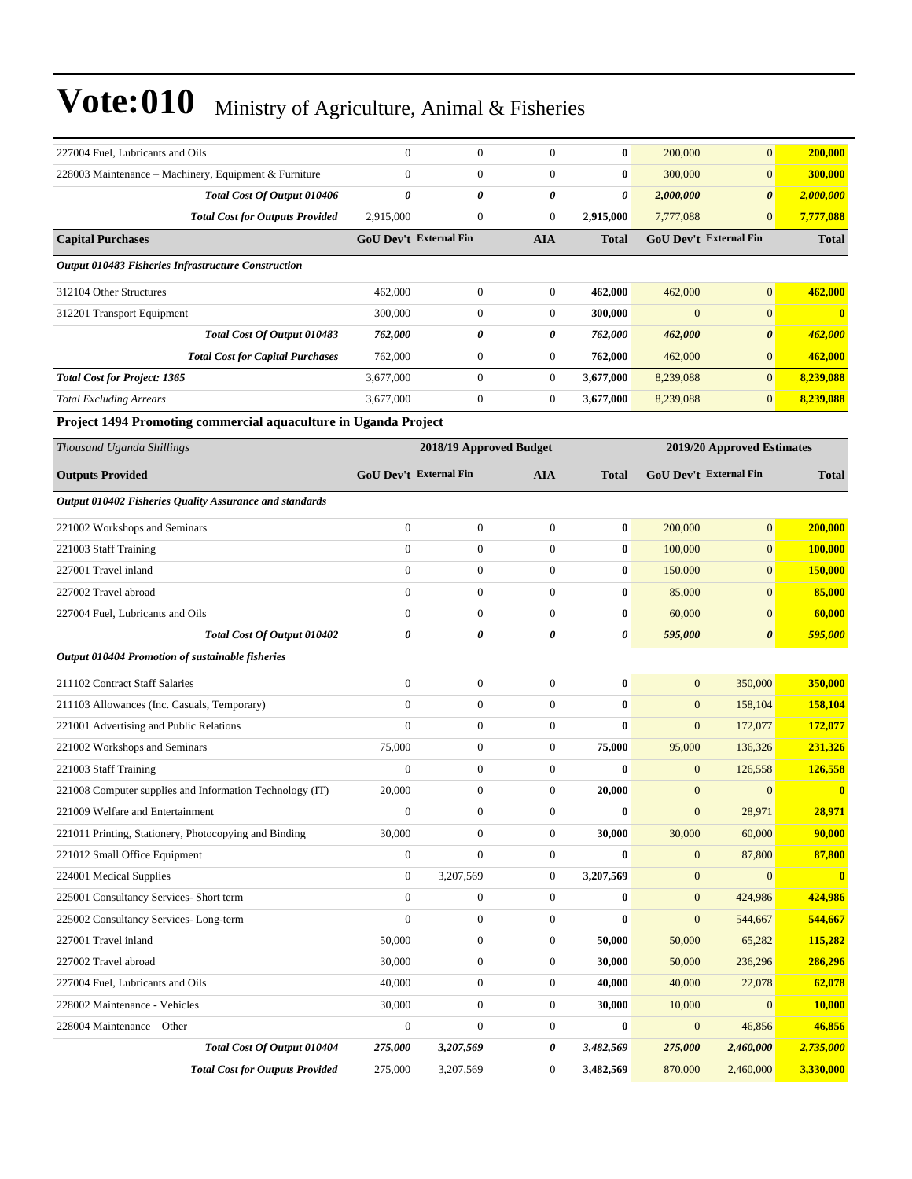| 227004 Fuel, Lubricants and Oils                                | $\mathbf{0}$                  | $\boldsymbol{0}$        | $\overline{0}$   | $\bf{0}$     | 200,000          | $\overline{0}$                | 200,000          |
|-----------------------------------------------------------------|-------------------------------|-------------------------|------------------|--------------|------------------|-------------------------------|------------------|
| 228003 Maintenance - Machinery, Equipment & Furniture           | $\mathbf{0}$                  | $\boldsymbol{0}$        | $\boldsymbol{0}$ | $\bf{0}$     | 300,000          | $\overline{0}$                | 300,000          |
| Total Cost Of Output 010406                                     | $\boldsymbol{\theta}$         | 0                       | 0                | 0            | 2,000,000        | $\boldsymbol{\theta}$         | 2,000,000        |
| <b>Total Cost for Outputs Provided</b>                          | 2,915,000                     | $\boldsymbol{0}$        | $\boldsymbol{0}$ | 2,915,000    | 7,777,088        | $\overline{0}$                | 7,777,088        |
| <b>Capital Purchases</b>                                        | GoU Dev't External Fin        |                         | <b>AIA</b>       | <b>Total</b> |                  | GoU Dev't External Fin        | <b>Total</b>     |
| <b>Output 010483 Fisheries Infrastructure Construction</b>      |                               |                         |                  |              |                  |                               |                  |
| 312104 Other Structures                                         | 462,000                       | $\boldsymbol{0}$        | $\boldsymbol{0}$ | 462,000      | 462,000          | $\boldsymbol{0}$              | 462,000          |
| 312201 Transport Equipment                                      | 300,000                       | $\boldsymbol{0}$        | $\boldsymbol{0}$ | 300,000      | $\mathbf{0}$     | $\boldsymbol{0}$              | $\bf{0}$         |
| Total Cost Of Output 010483                                     | 762,000                       | 0                       | 0                | 762,000      | 462,000          | $\boldsymbol{\theta}$         | 462,000          |
| <b>Total Cost for Capital Purchases</b>                         | 762,000                       | $\boldsymbol{0}$        | $\boldsymbol{0}$ | 762,000      | 462,000          | $\boldsymbol{0}$              | 462,000          |
| <b>Total Cost for Project: 1365</b>                             | 3,677,000                     | $\boldsymbol{0}$        | $\boldsymbol{0}$ | 3,677,000    | 8,239,088        | $\overline{0}$                | 8,239,088        |
| <b>Total Excluding Arrears</b>                                  | 3,677,000                     | $\boldsymbol{0}$        | $\boldsymbol{0}$ | 3,677,000    | 8,239,088        | $\boldsymbol{0}$              | 8,239,088        |
| Project 1494 Promoting commercial aquaculture in Uganda Project |                               |                         |                  |              |                  |                               |                  |
| Thousand Uganda Shillings                                       |                               | 2018/19 Approved Budget |                  |              |                  | 2019/20 Approved Estimates    |                  |
|                                                                 |                               |                         |                  |              |                  |                               |                  |
| <b>Outputs Provided</b>                                         | <b>GoU Dev't External Fin</b> |                         | <b>AIA</b>       | <b>Total</b> |                  | <b>GoU Dev't External Fin</b> | <b>Total</b>     |
| Output 010402 Fisheries Quality Assurance and standards         |                               |                         |                  |              |                  |                               |                  |
| 221002 Workshops and Seminars                                   | $\boldsymbol{0}$              | $\boldsymbol{0}$        | $\boldsymbol{0}$ | $\bf{0}$     | 200,000          | $\boldsymbol{0}$              | 200,000          |
| 221003 Staff Training                                           | $\mathbf{0}$                  | $\boldsymbol{0}$        | $\boldsymbol{0}$ | $\bf{0}$     | 100,000          | $\boldsymbol{0}$              | 100,000          |
| 227001 Travel inland                                            | $\overline{0}$                | $\boldsymbol{0}$        | $\boldsymbol{0}$ | $\bf{0}$     | 150,000          | $\boldsymbol{0}$              | 150,000          |
| 227002 Travel abroad                                            | $\overline{0}$                | $\boldsymbol{0}$        | $\boldsymbol{0}$ | $\bf{0}$     | 85,000           | $\overline{0}$                | 85,000           |
| 227004 Fuel, Lubricants and Oils                                | $\mathbf{0}$                  | $\boldsymbol{0}$        | $\boldsymbol{0}$ | $\bf{0}$     | 60,000           | $\mathbf{0}$                  | 60,000           |
| Total Cost Of Output 010402                                     | 0                             | 0                       | 0                | 0            | 595,000          | $\boldsymbol{\theta}$         | 595,000          |
| Output 010404 Promotion of sustainable fisheries                |                               |                         |                  |              |                  |                               |                  |
| 211102 Contract Staff Salaries                                  | $\mathbf{0}$                  | $\boldsymbol{0}$        | $\boldsymbol{0}$ | $\bf{0}$     | $\mathbf{0}$     | 350,000                       | 350,000          |
| 211103 Allowances (Inc. Casuals, Temporary)                     | $\overline{0}$                | $\boldsymbol{0}$        | $\boldsymbol{0}$ | $\bf{0}$     | $\mathbf{0}$     | 158,104                       | 158,104          |
| 221001 Advertising and Public Relations                         | $\mathbf{0}$                  | $\boldsymbol{0}$        | $\boldsymbol{0}$ | $\bf{0}$     | $\mathbf{0}$     | 172,077                       | 172,077          |
| 221002 Workshops and Seminars                                   | 75,000                        | $\boldsymbol{0}$        | $\boldsymbol{0}$ | 75,000       | 95,000           | 136,326                       | 231,326          |
| 221003 Staff Training                                           | $\overline{0}$                | $\boldsymbol{0}$        | $\boldsymbol{0}$ | $\bf{0}$     | $\mathbf{0}$     | 126,558                       | 126,558          |
| 221008 Computer supplies and Information Technology (IT)        | 20,000                        | $\boldsymbol{0}$        | $\boldsymbol{0}$ | 20,000       | $\mathbf{0}$     | $\boldsymbol{0}$              | $\bf{0}$         |
| 221009 Welfare and Entertainment                                | $\boldsymbol{0}$              | $\boldsymbol{0}$        | $\boldsymbol{0}$ | $\bf{0}$     | $\boldsymbol{0}$ | 28,971                        | 28,971           |
| 221011 Printing, Stationery, Photocopying and Binding           | 30,000                        | $\boldsymbol{0}$        | $\boldsymbol{0}$ | 30,000       | 30,000           | 60,000                        | 90,000           |
| 221012 Small Office Equipment                                   | $\boldsymbol{0}$              | $\boldsymbol{0}$        | $\boldsymbol{0}$ | $\bf{0}$     | $\mathbf{0}$     | 87,800                        | 87,800           |
| 224001 Medical Supplies                                         | $\boldsymbol{0}$              | 3,207,569               | $\boldsymbol{0}$ | 3,207,569    | $\mathbf{0}$     | $\mathbf{0}$                  | $\boldsymbol{0}$ |
| 225001 Consultancy Services- Short term                         | $\boldsymbol{0}$              | $\boldsymbol{0}$        | $\boldsymbol{0}$ | $\bf{0}$     | $\mathbf{0}$     | 424,986                       | 424,986          |
| 225002 Consultancy Services-Long-term                           | $\boldsymbol{0}$              | $\boldsymbol{0}$        | $\boldsymbol{0}$ | $\bf{0}$     | $\boldsymbol{0}$ | 544,667                       | 544,667          |
| 227001 Travel inland                                            | 50,000                        | $\boldsymbol{0}$        | $\boldsymbol{0}$ | 50,000       | 50,000           | 65,282                        | 115,282          |
| 227002 Travel abroad                                            | 30,000                        | $\boldsymbol{0}$        | 0                | 30,000       | 50,000           | 236,296                       | 286,296          |
| 227004 Fuel, Lubricants and Oils                                | 40,000                        | $\boldsymbol{0}$        | $\boldsymbol{0}$ | 40,000       | 40,000           | 22,078                        | 62,078           |
| 228002 Maintenance - Vehicles                                   | 30,000                        | $\boldsymbol{0}$        | $\boldsymbol{0}$ | 30,000       | 10,000           | $\overline{0}$                | 10,000           |
| 228004 Maintenance – Other                                      | $\boldsymbol{0}$              | $\boldsymbol{0}$        | $\boldsymbol{0}$ | $\bf{0}$     | $\mathbf{0}$     | 46,856                        | 46,856           |
| Total Cost Of Output 010404                                     | 275,000                       | 3,207,569               | 0                | 3,482,569    | 275,000          | 2,460,000                     | 2,735,000        |
| <b>Total Cost for Outputs Provided</b>                          | 275,000                       | 3,207,569               | 0                | 3,482,569    | 870,000          | 2,460,000                     | 3,330,000        |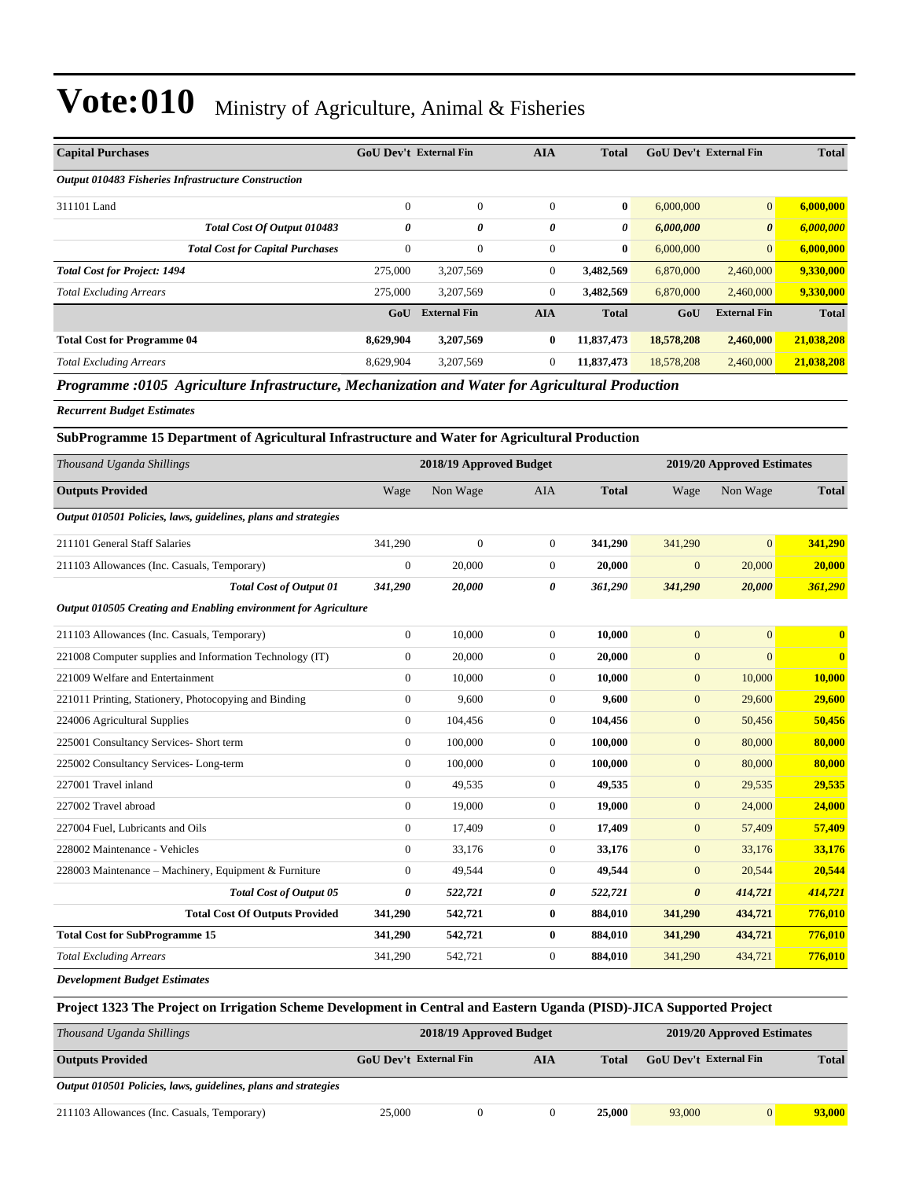| <b>Capital Purchases</b>                                   | <b>GoU Dev't External Fin</b> |                     | <b>AIA</b>   | <b>Total</b> | <b>GoU</b> Dev't External Fin |                       | <b>Total</b> |
|------------------------------------------------------------|-------------------------------|---------------------|--------------|--------------|-------------------------------|-----------------------|--------------|
| <b>Output 010483 Fisheries Infrastructure Construction</b> |                               |                     |              |              |                               |                       |              |
| 311101 Land                                                | $\theta$                      | $\mathbf{0}$        | $\mathbf{0}$ | $\bf{0}$     | 6,000,000                     | $\mathbf{0}$          | 6,000,000    |
| Total Cost Of Output 010483                                | 0                             | 0                   | 0            | $\theta$     | 6,000,000                     | $\boldsymbol{\theta}$ | 6,000,000    |
| <b>Total Cost for Capital Purchases</b>                    | $\mathbf{0}$                  | $\mathbf{0}$        | $\mathbf{0}$ | $\mathbf{0}$ | 6,000,000                     | $\overline{0}$        | 6,000,000    |
| <b>Total Cost for Project: 1494</b>                        | 275,000                       | 3,207,569           | $\mathbf{0}$ | 3,482,569    | 6,870,000                     | 2,460,000             | 9,330,000    |
| <b>Total Excluding Arrears</b>                             | 275,000                       | 3,207,569           | $\mathbf{0}$ | 3,482,569    | 6,870,000                     | 2,460,000             | 9,330,000    |
|                                                            | GoU                           | <b>External Fin</b> | <b>AIA</b>   | <b>Total</b> | GoU                           | <b>External Fin</b>   | <b>Total</b> |
| <b>Total Cost for Programme 04</b>                         | 8,629,904                     | 3,207,569           | $\bf{0}$     | 11,837,473   | 18,578,208                    | 2,460,000             | 21,038,208   |
| <b>Total Excluding Arrears</b>                             | 8,629,904                     | 3,207,569           | $\mathbf{0}$ | 11,837,473   | 18,578,208                    | 2,460,000             | 21,038,208   |

*Programme :0105 Agriculture Infrastructure, Mechanization and Water for Agricultural Production*

*Recurrent Budget Estimates*

#### **SubProgramme 15 Department of Agricultural Infrastructure and Water for Agricultural Production**

| Thousand Uganda Shillings                                       | 2018/19 Approved Budget |              |                  |              | 2019/20 Approved Estimates |                |              |
|-----------------------------------------------------------------|-------------------------|--------------|------------------|--------------|----------------------------|----------------|--------------|
| <b>Outputs Provided</b>                                         | Wage                    | Non Wage     | <b>AIA</b>       | <b>Total</b> | Wage                       | Non Wage       | <b>Total</b> |
| Output 010501 Policies, laws, guidelines, plans and strategies  |                         |              |                  |              |                            |                |              |
| 211101 General Staff Salaries                                   | 341,290                 | $\mathbf{0}$ | $\overline{0}$   | 341,290      | 341,290                    | $\overline{0}$ | 341,290      |
| 211103 Allowances (Inc. Casuals, Temporary)                     | $\bf{0}$                | 20,000       | $\overline{0}$   | 20,000       | $\mathbf{0}$               | 20,000         | 20,000       |
| <b>Total Cost of Output 01</b>                                  | 341,290                 | 20,000       | 0                | 361,290      | 341,290                    | 20,000         | 361,290      |
| Output 010505 Creating and Enabling environment for Agriculture |                         |              |                  |              |                            |                |              |
| 211103 Allowances (Inc. Casuals, Temporary)                     | $\mathbf{0}$            | 10,000       | $\boldsymbol{0}$ | 10,000       | $\mathbf{0}$               | $\overline{0}$ | $\mathbf{0}$ |
| 221008 Computer supplies and Information Technology (IT)        | $\mathbf{0}$            | 20,000       | $\overline{0}$   | 20,000       | $\mathbf{0}$               | $\overline{0}$ | $\mathbf{0}$ |
| 221009 Welfare and Entertainment                                | $\mathbf{0}$            | 10,000       | $\overline{0}$   | 10,000       | $\mathbf{0}$               | 10,000         | 10,000       |
| 221011 Printing, Stationery, Photocopying and Binding           | $\overline{0}$          | 9,600        | $\overline{0}$   | 9.600        | $\mathbf{0}$               | 29,600         | 29,600       |
| 224006 Agricultural Supplies                                    | $\mathbf{0}$            | 104,456      | $\overline{0}$   | 104,456      | $\mathbf{0}$               | 50,456         | 50,456       |
| 225001 Consultancy Services- Short term                         | $\mathbf{0}$            | 100,000      | $\overline{0}$   | 100,000      | $\mathbf{0}$               | 80,000         | 80,000       |
| 225002 Consultancy Services-Long-term                           | $\mathbf{0}$            | 100,000      | $\overline{0}$   | 100,000      | $\mathbf{0}$               | 80,000         | 80,000       |
| 227001 Travel inland                                            | $\mathbf{0}$            | 49,535       | $\overline{0}$   | 49,535       | $\mathbf{0}$               | 29,535         | 29,535       |
| 227002 Travel abroad                                            | $\mathbf{0}$            | 19,000       | $\overline{0}$   | 19,000       | $\mathbf{0}$               | 24,000         | 24,000       |
| 227004 Fuel, Lubricants and Oils                                | $\overline{0}$          | 17,409       | $\overline{0}$   | 17,409       | $\mathbf{0}$               | 57,409         | 57,409       |
| 228002 Maintenance - Vehicles                                   | $\overline{0}$          | 33,176       | $\overline{0}$   | 33,176       | $\mathbf{0}$               | 33,176         | 33,176       |
| 228003 Maintenance - Machinery, Equipment & Furniture           | $\overline{0}$          | 49,544       | $\overline{0}$   | 49,544       | $\mathbf{0}$               | 20,544         | 20,544       |
| <b>Total Cost of Output 05</b>                                  | $\boldsymbol{\theta}$   | 522,721      | 0                | 522,721      | $\boldsymbol{\theta}$      | 414,721        | 414,721      |
| <b>Total Cost Of Outputs Provided</b>                           | 341,290                 | 542,721      | $\bf{0}$         | 884,010      | 341,290                    | 434,721        | 776,010      |
| <b>Total Cost for SubProgramme 15</b>                           | 341,290                 | 542,721      | $\bf{0}$         | 884,010      | 341,290                    | 434,721        | 776,010      |
| <b>Total Excluding Arrears</b>                                  | 341,290                 | 542,721      | $\boldsymbol{0}$ | 884,010      | 341,290                    | 434,721        | 776,010      |
| Douglasses and Dr. Jack Eating at an                            |                         |              |                  |              |                            |                |              |

*Development Budget Estimates*

| Project 1323 The Project on Irrigation Scheme Development in Central and Eastern Uganda (PISD)-JICA Supported Project |                               |                            |  |              |                               |                |              |
|-----------------------------------------------------------------------------------------------------------------------|-------------------------------|----------------------------|--|--------------|-------------------------------|----------------|--------------|
| Thousand Uganda Shillings                                                                                             | 2018/19 Approved Budget       | 2019/20 Approved Estimates |  |              |                               |                |              |
| <b>Outputs Provided</b>                                                                                               | GoU Dev't External Fin<br>AIA |                            |  | <b>Total</b> | <b>GoU</b> Dev't External Fin |                | <b>Total</b> |
| Output 010501 Policies, laws, guidelines, plans and strategies                                                        |                               |                            |  |              |                               |                |              |
| 211103 Allowances (Inc. Casuals, Temporary)                                                                           | 25,000                        |                            |  | 25,000       | 93,000                        | $\overline{0}$ | 93,000       |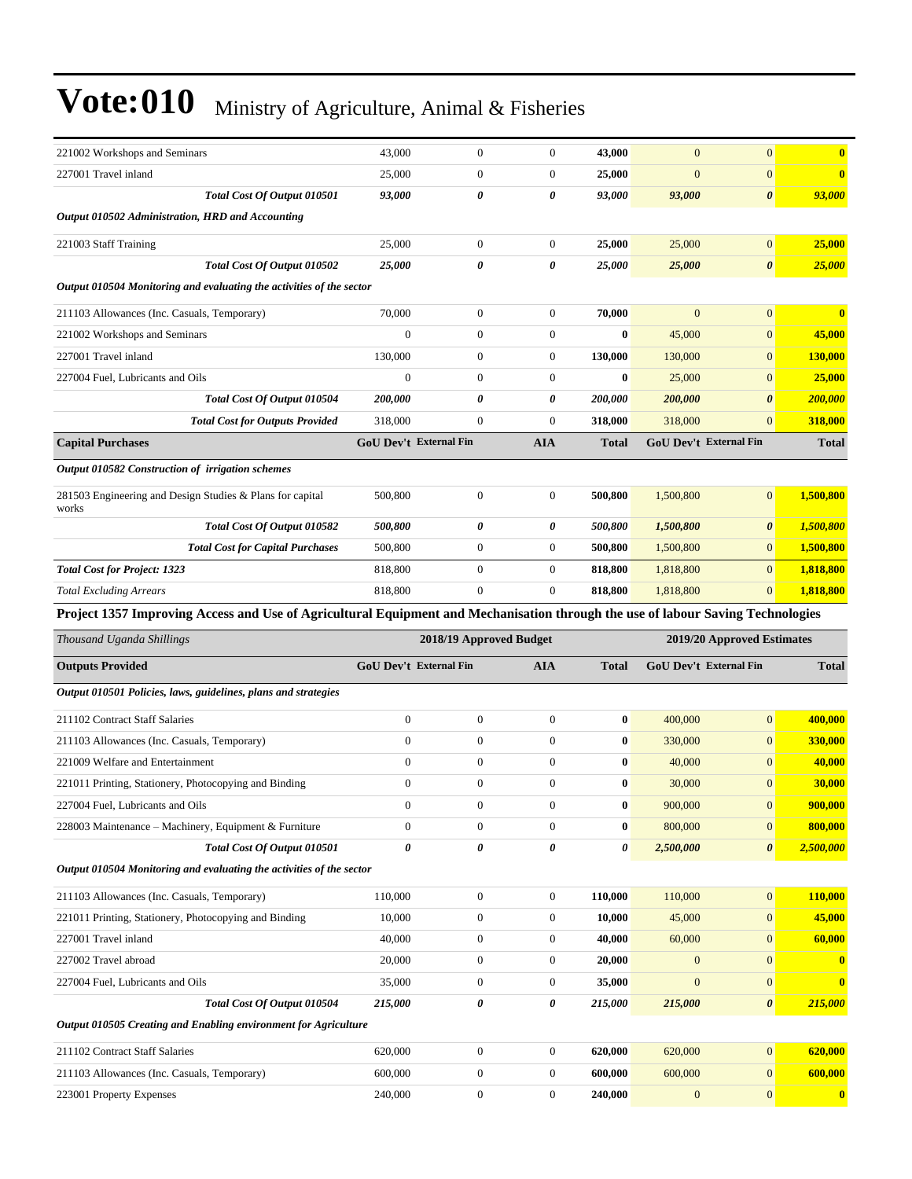| 43,000                                                                                                                          | $\boldsymbol{0}$        | $\mathbf{0}$                  | 43,000                | $\boldsymbol{0}$ | $\mathbf{0}$                  | $\mathbf{0}$           |
|---------------------------------------------------------------------------------------------------------------------------------|-------------------------|-------------------------------|-----------------------|------------------|-------------------------------|------------------------|
| 25,000                                                                                                                          | $\mathbf{0}$            | $\mathbf{0}$                  | 25,000                | $\overline{0}$   | $\mathbf{0}$                  | $\bf{0}$               |
| 93,000                                                                                                                          | 0                       | 0                             | 93,000                | 93,000           | $\boldsymbol{\theta}$         | 93,000                 |
|                                                                                                                                 |                         |                               |                       |                  |                               |                        |
| 25,000                                                                                                                          | $\mathbf{0}$            | $\boldsymbol{0}$              | 25,000                | 25,000           | $\mathbf{0}$                  | 25,000                 |
| 25,000                                                                                                                          | 0                       | 0                             | 25,000                | 25,000           | $\boldsymbol{\theta}$         | <b>25,000</b>          |
| Output 010504 Monitoring and evaluating the activities of the sector                                                            |                         |                               |                       |                  |                               |                        |
| 70,000                                                                                                                          | $\boldsymbol{0}$        | $\mathbf{0}$                  | 70.000                | $\overline{0}$   | $\mathbf{0}$                  | $\mathbf{0}$           |
| $\mathbf{0}$                                                                                                                    | $\mathbf{0}$            | $\mathbf{0}$                  | $\bf{0}$              | 45,000           | $\mathbf{0}$                  | 45,000                 |
| 130,000                                                                                                                         | $\mathbf{0}$            | $\mathbf{0}$                  | 130,000               | 130,000          | $\mathbf{0}$                  | 130,000                |
| $\mathbf{0}$                                                                                                                    | $\mathbf{0}$            | $\mathbf{0}$                  | $\bf{0}$              | 25,000           | $\mathbf{0}$                  | 25,000                 |
| 200,000                                                                                                                         | 0                       | 0                             | 200,000               | 200,000          | $\boldsymbol{\theta}$         | <b>200,000</b>         |
| 318,000                                                                                                                         | $\mathbf{0}$            | $\mathbf{0}$                  | 318,000               | 318,000          | $\mathbf{0}$                  | 318,000                |
|                                                                                                                                 |                         | <b>AIA</b>                    | <b>Total</b>          |                  |                               | <b>Total</b>           |
|                                                                                                                                 |                         |                               |                       |                  |                               |                        |
| 500,800                                                                                                                         | $\mathbf{0}$            | $\boldsymbol{0}$              | 500,800               | 1,500,800        | $\mathbf{0}$                  | 1,500,800              |
| Total Cost Of Output 010582<br>500,800                                                                                          | 0                       | 0                             | <i><b>500,800</b></i> | 1,500,800        | $\boldsymbol{\theta}$         | 1,500,800              |
| 500,800                                                                                                                         | $\boldsymbol{0}$        | $\boldsymbol{0}$              | 500,800               | 1,500,800        | $\mathbf{0}$                  | 1,500,800              |
| 818,800                                                                                                                         | $\mathbf{0}$            | $\boldsymbol{0}$              | 818,800               | 1,818,800        | $\mathbf{0}$                  | 1,818,800              |
|                                                                                                                                 |                         |                               |                       |                  |                               |                        |
| 818,800                                                                                                                         | $\mathbf{0}$            | $\theta$                      | 818,800               | 1,818,800        | $\mathbf{0}$                  | 1,818,800              |
| Project 1357 Improving Access and Use of Agricultural Equipment and Mechanisation through the use of labour Saving Technologies |                         |                               |                       |                  |                               |                        |
|                                                                                                                                 | 2018/19 Approved Budget |                               |                       |                  | 2019/20 Approved Estimates    |                        |
| <b>GoU Dev't External Fin</b>                                                                                                   |                         | <b>AIA</b>                    | <b>Total</b>          |                  | <b>GoU Dev't External Fin</b> | <b>Total</b>           |
| Output 010501 Policies, laws, guidelines, plans and strategies                                                                  |                         |                               |                       |                  |                               |                        |
| $\boldsymbol{0}$                                                                                                                | $\mathbf{0}$            | $\mathbf{0}$                  | $\bf{0}$              | 400,000          | $\mathbf{0}$                  | 400,000                |
| $\mathbf{0}$                                                                                                                    | $\boldsymbol{0}$        | $\mathbf{0}$                  | $\bf{0}$              | 330,000          | $\mathbf{0}$                  | 330,000                |
| $\boldsymbol{0}$                                                                                                                | $\boldsymbol{0}$        | $\mathbf{0}$                  | $\bf{0}$              | 40,000           | $\mathbf{0}$                  | 40,000                 |
| $\mathbf{0}$                                                                                                                    | $\mathbf{0}$            | $\mathbf{0}$                  | $\bf{0}$              | 30,000           | $\mathbf{0}$                  | 30,000                 |
| $\boldsymbol{0}$                                                                                                                | $\boldsymbol{0}$        | $\boldsymbol{0}$              | $\pmb{0}$             | 900,000          | $\boldsymbol{0}$              | 900,000                |
| $\overline{0}$                                                                                                                  | $\mathbf{0}$            | $\mathbf{0}$                  | $\bf{0}$              | 800,000          | $\mathbf{0}$                  | 800,000                |
| Total Cost Of Output 010501<br>0                                                                                                | 0                       | 0                             | 0                     | 2,500,000        | $\boldsymbol{\theta}$         | 2,500,000              |
| Output 010504 Monitoring and evaluating the activities of the sector                                                            |                         |                               |                       |                  |                               |                        |
| 110,000                                                                                                                         | $\boldsymbol{0}$        | $\boldsymbol{0}$              | 110,000               | 110,000          | $\mathbf{0}$                  | 110,000                |
| 10,000                                                                                                                          | $\boldsymbol{0}$        | $\boldsymbol{0}$              | 10,000                | 45,000           | $\mathbf{0}$                  | 45,000                 |
| 40,000                                                                                                                          | $\boldsymbol{0}$        | $\boldsymbol{0}$              | 40,000                | 60,000           | $\mathbf{0}$                  | 60,000                 |
| 20,000                                                                                                                          | $\boldsymbol{0}$        | $\boldsymbol{0}$              | 20,000                | $\mathbf{0}$     | $\mathbf{0}$                  |                        |
| 35,000                                                                                                                          | $\mathbf{0}$            | $\boldsymbol{0}$              | 35,000                | $\mathbf{0}$     | $\mathbf{0}$                  | $\bf{0}$               |
| Total Cost Of Output 010504<br>215,000                                                                                          | $\boldsymbol{\theta}$   | 0                             | 215,000               | 215,000          | $\boldsymbol{\theta}$         | 215,000                |
| Output 010505 Creating and Enabling environment for Agriculture                                                                 |                         |                               |                       |                  |                               |                        |
| 620,000                                                                                                                         | $\mathbf{0}$            | $\boldsymbol{0}$              | 620,000               | 620,000          | $\mathbf{0}$                  | 620,000                |
| 600,000                                                                                                                         | $\boldsymbol{0}$        | $\boldsymbol{0}$              | 600,000               | 600,000          | $\mathbf{0}$                  | 600,000                |
|                                                                                                                                 |                         | <b>GoU Dev't External Fin</b> |                       |                  |                               | GoU Dev't External Fin |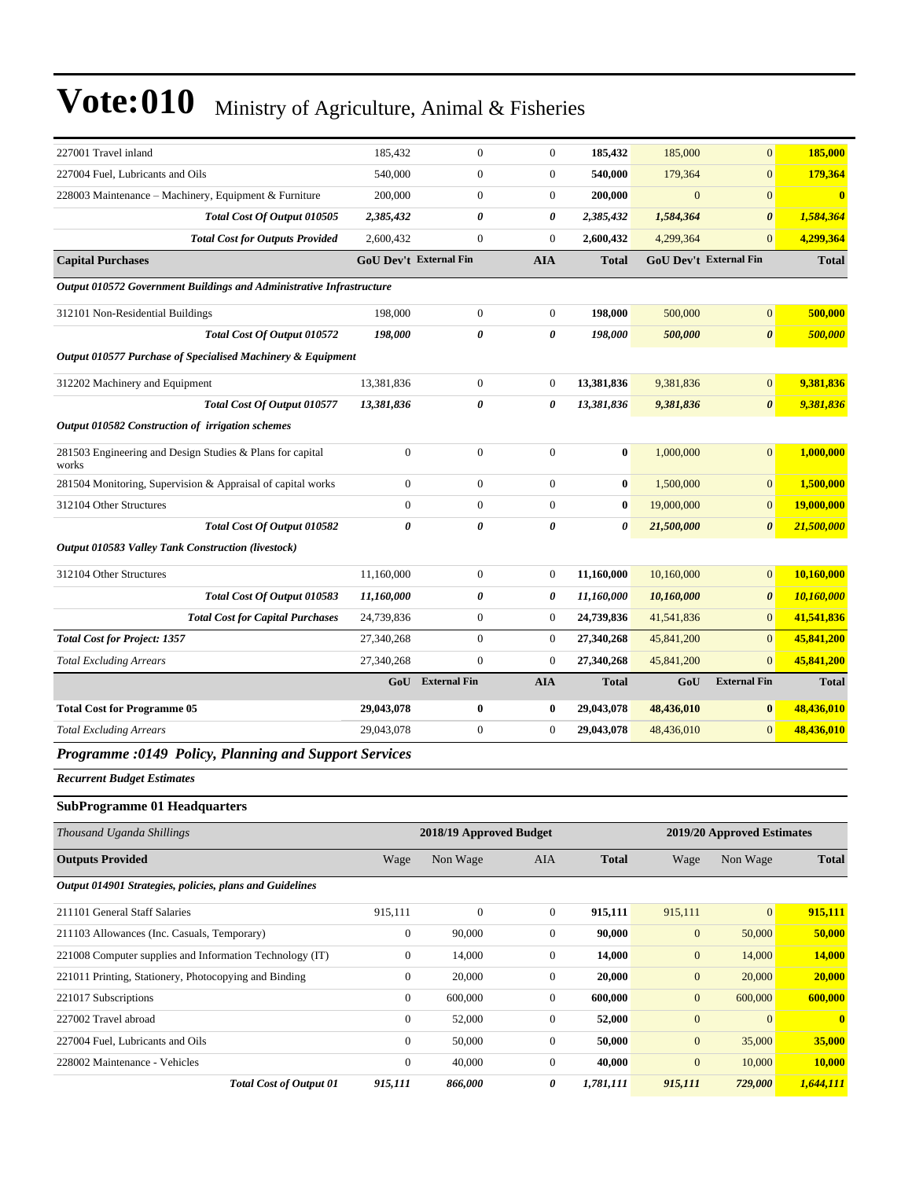| 227001 Travel inland                                                 | 185,432                       | $\boldsymbol{0}$        | $\boldsymbol{0}$ | 185,432      | 185,000          | $\overline{0}$             | 185,000      |
|----------------------------------------------------------------------|-------------------------------|-------------------------|------------------|--------------|------------------|----------------------------|--------------|
| 227004 Fuel, Lubricants and Oils                                     | 540,000                       | $\boldsymbol{0}$        | $\boldsymbol{0}$ | 540,000      | 179,364          | $\mathbf{0}$               | 179,364      |
| 228003 Maintenance - Machinery, Equipment & Furniture                | 200,000                       | $\boldsymbol{0}$        | $\boldsymbol{0}$ | 200,000      | $\boldsymbol{0}$ | $\mathbf{0}$               | $\mathbf{0}$ |
| Total Cost Of Output 010505                                          | 2,385,432                     | 0                       | 0                | 2,385,432    | 1,584,364        | $\boldsymbol{\theta}$      | 1,584,364    |
| <b>Total Cost for Outputs Provided</b>                               | 2,600,432                     | $\boldsymbol{0}$        | $\boldsymbol{0}$ | 2,600,432    | 4,299,364        | $\mathbf{0}$               | 4,299,364    |
| <b>Capital Purchases</b>                                             | <b>GoU Dev't External Fin</b> |                         | <b>AIA</b>       | <b>Total</b> |                  | GoU Dev't External Fin     | <b>Total</b> |
| Output 010572 Government Buildings and Administrative Infrastructure |                               |                         |                  |              |                  |                            |              |
| 312101 Non-Residential Buildings                                     | 198,000                       | $\boldsymbol{0}$        | $\mathbf{0}$     | 198,000      | 500,000          | $\mathbf{0}$               | 500,000      |
| Total Cost Of Output 010572                                          | 198,000                       | 0                       | 0                | 198,000      | 500,000          | $\boldsymbol{\theta}$      | 500,000      |
| Output 010577 Purchase of Specialised Machinery & Equipment          |                               |                         |                  |              |                  |                            |              |
| 312202 Machinery and Equipment                                       | 13,381,836                    | $\boldsymbol{0}$        | $\boldsymbol{0}$ | 13,381,836   | 9,381,836        | $\mathbf{0}$               | 9,381,836    |
| Total Cost Of Output 010577                                          | 13,381,836                    | 0                       | 0                | 13,381,836   | 9,381,836        | $\boldsymbol{\theta}$      | 9,381,836    |
| Output 010582 Construction of irrigation schemes                     |                               |                         |                  |              |                  |                            |              |
| 281503 Engineering and Design Studies & Plans for capital<br>works   | $\boldsymbol{0}$              | $\boldsymbol{0}$        | $\boldsymbol{0}$ | $\bf{0}$     | 1,000,000        | $\overline{0}$             | 1,000,000    |
| 281504 Monitoring, Supervision & Appraisal of capital works          | $\boldsymbol{0}$              | $\boldsymbol{0}$        | $\boldsymbol{0}$ | $\bf{0}$     | 1,500,000        | $\mathbf{0}$               | 1,500,000    |
| 312104 Other Structures                                              | $\mathbf{0}$                  | $\boldsymbol{0}$        | $\boldsymbol{0}$ | $\bf{0}$     | 19,000,000       | $\mathbf{0}$               | 19,000,000   |
| Total Cost Of Output 010582                                          | $\boldsymbol{\theta}$         | 0                       | 0                | 0            | 21,500,000       | $\boldsymbol{\theta}$      | 21,500,000   |
| Output 010583 Valley Tank Construction (livestock)                   |                               |                         |                  |              |                  |                            |              |
| 312104 Other Structures                                              | 11,160,000                    | $\boldsymbol{0}$        | $\boldsymbol{0}$ | 11,160,000   | 10,160,000       | $\mathbf{0}$               | 10,160,000   |
| Total Cost Of Output 010583                                          | 11,160,000                    | 0                       | 0                | 11,160,000   | 10,160,000       | $\boldsymbol{\theta}$      | 10,160,000   |
| <b>Total Cost for Capital Purchases</b>                              | 24,739,836                    | $\boldsymbol{0}$        | 0                | 24,739,836   | 41,541,836       | $\mathbf{0}$               | 41,541,836   |
| <b>Total Cost for Project: 1357</b>                                  | 27,340,268                    | $\boldsymbol{0}$        | $\boldsymbol{0}$ | 27,340,268   | 45,841,200       | $\mathbf{0}$               | 45,841,200   |
| <b>Total Excluding Arrears</b>                                       | 27,340,268                    | $\boldsymbol{0}$        | $\boldsymbol{0}$ | 27,340,268   | 45,841,200       | $\mathbf{0}$               | 45,841,200   |
|                                                                      | GoU                           | <b>External Fin</b>     | <b>AIA</b>       | Total        | GoU              | <b>External Fin</b>        | <b>Total</b> |
| <b>Total Cost for Programme 05</b>                                   | 29,043,078                    | 0                       | 0                | 29,043,078   | 48,436,010       | $\bf{0}$                   | 48,436,010   |
| <b>Total Excluding Arrears</b>                                       | 29,043,078                    | $\boldsymbol{0}$        | 0                | 29,043,078   | 48,436,010       | $\mathbf{0}$               | 48,436,010   |
| Programme :0149 Policy, Planning and Support Services                |                               |                         |                  |              |                  |                            |              |
| <b>Recurrent Budget Estimates</b>                                    |                               |                         |                  |              |                  |                            |              |
| <b>SubProgramme 01 Headquarters</b>                                  |                               |                         |                  |              |                  |                            |              |
| Thousand Uganda Shillings                                            |                               | 2018/19 Approved Budget |                  |              |                  | 2019/20 Approved Estimates |              |
| <b>Outputs Provided</b>                                              | Wage                          | Non Wage                | AIA              | <b>Total</b> | Wage             | Non Wage                   | <b>Total</b> |
| Output 014901 Strategies, policies, plans and Guidelines             |                               |                         |                  |              |                  |                            |              |
| 211101 General Staff Salaries                                        | 915,111                       | $\boldsymbol{0}$        | $\mathbf{0}$     | 915,111      | 915,111          | $\mathbf{0}$               | 915,111      |
| 211103 Allowances (Inc. Casuals, Temporary)                          | $\boldsymbol{0}$              | 90,000                  | $\boldsymbol{0}$ | 90,000       | $\boldsymbol{0}$ | 50,000                     | 50,000       |
| 221008 Computer supplies and Information Technology (IT)             | $\boldsymbol{0}$              | 14,000                  | $\boldsymbol{0}$ | 14,000       | $\boldsymbol{0}$ | 14,000                     | 14,000       |
| 221011 Printing, Stationery, Photocopying and Binding                | $\boldsymbol{0}$              | 20,000                  | $\boldsymbol{0}$ | 20,000       | $\boldsymbol{0}$ | 20,000                     | 20,000       |
| 221017 Subscriptions                                                 | $\mathbf{0}$                  | 600,000                 | $\boldsymbol{0}$ | 600,000      | $\boldsymbol{0}$ | 600,000                    | 600,000      |
| 227002 Travel abroad                                                 | $\mathbf{0}$                  | 52,000                  | $\boldsymbol{0}$ | 52,000       | $\mathbf{0}$     | $\mathbf{0}$               | $\bf{0}$     |
| 227004 Fuel, Lubricants and Oils                                     | $\mathbf{0}$                  | 50,000                  | $\boldsymbol{0}$ | 50,000       | $\mathbf{0}$     | 35,000                     | 35,000       |
| 228002 Maintenance - Vehicles                                        | $\boldsymbol{0}$              | 40,000                  | $\boldsymbol{0}$ | 40,000       | $\boldsymbol{0}$ | 10,000                     | 10,000       |
| <b>Total Cost of Output 01</b>                                       | 915,111                       | 866,000                 | 0                | 1,781,111    | 915,111          | 729,000                    | 1,644,111    |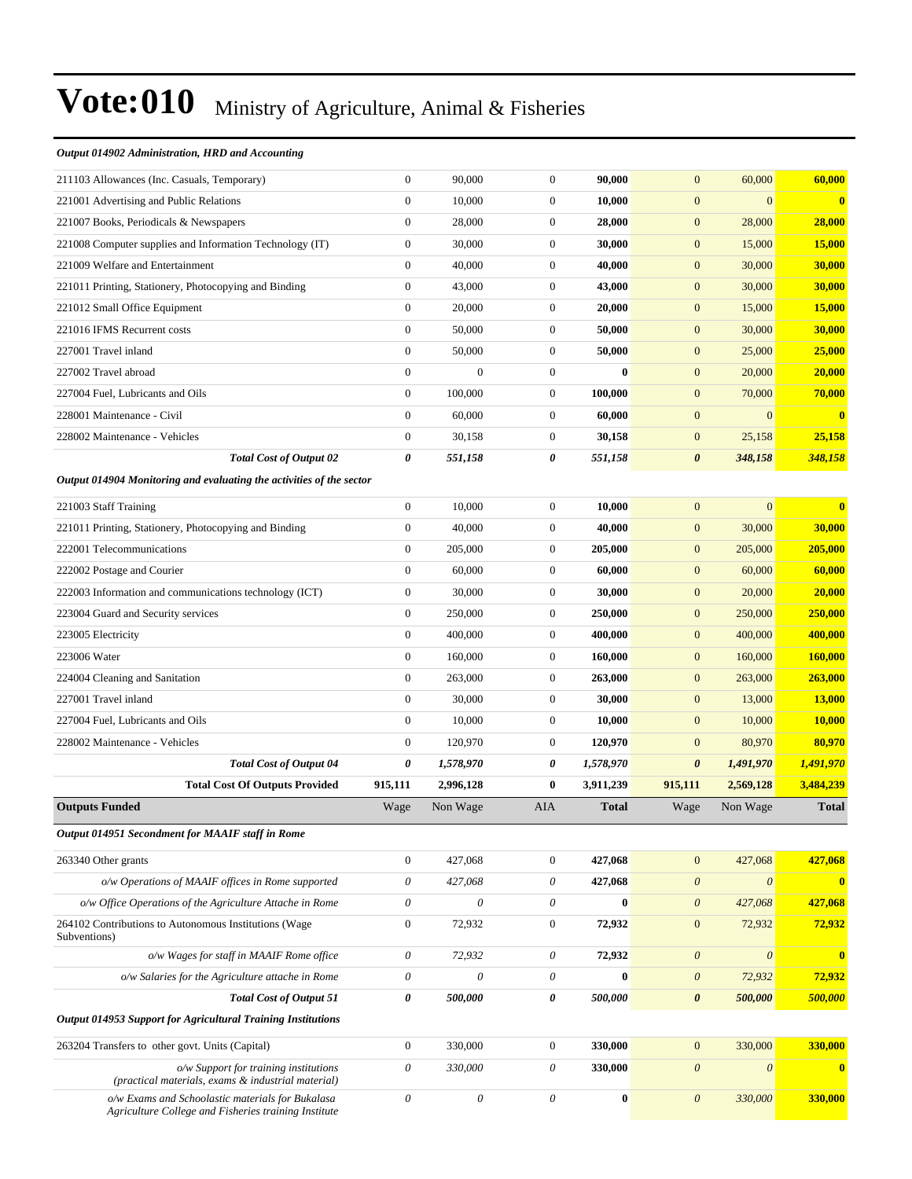#### *Output 014902 Administration, HRD and Accounting*

| 211103 Allowances (Inc. Casuals, Temporary)                                                              | $\boldsymbol{0}$          | 90,000                    | $\boldsymbol{0}$ | 90,000       | $\mathbf{0}$          | 60,000                | 60,000         |
|----------------------------------------------------------------------------------------------------------|---------------------------|---------------------------|------------------|--------------|-----------------------|-----------------------|----------------|
| 221001 Advertising and Public Relations                                                                  | $\boldsymbol{0}$          | 10,000                    | $\boldsymbol{0}$ | 10,000       | $\mathbf{0}$          | $\mathbf{0}$          | $\bf{0}$       |
| 221007 Books, Periodicals & Newspapers                                                                   | $\boldsymbol{0}$          | 28,000                    | $\boldsymbol{0}$ | 28,000       | $\boldsymbol{0}$      | 28,000                | 28,000         |
| 221008 Computer supplies and Information Technology (IT)                                                 | $\boldsymbol{0}$          | 30,000                    | $\boldsymbol{0}$ | 30,000       | $\mathbf{0}$          | 15,000                | 15,000         |
| 221009 Welfare and Entertainment                                                                         | $\boldsymbol{0}$          | 40,000                    | $\mathbf{0}$     | 40,000       | $\mathbf{0}$          | 30,000                | 30,000         |
| 221011 Printing, Stationery, Photocopying and Binding                                                    | $\boldsymbol{0}$          | 43,000                    | $\mathbf{0}$     | 43,000       | $\mathbf{0}$          | 30,000                | 30,000         |
| 221012 Small Office Equipment                                                                            | $\boldsymbol{0}$          | 20,000                    | $\mathbf{0}$     | 20,000       | $\mathbf{0}$          | 15,000                | <b>15,000</b>  |
| 221016 IFMS Recurrent costs                                                                              | $\boldsymbol{0}$          | 50,000                    | $\boldsymbol{0}$ | 50,000       | $\boldsymbol{0}$      | 30,000                | 30,000         |
| 227001 Travel inland                                                                                     | $\boldsymbol{0}$          | 50,000                    | $\mathbf{0}$     | 50,000       | $\mathbf{0}$          | 25,000                | 25,000         |
| 227002 Travel abroad                                                                                     | $\boldsymbol{0}$          | $\mathbf{0}$              | $\mathbf{0}$     | $\mathbf{0}$ | $\mathbf{0}$          | 20,000                | 20,000         |
| 227004 Fuel, Lubricants and Oils                                                                         | $\boldsymbol{0}$          | 100,000                   | $\mathbf{0}$     | 100,000      | $\mathbf{0}$          | 70,000                | 70,000         |
| 228001 Maintenance - Civil                                                                               | $\boldsymbol{0}$          | 60,000                    | $\mathbf{0}$     | 60,000       | $\mathbf{0}$          | $\mathbf{0}$          | $\bf{0}$       |
| 228002 Maintenance - Vehicles                                                                            | $\boldsymbol{0}$          | 30,158                    | $\boldsymbol{0}$ | 30,158       | $\boldsymbol{0}$      | 25,158                | 25,158         |
| <b>Total Cost of Output 02</b>                                                                           | 0                         | 551,158                   | 0                | 551,158      | $\boldsymbol{\theta}$ | 348,158               | 348,158        |
| Output 014904 Monitoring and evaluating the activities of the sector                                     |                           |                           |                  |              |                       |                       |                |
| 221003 Staff Training                                                                                    | $\boldsymbol{0}$          | 10,000                    | $\boldsymbol{0}$ | 10,000       | $\mathbf{0}$          | $\mathbf{0}$          | $\bf{0}$       |
| 221011 Printing, Stationery, Photocopying and Binding                                                    | $\boldsymbol{0}$          | 40,000                    | $\mathbf{0}$     | 40,000       | $\mathbf{0}$          | 30,000                | 30,000         |
| 222001 Telecommunications                                                                                | $\boldsymbol{0}$          | 205,000                   | $\mathbf{0}$     | 205,000      | $\mathbf{0}$          | 205,000               | 205,000        |
| 222002 Postage and Courier                                                                               | $\boldsymbol{0}$          | 60,000                    | $\mathbf{0}$     | 60,000       | $\mathbf{0}$          | 60,000                | 60,000         |
| 222003 Information and communications technology (ICT)                                                   | $\boldsymbol{0}$          | 30,000                    | $\mathbf{0}$     | 30,000       | $\mathbf{0}$          | 20,000                | 20,000         |
| 223004 Guard and Security services                                                                       | $\boldsymbol{0}$          | 250,000                   | $\mathbf{0}$     | 250,000      | $\boldsymbol{0}$      | 250,000               | 250,000        |
| 223005 Electricity                                                                                       | $\boldsymbol{0}$          | 400,000                   | $\mathbf{0}$     | 400,000      | $\mathbf{0}$          | 400,000               | 400,000        |
| 223006 Water                                                                                             | $\boldsymbol{0}$          | 160,000                   | $\mathbf{0}$     | 160,000      | $\mathbf{0}$          | 160,000               | <b>160,000</b> |
| 224004 Cleaning and Sanitation                                                                           | $\boldsymbol{0}$          | 263,000                   | $\mathbf{0}$     | 263,000      | $\mathbf{0}$          | 263,000               | 263,000        |
| 227001 Travel inland                                                                                     | $\boldsymbol{0}$          | 30,000                    | $\mathbf{0}$     | 30,000       | $\mathbf{0}$          | 13,000                | 13,000         |
| 227004 Fuel, Lubricants and Oils                                                                         | $\boldsymbol{0}$          | 10,000                    | $\boldsymbol{0}$ | 10,000       | $\mathbf{0}$          | 10,000                | 10,000         |
| 228002 Maintenance - Vehicles                                                                            | $\boldsymbol{0}$          | 120,970                   | $\mathbf{0}$     | 120,970      | $\mathbf{0}$          | 80,970                | 80,970         |
| <b>Total Cost of Output 04</b>                                                                           | 0                         | 1,578,970                 | 0                | 1,578,970    | $\boldsymbol{\theta}$ | 1,491,970             | 1,491,970      |
| <b>Total Cost Of Outputs Provided</b>                                                                    | 915,111                   | 2,996,128                 | $\bf{0}$         | 3,911,239    | 915,111               | 2,569,128             | 3,484,239      |
| <b>Outputs Funded</b>                                                                                    | Wage                      | Non Wage                  | AIA              | <b>Total</b> | Wage                  | Non Wage              | <b>Total</b>   |
| Output 014951 Secondment for MAAIF staff in Rome                                                         |                           |                           |                  |              |                       |                       |                |
| 263340 Other grants                                                                                      | $\boldsymbol{0}$          | 427,068                   | $\mathbf{0}$     | 427,068      | $\mathbf{0}$          | 427,068               | 427,068        |
| o/w Operations of MAAIF offices in Rome supported                                                        | $\boldsymbol{\mathit{0}}$ | 427,068                   | 0                | 427,068      | $\boldsymbol{\theta}$ | $\boldsymbol{\theta}$ | $\mathbf{0}$   |
| o/w Office Operations of the Agriculture Attache in Rome                                                 | 0                         | $\boldsymbol{\mathit{0}}$ | 0                | $\bf{0}$     | $\boldsymbol{\theta}$ | 427,068               | 427,068        |
| 264102 Contributions to Autonomous Institutions (Wage<br>Subventions)                                    | $\boldsymbol{0}$          | 72,932                    | $\boldsymbol{0}$ | 72,932       | $\mathbf{0}$          | 72,932                | 72,932         |
| o/w Wages for staff in MAAIF Rome office                                                                 | 0                         | 72,932                    | 0                | 72,932       | $\boldsymbol{\theta}$ | $\boldsymbol{\theta}$ | $\bf{0}$       |
| o/w Salaries for the Agriculture attache in Rome                                                         | $\boldsymbol{\mathit{0}}$ | $\boldsymbol{\mathit{0}}$ | $\theta$         | $\bf{0}$     | $\boldsymbol{\theta}$ | 72,932                | 72,932         |
| <b>Total Cost of Output 51</b>                                                                           | $\pmb{\theta}$            | 500,000                   | 0                | 500,000      | $\boldsymbol{\theta}$ | 500,000               | 500,000        |
| <b>Output 014953 Support for Agricultural Training Institutions</b>                                      |                           |                           |                  |              |                       |                       |                |
| 263204 Transfers to other govt. Units (Capital)                                                          | $\boldsymbol{0}$          | 330,000                   | $\boldsymbol{0}$ | 330,000      | $\mathbf{0}$          | 330,000               | 330,000        |
| $o/w$ Support for training institutions<br>(practical materials, exams & industrial material)            | 0                         | 330,000                   | 0                | 330,000      | $\boldsymbol{\theta}$ | $\boldsymbol{\theta}$ | $\bf{0}$       |
| o/w Exams and Schoolastic materials for Bukalasa<br>Agriculture College and Fisheries training Institute | 0                         | $\boldsymbol{\mathit{0}}$ | $\theta$         | $\bf{0}$     | $\boldsymbol{\theta}$ | 330,000               | 330,000        |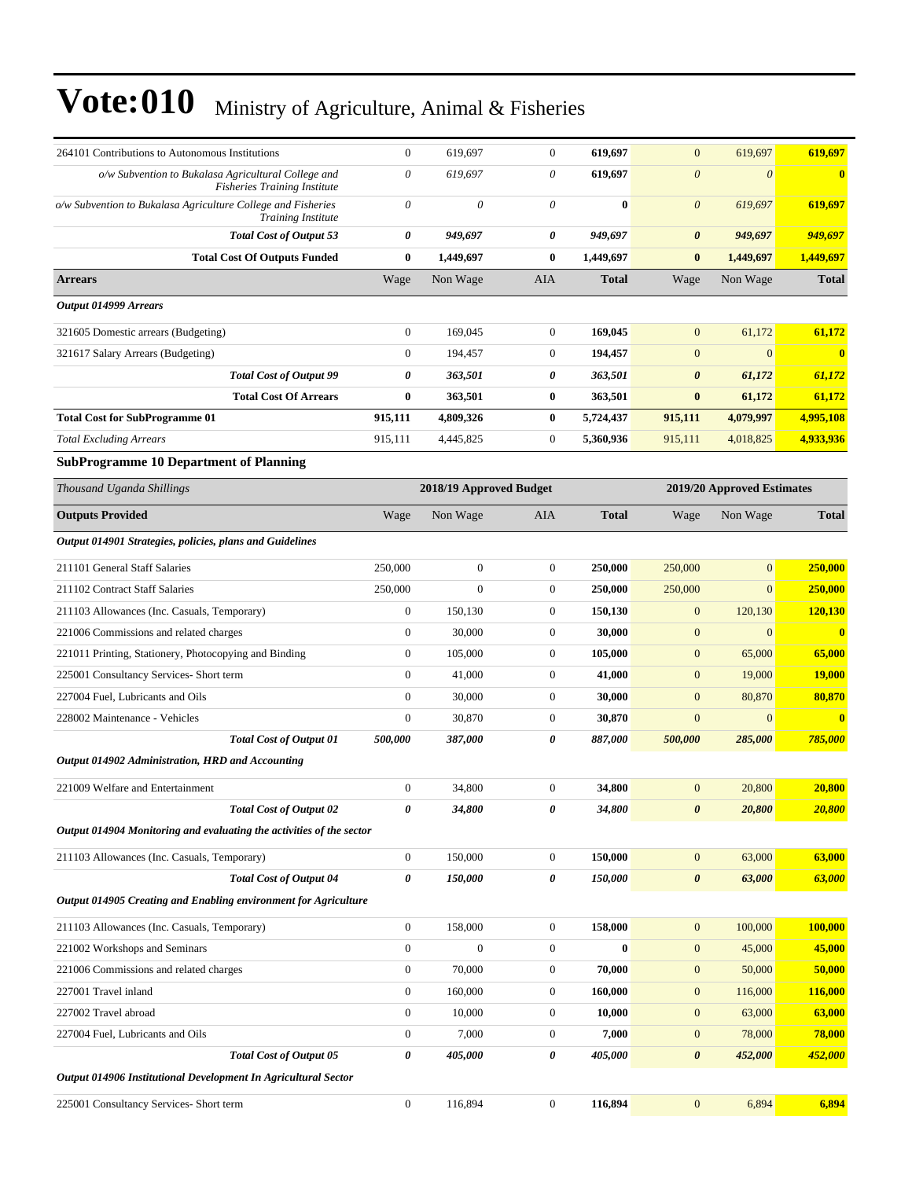| 264101 Contributions to Autonomous Institutions                                            | $\boldsymbol{0}$ | 619,697                 | $\mathbf{0}$     | 619,697      | $\mathbf{0}$          | 619,697                    | 619,697                 |
|--------------------------------------------------------------------------------------------|------------------|-------------------------|------------------|--------------|-----------------------|----------------------------|-------------------------|
| o/w Subvention to Bukalasa Agricultural College and<br><b>Fisheries Training Institute</b> | $\theta$         | 619,697                 | 0                | 619,697      | $\boldsymbol{\theta}$ | $\boldsymbol{\theta}$      | $\bf{0}$                |
| o/w Subvention to Bukalasa Agriculture College and Fisheries<br><b>Training Institute</b>  | $\theta$         | $\theta$                | 0                | $\bf{0}$     | $\boldsymbol{\theta}$ | 619,697                    | 619,697                 |
| <b>Total Cost of Output 53</b>                                                             | 0                | 949,697                 | 0                | 949,697      | $\boldsymbol{\theta}$ | 949,697                    | 949,697                 |
| <b>Total Cost Of Outputs Funded</b>                                                        | $\bf{0}$         | 1,449,697               | $\bf{0}$         | 1,449,697    | $\bf{0}$              | 1,449,697                  | 1,449,697               |
| <b>Arrears</b>                                                                             | Wage             | Non Wage                | AIA              | <b>Total</b> | Wage                  | Non Wage                   | <b>Total</b>            |
| Output 014999 Arrears                                                                      |                  |                         |                  |              |                       |                            |                         |
| 321605 Domestic arrears (Budgeting)                                                        | $\boldsymbol{0}$ | 169,045                 | $\boldsymbol{0}$ | 169,045      | $\mathbf{0}$          | 61,172                     | 61,172                  |
| 321617 Salary Arrears (Budgeting)                                                          | $\boldsymbol{0}$ | 194,457                 | $\boldsymbol{0}$ | 194,457      | $\mathbf{0}$          | $\mathbf{0}$               | $\bf{0}$                |
| <b>Total Cost of Output 99</b>                                                             | 0                | 363,501                 | 0                | 363,501      | $\boldsymbol{\theta}$ | 61,172                     | 61,172                  |
| <b>Total Cost Of Arrears</b>                                                               | $\bf{0}$         | 363,501                 | $\bf{0}$         | 363,501      | $\bf{0}$              | 61,172                     | 61,172                  |
| <b>Total Cost for SubProgramme 01</b>                                                      | 915,111          | 4,809,326               | $\bf{0}$         | 5,724,437    | 915,111               | 4,079,997                  | 4,995,108               |
| <b>Total Excluding Arrears</b>                                                             | 915,111          | 4,445,825               | $\boldsymbol{0}$ | 5,360,936    | 915,111               | 4,018,825                  | 4,933,936               |
| <b>SubProgramme 10 Department of Planning</b>                                              |                  |                         |                  |              |                       |                            |                         |
| Thousand Uganda Shillings                                                                  |                  | 2018/19 Approved Budget |                  |              |                       | 2019/20 Approved Estimates |                         |
| <b>Outputs Provided</b>                                                                    | Wage             | Non Wage                | AIA              | <b>Total</b> | Wage                  | Non Wage                   | <b>Total</b>            |
| Output 014901 Strategies, policies, plans and Guidelines                                   |                  |                         |                  |              |                       |                            |                         |
| 211101 General Staff Salaries                                                              | 250,000          | $\boldsymbol{0}$        | $\mathbf{0}$     | 250,000      | 250,000               | $\mathbf{0}$               | 250,000                 |
| 211102 Contract Staff Salaries                                                             | 250,000          | $\mathbf{0}$            | $\boldsymbol{0}$ | 250,000      | 250,000               | $\mathbf{0}$               | 250,000                 |
| 211103 Allowances (Inc. Casuals, Temporary)                                                | $\boldsymbol{0}$ | 150,130                 | 0                | 150,130      | $\mathbf{0}$          | 120,130                    | <b>120,130</b>          |
| 221006 Commissions and related charges                                                     | $\boldsymbol{0}$ | 30,000                  | $\boldsymbol{0}$ | 30,000       | $\mathbf{0}$          | $\mathbf{0}$               | $\overline{\mathbf{0}}$ |
| 221011 Printing, Stationery, Photocopying and Binding                                      | $\boldsymbol{0}$ | 105,000                 | $\boldsymbol{0}$ | 105,000      | $\mathbf{0}$          | 65,000                     | 65,000                  |
| 225001 Consultancy Services- Short term                                                    | $\mathbf{0}$     | 41,000                  | $\mathbf{0}$     | 41,000       | $\boldsymbol{0}$      | 19,000                     | <b>19,000</b>           |
| 227004 Fuel, Lubricants and Oils                                                           | $\boldsymbol{0}$ | 30,000                  | $\boldsymbol{0}$ | 30,000       | $\boldsymbol{0}$      | 80,870                     | 80,870                  |
| 228002 Maintenance - Vehicles                                                              | $\boldsymbol{0}$ | 30,870                  | $\boldsymbol{0}$ | 30,870       | $\mathbf{0}$          | $\mathbf{0}$               | $\mathbf{0}$            |
| <b>Total Cost of Output 01</b>                                                             | 500,000          | 387,000                 | 0                | 887,000      | 500,000               | 285,000                    | 785,000                 |
| Output 014902 Administration, HRD and Accounting                                           |                  |                         |                  |              |                       |                            |                         |
| 221009 Welfare and Entertainment                                                           | $\boldsymbol{0}$ | 34,800                  | $\boldsymbol{0}$ | 34.800       | $\mathbf{0}$          | 20,800                     | 20,800                  |
| Total Cost of Output 02                                                                    | 0                | 34,800                  | 0                | 34,800       | $\boldsymbol{\theta}$ | 20,800                     | <u> 20,800 </u>         |
| Output 014904 Monitoring and evaluating the activities of the sector                       |                  |                         |                  |              |                       |                            |                         |
| 211103 Allowances (Inc. Casuals, Temporary)                                                | $\boldsymbol{0}$ | 150,000                 | $\overline{0}$   | 150,000      | $\mathbf{0}$          | 63,000                     | 63,000                  |
| <b>Total Cost of Output 04</b>                                                             | 0                | 150,000                 | 0                | 150,000      | $\pmb{\theta}$        | 63,000                     | 63,000                  |
| Output 014905 Creating and Enabling environment for Agriculture                            |                  |                         |                  |              |                       |                            |                         |
| 211103 Allowances (Inc. Casuals, Temporary)                                                | $\mathbf{0}$     | 158,000                 | $\mathbf{0}$     | 158,000      | $\boldsymbol{0}$      | 100,000                    | 100,000                 |
| 221002 Workshops and Seminars                                                              | $\mathbf{0}$     | $\boldsymbol{0}$        | $\boldsymbol{0}$ | $\bf{0}$     | $\boldsymbol{0}$      | 45,000                     | 45,000                  |
| 221006 Commissions and related charges                                                     | $\boldsymbol{0}$ | 70,000                  | $\boldsymbol{0}$ | 70,000       | $\boldsymbol{0}$      | 50,000                     | 50,000                  |
| 227001 Travel inland                                                                       | $\boldsymbol{0}$ | 160,000                 | $\boldsymbol{0}$ | 160,000      | $\boldsymbol{0}$      | 116,000                    | 116,000                 |
| 227002 Travel abroad                                                                       | $\mathbf{0}$     | 10,000                  | $\boldsymbol{0}$ | 10,000       | $\mathbf{0}$          | 63,000                     | 63,000                  |
| 227004 Fuel, Lubricants and Oils                                                           | $\boldsymbol{0}$ | 7,000                   | $\boldsymbol{0}$ | 7,000        | $\mathbf{0}$          | 78,000                     | 78,000                  |
| <b>Total Cost of Output 05</b>                                                             | 0                | 405,000                 | 0                | 405,000      | $\boldsymbol{\theta}$ | 452,000                    | 452,000                 |
| Output 014906 Institutional Development In Agricultural Sector                             |                  |                         |                  |              |                       |                            |                         |
| 225001 Consultancy Services- Short term                                                    | $\boldsymbol{0}$ | 116,894                 | $\boldsymbol{0}$ | 116,894      | $\boldsymbol{0}$      | 6,894                      | 6,894                   |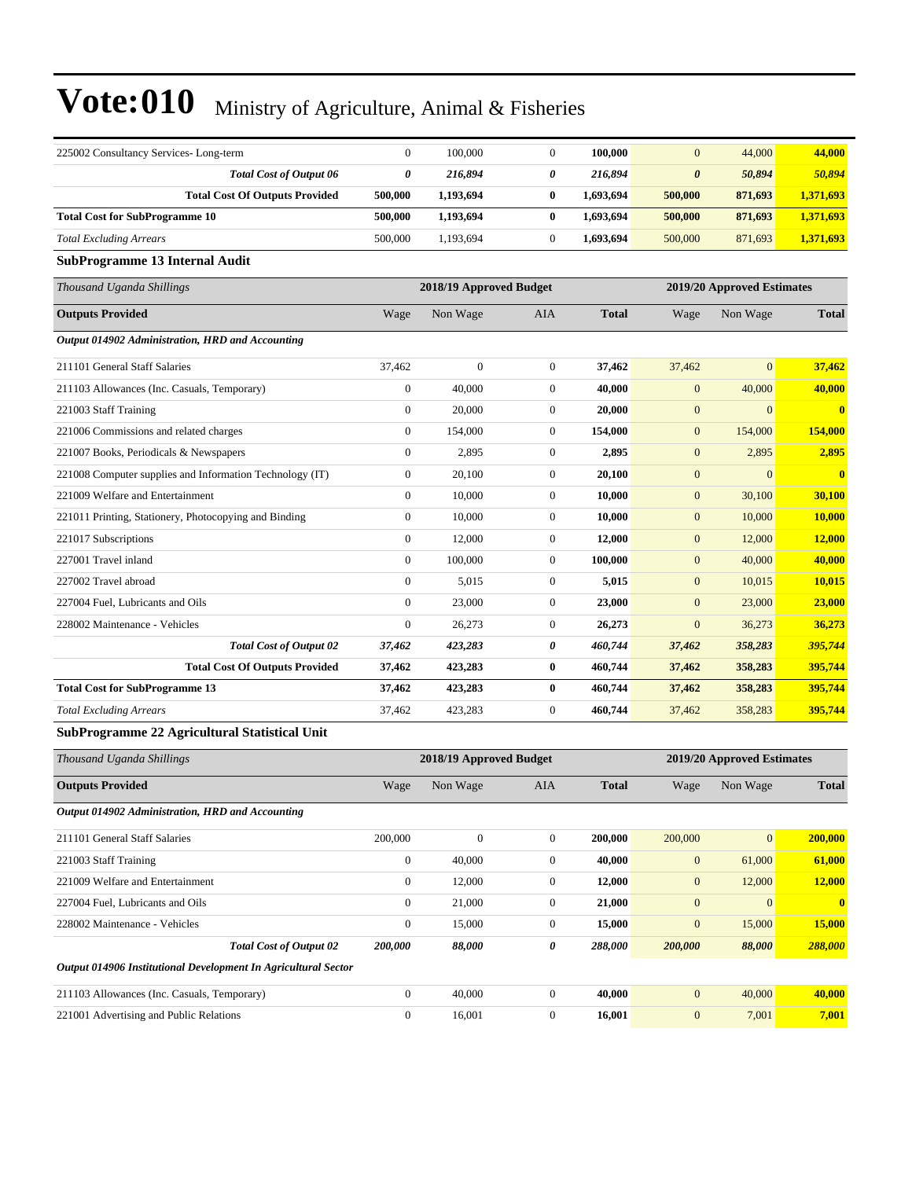| 225002 Consultancy Services-Long-term                          | $\boldsymbol{0}$ | 100,000                 | $\boldsymbol{0}$ | 100,000      | $\mathbf{0}$          | 44,000                     | 44,000                  |
|----------------------------------------------------------------|------------------|-------------------------|------------------|--------------|-----------------------|----------------------------|-------------------------|
| <b>Total Cost of Output 06</b>                                 | 0                | 216,894                 | 0                | 216,894      | $\boldsymbol{\theta}$ | 50,894                     | 50,894                  |
| <b>Total Cost Of Outputs Provided</b>                          | 500,000          | 1,193,694               | $\bf{0}$         | 1,693,694    | 500,000               | 871,693                    | 1,371,693               |
| <b>Total Cost for SubProgramme 10</b>                          | 500,000          | 1,193,694               | $\bf{0}$         | 1,693,694    | 500,000               | 871,693                    | 1,371,693               |
| <b>Total Excluding Arrears</b>                                 | 500,000          | 1,193,694               | $\mathbf{0}$     | 1,693,694    | 500,000               | 871,693                    | 1,371,693               |
| SubProgramme 13 Internal Audit                                 |                  |                         |                  |              |                       |                            |                         |
| Thousand Uganda Shillings                                      |                  | 2018/19 Approved Budget |                  |              |                       | 2019/20 Approved Estimates |                         |
| <b>Outputs Provided</b>                                        | Wage             | Non Wage                | AIA              | <b>Total</b> | Wage                  | Non Wage                   | <b>Total</b>            |
| Output 014902 Administration, HRD and Accounting               |                  |                         |                  |              |                       |                            |                         |
| 211101 General Staff Salaries                                  | 37,462           | $\mathbf{0}$            | $\mathbf{0}$     | 37,462       | 37,462                | $\overline{0}$             | 37,462                  |
| 211103 Allowances (Inc. Casuals, Temporary)                    | $\boldsymbol{0}$ | 40,000                  | $\boldsymbol{0}$ | 40,000       | $\boldsymbol{0}$      | 40,000                     | 40,000                  |
| 221003 Staff Training                                          | $\boldsymbol{0}$ | 20,000                  | $\boldsymbol{0}$ | 20,000       | $\boldsymbol{0}$      | $\boldsymbol{0}$           | $\mathbf{0}$            |
| 221006 Commissions and related charges                         | $\boldsymbol{0}$ | 154,000                 | $\boldsymbol{0}$ | 154,000      | $\mathbf{0}$          | 154,000                    | 154,000                 |
| 221007 Books, Periodicals & Newspapers                         | $\boldsymbol{0}$ | 2,895                   | $\mathbf{0}$     | 2,895        | $\mathbf{0}$          | 2,895                      | 2,895                   |
| 221008 Computer supplies and Information Technology (IT)       | $\boldsymbol{0}$ | 20,100                  | 0                | 20,100       | $\mathbf{0}$          | $\mathbf{0}$               | $\overline{\mathbf{0}}$ |
| 221009 Welfare and Entertainment                               | $\boldsymbol{0}$ | 10,000                  | $\boldsymbol{0}$ | 10,000       | $\boldsymbol{0}$      | 30,100                     | 30,100                  |
| 221011 Printing, Stationery, Photocopying and Binding          | $\boldsymbol{0}$ | 10,000                  | $\mathbf{0}$     | 10,000       | $\boldsymbol{0}$      | 10,000                     | 10,000                  |
| 221017 Subscriptions                                           | $\boldsymbol{0}$ | 12,000                  | $\boldsymbol{0}$ | 12,000       | $\mathbf{0}$          | 12,000                     | 12,000                  |
| 227001 Travel inland                                           | $\boldsymbol{0}$ | 100,000                 | $\mathbf{0}$     | 100,000      | $\mathbf{0}$          | 40,000                     | 40,000                  |
| 227002 Travel abroad                                           | $\boldsymbol{0}$ | 5,015                   | $\boldsymbol{0}$ | 5,015        | $\mathbf{0}$          | 10,015                     | 10,015                  |
| 227004 Fuel, Lubricants and Oils                               | $\boldsymbol{0}$ | 23,000                  | $\boldsymbol{0}$ | 23,000       | $\boldsymbol{0}$      | 23,000                     | 23,000                  |
| 228002 Maintenance - Vehicles                                  | $\boldsymbol{0}$ | 26,273                  | $\mathbf{0}$     | 26,273       | $\mathbf{0}$          | 36,273                     | 36,273                  |
| <b>Total Cost of Output 02</b>                                 | 37,462           | 423,283                 | 0                | 460,744      | 37,462                | 358,283                    | 395,744                 |
| <b>Total Cost Of Outputs Provided</b>                          | 37,462           | 423,283                 | $\bf{0}$         | 460,744      | 37,462                | 358,283                    | 395,744                 |
| <b>Total Cost for SubProgramme 13</b>                          | 37,462           | 423,283                 | $\bf{0}$         | 460,744      | 37,462                | 358,283                    | 395,744                 |
| <b>Total Excluding Arrears</b>                                 | 37,462           | 423,283                 | $\boldsymbol{0}$ | 460,744      | 37,462                | 358,283                    | 395,744                 |
| SubProgramme 22 Agricultural Statistical Unit                  |                  |                         |                  |              |                       |                            |                         |
| Thousand Uganda Shillings                                      |                  | 2018/19 Approved Budget |                  |              |                       | 2019/20 Approved Estimates |                         |
| <b>Outputs Provided</b>                                        | Wage             | Non Wage                | AIA              | <b>Total</b> | Wage                  | Non Wage                   | <b>Total</b>            |
| Output 014902 Administration, HRD and Accounting               |                  |                         |                  |              |                       |                            |                         |
| 211101 General Staff Salaries                                  | 200,000          | $\boldsymbol{0}$        | $\overline{0}$   | 200,000      | 200,000               | $\overline{0}$             | 200,000                 |
| 221003 Staff Training                                          | $\boldsymbol{0}$ | 40,000                  | $\boldsymbol{0}$ | 40,000       | $\mathbf{0}$          | 61,000                     | 61,000                  |
| 221009 Welfare and Entertainment                               | $\boldsymbol{0}$ | 12,000                  | $\boldsymbol{0}$ | 12,000       | $\boldsymbol{0}$      | 12,000                     | 12,000                  |
| 227004 Fuel, Lubricants and Oils                               | $\mathbf{0}$     | 21,000                  | $\boldsymbol{0}$ | 21,000       | $\mathbf{0}$          | $\mathbf{0}$               | $\mathbf{0}$            |
| 228002 Maintenance - Vehicles                                  | $\boldsymbol{0}$ | 15,000                  | $\boldsymbol{0}$ | 15,000       | $\boldsymbol{0}$      | 15,000                     | 15,000                  |
| <b>Total Cost of Output 02</b>                                 | 200,000          | 88,000                  | 0                | 288,000      | 200,000               | 88,000                     | 288,000                 |
| Output 014906 Institutional Development In Agricultural Sector |                  |                         |                  |              |                       |                            |                         |
| 211103 Allowances (Inc. Casuals, Temporary)                    | $\boldsymbol{0}$ | 40,000                  | $\boldsymbol{0}$ | 40,000       | $\boldsymbol{0}$      | 40,000                     | 40,000                  |
| 221001 Advertising and Public Relations                        | $\boldsymbol{0}$ | 16,001                  | $\boldsymbol{0}$ | 16,001       | $\mathbf{0}$          | 7,001                      | 7,001                   |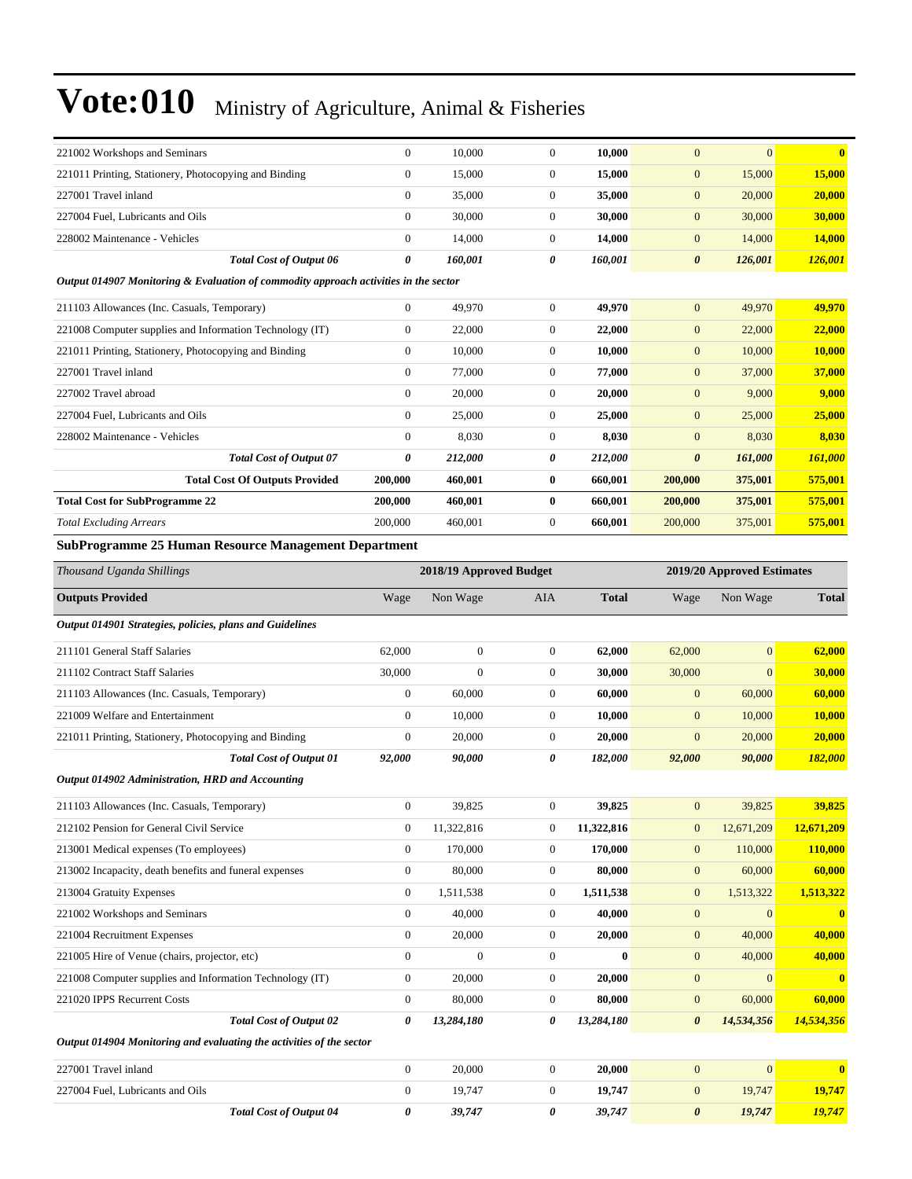| 221002 Workshops and Seminars                                                        | $\mathbf{0}$          | 10,000                  | $\boldsymbol{0}$ | 10,000       | $\mathbf{0}$          | $\mathbf{0}$               | $\bf{0}$                |
|--------------------------------------------------------------------------------------|-----------------------|-------------------------|------------------|--------------|-----------------------|----------------------------|-------------------------|
| 221011 Printing, Stationery, Photocopying and Binding                                | $\mathbf{0}$          | 15,000                  | $\boldsymbol{0}$ | 15,000       | $\mathbf{0}$          | 15,000                     | 15,000                  |
| 227001 Travel inland                                                                 | $\mathbf{0}$          | 35,000                  | 0                | 35,000       | $\mathbf{0}$          | 20,000                     | 20,000                  |
| 227004 Fuel, Lubricants and Oils                                                     | $\mathbf{0}$          | 30,000                  | $\boldsymbol{0}$ | 30,000       | $\mathbf{0}$          | 30,000                     | 30,000                  |
| 228002 Maintenance - Vehicles                                                        | $\mathbf{0}$          | 14,000                  | $\boldsymbol{0}$ | 14,000       | $\mathbf{0}$          | 14,000                     | <b>14,000</b>           |
| <b>Total Cost of Output 06</b>                                                       | $\boldsymbol{\theta}$ | 160,001                 | 0                | 160,001      | $\boldsymbol{\theta}$ | 126,001                    | 126,001                 |
| Output 014907 Monitoring & Evaluation of commodity approach activities in the sector |                       |                         |                  |              |                       |                            |                         |
| 211103 Allowances (Inc. Casuals, Temporary)                                          | $\boldsymbol{0}$      | 49,970                  | $\boldsymbol{0}$ | 49,970       | $\mathbf{0}$          | 49,970                     | 49,970                  |
| 221008 Computer supplies and Information Technology (IT)                             | $\mathbf{0}$          | 22,000                  | 0                | 22,000       | $\mathbf{0}$          | 22,000                     | 22,000                  |
| 221011 Printing, Stationery, Photocopying and Binding                                | $\mathbf{0}$          | 10,000                  | 0                | 10,000       | $\mathbf{0}$          | 10,000                     | 10,000                  |
| 227001 Travel inland                                                                 | $\boldsymbol{0}$      | 77,000                  | $\boldsymbol{0}$ | 77,000       | $\mathbf{0}$          | 37,000                     | 37,000                  |
| 227002 Travel abroad                                                                 | $\mathbf{0}$          | 20,000                  | 0                | 20,000       | $\mathbf{0}$          | 9,000                      | 9,000                   |
| 227004 Fuel, Lubricants and Oils                                                     | $\mathbf{0}$          | 25,000                  | $\boldsymbol{0}$ | 25,000       | $\mathbf{0}$          | 25,000                     | 25,000                  |
| 228002 Maintenance - Vehicles                                                        | $\mathbf{0}$          | 8,030                   | 0                | 8,030        | $\mathbf{0}$          | 8,030                      | 8,030                   |
| <b>Total Cost of Output 07</b>                                                       | 0                     | 212,000                 | 0                | 212,000      | $\boldsymbol{\theta}$ | 161,000                    | 161,000                 |
| <b>Total Cost Of Outputs Provided</b>                                                | 200,000               | 460,001                 | $\bf{0}$         | 660,001      | 200,000               | 375,001                    | 575,001                 |
| <b>Total Cost for SubProgramme 22</b>                                                | 200,000               | 460,001                 | $\bf{0}$         | 660,001      | 200,000               | 375,001                    | 575,001                 |
| <b>Total Excluding Arrears</b>                                                       | 200,000               | 460,001                 | $\boldsymbol{0}$ | 660,001      | 200,000               | 375,001                    | 575,001                 |
| <b>SubProgramme 25 Human Resource Management Department</b>                          |                       |                         |                  |              |                       |                            |                         |
| Thousand Uganda Shillings                                                            |                       | 2018/19 Approved Budget |                  |              |                       | 2019/20 Approved Estimates |                         |
| <b>Outputs Provided</b>                                                              | Wage                  | Non Wage                | AIA              | <b>Total</b> | Wage                  | Non Wage                   | <b>Total</b>            |
|                                                                                      |                       |                         |                  |              |                       |                            |                         |
| Output 014901 Strategies, policies, plans and Guidelines                             |                       |                         |                  |              |                       |                            |                         |
| 211101 General Staff Salaries                                                        | 62,000                | $\boldsymbol{0}$        | $\boldsymbol{0}$ | 62,000       | 62,000                | $\overline{0}$             | 62,000                  |
| 211102 Contract Staff Salaries                                                       | 30,000                | $\overline{0}$          | $\boldsymbol{0}$ | 30,000       | 30,000                | $\overline{0}$             | 30,000                  |
| 211103 Allowances (Inc. Casuals, Temporary)                                          | $\mathbf{0}$          | 60,000                  | $\boldsymbol{0}$ | 60,000       | $\mathbf{0}$          | 60,000                     | 60,000                  |
| 221009 Welfare and Entertainment                                                     | $\mathbf{0}$          | 10,000                  | 0                | 10,000       | $\mathbf{0}$          | 10,000                     | <b>10,000</b>           |
| 221011 Printing, Stationery, Photocopying and Binding                                | $\mathbf{0}$          | 20,000                  | $\boldsymbol{0}$ | 20,000       | $\boldsymbol{0}$      | 20,000                     | 20,000                  |
| <b>Total Cost of Output 01</b>                                                       | 92,000                | 90,000                  | 0                | 182,000      | 92,000                | 90,000                     | 182,000                 |
| Output 014902 Administration, HRD and Accounting                                     |                       |                         |                  |              |                       |                            |                         |
| 211103 Allowances (Inc. Casuals, Temporary)                                          | $\boldsymbol{0}$      | 39,825                  | 0                | 39,825       | $\boldsymbol{0}$      | 39,825                     | 39,825                  |
| 212102 Pension for General Civil Service                                             | $\mathbf{0}$          | 11,322,816              | 0                | 11,322,816   | $\mathbf{0}$          | 12,671,209                 | 12,671,209              |
| 213001 Medical expenses (To employees)                                               | $\boldsymbol{0}$      | 170,000                 | 0                | 170,000      | $\mathbf{0}$          | 110,000                    | 110,000                 |
| 213002 Incapacity, death benefits and funeral expenses                               | $\mathbf{0}$          | 80,000                  | $\boldsymbol{0}$ | 80,000       | $\mathbf{0}$          | 60,000                     | 60,000                  |
| 213004 Gratuity Expenses                                                             | $\boldsymbol{0}$      | 1,511,538               | 0                | 1,511,538    | $\mathbf{0}$          | 1,513,322                  | 1,513,322               |
| 221002 Workshops and Seminars                                                        | $\mathbf{0}$          | 40,000                  | 0                | 40,000       | $\mathbf{0}$          | $\overline{0}$             | $\overline{\mathbf{0}}$ |
| 221004 Recruitment Expenses                                                          | $\boldsymbol{0}$      | 20,000                  | 0                | 20,000       | $\mathbf{0}$          | 40,000                     | 40,000                  |
| 221005 Hire of Venue (chairs, projector, etc)                                        | $\mathbf{0}$          | $\boldsymbol{0}$        | 0                | $\bf{0}$     | $\mathbf{0}$          | 40,000                     | 40,000                  |
| 221008 Computer supplies and Information Technology (IT)                             | $\mathbf{0}$          | 20,000                  | $\boldsymbol{0}$ | 20,000       | $\boldsymbol{0}$      | $\boldsymbol{0}$           | $\bf{0}$                |
| 221020 IPPS Recurrent Costs                                                          | $\boldsymbol{0}$      | 80,000                  | 0                | 80,000       | $\mathbf{0}$          | 60,000                     | 60,000                  |
| <b>Total Cost of Output 02</b>                                                       | 0                     | 13,284,180              | 0                | 13,284,180   | $\boldsymbol{\theta}$ | 14,534,356                 | 14,534,356              |
| Output 014904 Monitoring and evaluating the activities of the sector                 |                       |                         |                  |              |                       |                            |                         |
| 227001 Travel inland                                                                 | $\boldsymbol{0}$      | 20,000                  | $\boldsymbol{0}$ | 20,000       | $\mathbf{0}$          | $\mathbf{0}$               | $\bf{0}$                |
| 227004 Fuel, Lubricants and Oils                                                     |                       |                         |                  |              |                       |                            |                         |
|                                                                                      | $\mathbf{0}$          | 19,747                  | 0                | 19,747       | $\mathbf{0}$          | 19,747                     |                         |
| <b>Total Cost of Output 04</b>                                                       | 0                     | 39,747                  | 0                | 39,747       | $\boldsymbol{\theta}$ | 19,747                     | 19,747<br>19,747        |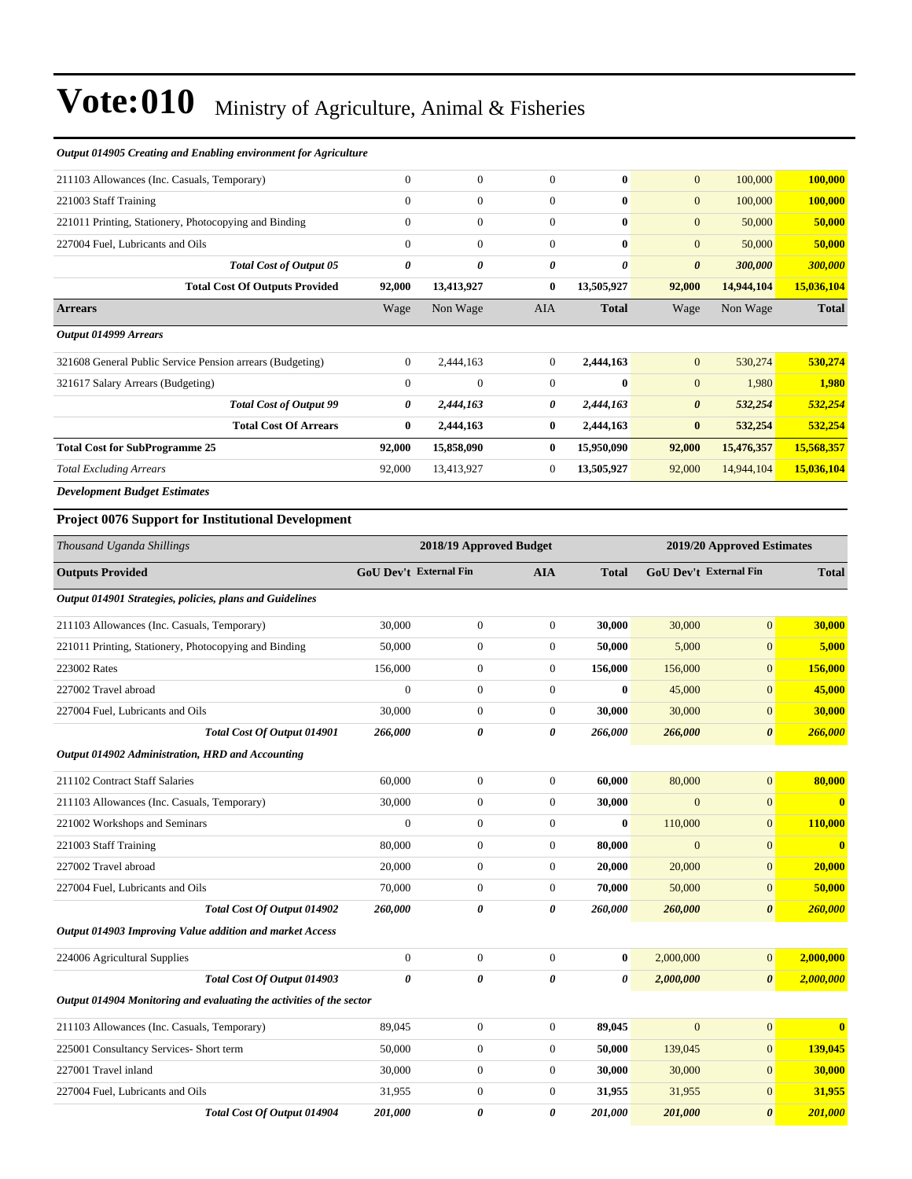| Output 014905 Creating and Enabling environment for Agriculture      |                        |                                      |                                      |                  |                         |                                      |                  |
|----------------------------------------------------------------------|------------------------|--------------------------------------|--------------------------------------|------------------|-------------------------|--------------------------------------|------------------|
| 211103 Allowances (Inc. Casuals, Temporary)                          | $\mathbf{0}$           | $\boldsymbol{0}$                     | $\boldsymbol{0}$                     | $\bf{0}$         | $\boldsymbol{0}$        | 100,000                              | 100,000          |
| 221003 Staff Training                                                | $\mathbf{0}$           | $\boldsymbol{0}$                     | $\boldsymbol{0}$                     | $\bf{0}$         | $\mathbf{0}$            | 100,000                              | 100,000          |
| 221011 Printing, Stationery, Photocopying and Binding                | $\boldsymbol{0}$       | $\boldsymbol{0}$                     | $\boldsymbol{0}$                     | $\bf{0}$         | $\mathbf{0}$            | 50,000                               | 50,000           |
| 227004 Fuel, Lubricants and Oils                                     | $\mathbf{0}$           | $\boldsymbol{0}$                     | $\boldsymbol{0}$                     | $\bf{0}$         | $\boldsymbol{0}$        | 50,000                               | 50,000           |
| <b>Total Cost of Output 05</b>                                       | $\boldsymbol{\theta}$  | 0                                    | 0                                    | 0                | $\boldsymbol{\theta}$   | 300,000                              | 300,000          |
| <b>Total Cost Of Outputs Provided</b>                                | 92,000                 | 13,413,927                           | $\bf{0}$                             | 13,505,927       | 92,000                  | 14,944,104                           | 15,036,104       |
| <b>Arrears</b>                                                       | Wage                   | Non Wage                             | AIA                                  | <b>Total</b>     | Wage                    | Non Wage                             | <b>Total</b>     |
| Output 014999 Arrears                                                |                        |                                      |                                      |                  |                         |                                      |                  |
| 321608 General Public Service Pension arrears (Budgeting)            | $\boldsymbol{0}$       | 2,444,163                            | $\mathbf{0}$                         | 2,444,163        | $\mathbf{0}$            | 530,274                              | 530,274          |
| 321617 Salary Arrears (Budgeting)                                    | $\mathbf{0}$           | $\boldsymbol{0}$                     | $\mathbf{0}$                         | $\bf{0}$         | $\boldsymbol{0}$        | 1,980                                | 1,980            |
| <b>Total Cost of Output 99</b>                                       | 0                      | 2,444,163                            | 0                                    | 2,444,163        | $\boldsymbol{\theta}$   | 532,254                              | 532,254          |
| <b>Total Cost Of Arrears</b>                                         | $\bf{0}$               | 2,444,163                            | $\bf{0}$                             | 2,444,163        | $\bf{0}$                | 532,254                              | 532,254          |
| <b>Total Cost for SubProgramme 25</b>                                | 92,000                 | 15,858,090                           | $\bf{0}$                             | 15,950,090       | 92,000                  | 15,476,357                           | 15,568,357       |
| <b>Total Excluding Arrears</b>                                       | 92,000                 | 13,413,927                           | $\boldsymbol{0}$                     | 13,505,927       | 92,000                  | 14,944,104                           | 15,036,104       |
| <b>Development Budget Estimates</b>                                  |                        |                                      |                                      |                  |                         |                                      |                  |
| <b>Project 0076 Support for Institutional Development</b>            |                        |                                      |                                      |                  |                         |                                      |                  |
| Thousand Uganda Shillings                                            |                        | 2018/19 Approved Budget              |                                      |                  |                         | 2019/20 Approved Estimates           |                  |
| <b>Outputs Provided</b>                                              | GoU Dev't External Fin |                                      | <b>AIA</b>                           | <b>Total</b>     | GoU Dev't External Fin  |                                      | <b>Total</b>     |
| Output 014901 Strategies, policies, plans and Guidelines             |                        |                                      |                                      |                  |                         |                                      |                  |
| 211103 Allowances (Inc. Casuals, Temporary)                          | 30,000                 | $\boldsymbol{0}$                     | $\boldsymbol{0}$                     | 30,000           | 30,000                  | $\mathbf{0}$                         | 30,000           |
| 221011 Printing, Stationery, Photocopying and Binding                | 50,000                 | $\boldsymbol{0}$                     | $\mathbf{0}$                         | 50,000           | 5,000                   | $\mathbf{0}$                         | 5,000            |
| 223002 Rates                                                         | 156,000                | $\boldsymbol{0}$                     | $\boldsymbol{0}$                     | 156,000          | 156,000                 | $\mathbf{0}$                         | 156,000          |
| 227002 Travel abroad                                                 | $\boldsymbol{0}$       | $\boldsymbol{0}$                     | $\mathbf{0}$                         | $\bf{0}$         | 45,000                  | $\mathbf{0}$                         | 45,000           |
| 227004 Fuel, Lubricants and Oils                                     | 30,000                 | $\boldsymbol{0}$                     | $\mathbf{0}$                         | 30,000           | 30,000                  | $\boldsymbol{0}$                     | 30,000           |
| Total Cost Of Output 014901                                          | 266,000                | 0                                    | 0                                    | 266,000          | 266,000                 | $\boldsymbol{\theta}$                | 266,000          |
| Output 014902 Administration, HRD and Accounting                     |                        |                                      |                                      |                  |                         |                                      |                  |
|                                                                      |                        |                                      |                                      |                  |                         |                                      |                  |
| 211102 Contract Staff Salaries                                       | 60,000                 | $\boldsymbol{0}$                     | $\boldsymbol{0}$                     | 60.000           | 80,000                  | $\mathbf{0}$                         | 80,000           |
| 211103 Allowances (Inc. Casuals, Temporary)                          | 30,000                 | $\boldsymbol{0}$                     | $\boldsymbol{0}$                     | 30,000           | $\mathbf{0}$<br>110,000 | $\mathbf{0}$                         | $\mathbf{0}$     |
| 221002 Workshops and Seminars                                        | $\boldsymbol{0}$       | $\boldsymbol{0}$                     | $\boldsymbol{0}$                     | $\boldsymbol{0}$ |                         | $\boldsymbol{0}$                     | 110,000          |
| 221003 Staff Training                                                | 80,000                 | $\boldsymbol{0}$                     | $\boldsymbol{0}$                     | 80,000           | $\mathbf{0}$            | $\boldsymbol{0}$                     | $\mathbf{0}$     |
| 227002 Travel abroad<br>227004 Fuel, Lubricants and Oils             | 20,000<br>70,000       | $\boldsymbol{0}$<br>$\boldsymbol{0}$ | $\boldsymbol{0}$<br>$\boldsymbol{0}$ | 20,000<br>70,000 | 20,000<br>50,000        | $\boldsymbol{0}$<br>$\boldsymbol{0}$ | 20,000<br>50,000 |
| Total Cost Of Output 014902                                          | 260,000                |                                      | 0                                    | 260,000          |                         |                                      | 260,000          |
| Output 014903 Improving Value addition and market Access             |                        | 0                                    |                                      |                  | 260,000                 | $\pmb{\theta}$                       |                  |
|                                                                      |                        |                                      |                                      |                  |                         |                                      |                  |
| 224006 Agricultural Supplies                                         | $\boldsymbol{0}$       | $\boldsymbol{0}$                     | $\boldsymbol{0}$                     | $\bf{0}$         | 2,000,000               | $\mathbf{0}$                         | 2,000,000        |
| Total Cost Of Output 014903                                          | $\pmb{\theta}$         | 0                                    | 0                                    | 0                | 2,000,000               | $\pmb{\theta}$                       | 2,000,000        |
| Output 014904 Monitoring and evaluating the activities of the sector |                        |                                      |                                      |                  |                         |                                      |                  |
| 211103 Allowances (Inc. Casuals, Temporary)                          | 89,045                 | $\boldsymbol{0}$                     | $\boldsymbol{0}$                     | 89,045           | $\mathbf{0}$            | $\mathbf{0}$                         | $\bf{0}$         |
| 225001 Consultancy Services- Short term                              | 50,000                 | $\boldsymbol{0}$                     | $\boldsymbol{0}$                     | 50,000           | 139,045                 | $\boldsymbol{0}$                     | 139,045          |
| 227001 Travel inland                                                 | 30,000                 | $\boldsymbol{0}$                     | $\boldsymbol{0}$                     | 30,000           | 30,000                  | $\mathbf{0}$                         | 30,000           |
| 227004 Fuel, Lubricants and Oils                                     | 31,955                 | $\boldsymbol{0}$                     | $\boldsymbol{0}$                     | 31,955           | 31,955                  | $\mathbf{0}$                         | 31,955           |

*Total Cost Of Output 014904 201,000 0 0 201,000 201,000 0 201,000*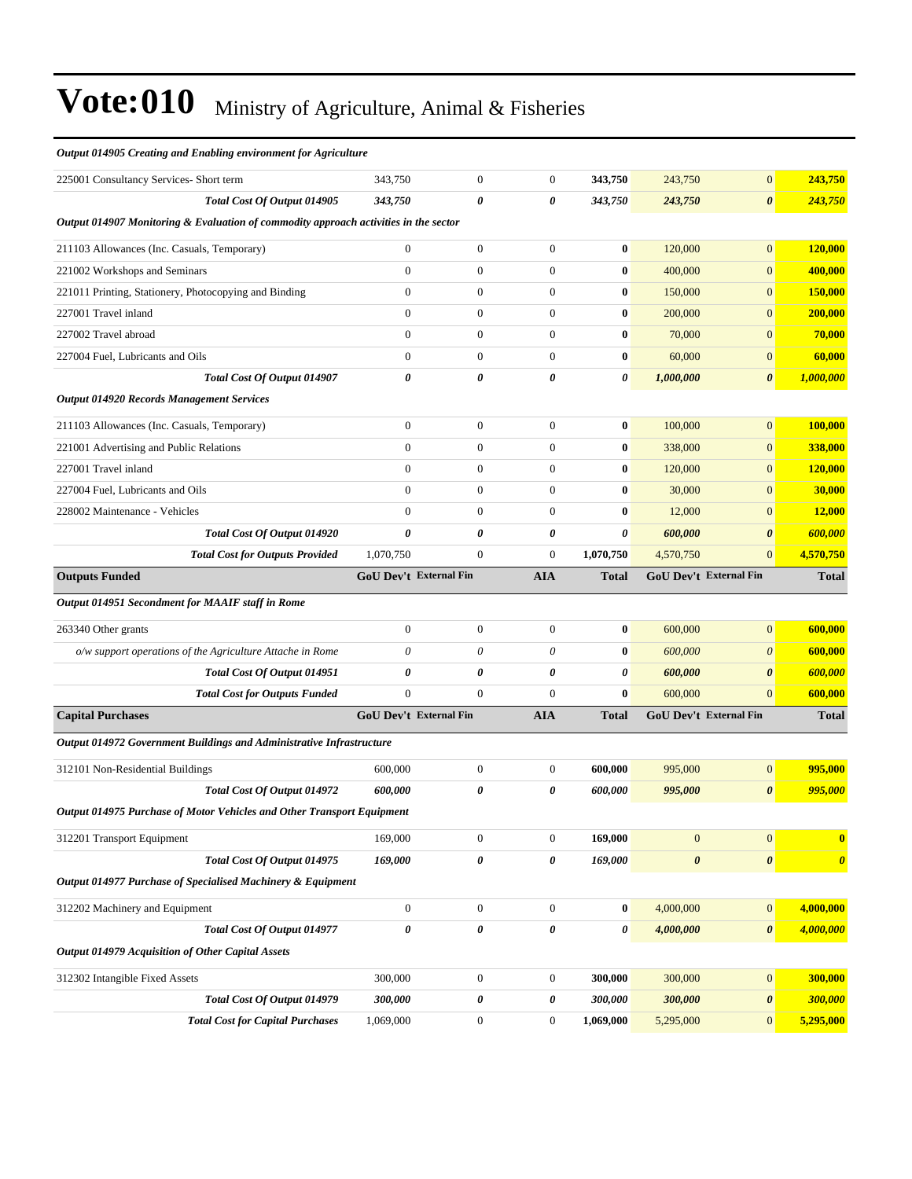| Output 014905 Creating and Enabling environment for Agriculture                      |                        |                  |                  |              |                |                        |                       |
|--------------------------------------------------------------------------------------|------------------------|------------------|------------------|--------------|----------------|------------------------|-----------------------|
| 225001 Consultancy Services- Short term                                              | 343,750                | $\boldsymbol{0}$ | $\boldsymbol{0}$ | 343,750      | 243,750        | $\mathbf{0}$           | 243,750               |
| Total Cost Of Output 014905                                                          | 343,750                | 0                | 0                | 343,750      | 243,750        | $\boldsymbol{\theta}$  | 243,750               |
| Output 014907 Monitoring & Evaluation of commodity approach activities in the sector |                        |                  |                  |              |                |                        |                       |
| 211103 Allowances (Inc. Casuals, Temporary)                                          | $\overline{0}$         | $\boldsymbol{0}$ | $\theta$         | $\bf{0}$     | 120,000        | $\boldsymbol{0}$       | 120,000               |
| 221002 Workshops and Seminars                                                        | $\boldsymbol{0}$       | $\boldsymbol{0}$ | $\boldsymbol{0}$ | $\bf{0}$     | 400,000        | $\boldsymbol{0}$       | 400,000               |
| 221011 Printing, Stationery, Photocopying and Binding                                | $\overline{0}$         | $\boldsymbol{0}$ | $\boldsymbol{0}$ | $\bf{0}$     | 150,000        | $\boldsymbol{0}$       | 150,000               |
| 227001 Travel inland                                                                 | $\overline{0}$         | $\boldsymbol{0}$ | $\boldsymbol{0}$ | $\bf{0}$     | 200,000        | $\mathbf{0}$           | 200,000               |
| 227002 Travel abroad                                                                 | $\overline{0}$         | $\boldsymbol{0}$ | $\boldsymbol{0}$ | $\bf{0}$     | 70,000         | $\boldsymbol{0}$       | 70,000                |
| 227004 Fuel, Lubricants and Oils                                                     | $\overline{0}$         | $\boldsymbol{0}$ | $\boldsymbol{0}$ | $\bf{0}$     | 60,000         | $\boldsymbol{0}$       | 60,000                |
| Total Cost Of Output 014907                                                          | 0                      | 0                | 0                | 0            | 1,000,000      | $\boldsymbol{\theta}$  | 1,000,000             |
| <b>Output 014920 Records Management Services</b>                                     |                        |                  |                  |              |                |                        |                       |
| 211103 Allowances (Inc. Casuals, Temporary)                                          | $\boldsymbol{0}$       | $\boldsymbol{0}$ | $\boldsymbol{0}$ | $\bf{0}$     | 100,000        | $\boldsymbol{0}$       | 100,000               |
| 221001 Advertising and Public Relations                                              | $\overline{0}$         | $\boldsymbol{0}$ | $\boldsymbol{0}$ | $\bf{0}$     | 338,000        | $\boldsymbol{0}$       | 338,000               |
| 227001 Travel inland                                                                 | $\boldsymbol{0}$       | $\boldsymbol{0}$ | $\boldsymbol{0}$ | $\bf{0}$     | 120,000        | $\overline{0}$         | 120,000               |
| 227004 Fuel, Lubricants and Oils                                                     | $\Omega$               | $\overline{0}$   | $\theta$         | $\bf{0}$     | 30,000         | $\overline{0}$         | 30,000                |
| 228002 Maintenance - Vehicles                                                        | $\overline{0}$         | $\boldsymbol{0}$ | $\boldsymbol{0}$ | $\bf{0}$     | 12,000         | $\overline{0}$         | 12,000                |
| Total Cost Of Output 014920                                                          | 0                      | 0                | 0                | 0            | 600,000        | $\boldsymbol{\theta}$  | 600,000               |
| <b>Total Cost for Outputs Provided</b>                                               | 1,070,750              | $\boldsymbol{0}$ | $\boldsymbol{0}$ | 1,070,750    | 4,570,750      | $\overline{0}$         | 4,570,750             |
| <b>Outputs Funded</b>                                                                | GoU Dev't External Fin |                  | <b>AIA</b>       | <b>Total</b> |                | GoU Dev't External Fin | <b>Total</b>          |
| Output 014951 Secondment for MAAIF staff in Rome                                     |                        |                  |                  |              |                |                        |                       |
| 263340 Other grants                                                                  | $\boldsymbol{0}$       | $\boldsymbol{0}$ | $\boldsymbol{0}$ | $\bf{0}$     | 600,000        | $\overline{0}$         | 600,000               |
| o/w support operations of the Agriculture Attache in Rome                            | $\theta$               | $\theta$         | $\theta$         | $\bf{0}$     | 600,000        | $\theta$               | 600,000               |
| Total Cost Of Output 014951                                                          | 0                      | 0                | 0                | 0            | 600,000        | $\boldsymbol{\theta}$  | 600,000               |
| <b>Total Cost for Outputs Funded</b>                                                 | $\overline{0}$         | $\boldsymbol{0}$ | $\mathbf{0}$     | $\bf{0}$     | 600,000        | $\boldsymbol{0}$       | 600,000               |
| <b>Capital Purchases</b>                                                             | GoU Dev't External Fin |                  | <b>AIA</b>       | <b>Total</b> |                | GoU Dev't External Fin | <b>Total</b>          |
| Output 014972 Government Buildings and Administrative Infrastructure                 |                        |                  |                  |              |                |                        |                       |
| 312101 Non-Residential Buildings                                                     | 600,000                | $\boldsymbol{0}$ | $\boldsymbol{0}$ | 600,000      | 995,000        | $\overline{0}$         | 995,000               |
| Total Cost Of Output 014972                                                          | 600,000                | 0                | 0                | 600,000      | 995,000        | $\boldsymbol{\theta}$  | 995,000               |
| Output 014975 Purchase of Motor Vehicles and Other Transport Equipment               |                        |                  |                  |              |                |                        |                       |
| 312201 Transport Equipment                                                           |                        |                  |                  |              |                |                        |                       |
|                                                                                      | 169,000                | $\boldsymbol{0}$ | $\mathbf{0}$     | 169,000      | $\mathbf{0}$   | $\boldsymbol{0}$       | $\boldsymbol{0}$      |
| Total Cost Of Output 014975                                                          | 169,000                | 0                | $\pmb{\theta}$   | 169,000      | $\pmb{\theta}$ | $\pmb{\theta}$         | $\boldsymbol{\theta}$ |
| Output 014977 Purchase of Specialised Machinery & Equipment                          |                        |                  |                  |              |                |                        |                       |
| 312202 Machinery and Equipment                                                       | $\boldsymbol{0}$       | $\boldsymbol{0}$ | $\boldsymbol{0}$ | $\bf{0}$     | 4,000,000      | $\boldsymbol{0}$       | 4,000,000             |
| Total Cost Of Output 014977                                                          | 0                      | 0                | 0                | 0            | 4,000,000      | 0                      | 4,000,000             |
| <b>Output 014979 Acquisition of Other Capital Assets</b>                             |                        |                  |                  |              |                |                        |                       |
| 312302 Intangible Fixed Assets                                                       | 300,000                | $\boldsymbol{0}$ | $\boldsymbol{0}$ | 300,000      | 300,000        | $\boldsymbol{0}$       | 300,000               |
| Total Cost Of Output 014979                                                          | 300,000                | 0                | $\pmb{\theta}$   | 300,000      | 300,000        | 0                      | 300,000               |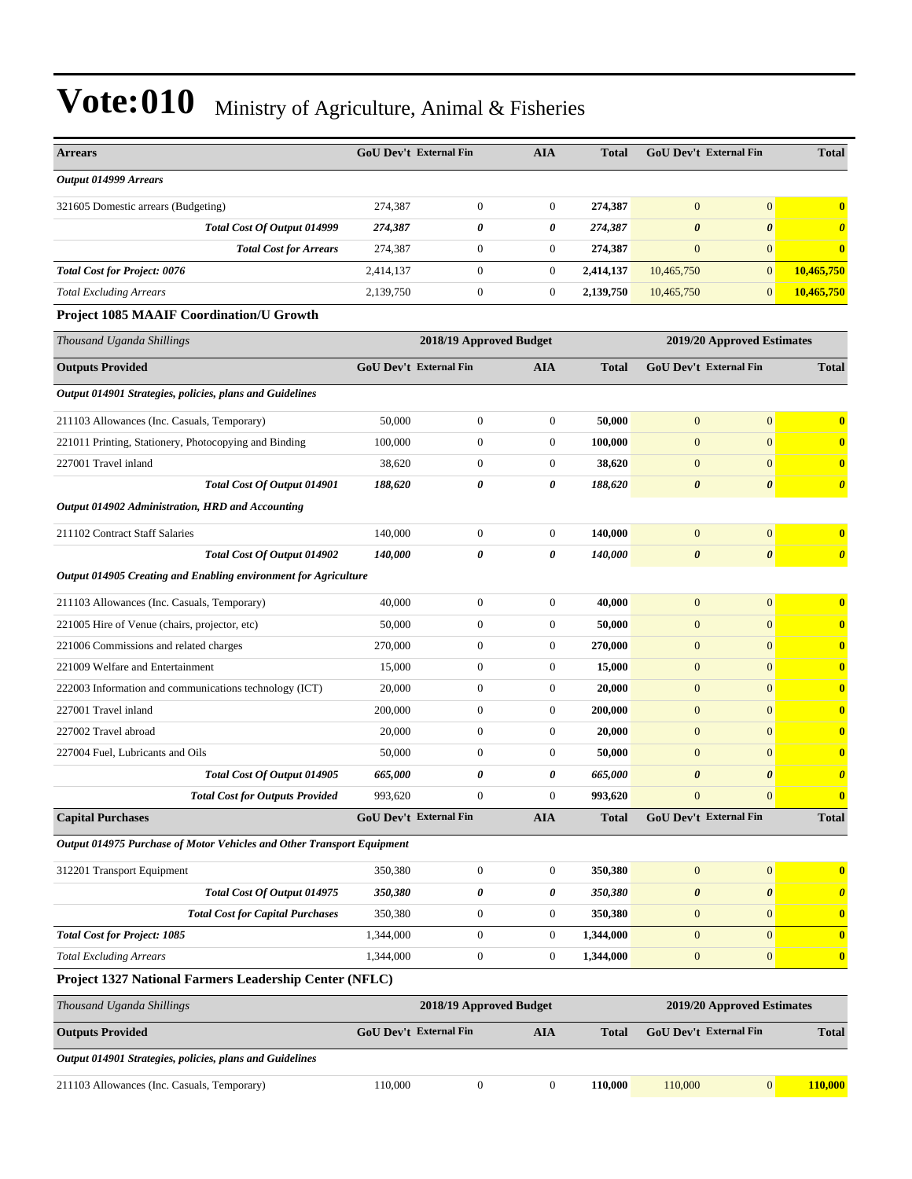| <b>Arrears</b>                                                         | <b>GoU Dev't External Fin</b> |                         | <b>AIA</b>       | <b>Total</b> | <b>GoU Dev't External Fin</b> |                       | <b>Total</b>          |  |
|------------------------------------------------------------------------|-------------------------------|-------------------------|------------------|--------------|-------------------------------|-----------------------|-----------------------|--|
| Output 014999 Arrears                                                  |                               |                         |                  |              |                               |                       |                       |  |
| 321605 Domestic arrears (Budgeting)                                    | 274,387                       | $\mathbf{0}$            | $\boldsymbol{0}$ | 274,387      | $\mathbf{0}$                  | $\mathbf{0}$          | $\bf{0}$              |  |
| Total Cost Of Output 014999                                            | 274,387                       | $\boldsymbol{\theta}$   | 0                | 274,387      | $\boldsymbol{\theta}$         | $\boldsymbol{\theta}$ | $\boldsymbol{\theta}$ |  |
| <b>Total Cost for Arrears</b>                                          | 274,387                       | $\mathbf{0}$            | $\boldsymbol{0}$ | 274,387      | $\mathbf{0}$                  | $\mathbf{0}$          | $\bf{0}$              |  |
| <b>Total Cost for Project: 0076</b>                                    | 2,414,137                     | $\mathbf{0}$            | $\boldsymbol{0}$ | 2,414,137    | 10,465,750                    | $\mathbf{0}$          | 10,465,750            |  |
| <b>Total Excluding Arrears</b>                                         | 2,139,750                     | $\mathbf{0}$            | $\boldsymbol{0}$ | 2,139,750    | 10,465,750                    | $\mathbf{0}$          | 10,465,750            |  |
| <b>Project 1085 MAAIF Coordination/U Growth</b>                        |                               |                         |                  |              |                               |                       |                       |  |
| Thousand Uganda Shillings                                              |                               | 2018/19 Approved Budget |                  |              | 2019/20 Approved Estimates    |                       |                       |  |
| <b>Outputs Provided</b>                                                | <b>GoU Dev't External Fin</b> |                         | <b>AIA</b>       | <b>Total</b> | <b>GoU Dev't External Fin</b> |                       | <b>Total</b>          |  |
| Output 014901 Strategies, policies, plans and Guidelines               |                               |                         |                  |              |                               |                       |                       |  |
| 211103 Allowances (Inc. Casuals, Temporary)                            | 50,000                        | $\mathbf{0}$            | $\boldsymbol{0}$ | 50,000       | $\mathbf{0}$                  | $\mathbf{0}$          | $\bf{0}$              |  |
| 221011 Printing, Stationery, Photocopying and Binding                  | 100,000                       | $\theta$                | $\boldsymbol{0}$ | 100.000      | $\overline{0}$                | $\mathbf{0}$          | $\bf{0}$              |  |
| 227001 Travel inland                                                   | 38,620                        | $\mathbf{0}$            | $\boldsymbol{0}$ | 38,620       | $\mathbf{0}$                  | $\mathbf{0}$          | $\bf{0}$              |  |
| Total Cost Of Output 014901                                            | 188,620                       | 0                       | 0                | 188,620      | $\boldsymbol{\theta}$         | $\boldsymbol{\theta}$ | $\boldsymbol{\theta}$ |  |
| Output 014902 Administration, HRD and Accounting                       |                               |                         |                  |              |                               |                       |                       |  |
| 211102 Contract Staff Salaries                                         | 140,000                       | $\overline{0}$          | $\boldsymbol{0}$ | 140,000      | $\mathbf{0}$                  | $\mathbf{0}$          | $\bf{0}$              |  |
| Total Cost Of Output 014902                                            | 140,000                       | $\boldsymbol{\theta}$   | 0                | 140,000      | $\boldsymbol{\theta}$         | $\boldsymbol{\theta}$ | $\boldsymbol{\theta}$ |  |
| Output 014905 Creating and Enabling environment for Agriculture        |                               |                         |                  |              |                               |                       |                       |  |
| 211103 Allowances (Inc. Casuals, Temporary)                            | 40,000                        | $\mathbf{0}$            | $\boldsymbol{0}$ | 40,000       | $\mathbf{0}$                  | $\mathbf{0}$          | $\bf{0}$              |  |
| 221005 Hire of Venue (chairs, projector, etc)                          | 50,000                        | $\mathbf{0}$            | $\boldsymbol{0}$ | 50,000       | $\mathbf{0}$                  | $\mathbf{0}$          | $\bf{0}$              |  |
| 221006 Commissions and related charges                                 | 270,000                       | $\overline{0}$          | $\boldsymbol{0}$ | 270,000      | $\mathbf{0}$                  | $\mathbf{0}$          | $\bf{0}$              |  |
| 221009 Welfare and Entertainment                                       | 15,000                        | $\overline{0}$          | $\boldsymbol{0}$ | 15,000       | $\boldsymbol{0}$              | $\mathbf{0}$          | $\bf{0}$              |  |
| 222003 Information and communications technology (ICT)                 | 20,000                        | $\overline{0}$          | $\boldsymbol{0}$ | 20,000       | $\mathbf{0}$                  | $\mathbf{0}$          | $\bf{0}$              |  |
| 227001 Travel inland                                                   | 200,000                       | $\theta$                | $\boldsymbol{0}$ | 200,000      | $\mathbf{0}$                  | $\mathbf{0}$          | $\bf{0}$              |  |
| 227002 Travel abroad                                                   | 20,000                        | $\overline{0}$          | $\boldsymbol{0}$ | 20,000       | $\mathbf{0}$                  | $\mathbf{0}$          | $\bf{0}$              |  |
| 227004 Fuel, Lubricants and Oils                                       | 50,000                        | $\overline{0}$          | $\boldsymbol{0}$ | 50,000       | $\mathbf{0}$                  | $\mathbf{0}$          | $\mathbf{0}$          |  |
| Total Cost Of Output 014905                                            | 665,000                       | 0                       | 0                | 665,000      | $\boldsymbol{\theta}$         | $\boldsymbol{\theta}$ | $\boldsymbol{\theta}$ |  |
| <b>Total Cost for Outputs Provided</b>                                 | 993,620                       | $\Omega$                | $\Omega$         | 993,620      | $\Omega$                      | $\Omega$              | $\mathbf{0}$          |  |
| <b>Capital Purchases</b>                                               | <b>GoU Dev't External Fin</b> |                         | <b>AIA</b>       | <b>Total</b> | GoU Dev't External Fin        |                       | <b>Total</b>          |  |
| Output 014975 Purchase of Motor Vehicles and Other Transport Equipment |                               |                         |                  |              |                               |                       |                       |  |
| 312201 Transport Equipment                                             | 350,380                       | $\boldsymbol{0}$        | $\boldsymbol{0}$ | 350,380      | $\mathbf{0}$                  | $\mathbf{0}$          | $\bf{0}$              |  |
| Total Cost Of Output 014975                                            | 350,380                       | $\pmb{\theta}$          | 0                | 350,380      | $\boldsymbol{\theta}$         | $\boldsymbol{\theta}$ | $\boldsymbol{\theta}$ |  |
| <b>Total Cost for Capital Purchases</b>                                | 350,380                       | $\mathbf{0}$            | $\boldsymbol{0}$ | 350,380      | $\mathbf{0}$                  | $\mathbf{0}$          | $\bf{0}$              |  |
| <b>Total Cost for Project: 1085</b>                                    | 1,344,000                     | $\boldsymbol{0}$        | $\boldsymbol{0}$ | 1,344,000    | $\boldsymbol{0}$              | $\boldsymbol{0}$      | $\bf{0}$              |  |
| <b>Total Excluding Arrears</b>                                         | 1,344,000                     | $\boldsymbol{0}$        | $\boldsymbol{0}$ | 1,344,000    | $\mathbf{0}$                  | $\mathbf{0}$          | $\bf{0}$              |  |
| Project 1327 National Farmers Leadership Center (NFLC)                 |                               |                         |                  |              |                               |                       |                       |  |
| Thousand Uganda Shillings                                              |                               | 2018/19 Approved Budget |                  |              | 2019/20 Approved Estimates    |                       |                       |  |
| <b>Outputs Provided</b>                                                | GoU Dev't External Fin        |                         | <b>AIA</b>       | <b>Total</b> | <b>GoU Dev't External Fin</b> |                       | <b>Total</b>          |  |
| Output 014901 Strategies, policies, plans and Guidelines               |                               |                         |                  |              |                               |                       |                       |  |
| 211103 Allowances (Inc. Casuals, Temporary)                            | 110,000                       | $\boldsymbol{0}$        | $\boldsymbol{0}$ | 110,000      | 110,000                       | 0                     | 110,000               |  |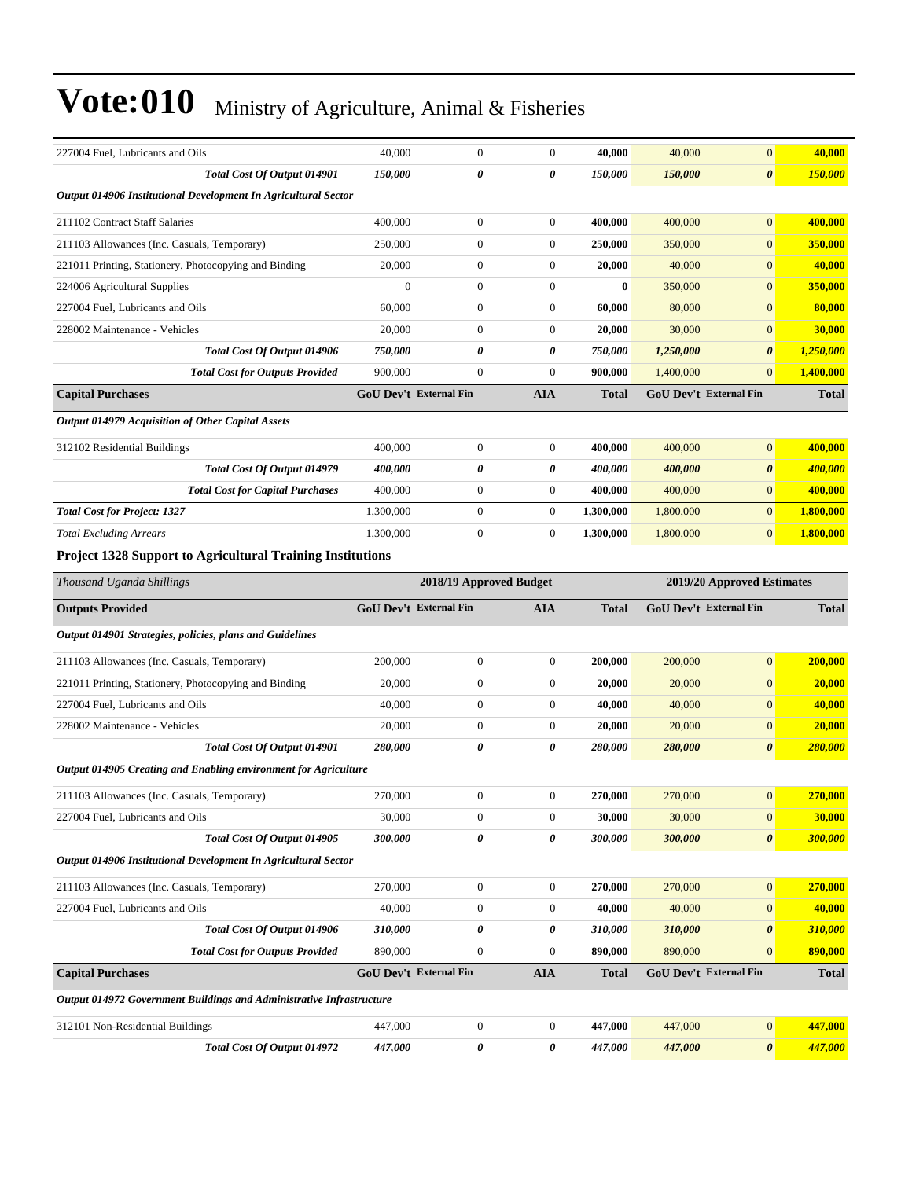| 227004 Fuel, Lubricants and Oils                                     | 40,000                        | $\boldsymbol{0}$                                      | $\mathbf{0}$          | 40,000       | 40,000    | $\mathbf{0}$                  | 40,000         |
|----------------------------------------------------------------------|-------------------------------|-------------------------------------------------------|-----------------------|--------------|-----------|-------------------------------|----------------|
| Total Cost Of Output 014901                                          | 150,000                       | $\theta$                                              | $\boldsymbol{\theta}$ | 150,000      | 150,000   | $\boldsymbol{\theta}$         | 150,000        |
| Output 014906 Institutional Development In Agricultural Sector       |                               |                                                       |                       |              |           |                               |                |
| 211102 Contract Staff Salaries                                       | 400,000                       | $\boldsymbol{0}$                                      | $\boldsymbol{0}$      | 400,000      | 400,000   | $\mathbf{0}$                  | 400,000        |
| 211103 Allowances (Inc. Casuals, Temporary)                          | 250,000                       | $\boldsymbol{0}$                                      | $\boldsymbol{0}$      | 250,000      | 350,000   | $\mathbf{0}$                  | 350,000        |
| 221011 Printing, Stationery, Photocopying and Binding                | 20,000                        | $\boldsymbol{0}$                                      | $\boldsymbol{0}$      | 20,000       | 40,000    | $\mathbf{0}$                  | 40,000         |
| 224006 Agricultural Supplies                                         | $\mathbf{0}$                  | $\mathbf{0}$                                          | $\mathbf{0}$          | $\bf{0}$     | 350,000   | $\mathbf{0}$                  | 350,000        |
| 227004 Fuel, Lubricants and Oils                                     | 60,000                        | $\mathbf{0}$                                          | $\mathbf{0}$          | 60,000       | 80,000    | $\mathbf{0}$                  | 80,000         |
| 228002 Maintenance - Vehicles                                        | 20,000                        | $\boldsymbol{0}$                                      | $\boldsymbol{0}$      | 20,000       | 30,000    | $\mathbf{0}$                  | 30,000         |
| Total Cost Of Output 014906                                          | 750,000                       | 0                                                     | 0                     | 750,000      | 1,250,000 | $\boldsymbol{\theta}$         | 1,250,000      |
| <b>Total Cost for Outputs Provided</b>                               | 900,000                       | $\mathbf{0}$                                          | $\mathbf{0}$          | 900,000      | 1,400,000 | $\mathbf{0}$                  | 1,400,000      |
| <b>Capital Purchases</b>                                             | <b>GoU Dev't External Fin</b> |                                                       | <b>AIA</b>            | Total        |           | GoU Dev't External Fin        | <b>Total</b>   |
| Output 014979 Acquisition of Other Capital Assets                    |                               |                                                       |                       |              |           |                               |                |
| 312102 Residential Buildings                                         | 400,000                       | $\boldsymbol{0}$                                      | $\mathbf{0}$          | 400,000      | 400,000   | $\mathbf{0}$                  | 400,000        |
| Total Cost Of Output 014979                                          | 400,000                       | $\boldsymbol{\theta}$                                 | 0                     | 400,000      | 400,000   | $\boldsymbol{\theta}$         | <u>400,000</u> |
| <b>Total Cost for Capital Purchases</b>                              | 400,000                       | $\boldsymbol{0}$                                      | $\boldsymbol{0}$      | 400,000      | 400,000   | $\mathbf{0}$                  | 400,000        |
| <b>Total Cost for Project: 1327</b>                                  | 1,300,000                     | $\boldsymbol{0}$                                      | $\boldsymbol{0}$      | 1,300,000    | 1,800,000 | $\mathbf{0}$                  | 1,800,000      |
| <b>Total Excluding Arrears</b>                                       | 1,300,000                     | $\boldsymbol{0}$                                      | $\boldsymbol{0}$      | 1,300,000    | 1,800,000 | $\mathbf{0}$                  | 1,800,000      |
| <b>Project 1328 Support to Agricultural Training Institutions</b>    |                               |                                                       |                       |              |           |                               |                |
| Thousand Uganda Shillings                                            |                               | 2019/20 Approved Estimates<br>2018/19 Approved Budget |                       |              |           |                               |                |
|                                                                      |                               |                                                       |                       |              |           |                               |                |
| <b>Outputs Provided</b>                                              | <b>GoU Dev't External Fin</b> |                                                       | <b>AIA</b>            | <b>Total</b> |           | <b>GoU Dev't External Fin</b> | <b>Total</b>   |
| Output 014901 Strategies, policies, plans and Guidelines             |                               |                                                       |                       |              |           |                               |                |
| 211103 Allowances (Inc. Casuals, Temporary)                          | 200,000                       | $\boldsymbol{0}$                                      | $\mathbf{0}$          | 200,000      | 200,000   | $\mathbf{0}$                  | 200,000        |
| 221011 Printing, Stationery, Photocopying and Binding                | 20,000                        | $\boldsymbol{0}$                                      | $\mathbf{0}$          | 20,000       | 20,000    | $\mathbf{0}$                  | 20,000         |
| 227004 Fuel, Lubricants and Oils                                     | 40,000                        | $\boldsymbol{0}$                                      | $\boldsymbol{0}$      | 40,000       | 40,000    | $\mathbf{0}$                  | 40,000         |
| 228002 Maintenance - Vehicles                                        | 20,000                        | $\boldsymbol{0}$                                      | $\boldsymbol{0}$      | 20,000       | 20,000    | $\mathbf{0}$                  | 20,000         |
| Total Cost Of Output 014901                                          | 280,000                       | 0                                                     | 0                     | 280,000      | 280,000   | $\boldsymbol{\theta}$         | 280,000        |
| Output 014905 Creating and Enabling environment for Agriculture      |                               |                                                       |                       |              |           |                               |                |
| 211103 Allowances (Inc. Casuals, Temporary)                          | 270,000                       | $\mathbf{0}$                                          | $\theta$              | 270,000      | 270,000   | $\overline{0}$                | 270,000        |
| 227004 Fuel, Lubricants and Oils                                     | 30,000                        | $\boldsymbol{0}$                                      | $\boldsymbol{0}$      | 30,000       | 30,000    | $\mathbf{0}$                  | 30,000         |
| Total Cost Of Output 014905                                          | 300,000                       | 0                                                     | 0                     | 300,000      | 300,000   | $\boldsymbol{\theta}$         | 300,000        |
| Output 014906 Institutional Development In Agricultural Sector       |                               |                                                       |                       |              |           |                               |                |
| 211103 Allowances (Inc. Casuals, Temporary)                          | 270,000                       | $\boldsymbol{0}$                                      | $\boldsymbol{0}$      | 270,000      | 270,000   | $\mathbf{0}$                  | 270,000        |
| 227004 Fuel, Lubricants and Oils                                     | 40,000                        | $\boldsymbol{0}$                                      | $\boldsymbol{0}$      | 40,000       | 40,000    | $\mathbf{0}$                  | 40,000         |
| Total Cost Of Output 014906                                          | 310,000                       | 0                                                     | 0                     | 310,000      | 310,000   | $\boldsymbol{\theta}$         | 310,000        |
| <b>Total Cost for Outputs Provided</b>                               | 890,000                       | $\boldsymbol{0}$                                      | $\boldsymbol{0}$      | 890,000      | 890,000   | $\mathbf{0}$                  | 890,000        |
| <b>Capital Purchases</b>                                             | GoU Dev't External Fin        |                                                       | <b>AIA</b>            | <b>Total</b> |           | GoU Dev't External Fin        | <b>Total</b>   |
| Output 014972 Government Buildings and Administrative Infrastructure |                               |                                                       |                       |              |           |                               |                |
| 312101 Non-Residential Buildings                                     | 447,000                       | $\boldsymbol{0}$                                      | $\boldsymbol{0}$      | 447,000      | 447,000   | $\mathbf{0}$                  | 447,000        |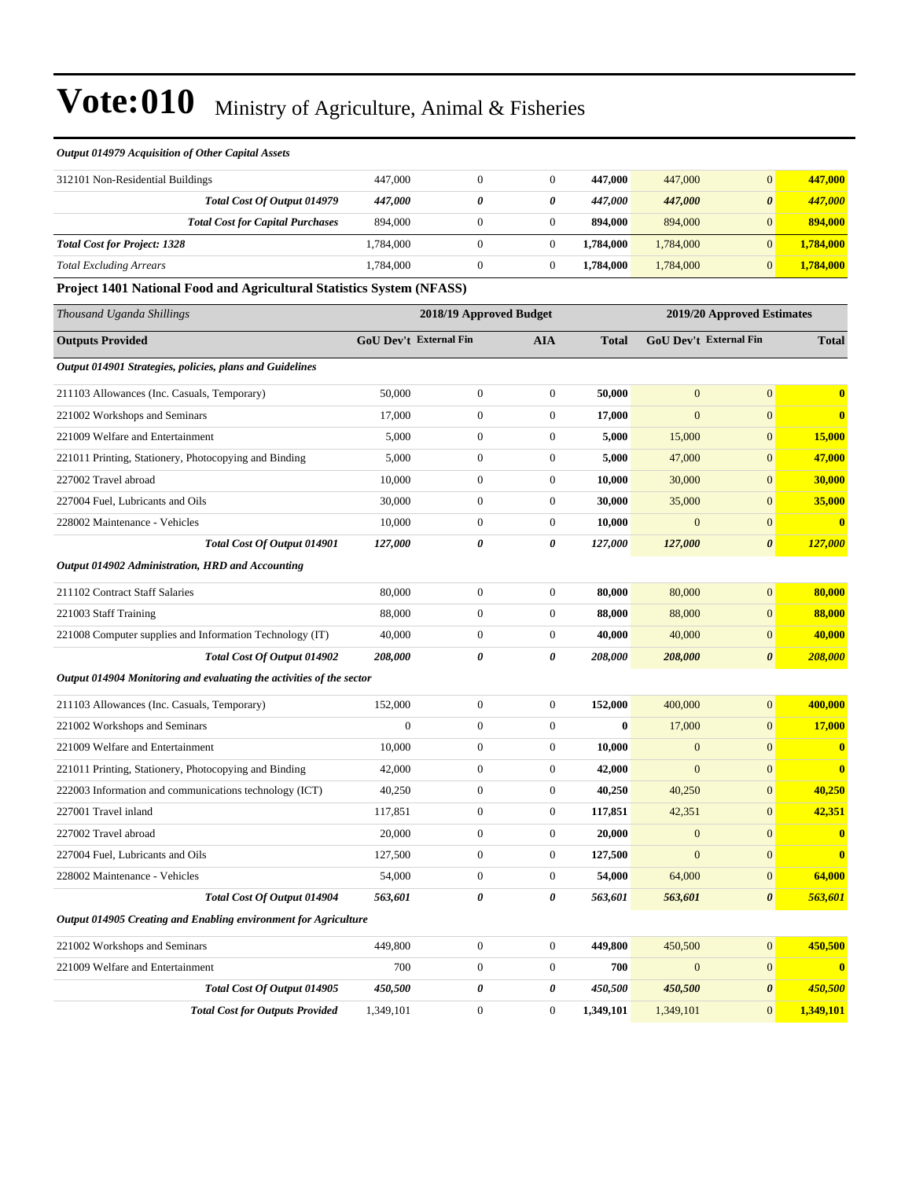*Output 014979 Acquisition of Other Capital Assets*

| 312101 Non-Residential Buildings        | 447,000   |   | 447.000   | 447,000   |                       | 447,000   |
|-----------------------------------------|-----------|---|-----------|-----------|-----------------------|-----------|
| Total Cost Of Output 014979             | 447.000   | 0 | 447.000   | 447,000   | $\boldsymbol{\theta}$ | 447,000   |
| <b>Total Cost for Capital Purchases</b> | 894,000   |   | 894.000   | 894,000   |                       | 894,000   |
| <b>Total Cost for Project: 1328</b>     | 1,784,000 |   | 1.784.000 | 1,784,000 |                       | 1,784,000 |
| <b>Total Excluding Arrears</b>          | 1.784.000 |   | 1.784.000 | 1.784,000 |                       | 1.784.000 |

**Project 1401 National Food and Agricultural Statistics System (NFASS)**

| Thousand Uganda Shillings                                            | 2018/19 Approved Budget       |                  |                  |              |                        | 2019/20 Approved Estimates |              |
|----------------------------------------------------------------------|-------------------------------|------------------|------------------|--------------|------------------------|----------------------------|--------------|
| <b>Outputs Provided</b>                                              | <b>GoU Dev't External Fin</b> |                  | <b>AIA</b>       | <b>Total</b> | GoU Dev't External Fin |                            | <b>Total</b> |
| Output 014901 Strategies, policies, plans and Guidelines             |                               |                  |                  |              |                        |                            |              |
| 211103 Allowances (Inc. Casuals, Temporary)                          | 50,000                        | $\overline{0}$   | $\overline{0}$   | 50,000       | $\overline{0}$         | $\overline{0}$             | $\mathbf{0}$ |
| 221002 Workshops and Seminars                                        | 17,000                        | $\boldsymbol{0}$ | $\mathbf{0}$     | 17,000       | $\overline{0}$         | $\overline{0}$             | $\bf{0}$     |
| 221009 Welfare and Entertainment                                     | 5,000                         | $\boldsymbol{0}$ | $\boldsymbol{0}$ | 5,000        | 15,000                 | $\boldsymbol{0}$           | 15,000       |
| 221011 Printing, Stationery, Photocopying and Binding                | 5,000                         | $\boldsymbol{0}$ | $\mathbf{0}$     | 5,000        | 47,000                 | $\mathbf{0}$               | 47,000       |
| 227002 Travel abroad                                                 | 10,000                        | $\boldsymbol{0}$ | $\boldsymbol{0}$ | 10,000       | 30,000                 | $\mathbf{0}$               | 30,000       |
| 227004 Fuel, Lubricants and Oils                                     | 30,000                        | $\boldsymbol{0}$ | $\mathbf{0}$     | 30,000       | 35,000                 | $\mathbf{0}$               | 35,000       |
| 228002 Maintenance - Vehicles                                        | 10,000                        | $\boldsymbol{0}$ | $\mathbf{0}$     | 10,000       | $\mathbf{0}$           | $\boldsymbol{0}$           | $\bf{0}$     |
| Total Cost Of Output 014901                                          | 127,000                       | 0                | 0                | 127,000      | 127,000                | $\boldsymbol{\theta}$      | 127,000      |
| Output 014902 Administration, HRD and Accounting                     |                               |                  |                  |              |                        |                            |              |
| 211102 Contract Staff Salaries                                       | 80,000                        | $\boldsymbol{0}$ | $\boldsymbol{0}$ | 80,000       | 80,000                 | $\mathbf{0}$               | 80,000       |
| 221003 Staff Training                                                | 88,000                        | $\boldsymbol{0}$ | $\mathbf{0}$     | 88,000       | 88,000                 | $\mathbf{0}$               | 88,000       |
| 221008 Computer supplies and Information Technology (IT)             | 40,000                        | $\boldsymbol{0}$ | $\mathbf{0}$     | 40,000       | 40,000                 | $\mathbf{0}$               | 40,000       |
| Total Cost Of Output 014902                                          | 208,000                       | 0                | 0                | 208,000      | 208,000                | $\boldsymbol{\theta}$      | 208,000      |
| Output 014904 Monitoring and evaluating the activities of the sector |                               |                  |                  |              |                        |                            |              |
| 211103 Allowances (Inc. Casuals, Temporary)                          | 152,000                       | $\boldsymbol{0}$ | $\mathbf{0}$     | 152,000      | 400,000                | $\mathbf{0}$               | 400,000      |
| 221002 Workshops and Seminars                                        | $\overline{0}$                | $\boldsymbol{0}$ | $\boldsymbol{0}$ | $\bf{0}$     | 17,000                 | $\boldsymbol{0}$           | 17,000       |
| 221009 Welfare and Entertainment                                     | 10,000                        | $\boldsymbol{0}$ | $\mathbf{0}$     | 10,000       | $\mathbf{0}$           | $\mathbf{0}$               | $\mathbf{0}$ |
| 221011 Printing, Stationery, Photocopying and Binding                | 42,000                        | $\boldsymbol{0}$ | $\overline{0}$   | 42,000       | $\overline{0}$         | $\overline{0}$             | $\bf{0}$     |
| 222003 Information and communications technology (ICT)               | 40,250                        | $\boldsymbol{0}$ | $\mathbf{0}$     | 40,250       | 40,250                 | $\mathbf{0}$               | 40,250       |
| 227001 Travel inland                                                 | 117,851                       | $\boldsymbol{0}$ | $\boldsymbol{0}$ | 117,851      | 42,351                 | $\overline{0}$             | 42,351       |
| 227002 Travel abroad                                                 | 20,000                        | $\boldsymbol{0}$ | $\mathbf{0}$     | 20,000       | $\mathbf{0}$           | $\mathbf{0}$               | $\mathbf{0}$ |
| 227004 Fuel, Lubricants and Oils                                     | 127,500                       | $\boldsymbol{0}$ | $\mathbf{0}$     | 127,500      | $\mathbf{0}$           | $\mathbf{0}$               | $\mathbf{0}$ |
| 228002 Maintenance - Vehicles                                        | 54,000                        | $\boldsymbol{0}$ | $\mathbf{0}$     | 54,000       | 64,000                 | $\mathbf{0}$               | 64,000       |
| Total Cost Of Output 014904                                          | 563,601                       | 0                | 0                | 563,601      | 563,601                | $\boldsymbol{\theta}$      | 563,601      |
| Output 014905 Creating and Enabling environment for Agriculture      |                               |                  |                  |              |                        |                            |              |
| 221002 Workshops and Seminars                                        | 449,800                       | $\boldsymbol{0}$ | $\mathbf{0}$     | 449,800      | 450,500                | $\overline{0}$             | 450,500      |
| 221009 Welfare and Entertainment                                     | 700                           | $\boldsymbol{0}$ | $\mathbf{0}$     | 700          | $\mathbf{0}$           | $\mathbf{0}$               | $\mathbf{0}$ |
| Total Cost Of Output 014905                                          | 450,500                       | 0                | 0                | 450,500      | 450,500                | $\boldsymbol{\theta}$      | 450,500      |
| <b>Total Cost for Outputs Provided</b>                               | 1,349,101                     | $\boldsymbol{0}$ | $\mathbf{0}$     | 1,349,101    | 1,349,101              | $\mathbf{0}$               | 1,349,101    |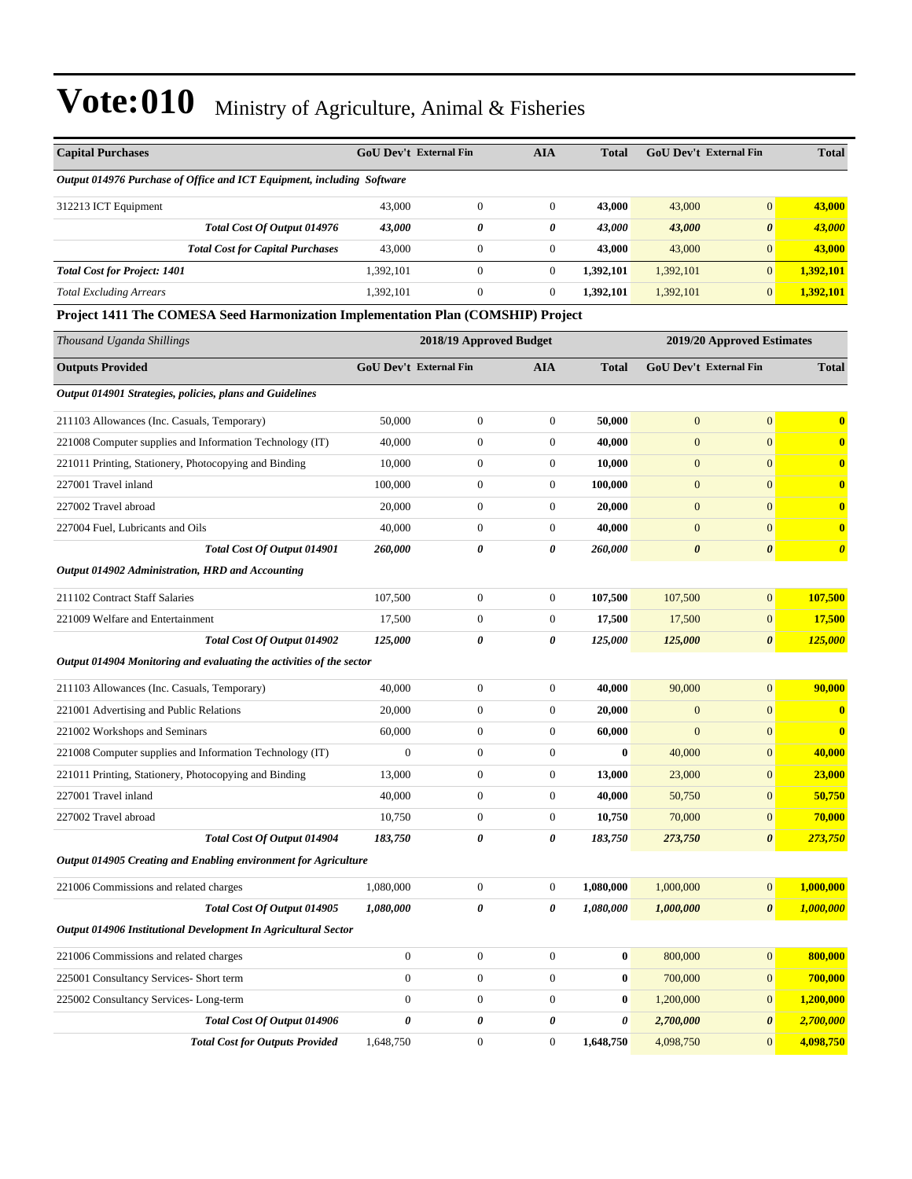| <b>Capital Purchases</b>                                                         |                  | <b>GoU Dev't External Fin</b> | <b>AIA</b>       | <b>Total</b> | <b>GoU Dev't External Fin</b> |                            | <b>Total</b>          |  |  |
|----------------------------------------------------------------------------------|------------------|-------------------------------|------------------|--------------|-------------------------------|----------------------------|-----------------------|--|--|
| Output 014976 Purchase of Office and ICT Equipment, including Software           |                  |                               |                  |              |                               |                            |                       |  |  |
| 312213 ICT Equipment                                                             | 43,000           | $\boldsymbol{0}$              | $\boldsymbol{0}$ | 43,000       | 43,000                        | $\boldsymbol{0}$           | 43,000                |  |  |
| Total Cost Of Output 014976                                                      | 43,000           | 0                             | 0                | 43,000       | 43,000                        | $\boldsymbol{\theta}$      | 43,000                |  |  |
| <b>Total Cost for Capital Purchases</b>                                          | 43,000           | $\boldsymbol{0}$              | $\boldsymbol{0}$ | 43,000       | 43,000                        | $\mathbf{0}$               | 43,000                |  |  |
| <b>Total Cost for Project: 1401</b>                                              | 1,392,101        | $\boldsymbol{0}$              | $\boldsymbol{0}$ | 1,392,101    | 1,392,101                     | $\mathbf{0}$               | 1,392,101             |  |  |
| <b>Total Excluding Arrears</b>                                                   | 1,392,101        | $\boldsymbol{0}$              | $\overline{0}$   | 1,392,101    | 1,392,101                     | $\mathbf{0}$               | 1,392,101             |  |  |
| Project 1411 The COMESA Seed Harmonization Implementation Plan (COMSHIP) Project |                  |                               |                  |              |                               |                            |                       |  |  |
| Thousand Uganda Shillings                                                        |                  | 2018/19 Approved Budget       |                  |              |                               | 2019/20 Approved Estimates |                       |  |  |
| <b>Outputs Provided</b>                                                          |                  | <b>GoU Dev't External Fin</b> | <b>AIA</b>       | <b>Total</b> | <b>GoU Dev't External Fin</b> |                            | <b>Total</b>          |  |  |
| Output 014901 Strategies, policies, plans and Guidelines                         |                  |                               |                  |              |                               |                            |                       |  |  |
| 211103 Allowances (Inc. Casuals, Temporary)                                      | 50,000           | $\boldsymbol{0}$              | $\boldsymbol{0}$ | 50,000       | $\boldsymbol{0}$              | $\mathbf{0}$               | $\bf{0}$              |  |  |
| 221008 Computer supplies and Information Technology (IT)                         | 40,000           | $\boldsymbol{0}$              | $\boldsymbol{0}$ | 40,000       | $\boldsymbol{0}$              | $\mathbf{0}$               | $\bf{0}$              |  |  |
| 221011 Printing, Stationery, Photocopying and Binding                            | 10,000           | $\boldsymbol{0}$              | $\boldsymbol{0}$ | 10,000       | $\boldsymbol{0}$              | $\mathbf{0}$               | $\bf{0}$              |  |  |
| 227001 Travel inland                                                             | 100,000          | $\boldsymbol{0}$              | $\boldsymbol{0}$ | 100,000      | $\boldsymbol{0}$              | $\mathbf{0}$               | $\bf{0}$              |  |  |
| 227002 Travel abroad                                                             | 20,000           | $\boldsymbol{0}$              | $\mathbf{0}$     | 20,000       | $\mathbf{0}$                  | $\mathbf{0}$               | $\bf{0}$              |  |  |
| 227004 Fuel, Lubricants and Oils                                                 | 40,000           | $\boldsymbol{0}$              | $\boldsymbol{0}$ | 40,000       | $\boldsymbol{0}$              | $\mathbf{0}$               | $\bf{0}$              |  |  |
| Total Cost Of Output 014901                                                      | 260,000          | 0                             | 0                | 260,000      | $\boldsymbol{\theta}$         | $\boldsymbol{\theta}$      | $\boldsymbol{\theta}$ |  |  |
| Output 014902 Administration, HRD and Accounting                                 |                  |                               |                  |              |                               |                            |                       |  |  |
| 211102 Contract Staff Salaries                                                   | 107,500          | $\boldsymbol{0}$              | $\boldsymbol{0}$ | 107,500      | 107,500                       | $\boldsymbol{0}$           | 107,500               |  |  |
| 221009 Welfare and Entertainment                                                 | 17,500           | $\boldsymbol{0}$              | $\boldsymbol{0}$ | 17,500       | 17,500                        | $\mathbf{0}$               | 17,500                |  |  |
| Total Cost Of Output 014902                                                      | 125,000          | 0                             | 0                | 125,000      | 125,000                       | $\boldsymbol{\theta}$      | 125,000               |  |  |
| Output 014904 Monitoring and evaluating the activities of the sector             |                  |                               |                  |              |                               |                            |                       |  |  |
| 211103 Allowances (Inc. Casuals, Temporary)                                      | 40,000           | $\boldsymbol{0}$              | $\boldsymbol{0}$ | 40,000       | 90,000                        | $\boldsymbol{0}$           | 90,000                |  |  |
| 221001 Advertising and Public Relations                                          | 20,000           | $\boldsymbol{0}$              | $\boldsymbol{0}$ | 20,000       | $\mathbf{0}$                  | $\mathbf{0}$               | $\mathbf{0}$          |  |  |
| 221002 Workshops and Seminars                                                    | 60,000           | $\boldsymbol{0}$              | $\boldsymbol{0}$ | 60,000       | $\overline{0}$                | $\mathbf{0}$               | $\bf{0}$              |  |  |
| 221008 Computer supplies and Information Technology (IT)                         | $\boldsymbol{0}$ | $\boldsymbol{0}$              | $\boldsymbol{0}$ | $\bf{0}$     | 40,000                        | $\mathbf{0}$               | 40,000                |  |  |
| 221011 Printing, Stationery, Photocopying and Binding                            | 13,000           | $\boldsymbol{0}$              | $\boldsymbol{0}$ | 13,000       | 23,000                        | $\mathbf{0}$               | 23,000                |  |  |
| 227001 Travel inland                                                             | 40,000           | $\mathbf{0}$                  | $\mathbf{0}$     | 40,000       | 50,750                        | $\mathbf{0}$               | 50,750                |  |  |
| 227002 Travel abroad                                                             | 10,750           | $\boldsymbol{0}$              | $\boldsymbol{0}$ | 10,750       | 70,000                        | $\boldsymbol{0}$           | 70,000                |  |  |
| Total Cost Of Output 014904                                                      | 183,750          | 0                             | $\pmb{\theta}$   | 183,750      | 273,750                       | $\pmb{\theta}$             | 273,750               |  |  |
| Output 014905 Creating and Enabling environment for Agriculture                  |                  |                               |                  |              |                               |                            |                       |  |  |
| 221006 Commissions and related charges                                           | 1,080,000        | $\boldsymbol{0}$              | $\boldsymbol{0}$ | 1,080,000    | 1,000,000                     | $\boldsymbol{0}$           | 1,000,000             |  |  |
| Total Cost Of Output 014905                                                      | 1,080,000        | 0                             | 0                | 1,080,000    | 1,000,000                     | $\boldsymbol{\theta}$      | 1,000,000             |  |  |
| Output 014906 Institutional Development In Agricultural Sector                   |                  |                               |                  |              |                               |                            |                       |  |  |
| 221006 Commissions and related charges                                           | $\boldsymbol{0}$ | $\boldsymbol{0}$              | $\boldsymbol{0}$ | $\mathbf{0}$ | 800,000                       | $\boldsymbol{0}$           | 800,000               |  |  |
| 225001 Consultancy Services- Short term                                          | $\boldsymbol{0}$ | $\boldsymbol{0}$              | $\boldsymbol{0}$ | $\bf{0}$     | 700,000                       | $\mathbf{0}$               | 700,000               |  |  |
| 225002 Consultancy Services-Long-term                                            | $\boldsymbol{0}$ | $\boldsymbol{0}$              | $\boldsymbol{0}$ | $\bf{0}$     | 1,200,000                     | $\mathbf{0}$               | 1,200,000             |  |  |
| Total Cost Of Output 014906                                                      | 0                | 0                             | 0                | 0            | 2,700,000                     | $\pmb{\theta}$             | 2,700,000             |  |  |
| <b>Total Cost for Outputs Provided</b>                                           | 1,648,750        | $\boldsymbol{0}$              | $\boldsymbol{0}$ | 1,648,750    | 4,098,750                     | $\mathbf{0}$               | 4,098,750             |  |  |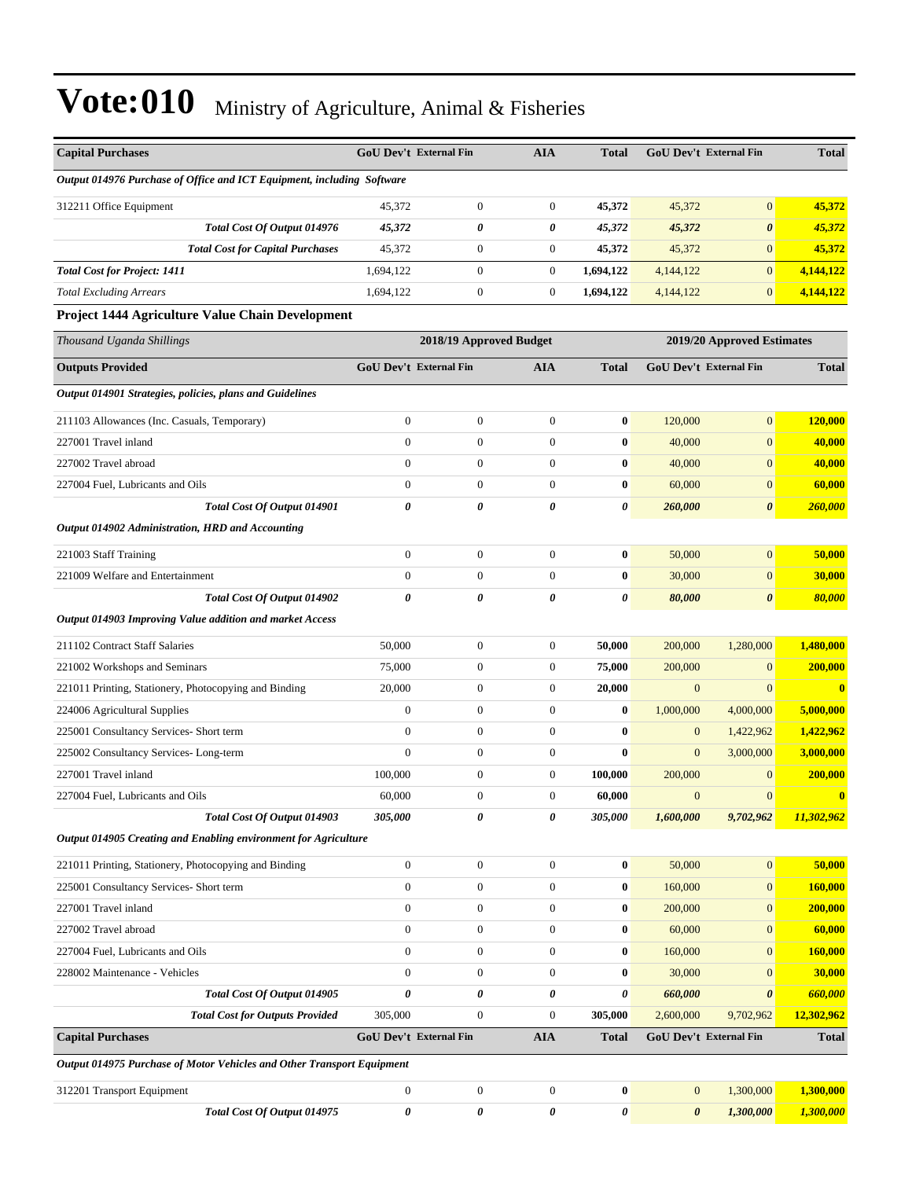| <b>Capital Purchases</b>                                               | <b>GoU Dev't External Fin</b> |                         | <b>AIA</b>       | <b>Total</b>     |                       | <b>GoU Dev't External Fin</b> | <b>Total</b> |
|------------------------------------------------------------------------|-------------------------------|-------------------------|------------------|------------------|-----------------------|-------------------------------|--------------|
| Output 014976 Purchase of Office and ICT Equipment, including Software |                               |                         |                  |                  |                       |                               |              |
| 312211 Office Equipment                                                | 45,372                        | $\boldsymbol{0}$        | $\boldsymbol{0}$ | 45,372           | 45,372                | $\overline{0}$                | 45,372       |
| Total Cost Of Output 014976                                            | 45,372                        | 0                       | 0                | 45,372           | 45,372                | $\boldsymbol{\theta}$         | 45,372       |
| <b>Total Cost for Capital Purchases</b>                                | 45,372                        | $\boldsymbol{0}$        | $\boldsymbol{0}$ | 45,372           | 45,372                | $\mathbf{0}$                  | 45,372       |
| <b>Total Cost for Project: 1411</b>                                    | 1,694,122                     | $\boldsymbol{0}$        | $\boldsymbol{0}$ | 1,694,122        | 4,144,122             | $\mathbf{0}$                  | 4,144,122    |
| <b>Total Excluding Arrears</b>                                         | 1,694,122                     | $\boldsymbol{0}$        | $\boldsymbol{0}$ | 1,694,122        | 4,144,122             | $\mathbf{0}$                  | 4,144,122    |
| Project 1444 Agriculture Value Chain Development                       |                               |                         |                  |                  |                       |                               |              |
| Thousand Uganda Shillings                                              |                               | 2018/19 Approved Budget |                  |                  |                       | 2019/20 Approved Estimates    |              |
| <b>Outputs Provided</b>                                                |                               | GoU Dev't External Fin  | <b>AIA</b>       | <b>Total</b>     |                       | GoU Dev't External Fin        | <b>Total</b> |
| Output 014901 Strategies, policies, plans and Guidelines               |                               |                         |                  |                  |                       |                               |              |
| 211103 Allowances (Inc. Casuals, Temporary)                            | $\boldsymbol{0}$              | $\boldsymbol{0}$        | $\boldsymbol{0}$ | $\bf{0}$         | 120,000               | $\overline{0}$                | 120,000      |
| 227001 Travel inland                                                   | $\mathbf{0}$                  | $\boldsymbol{0}$        | $\boldsymbol{0}$ | $\bf{0}$         | 40,000                | $\mathbf{0}$                  | 40,000       |
| 227002 Travel abroad                                                   | $\boldsymbol{0}$              | $\boldsymbol{0}$        | $\boldsymbol{0}$ | $\bf{0}$         | 40,000                | $\overline{0}$                | 40,000       |
| 227004 Fuel, Lubricants and Oils                                       | $\overline{0}$                | $\boldsymbol{0}$        | $\boldsymbol{0}$ | $\bf{0}$         | 60,000                | $\boldsymbol{0}$              | 60,000       |
| Total Cost Of Output 014901                                            | 0                             | 0                       | 0                | 0                | 260,000               | $\boldsymbol{\theta}$         | 260,000      |
| Output 014902 Administration, HRD and Accounting                       |                               |                         |                  |                  |                       |                               |              |
| 221003 Staff Training                                                  | $\boldsymbol{0}$              | $\boldsymbol{0}$        | $\boldsymbol{0}$ | $\bf{0}$         | 50,000                | $\overline{0}$                | 50,000       |
| 221009 Welfare and Entertainment                                       | $\overline{0}$                | $\boldsymbol{0}$        | $\boldsymbol{0}$ | $\bf{0}$         | 30,000                | $\boldsymbol{0}$              | 30,000       |
| Total Cost Of Output 014902                                            | 0                             | 0                       | 0                | 0                | 80,000                | $\boldsymbol{\theta}$         | 80,000       |
| Output 014903 Improving Value addition and market Access               |                               |                         |                  |                  |                       |                               |              |
| 211102 Contract Staff Salaries                                         | 50,000                        | $\boldsymbol{0}$        | $\boldsymbol{0}$ | 50,000           | 200,000               | 1,280,000                     | 1,480,000    |
| 221002 Workshops and Seminars                                          | 75,000                        | $\boldsymbol{0}$        | $\boldsymbol{0}$ | 75,000           | 200,000               | $\mathbf{0}$                  | 200,000      |
| 221011 Printing, Stationery, Photocopying and Binding                  | 20,000                        | $\boldsymbol{0}$        | $\boldsymbol{0}$ | 20,000           | $\mathbf{0}$          | $\mathbf{0}$                  | $\bf{0}$     |
| 224006 Agricultural Supplies                                           | $\boldsymbol{0}$              | $\boldsymbol{0}$        | $\boldsymbol{0}$ | $\bf{0}$         | 1,000,000             | 4,000,000                     | 5,000,000    |
| 225001 Consultancy Services- Short term                                | $\boldsymbol{0}$              | $\boldsymbol{0}$        | $\boldsymbol{0}$ | $\bf{0}$         | $\mathbf{0}$          | 1,422,962                     | 1,422,962    |
| 225002 Consultancy Services-Long-term                                  | $\mathbf{0}$                  | $\boldsymbol{0}$        | $\boldsymbol{0}$ | $\bf{0}$         | $\mathbf{0}$          | 3,000,000                     | 3,000,000    |
| 227001 Travel inland                                                   | 100,000                       | $\boldsymbol{0}$        | $\boldsymbol{0}$ | 100,000          | 200,000               | $\mathbf{0}$                  | 200,000      |
| 227004 Fuel, Lubricants and Oils                                       | 60,000                        | $\boldsymbol{0}$        | $\overline{0}$   | 60,000           | $\mathbf{0}$          | $\mathbf{0}$                  | $\bf{0}$     |
| Total Cost Of Output 014903                                            | 305,000                       | 0                       | 0                | 305,000          | 1,600,000             | 9,702,962                     | 11,302,962   |
| Output 014905 Creating and Enabling environment for Agriculture        |                               |                         |                  |                  |                       |                               |              |
| 221011 Printing, Stationery, Photocopying and Binding                  | $\boldsymbol{0}$              | $\boldsymbol{0}$        | $\boldsymbol{0}$ | $\bf{0}$         | 50,000                | $\mathbf{0}$                  | 50,000       |
| 225001 Consultancy Services- Short term                                | $\mathbf{0}$                  | $\boldsymbol{0}$        | $\boldsymbol{0}$ | $\bf{0}$         | 160,000               | $\boldsymbol{0}$              | 160,000      |
| 227001 Travel inland                                                   | $\boldsymbol{0}$              | $\boldsymbol{0}$        | $\boldsymbol{0}$ | $\bf{0}$         | 200,000               | $\mathbf{0}$                  | 200,000      |
| 227002 Travel abroad                                                   | $\boldsymbol{0}$              | $\boldsymbol{0}$        | $\boldsymbol{0}$ | $\bf{0}$         | 60,000                | $\mathbf{0}$                  | 60,000       |
| 227004 Fuel, Lubricants and Oils                                       | $\boldsymbol{0}$              | $\boldsymbol{0}$        | $\boldsymbol{0}$ | $\bf{0}$         | 160,000               | $\mathbf{0}$                  | 160,000      |
| 228002 Maintenance - Vehicles                                          | $\boldsymbol{0}$              | $\boldsymbol{0}$        | $\boldsymbol{0}$ | $\boldsymbol{0}$ | 30,000                | $\mathbf{0}$                  | 30,000       |
| Total Cost Of Output 014905                                            | $\boldsymbol{\theta}$         | 0                       | 0                | 0                | 660,000               | $\boldsymbol{\theta}$         | 660,000      |
| <b>Total Cost for Outputs Provided</b>                                 | 305,000                       | $\boldsymbol{0}$        | $\boldsymbol{0}$ | 305,000          | 2,600,000             | 9,702,962                     | 12,302,962   |
| <b>Capital Purchases</b>                                               | GoU Dev't External Fin        |                         | <b>AIA</b>       | <b>Total</b>     |                       | GoU Dev't External Fin        | <b>Total</b> |
| Output 014975 Purchase of Motor Vehicles and Other Transport Equipment |                               |                         |                  |                  |                       |                               |              |
| 312201 Transport Equipment                                             | $\boldsymbol{0}$              | $\boldsymbol{0}$        | $\boldsymbol{0}$ | $\bf{0}$         | $\mathbf{0}$          | 1,300,000                     | 1,300,000    |
| Total Cost Of Output 014975                                            | $\pmb{\theta}$                | 0                       | 0                | 0                | $\boldsymbol{\theta}$ | 1,300,000                     | 1,300,000    |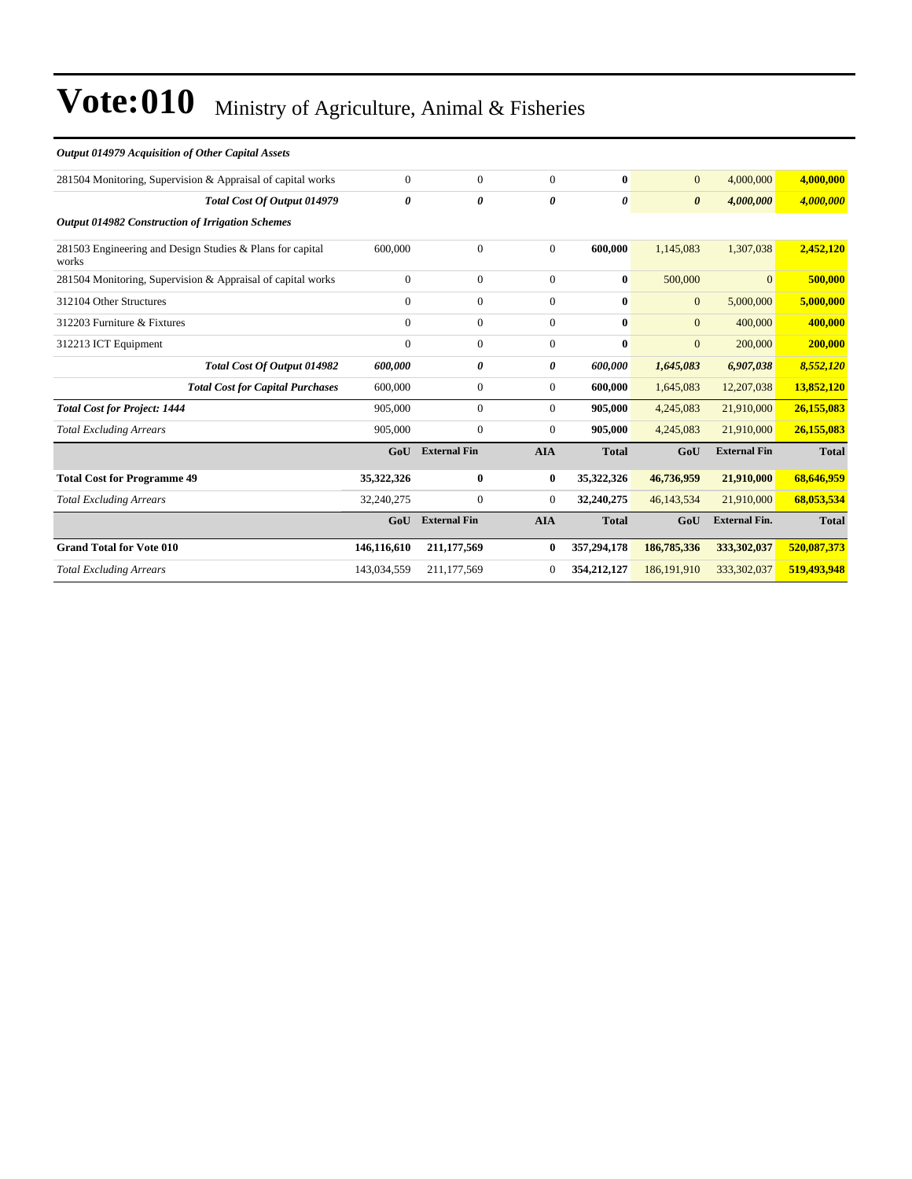#### *Output 014979 Acquisition of Other Capital Assets*

| $\Omega$     | $\overline{0}$      | $\Omega$       | $\mathbf{0}$ | $\mathbf{0}$          | 4,000,000            | 4,000,000    |
|--------------|---------------------|----------------|--------------|-----------------------|----------------------|--------------|
| 0            | 0                   | 0              | 0            | $\boldsymbol{\theta}$ | 4,000,000            | 4,000,000    |
|              |                     |                |              |                       |                      |              |
| 600,000      | $\overline{0}$      | $\Omega$       | 600,000      | 1,145,083             | 1,307,038            | 2,452,120    |
| $\Omega$     | $\overline{0}$      | $\Omega$       | $\bf{0}$     | 500,000               | $\overline{0}$       | 500,000      |
| $\Omega$     | $\overline{0}$      | $\Omega$       | $\mathbf{0}$ | $\mathbf{0}$          | 5,000,000            | 5,000,000    |
| $\Omega$     | $\boldsymbol{0}$    | $\overline{0}$ | $\mathbf{0}$ | $\mathbf{0}$          | 400,000              | 400,000      |
| $\mathbf{0}$ | $\overline{0}$      | 0              | $\bf{0}$     | $\mathbf{0}$          | 200,000              | 200,000      |
| 600,000      | 0                   | 0              | 600,000      | 1,645,083             | 6,907,038            | 8,552,120    |
| 600,000      | $\overline{0}$      | $\overline{0}$ | 600,000      | 1,645,083             | 12,207,038           | 13,852,120   |
| 905,000      | $\overline{0}$      | $\overline{0}$ | 905,000      | 4,245,083             | 21,910,000           | 26,155,083   |
| 905,000      | $\overline{0}$      | $\overline{0}$ | 905,000      | 4,245,083             | 21,910,000           | 26,155,083   |
| GoU          | <b>External Fin</b> | <b>AIA</b>     | <b>Total</b> | GoU                   | <b>External Fin</b>  | <b>Total</b> |
| 35,322,326   | $\bf{0}$            | $\bf{0}$       | 35,322,326   | 46,736,959            | 21,910,000           | 68,646,959   |
| 32,240,275   | $\boldsymbol{0}$    | $\overline{0}$ | 32,240,275   | 46,143,534            | 21,910,000           | 68,053,534   |
| GoU          | <b>External Fin</b> | <b>AIA</b>     | <b>Total</b> | GoU                   | <b>External Fin.</b> | <b>Total</b> |
| 146,116,610  | 211,177,569         | $\bf{0}$       | 357,294,178  | 186,785,336           | 333,302,037          | 520,087,373  |
| 143,034,559  | 211, 177, 569       | $\Omega$       | 354,212,127  | 186, 191, 910         | 333,302,037          | 519,493,948  |
|              |                     |                |              |                       |                      |              |